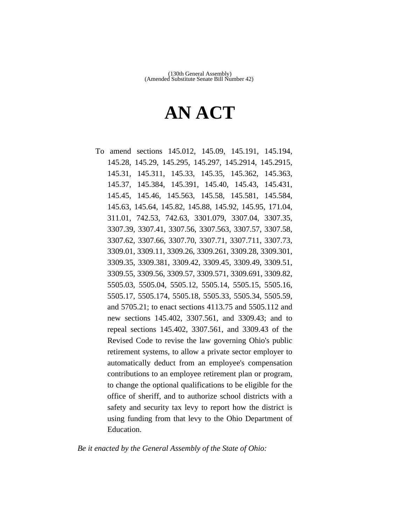## **AN ACT**

To amend sections 145.012, 145.09, 145.191, 145.194, 145.28, 145.29, 145.295, 145.297, 145.2914, 145.2915, 145.31, 145.311, 145.33, 145.35, 145.362, 145.363, 145.37, 145.384, 145.391, 145.40, 145.43, 145.431, 145.45, 145.46, 145.563, 145.58, 145.581, 145.584, 145.63, 145.64, 145.82, 145.88, 145.92, 145.95, 171.04, 311.01, 742.53, 742.63, 3301.079, 3307.04, 3307.35, 3307.39, 3307.41, 3307.56, 3307.563, 3307.57, 3307.58, 3307.62, 3307.66, 3307.70, 3307.71, 3307.711, 3307.73, 3309.01, 3309.11, 3309.26, 3309.261, 3309.28, 3309.301, 3309.35, 3309.381, 3309.42, 3309.45, 3309.49, 3309.51, 3309.55, 3309.56, 3309.57, 3309.571, 3309.691, 3309.82, 5505.03, 5505.04, 5505.12, 5505.14, 5505.15, 5505.16, 5505.17, 5505.174, 5505.18, 5505.33, 5505.34, 5505.59, and 5705.21; to enact sections 4113.75 and 5505.112 and new sections 145.402, 3307.561, and 3309.43; and to repeal sections 145.402, 3307.561, and 3309.43 of the Revised Code to revise the law governing Ohio's public retirement systems, to allow a private sector employer to automatically deduct from an employee's compensation contributions to an employee retirement plan or program, to change the optional qualifications to be eligible for the office of sheriff, and to authorize school districts with a safety and security tax levy to report how the district is using funding from that levy to the Ohio Department of Education.

*Be it enacted by the General Assembly of the State of Ohio:*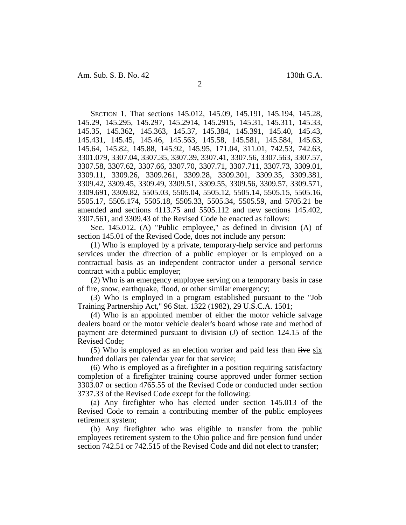2

SECTION 1. That sections 145.012, 145.09, 145.191, 145.194, 145.28, 145.29, 145.295, 145.297, 145.2914, 145.2915, 145.31, 145.311, 145.33, 145.35, 145.362, 145.363, 145.37, 145.384, 145.391, 145.40, 145.43, 145.431, 145.45, 145.46, 145.563, 145.58, 145.581, 145.584, 145.63, 145.64, 145.82, 145.88, 145.92, 145.95, 171.04, 311.01, 742.53, 742.63, 3301.079, 3307.04, 3307.35, 3307.39, 3307.41, 3307.56, 3307.563, 3307.57, 3307.58, 3307.62, 3307.66, 3307.70, 3307.71, 3307.711, 3307.73, 3309.01, 3309.11, 3309.26, 3309.261, 3309.28, 3309.301, 3309.35, 3309.381, 3309.42, 3309.45, 3309.49, 3309.51, 3309.55, 3309.56, 3309.57, 3309.571, 3309.691, 3309.82, 5505.03, 5505.04, 5505.12, 5505.14, 5505.15, 5505.16, 5505.17, 5505.174, 5505.18, 5505.33, 5505.34, 5505.59, and 5705.21 be amended and sections 4113.75 and 5505.112 and new sections 145.402, 3307.561, and 3309.43 of the Revised Code be enacted as follows:

Sec. 145.012. (A) "Public employee," as defined in division (A) of section 145.01 of the Revised Code, does not include any person:

(1) Who is employed by a private, temporary-help service and performs services under the direction of a public employer or is employed on a contractual basis as an independent contractor under a personal service contract with a public employer;

(2) Who is an emergency employee serving on a temporary basis in case of fire, snow, earthquake, flood, or other similar emergency;

(3) Who is employed in a program established pursuant to the "Job Training Partnership Act," 96 Stat. 1322 (1982), 29 U.S.C.A. 1501;

(4) Who is an appointed member of either the motor vehicle salvage dealers board or the motor vehicle dealer's board whose rate and method of payment are determined pursuant to division (J) of section 124.15 of the Revised Code;

(5) Who is employed as an election worker and paid less than  $f{H}$  ive six hundred dollars per calendar year for that service;

(6) Who is employed as a firefighter in a position requiring satisfactory completion of a firefighter training course approved under former section 3303.07 or section 4765.55 of the Revised Code or conducted under section 3737.33 of the Revised Code except for the following:

(a) Any firefighter who has elected under section 145.013 of the Revised Code to remain a contributing member of the public employees retirement system;

(b) Any firefighter who was eligible to transfer from the public employees retirement system to the Ohio police and fire pension fund under section 742.51 or 742.515 of the Revised Code and did not elect to transfer;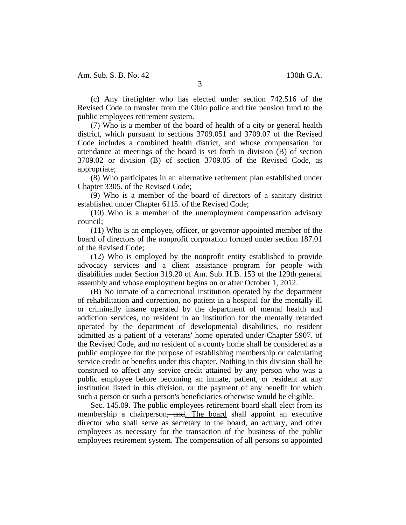(c) Any firefighter who has elected under section 742.516 of the Revised Code to transfer from the Ohio police and fire pension fund to the public employees retirement system.

(7) Who is a member of the board of health of a city or general health district, which pursuant to sections 3709.051 and 3709.07 of the Revised Code includes a combined health district, and whose compensation for attendance at meetings of the board is set forth in division (B) of section 3709.02 or division (B) of section 3709.05 of the Revised Code, as appropriate;

(8) Who participates in an alternative retirement plan established under Chapter 3305. of the Revised Code;

(9) Who is a member of the board of directors of a sanitary district established under Chapter 6115. of the Revised Code;

(10) Who is a member of the unemployment compensation advisory council;

(11) Who is an employee, officer, or governor-appointed member of the board of directors of the nonprofit corporation formed under section 187.01 of the Revised Code;

(12) Who is employed by the nonprofit entity established to provide advocacy services and a client assistance program for people with disabilities under Section 319.20 of Am. Sub. H.B. 153 of the 129th general assembly and whose employment begins on or after October 1, 2012.

(B) No inmate of a correctional institution operated by the department of rehabilitation and correction, no patient in a hospital for the mentally ill or criminally insane operated by the department of mental health and addiction services, no resident in an institution for the mentally retarded operated by the department of developmental disabilities, no resident admitted as a patient of a veterans' home operated under Chapter 5907. of the Revised Code, and no resident of a county home shall be considered as a public employee for the purpose of establishing membership or calculating service credit or benefits under this chapter. Nothing in this division shall be construed to affect any service credit attained by any person who was a public employee before becoming an inmate, patient, or resident at any institution listed in this division, or the payment of any benefit for which such a person or such a person's beneficiaries otherwise would be eligible.

Sec. 145.09. The public employees retirement board shall elect from its membership a chairperson<del>, and</del>. The board shall appoint an executive director who shall serve as secretary to the board, an actuary, and other employees as necessary for the transaction of the business of the public employees retirement system. The compensation of all persons so appointed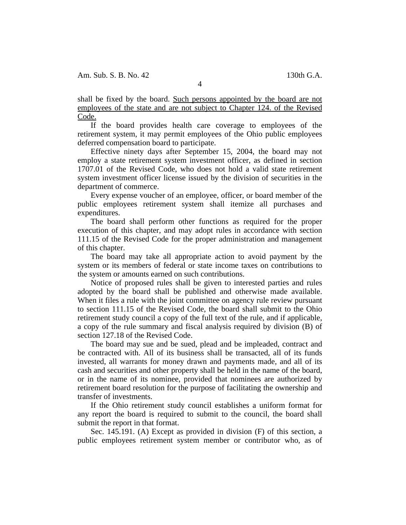shall be fixed by the board. Such persons appointed by the board are not employees of the state and are not subject to Chapter 124. of the Revised Code.

If the board provides health care coverage to employees of the retirement system, it may permit employees of the Ohio public employees deferred compensation board to participate.

Effective ninety days after September 15, 2004, the board may not employ a state retirement system investment officer, as defined in section 1707.01 of the Revised Code, who does not hold a valid state retirement system investment officer license issued by the division of securities in the department of commerce.

Every expense voucher of an employee, officer, or board member of the public employees retirement system shall itemize all purchases and expenditures.

The board shall perform other functions as required for the proper execution of this chapter, and may adopt rules in accordance with section 111.15 of the Revised Code for the proper administration and management of this chapter.

The board may take all appropriate action to avoid payment by the system or its members of federal or state income taxes on contributions to the system or amounts earned on such contributions.

Notice of proposed rules shall be given to interested parties and rules adopted by the board shall be published and otherwise made available. When it files a rule with the joint committee on agency rule review pursuant to section 111.15 of the Revised Code, the board shall submit to the Ohio retirement study council a copy of the full text of the rule, and if applicable, a copy of the rule summary and fiscal analysis required by division (B) of section 127.18 of the Revised Code.

The board may sue and be sued, plead and be impleaded, contract and be contracted with. All of its business shall be transacted, all of its funds invested, all warrants for money drawn and payments made, and all of its cash and securities and other property shall be held in the name of the board, or in the name of its nominee, provided that nominees are authorized by retirement board resolution for the purpose of facilitating the ownership and transfer of investments.

If the Ohio retirement study council establishes a uniform format for any report the board is required to submit to the council, the board shall submit the report in that format.

Sec. 145.191. (A) Except as provided in division (F) of this section, a public employees retirement system member or contributor who, as of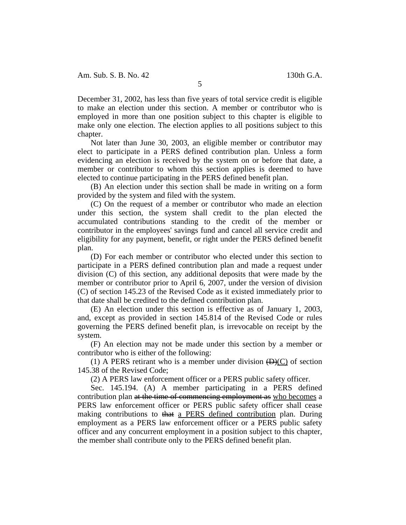December 31, 2002, has less than five years of total service credit is eligible to make an election under this section. A member or contributor who is employed in more than one position subject to this chapter is eligible to make only one election. The election applies to all positions subject to this chapter.

Not later than June 30, 2003, an eligible member or contributor may elect to participate in a PERS defined contribution plan. Unless a form evidencing an election is received by the system on or before that date, a member or contributor to whom this section applies is deemed to have elected to continue participating in the PERS defined benefit plan.

(B) An election under this section shall be made in writing on a form provided by the system and filed with the system.

(C) On the request of a member or contributor who made an election under this section, the system shall credit to the plan elected the accumulated contributions standing to the credit of the member or contributor in the employees' savings fund and cancel all service credit and eligibility for any payment, benefit, or right under the PERS defined benefit plan.

(D) For each member or contributor who elected under this section to participate in a PERS defined contribution plan and made a request under division (C) of this section, any additional deposits that were made by the member or contributor prior to April 6, 2007, under the version of division (C) of section 145.23 of the Revised Code as it existed immediately prior to that date shall be credited to the defined contribution plan.

(E) An election under this section is effective as of January 1, 2003, and, except as provided in section 145.814 of the Revised Code or rules governing the PERS defined benefit plan, is irrevocable on receipt by the system.

(F) An election may not be made under this section by a member or contributor who is either of the following:

(1) A PERS retirant who is a member under division  $\left(\frac{D}{C}\right)$  of section 145.38 of the Revised Code;

(2) A PERS law enforcement officer or a PERS public safety officer.

Sec. 145.194. (A) A member participating in a PERS defined contribution plan at the time of commencing employment as who becomes a PERS law enforcement officer or PERS public safety officer shall cease making contributions to that a PERS defined contribution plan. During employment as a PERS law enforcement officer or a PERS public safety officer and any concurrent employment in a position subject to this chapter, the member shall contribute only to the PERS defined benefit plan.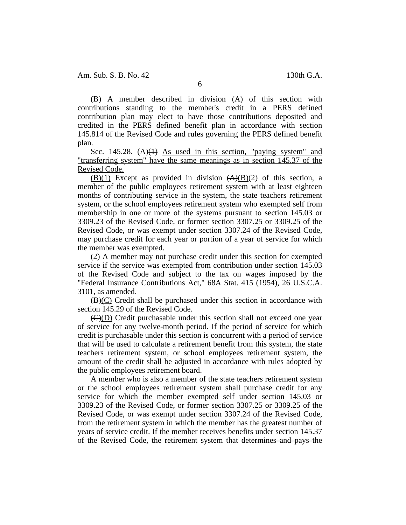(B) A member described in division (A) of this section with contributions standing to the member's credit in a PERS defined contribution plan may elect to have those contributions deposited and credited in the PERS defined benefit plan in accordance with section 145.814 of the Revised Code and rules governing the PERS defined benefit plan.

Sec. 145.28.  $(A)(1)$  As used in this section, "paying system" and "transferring system" have the same meanings as in section 145.37 of the Revised Code.

 $\underline{(B)(1)}$  Except as provided in division  $(A)(\underline{B})(2)$  of this section, a member of the public employees retirement system with at least eighteen months of contributing service in the system, the state teachers retirement system, or the school employees retirement system who exempted self from membership in one or more of the systems pursuant to section 145.03 or 3309.23 of the Revised Code, or former section 3307.25 or 3309.25 of the Revised Code, or was exempt under section 3307.24 of the Revised Code, may purchase credit for each year or portion of a year of service for which the member was exempted.

(2) A member may not purchase credit under this section for exempted service if the service was exempted from contribution under section 145.03 of the Revised Code and subject to the tax on wages imposed by the "Federal Insurance Contributions Act," 68A Stat. 415 (1954), 26 U.S.C.A. 3101, as amended.

 $(\mathbf{B})(\mathbf{C})$  Credit shall be purchased under this section in accordance with section 145.29 of the Revised Code.

(C)(D) Credit purchasable under this section shall not exceed one year of service for any twelve-month period. If the period of service for which credit is purchasable under this section is concurrent with a period of service that will be used to calculate a retirement benefit from this system, the state teachers retirement system, or school employees retirement system, the amount of the credit shall be adjusted in accordance with rules adopted by the public employees retirement board.

A member who is also a member of the state teachers retirement system or the school employees retirement system shall purchase credit for any service for which the member exempted self under section 145.03 or 3309.23 of the Revised Code, or former section 3307.25 or 3309.25 of the Revised Code, or was exempt under section 3307.24 of the Revised Code, from the retirement system in which the member has the greatest number of years of service credit. If the member receives benefits under section 145.37 of the Revised Code, the retirement system that determines and pays the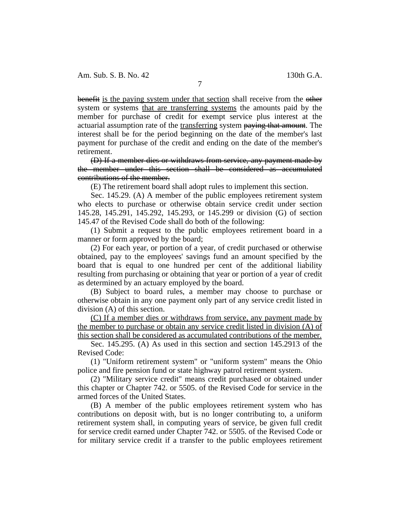benefit is the paying system under that section shall receive from the other system or systems that are transferring systems the amounts paid by the member for purchase of credit for exempt service plus interest at the actuarial assumption rate of the transferring system paying that amount. The interest shall be for the period beginning on the date of the member's last payment for purchase of the credit and ending on the date of the member's retirement.

(D) If a member dies or withdraws from service, any payment made by the member under this section shall be considered as accumulated contributions of the member.

(E) The retirement board shall adopt rules to implement this section.

Sec. 145.29. (A) A member of the public employees retirement system who elects to purchase or otherwise obtain service credit under section 145.28, 145.291, 145.292, 145.293, or 145.299 or division (G) of section 145.47 of the Revised Code shall do both of the following:

(1) Submit a request to the public employees retirement board in a manner or form approved by the board;

(2) For each year, or portion of a year, of credit purchased or otherwise obtained, pay to the employees' savings fund an amount specified by the board that is equal to one hundred per cent of the additional liability resulting from purchasing or obtaining that year or portion of a year of credit as determined by an actuary employed by the board.

(B) Subject to board rules, a member may choose to purchase or otherwise obtain in any one payment only part of any service credit listed in division (A) of this section.

(C) If a member dies or withdraws from service, any payment made by the member to purchase or obtain any service credit listed in division (A) of this section shall be considered as accumulated contributions of the member.

Sec. 145.295. (A) As used in this section and section 145.2913 of the Revised Code:

(1) "Uniform retirement system" or "uniform system" means the Ohio police and fire pension fund or state highway patrol retirement system.

(2) "Military service credit" means credit purchased or obtained under this chapter or Chapter 742. or 5505. of the Revised Code for service in the armed forces of the United States.

(B) A member of the public employees retirement system who has contributions on deposit with, but is no longer contributing to, a uniform retirement system shall, in computing years of service, be given full credit for service credit earned under Chapter 742. or 5505. of the Revised Code or for military service credit if a transfer to the public employees retirement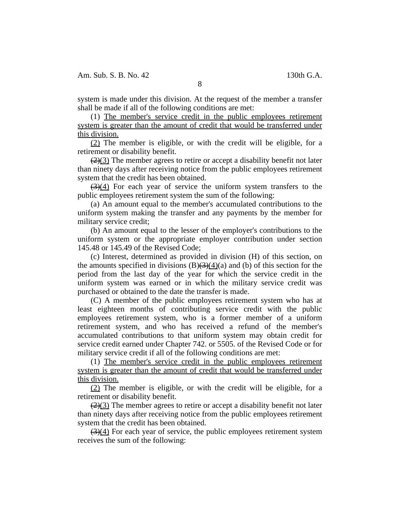system is made under this division. At the request of the member a transfer shall be made if all of the following conditions are met:

(1) The member's service credit in the public employees retirement system is greater than the amount of credit that would be transferred under this division.

(2) The member is eligible, or with the credit will be eligible, for a retirement or disability benefit.

 $\left(\frac{2}{3}\right)$  The member agrees to retire or accept a disability benefit not later than ninety days after receiving notice from the public employees retirement system that the credit has been obtained.

 $(3)(4)$  For each year of service the uniform system transfers to the public employees retirement system the sum of the following:

(a) An amount equal to the member's accumulated contributions to the uniform system making the transfer and any payments by the member for military service credit;

(b) An amount equal to the lesser of the employer's contributions to the uniform system or the appropriate employer contribution under section 145.48 or 145.49 of the Revised Code;

(c) Interest, determined as provided in division (H) of this section, on the amounts specified in divisions  $(B)(3)(4)(a)$  and (b) of this section for the period from the last day of the year for which the service credit in the uniform system was earned or in which the military service credit was purchased or obtained to the date the transfer is made.

(C) A member of the public employees retirement system who has at least eighteen months of contributing service credit with the public employees retirement system, who is a former member of a uniform retirement system, and who has received a refund of the member's accumulated contributions to that uniform system may obtain credit for service credit earned under Chapter 742. or 5505. of the Revised Code or for military service credit if all of the following conditions are met:

(1) The member's service credit in the public employees retirement system is greater than the amount of credit that would be transferred under this division.

(2) The member is eligible, or with the credit will be eligible, for a retirement or disability benefit.

 $(2)(3)$  The member agrees to retire or accept a disability benefit not later than ninety days after receiving notice from the public employees retirement system that the credit has been obtained.

 $\left(\frac{3}{4}\right)$  For each year of service, the public employees retirement system receives the sum of the following: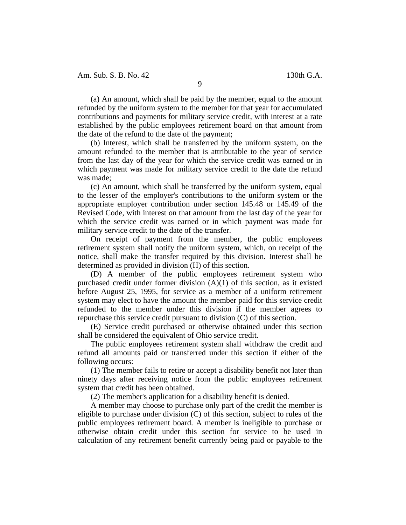(a) An amount, which shall be paid by the member, equal to the amount refunded by the uniform system to the member for that year for accumulated contributions and payments for military service credit, with interest at a rate established by the public employees retirement board on that amount from the date of the refund to the date of the payment;

(b) Interest, which shall be transferred by the uniform system, on the amount refunded to the member that is attributable to the year of service from the last day of the year for which the service credit was earned or in which payment was made for military service credit to the date the refund was made;

(c) An amount, which shall be transferred by the uniform system, equal to the lesser of the employer's contributions to the uniform system or the appropriate employer contribution under section 145.48 or 145.49 of the Revised Code, with interest on that amount from the last day of the year for which the service credit was earned or in which payment was made for military service credit to the date of the transfer.

On receipt of payment from the member, the public employees retirement system shall notify the uniform system, which, on receipt of the notice, shall make the transfer required by this division. Interest shall be determined as provided in division (H) of this section.

(D) A member of the public employees retirement system who purchased credit under former division (A)(1) of this section, as it existed before August 25, 1995, for service as a member of a uniform retirement system may elect to have the amount the member paid for this service credit refunded to the member under this division if the member agrees to repurchase this service credit pursuant to division (C) of this section.

(E) Service credit purchased or otherwise obtained under this section shall be considered the equivalent of Ohio service credit.

The public employees retirement system shall withdraw the credit and refund all amounts paid or transferred under this section if either of the following occurs:

(1) The member fails to retire or accept a disability benefit not later than ninety days after receiving notice from the public employees retirement system that credit has been obtained.

(2) The member's application for a disability benefit is denied.

A member may choose to purchase only part of the credit the member is eligible to purchase under division (C) of this section, subject to rules of the public employees retirement board. A member is ineligible to purchase or otherwise obtain credit under this section for service to be used in calculation of any retirement benefit currently being paid or payable to the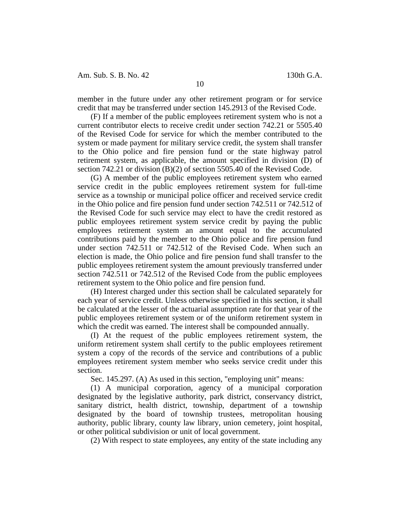Am. Sub. S. B. No. 42 130th G.A.

member in the future under any other retirement program or for service credit that may be transferred under section 145.2913 of the Revised Code.

(F) If a member of the public employees retirement system who is not a current contributor elects to receive credit under section 742.21 or 5505.40 of the Revised Code for service for which the member contributed to the system or made payment for military service credit, the system shall transfer to the Ohio police and fire pension fund or the state highway patrol retirement system, as applicable, the amount specified in division (D) of section 742.21 or division (B)(2) of section 5505.40 of the Revised Code.

(G) A member of the public employees retirement system who earned service credit in the public employees retirement system for full-time service as a township or municipal police officer and received service credit in the Ohio police and fire pension fund under section 742.511 or 742.512 of the Revised Code for such service may elect to have the credit restored as public employees retirement system service credit by paying the public employees retirement system an amount equal to the accumulated contributions paid by the member to the Ohio police and fire pension fund under section 742.511 or 742.512 of the Revised Code. When such an election is made, the Ohio police and fire pension fund shall transfer to the public employees retirement system the amount previously transferred under section 742.511 or 742.512 of the Revised Code from the public employees retirement system to the Ohio police and fire pension fund.

(H) Interest charged under this section shall be calculated separately for each year of service credit. Unless otherwise specified in this section, it shall be calculated at the lesser of the actuarial assumption rate for that year of the public employees retirement system or of the uniform retirement system in which the credit was earned. The interest shall be compounded annually.

(I) At the request of the public employees retirement system, the uniform retirement system shall certify to the public employees retirement system a copy of the records of the service and contributions of a public employees retirement system member who seeks service credit under this section.

Sec. 145.297. (A) As used in this section, "employing unit" means:

(1) A municipal corporation, agency of a municipal corporation designated by the legislative authority, park district, conservancy district, sanitary district, health district, township, department of a township designated by the board of township trustees, metropolitan housing authority, public library, county law library, union cemetery, joint hospital, or other political subdivision or unit of local government.

(2) With respect to state employees, any entity of the state including any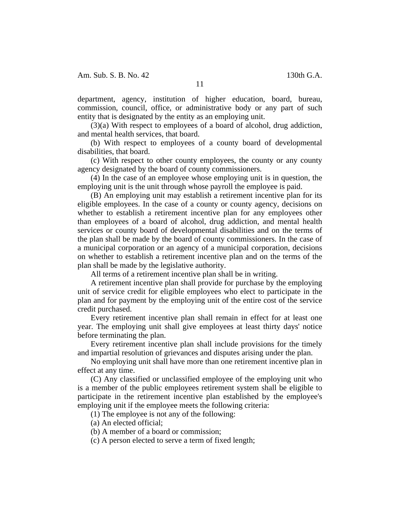department, agency, institution of higher education, board, bureau, commission, council, office, or administrative body or any part of such entity that is designated by the entity as an employing unit.

(3)(a) With respect to employees of a board of alcohol, drug addiction, and mental health services, that board.

(b) With respect to employees of a county board of developmental disabilities, that board.

(c) With respect to other county employees, the county or any county agency designated by the board of county commissioners.

(4) In the case of an employee whose employing unit is in question, the employing unit is the unit through whose payroll the employee is paid.

(B) An employing unit may establish a retirement incentive plan for its eligible employees. In the case of a county or county agency, decisions on whether to establish a retirement incentive plan for any employees other than employees of a board of alcohol, drug addiction, and mental health services or county board of developmental disabilities and on the terms of the plan shall be made by the board of county commissioners. In the case of a municipal corporation or an agency of a municipal corporation, decisions on whether to establish a retirement incentive plan and on the terms of the plan shall be made by the legislative authority.

All terms of a retirement incentive plan shall be in writing.

A retirement incentive plan shall provide for purchase by the employing unit of service credit for eligible employees who elect to participate in the plan and for payment by the employing unit of the entire cost of the service credit purchased.

Every retirement incentive plan shall remain in effect for at least one year. The employing unit shall give employees at least thirty days' notice before terminating the plan.

Every retirement incentive plan shall include provisions for the timely and impartial resolution of grievances and disputes arising under the plan.

No employing unit shall have more than one retirement incentive plan in effect at any time.

(C) Any classified or unclassified employee of the employing unit who is a member of the public employees retirement system shall be eligible to participate in the retirement incentive plan established by the employee's employing unit if the employee meets the following criteria:

(1) The employee is not any of the following:

(a) An elected official;

(b) A member of a board or commission;

(c) A person elected to serve a term of fixed length;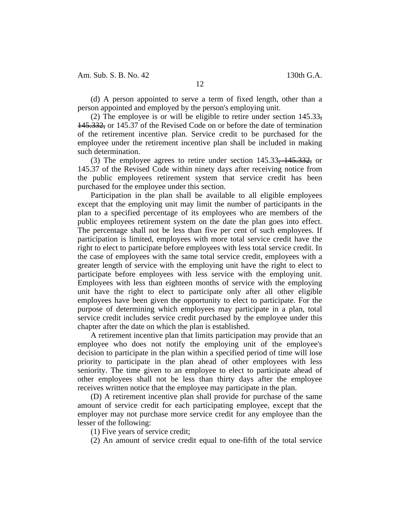(d) A person appointed to serve a term of fixed length, other than a person appointed and employed by the person's employing unit.

(2) The employee is or will be eligible to retire under section 145.33, 145.332, or 145.37 of the Revised Code on or before the date of termination of the retirement incentive plan. Service credit to be purchased for the employee under the retirement incentive plan shall be included in making such determination.

(3) The employee agrees to retire under section 145.33, 145.332, or 145.37 of the Revised Code within ninety days after receiving notice from the public employees retirement system that service credit has been purchased for the employee under this section.

Participation in the plan shall be available to all eligible employees except that the employing unit may limit the number of participants in the plan to a specified percentage of its employees who are members of the public employees retirement system on the date the plan goes into effect. The percentage shall not be less than five per cent of such employees. If participation is limited, employees with more total service credit have the right to elect to participate before employees with less total service credit. In the case of employees with the same total service credit, employees with a greater length of service with the employing unit have the right to elect to participate before employees with less service with the employing unit. Employees with less than eighteen months of service with the employing unit have the right to elect to participate only after all other eligible employees have been given the opportunity to elect to participate. For the purpose of determining which employees may participate in a plan, total service credit includes service credit purchased by the employee under this chapter after the date on which the plan is established.

A retirement incentive plan that limits participation may provide that an employee who does not notify the employing unit of the employee's decision to participate in the plan within a specified period of time will lose priority to participate in the plan ahead of other employees with less seniority. The time given to an employee to elect to participate ahead of other employees shall not be less than thirty days after the employee receives written notice that the employee may participate in the plan.

(D) A retirement incentive plan shall provide for purchase of the same amount of service credit for each participating employee, except that the employer may not purchase more service credit for any employee than the lesser of the following:

(1) Five years of service credit;

(2) An amount of service credit equal to one-fifth of the total service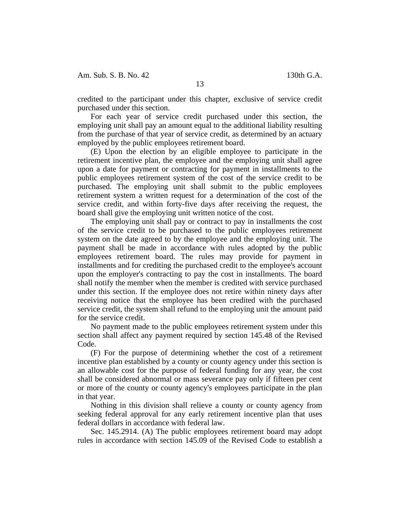Am. Sub. S. B. No. 42 130th G.A.

credited to the participant under this chapter, exclusive of service credit purchased under this section.

For each year of service credit purchased under this section, the employing unit shall pay an amount equal to the additional liability resulting from the purchase of that year of service credit, as determined by an actuary employed by the public employees retirement board.

(E) Upon the election by an eligible employee to participate in the retirement incentive plan, the employee and the employing unit shall agree upon a date for payment or contracting for payment in installments to the public employees retirement system of the cost of the service credit to be purchased. The employing unit shall submit to the public employees retirement system a written request for a determination of the cost of the service credit, and within forty-five days after receiving the request, the board shall give the employing unit written notice of the cost.

The employing unit shall pay or contract to pay in installments the cost of the service credit to be purchased to the public employees retirement system on the date agreed to by the employee and the employing unit. The payment shall be made in accordance with rules adopted by the public employees retirement board. The rules may provide for payment in installments and for crediting the purchased credit to the employee's account upon the employer's contracting to pay the cost in installments. The board shall notify the member when the member is credited with service purchased under this section. If the employee does not retire within ninety days after receiving notice that the employee has been credited with the purchased service credit, the system shall refund to the employing unit the amount paid for the service credit.

No payment made to the public employees retirement system under this section shall affect any payment required by section 145.48 of the Revised Code.

(F) For the purpose of determining whether the cost of a retirement incentive plan established by a county or county agency under this section is an allowable cost for the purpose of federal funding for any year, the cost shall be considered abnormal or mass severance pay only if fifteen per cent or more of the county or county agency's employees participate in the plan in that year.

Nothing in this division shall relieve a county or county agency from seeking federal approval for any early retirement incentive plan that uses federal dollars in accordance with federal law.

Sec. 145.2914. (A) The public employees retirement board may adopt rules in accordance with section 145.09 of the Revised Code to establish a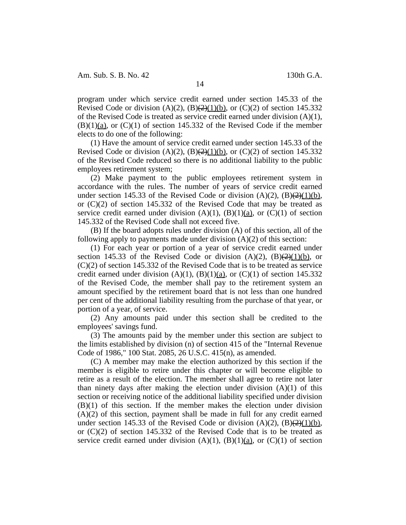program under which service credit earned under section 145.33 of the Revised Code or division (A)(2), (B) $\left(\frac{2}{10}\right)$ (b), or (C)(2) of section 145.332 of the Revised Code is treated as service credit earned under division (A)(1),  $(B)(1)(a)$ , or  $(C)(1)$  of section 145.332 of the Revised Code if the member elects to do one of the following:

(1) Have the amount of service credit earned under section 145.33 of the Revised Code or division (A)(2), (B) $\left(\frac{2}{2}\right)$ (1)(b), or (C)(2) of section 145.332 of the Revised Code reduced so there is no additional liability to the public employees retirement system;

(2) Make payment to the public employees retirement system in accordance with the rules. The number of years of service credit earned under section 145.33 of the Revised Code or division  $(A)(2)$ ,  $(B)(2)(1)(b)$ , or  $(C)(2)$  of section 145.332 of the Revised Code that may be treated as service credit earned under division  $(A)(1)$ ,  $(B)(1)(a)$ , or  $(C)(1)$  of section 145.332 of the Revised Code shall not exceed five.

(B) If the board adopts rules under division (A) of this section, all of the following apply to payments made under division  $(A)(2)$  of this section:

(1) For each year or portion of a year of service credit earned under section 145.33 of the Revised Code or division  $(A)(2)$ ,  $(B)(2)(1)(b)$ , or (C)(2) of section 145.332 of the Revised Code that is to be treated as service credit earned under division  $(A)(1)$ ,  $(B)(1)(a)$ , or  $(C)(1)$  of section 145.332 of the Revised Code, the member shall pay to the retirement system an amount specified by the retirement board that is not less than one hundred per cent of the additional liability resulting from the purchase of that year, or portion of a year, of service.

(2) Any amounts paid under this section shall be credited to the employees' savings fund.

(3) The amounts paid by the member under this section are subject to the limits established by division (n) of section 415 of the "Internal Revenue Code of 1986," 100 Stat. 2085, 26 U.S.C. 415(n), as amended.

(C) A member may make the election authorized by this section if the member is eligible to retire under this chapter or will become eligible to retire as a result of the election. The member shall agree to retire not later than ninety days after making the election under division  $(A)(1)$  of this section or receiving notice of the additional liability specified under division (B)(1) of this section. If the member makes the election under division (A)(2) of this section, payment shall be made in full for any credit earned under section 145.33 of the Revised Code or division  $(A)(2)$ ,  $(B)(2)(1)(b)$ , or (C)(2) of section 145.332 of the Revised Code that is to be treated as service credit earned under division  $(A)(1)$ ,  $(B)(1)(a)$ , or  $(C)(1)$  of section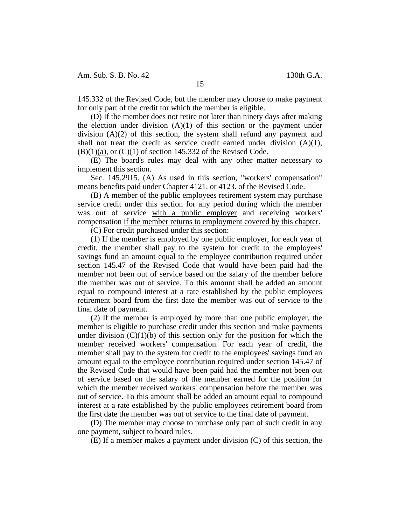Am. Sub. S. B. No. 42 130th G.A.

145.332 of the Revised Code, but the member may choose to make payment for only part of the credit for which the member is eligible.

(D) If the member does not retire not later than ninety days after making the election under division  $(A)(1)$  of this section or the payment under division (A)(2) of this section, the system shall refund any payment and shall not treat the credit as service credit earned under division  $(A)(1)$ ,  $(B)(1)(a)$ , or  $(C)(1)$  of section 145.332 of the Revised Code.

(E) The board's rules may deal with any other matter necessary to implement this section.

Sec. 145.2915. (A) As used in this section, "workers' compensation" means benefits paid under Chapter 4121. or 4123. of the Revised Code.

(B) A member of the public employees retirement system may purchase service credit under this section for any period during which the member was out of service with a public employer and receiving workers' compensation if the member returns to employment covered by this chapter.

(C) For credit purchased under this section:

(1) If the member is employed by one public employer, for each year of credit, the member shall pay to the system for credit to the employees' savings fund an amount equal to the employee contribution required under section 145.47 of the Revised Code that would have been paid had the member not been out of service based on the salary of the member before the member was out of service. To this amount shall be added an amount equal to compound interest at a rate established by the public employees retirement board from the first date the member was out of service to the final date of payment.

(2) If the member is employed by more than one public employer, the member is eligible to purchase credit under this section and make payments under division  $(C)(1)(b)$  of this section only for the position for which the member received workers' compensation. For each year of credit, the member shall pay to the system for credit to the employees' savings fund an amount equal to the employee contribution required under section 145.47 of the Revised Code that would have been paid had the member not been out of service based on the salary of the member earned for the position for which the member received workers' compensation before the member was out of service. To this amount shall be added an amount equal to compound interest at a rate established by the public employees retirement board from the first date the member was out of service to the final date of payment.

(D) The member may choose to purchase only part of such credit in any one payment, subject to board rules.

(E) If a member makes a payment under division (C) of this section, the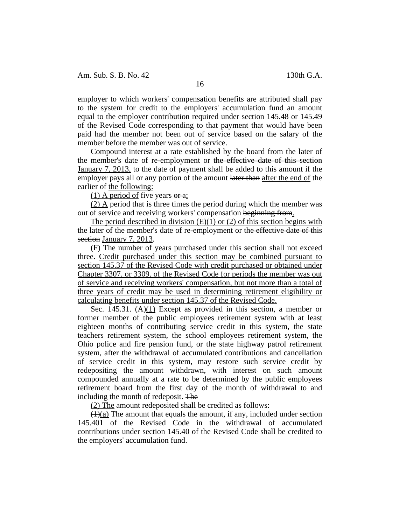employer to which workers' compensation benefits are attributed shall pay to the system for credit to the employers' accumulation fund an amount equal to the employer contribution required under section 145.48 or 145.49 of the Revised Code corresponding to that payment that would have been paid had the member not been out of service based on the salary of the member before the member was out of service.

Compound interest at a rate established by the board from the later of the member's date of re-employment or the effective date of this section January 7, 2013, to the date of payment shall be added to this amount if the employer pays all or any portion of the amount later than after the end of the earlier of the following:

(1) A period of five years **;** 

(2) A period that is three times the period during which the member was out of service and receiving workers' compensation beginning from.

The period described in division  $(E)(1)$  or  $(2)$  of this section begins with the later of the member's date of re-employment or the effective date of this section January 7, 2013.

(F) The number of years purchased under this section shall not exceed three. Credit purchased under this section may be combined pursuant to section 145.37 of the Revised Code with credit purchased or obtained under Chapter 3307. or 3309. of the Revised Code for periods the member was out of service and receiving workers' compensation, but not more than a total of three years of credit may be used in determining retirement eligibility or calculating benefits under section 145.37 of the Revised Code.

Sec. 145.31. (A) $(1)$  Except as provided in this section, a member or former member of the public employees retirement system with at least eighteen months of contributing service credit in this system, the state teachers retirement system, the school employees retirement system, the Ohio police and fire pension fund, or the state highway patrol retirement system, after the withdrawal of accumulated contributions and cancellation of service credit in this system, may restore such service credit by redepositing the amount withdrawn, with interest on such amount compounded annually at a rate to be determined by the public employees retirement board from the first day of the month of withdrawal to and including the month of redeposit. The

(2) The amount redeposited shall be credited as follows:

 $(1)(a)$  The amount that equals the amount, if any, included under section 145.401 of the Revised Code in the withdrawal of accumulated contributions under section 145.40 of the Revised Code shall be credited to the employers' accumulation fund.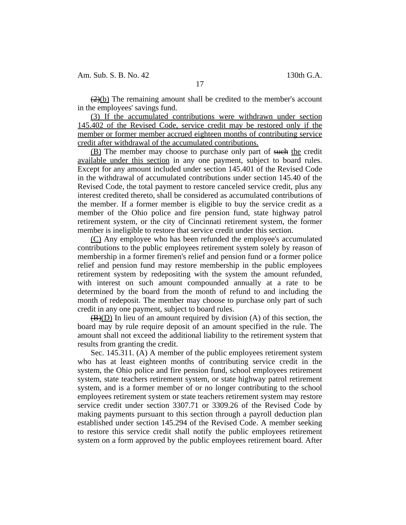$\left(\frac{2}{b}\right)$  The remaining amount shall be credited to the member's account in the employees' savings fund.

(3) If the accumulated contributions were withdrawn under section 145.402 of the Revised Code, service credit may be restored only if the member or former member accrued eighteen months of contributing service credit after withdrawal of the accumulated contributions.

(B) The member may choose to purchase only part of such the credit available under this section in any one payment, subject to board rules. Except for any amount included under section 145.401 of the Revised Code in the withdrawal of accumulated contributions under section 145.40 of the Revised Code, the total payment to restore canceled service credit, plus any interest credited thereto, shall be considered as accumulated contributions of the member. If a former member is eligible to buy the service credit as a member of the Ohio police and fire pension fund, state highway patrol retirement system, or the city of Cincinnati retirement system, the former member is ineligible to restore that service credit under this section.

(C) Any employee who has been refunded the employee's accumulated contributions to the public employees retirement system solely by reason of membership in a former firemen's relief and pension fund or a former police relief and pension fund may restore membership in the public employees retirement system by redepositing with the system the amount refunded, with interest on such amount compounded annually at a rate to be determined by the board from the month of refund to and including the month of redeposit. The member may choose to purchase only part of such credit in any one payment, subject to board rules.

 $(\overline{B})(D)$  In lieu of an amount required by division (A) of this section, the board may by rule require deposit of an amount specified in the rule. The amount shall not exceed the additional liability to the retirement system that results from granting the credit.

Sec. 145.311. (A) A member of the public employees retirement system who has at least eighteen months of contributing service credit in the system, the Ohio police and fire pension fund, school employees retirement system, state teachers retirement system, or state highway patrol retirement system, and is a former member of or no longer contributing to the school employees retirement system or state teachers retirement system may restore service credit under section 3307.71 or 3309.26 of the Revised Code by making payments pursuant to this section through a payroll deduction plan established under section 145.294 of the Revised Code. A member seeking to restore this service credit shall notify the public employees retirement system on a form approved by the public employees retirement board. After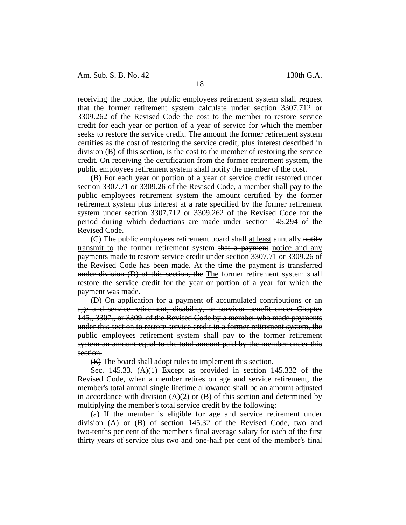receiving the notice, the public employees retirement system shall request that the former retirement system calculate under section 3307.712 or 3309.262 of the Revised Code the cost to the member to restore service credit for each year or portion of a year of service for which the member seeks to restore the service credit. The amount the former retirement system certifies as the cost of restoring the service credit, plus interest described in division (B) of this section, is the cost to the member of restoring the service credit. On receiving the certification from the former retirement system, the public employees retirement system shall notify the member of the cost.

(B) For each year or portion of a year of service credit restored under section 3307.71 or 3309.26 of the Revised Code, a member shall pay to the public employees retirement system the amount certified by the former retirement system plus interest at a rate specified by the former retirement system under section 3307.712 or 3309.262 of the Revised Code for the period during which deductions are made under section 145.294 of the Revised Code.

(C) The public employees retirement board shall at least annually notify transmit to the former retirement system that a payment notice and any payments made to restore service credit under section 3307.71 or 3309.26 of the Revised Code has been made. At the time the payment is transferred under division (D) of this section, the The former retirement system shall restore the service credit for the year or portion of a year for which the payment was made.

(D) On application for a payment of accumulated contributions or an age and service retirement, disability, or survivor benefit under Chapter 145., 3307., or 3309. of the Revised Code by a member who made payments under this section to restore service credit in a former retirement system, the public employees retirement system shall pay to the former retirement system an amount equal to the total amount paid by the member under this section.

 $(E)$  The board shall adopt rules to implement this section.

Sec. 145.33. (A)(1) Except as provided in section 145.332 of the Revised Code, when a member retires on age and service retirement, the member's total annual single lifetime allowance shall be an amount adjusted in accordance with division  $(A)(2)$  or  $(B)$  of this section and determined by multiplying the member's total service credit by the following:

(a) If the member is eligible for age and service retirement under division (A) or (B) of section 145.32 of the Revised Code, two and two-tenths per cent of the member's final average salary for each of the first thirty years of service plus two and one-half per cent of the member's final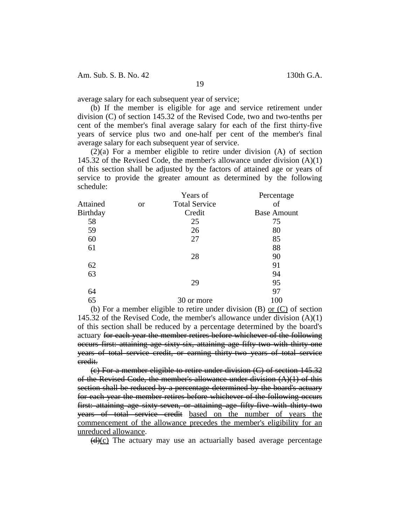average salary for each subsequent year of service;

(b) If the member is eligible for age and service retirement under division (C) of section 145.32 of the Revised Code, two and two-tenths per cent of the member's final average salary for each of the first thirty-five years of service plus two and one-half per cent of the member's final average salary for each subsequent year of service.

(2)(a) For a member eligible to retire under division (A) of section 145.32 of the Revised Code, the member's allowance under division (A)(1) of this section shall be adjusted by the factors of attained age or years of service to provide the greater amount as determined by the following schedule:

|               | Years of             | Percentage         |
|---------------|----------------------|--------------------|
| <sub>or</sub> | <b>Total Service</b> | of                 |
|               | Credit               | <b>Base Amount</b> |
|               | 25                   | 75                 |
|               | 26                   | 80                 |
|               | 27                   | 85                 |
|               |                      | 88                 |
|               | 28                   | 90                 |
|               |                      | 91                 |
|               |                      | 94                 |
|               | 29                   | 95                 |
|               |                      | 97                 |
|               | 30 or more           | 100                |
|               |                      |                    |

(b) For a member eligible to retire under division  $(B)$  or  $(C)$  of section 145.32 of the Revised Code, the member's allowance under division (A)(1) of this section shall be reduced by a percentage determined by the board's actuary for each year the member retires before whichever of the following occurs first: attaining age sixty-six, attaining age fifty-two with thirty-one years of total service credit, or earning thirty-two years of total service credit.

(c) For a member eligible to retire under division (C) of section 145.32 of the Revised Code, the member's allowance under division  $(A)(1)$  of this section shall be reduced by a percentage determined by the board's actuary for each year the member retires before whichever of the following occurs first: attaining age sixty-seven, or attaining age fifty-five with thirty-two years of total service credit based on the number of years the commencement of the allowance precedes the member's eligibility for an unreduced allowance.

 $\frac{d(x)}{dx}$  The actuary may use an actuarially based average percentage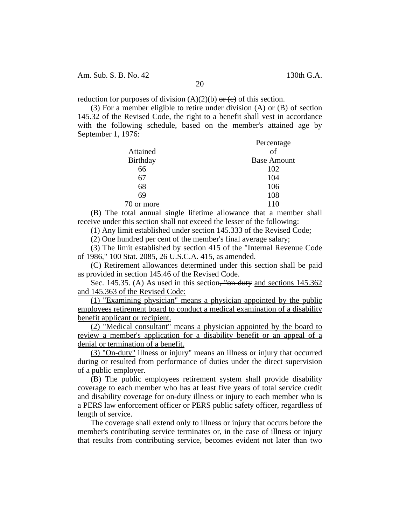20

reduction for purposes of division  $(A)(2)(b)$  or  $(e)$  of this section.

(3) For a member eligible to retire under division (A) or (B) of section 145.32 of the Revised Code, the right to a benefit shall vest in accordance with the following schedule, based on the member's attained age by September 1, 1976:

|                 | Percentage         |
|-----------------|--------------------|
| Attained        | of                 |
| <b>Birthday</b> | <b>Base Amount</b> |
| 66              | 102                |
| 67              | 104                |
| 68              | 106                |
| 69              | 108                |
| 70 or more      | 110                |

(B) The total annual single lifetime allowance that a member shall receive under this section shall not exceed the lesser of the following:

(1) Any limit established under section 145.333 of the Revised Code;

(2) One hundred per cent of the member's final average salary;

(3) The limit established by section 415 of the "Internal Revenue Code of 1986," 100 Stat. 2085, 26 U.S.C.A. 415, as amended.

(C) Retirement allowances determined under this section shall be paid as provided in section 145.46 of the Revised Code.

Sec. 145.35. (A) As used in this section<del>, "on-duty</del> and sections 145.362 and 145.363 of the Revised Code:

(1) "Examining physician" means a physician appointed by the public employees retirement board to conduct a medical examination of a disability benefit applicant or recipient.

(2) "Medical consultant" means a physician appointed by the board to review a member's application for a disability benefit or an appeal of a denial or termination of a benefit.

(3) "On-duty" illness or injury" means an illness or injury that occurred during or resulted from performance of duties under the direct supervision of a public employer.

(B) The public employees retirement system shall provide disability coverage to each member who has at least five years of total service credit and disability coverage for on-duty illness or injury to each member who is a PERS law enforcement officer or PERS public safety officer, regardless of length of service.

The coverage shall extend only to illness or injury that occurs before the member's contributing service terminates or, in the case of illness or injury that results from contributing service, becomes evident not later than two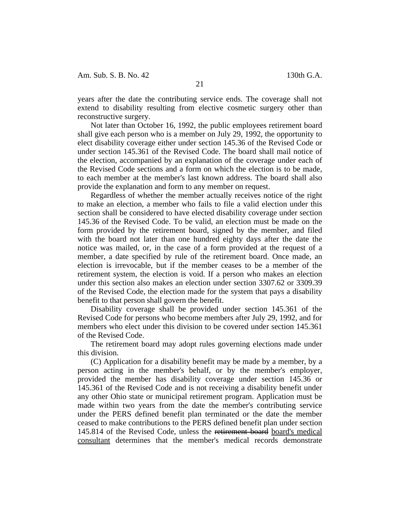years after the date the contributing service ends. The coverage shall not extend to disability resulting from elective cosmetic surgery other than reconstructive surgery.

Not later than October 16, 1992, the public employees retirement board shall give each person who is a member on July 29, 1992, the opportunity to elect disability coverage either under section 145.36 of the Revised Code or under section 145.361 of the Revised Code. The board shall mail notice of the election, accompanied by an explanation of the coverage under each of the Revised Code sections and a form on which the election is to be made, to each member at the member's last known address. The board shall also provide the explanation and form to any member on request.

Regardless of whether the member actually receives notice of the right to make an election, a member who fails to file a valid election under this section shall be considered to have elected disability coverage under section 145.36 of the Revised Code. To be valid, an election must be made on the form provided by the retirement board, signed by the member, and filed with the board not later than one hundred eighty days after the date the notice was mailed, or, in the case of a form provided at the request of a member, a date specified by rule of the retirement board. Once made, an election is irrevocable, but if the member ceases to be a member of the retirement system, the election is void. If a person who makes an election under this section also makes an election under section 3307.62 or 3309.39 of the Revised Code, the election made for the system that pays a disability benefit to that person shall govern the benefit.

Disability coverage shall be provided under section 145.361 of the Revised Code for persons who become members after July 29, 1992, and for members who elect under this division to be covered under section 145.361 of the Revised Code.

The retirement board may adopt rules governing elections made under this division.

(C) Application for a disability benefit may be made by a member, by a person acting in the member's behalf, or by the member's employer, provided the member has disability coverage under section 145.36 or 145.361 of the Revised Code and is not receiving a disability benefit under any other Ohio state or municipal retirement program. Application must be made within two years from the date the member's contributing service under the PERS defined benefit plan terminated or the date the member ceased to make contributions to the PERS defined benefit plan under section 145.814 of the Revised Code, unless the retirement board board's medical consultant determines that the member's medical records demonstrate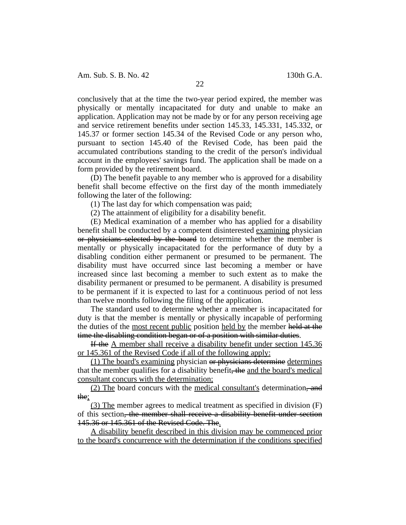conclusively that at the time the two-year period expired, the member was physically or mentally incapacitated for duty and unable to make an application. Application may not be made by or for any person receiving age and service retirement benefits under section 145.33, 145.331, 145.332, or 145.37 or former section 145.34 of the Revised Code or any person who, pursuant to section 145.40 of the Revised Code, has been paid the accumulated contributions standing to the credit of the person's individual account in the employees' savings fund. The application shall be made on a form provided by the retirement board.

(D) The benefit payable to any member who is approved for a disability benefit shall become effective on the first day of the month immediately following the later of the following:

(1) The last day for which compensation was paid;

(2) The attainment of eligibility for a disability benefit.

(E) Medical examination of a member who has applied for a disability benefit shall be conducted by a competent disinterested examining physician or physicians selected by the board to determine whether the member is mentally or physically incapacitated for the performance of duty by a disabling condition either permanent or presumed to be permanent. The disability must have occurred since last becoming a member or have increased since last becoming a member to such extent as to make the disability permanent or presumed to be permanent. A disability is presumed to be permanent if it is expected to last for a continuous period of not less than twelve months following the filing of the application.

The standard used to determine whether a member is incapacitated for duty is that the member is mentally or physically incapable of performing the duties of the most recent public position held by the member held at the time the disabling condition began or of a position with similar duties.

If the A member shall receive a disability benefit under section 145.36 or 145.361 of the Revised Code if all of the following apply:

(1) The board's examining physician or physicians determine determines that the member qualifies for a disability benefit, the and the board's medical consultant concurs with the determination;

(2) The board concurs with the medical consultant's determination. the;

(3) The member agrees to medical treatment as specified in division (F) of this section, the member shall receive a disability benefit under section 145.36 or 145.361 of the Revised Code. The.

A disability benefit described in this division may be commenced prior to the board's concurrence with the determination if the conditions specified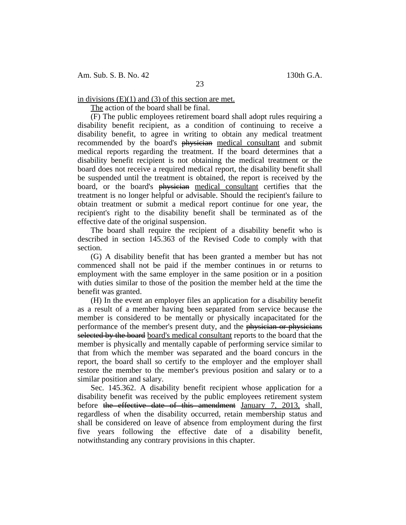in divisions  $(E)(1)$  and  $(3)$  of this section are met.

The action of the board shall be final.

(F) The public employees retirement board shall adopt rules requiring a disability benefit recipient, as a condition of continuing to receive a disability benefit, to agree in writing to obtain any medical treatment recommended by the board's physician medical consultant and submit medical reports regarding the treatment. If the board determines that a disability benefit recipient is not obtaining the medical treatment or the board does not receive a required medical report, the disability benefit shall be suspended until the treatment is obtained, the report is received by the board, or the board's physician medical consultant certifies that the treatment is no longer helpful or advisable. Should the recipient's failure to obtain treatment or submit a medical report continue for one year, the recipient's right to the disability benefit shall be terminated as of the effective date of the original suspension.

The board shall require the recipient of a disability benefit who is described in section 145.363 of the Revised Code to comply with that section.

(G) A disability benefit that has been granted a member but has not commenced shall not be paid if the member continues in or returns to employment with the same employer in the same position or in a position with duties similar to those of the position the member held at the time the benefit was granted.

(H) In the event an employer files an application for a disability benefit as a result of a member having been separated from service because the member is considered to be mentally or physically incapacitated for the performance of the member's present duty, and the physician or physicians selected by the board board's medical consultant reports to the board that the member is physically and mentally capable of performing service similar to that from which the member was separated and the board concurs in the report, the board shall so certify to the employer and the employer shall restore the member to the member's previous position and salary or to a similar position and salary.

Sec. 145.362. A disability benefit recipient whose application for a disability benefit was received by the public employees retirement system before the effective date of this amendment January 7, 2013, shall, regardless of when the disability occurred, retain membership status and shall be considered on leave of absence from employment during the first five years following the effective date of a disability benefit, notwithstanding any contrary provisions in this chapter.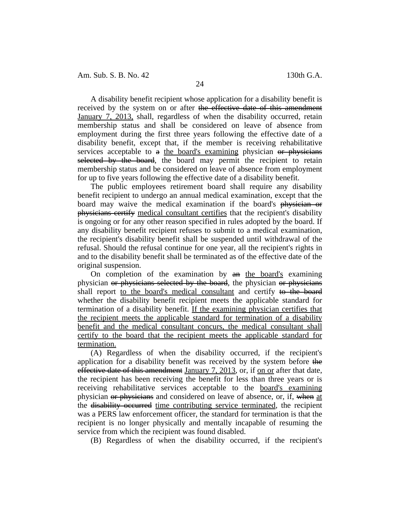A disability benefit recipient whose application for a disability benefit is received by the system on or after the effective date of this amendment January 7, 2013, shall, regardless of when the disability occurred, retain membership status and shall be considered on leave of absence from employment during the first three years following the effective date of a disability benefit, except that, if the member is receiving rehabilitative services acceptable to a the board's examining physician or physicians selected by the board, the board may permit the recipient to retain membership status and be considered on leave of absence from employment for up to five years following the effective date of a disability benefit.

The public employees retirement board shall require any disability benefit recipient to undergo an annual medical examination, except that the board may waive the medical examination if the board's physician or physicians certify medical consultant certifies that the recipient's disability is ongoing or for any other reason specified in rules adopted by the board. If any disability benefit recipient refuses to submit to a medical examination, the recipient's disability benefit shall be suspended until withdrawal of the refusal. Should the refusal continue for one year, all the recipient's rights in and to the disability benefit shall be terminated as of the effective date of the original suspension.

On completion of the examination by an the board's examining physician or physicians selected by the board, the physician or physicians shall report to the board's medical consultant and certify to the board whether the disability benefit recipient meets the applicable standard for termination of a disability benefit. If the examining physician certifies that the recipient meets the applicable standard for termination of a disability benefit and the medical consultant concurs, the medical consultant shall certify to the board that the recipient meets the applicable standard for termination.

(A) Regardless of when the disability occurred, if the recipient's application for a disability benefit was received by the system before the effective date of this amendment January 7, 2013, or, if on or after that date, the recipient has been receiving the benefit for less than three years or is receiving rehabilitative services acceptable to the board's examining physician or physicians and considered on leave of absence, or, if, when at the disability occurred time contributing service terminated, the recipient was a PERS law enforcement officer, the standard for termination is that the recipient is no longer physically and mentally incapable of resuming the service from which the recipient was found disabled.

(B) Regardless of when the disability occurred, if the recipient's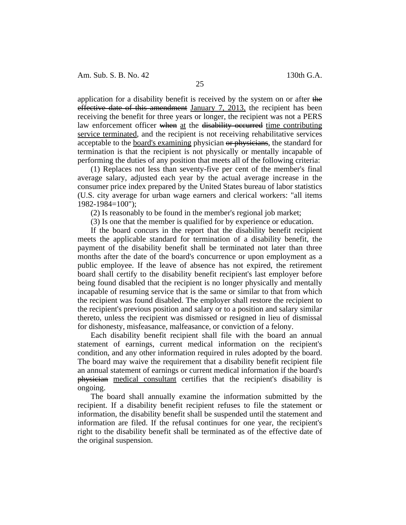application for a disability benefit is received by the system on or after the effective date of this amendment January 7, 2013, the recipient has been receiving the benefit for three years or longer, the recipient was not a PERS law enforcement officer when at the disability occurred time contributing service terminated, and the recipient is not receiving rehabilitative services acceptable to the board's examining physician or physicians, the standard for termination is that the recipient is not physically or mentally incapable of performing the duties of any position that meets all of the following criteria:

(1) Replaces not less than seventy-five per cent of the member's final average salary, adjusted each year by the actual average increase in the consumer price index prepared by the United States bureau of labor statistics (U.S. city average for urban wage earners and clerical workers: "all items 1982-1984=100");

(2) Is reasonably to be found in the member's regional job market;

(3) Is one that the member is qualified for by experience or education.

If the board concurs in the report that the disability benefit recipient meets the applicable standard for termination of a disability benefit, the payment of the disability benefit shall be terminated not later than three months after the date of the board's concurrence or upon employment as a public employee. If the leave of absence has not expired, the retirement board shall certify to the disability benefit recipient's last employer before being found disabled that the recipient is no longer physically and mentally incapable of resuming service that is the same or similar to that from which the recipient was found disabled. The employer shall restore the recipient to the recipient's previous position and salary or to a position and salary similar thereto, unless the recipient was dismissed or resigned in lieu of dismissal for dishonesty, misfeasance, malfeasance, or conviction of a felony.

Each disability benefit recipient shall file with the board an annual statement of earnings, current medical information on the recipient's condition, and any other information required in rules adopted by the board. The board may waive the requirement that a disability benefit recipient file an annual statement of earnings or current medical information if the board's physician medical consultant certifies that the recipient's disability is ongoing.

The board shall annually examine the information submitted by the recipient. If a disability benefit recipient refuses to file the statement or information, the disability benefit shall be suspended until the statement and information are filed. If the refusal continues for one year, the recipient's right to the disability benefit shall be terminated as of the effective date of the original suspension.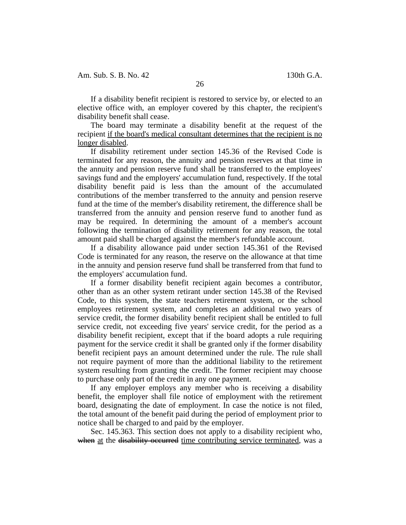Am. Sub. S. B. No. 42 130th G.A.

If a disability benefit recipient is restored to service by, or elected to an elective office with, an employer covered by this chapter, the recipient's disability benefit shall cease.

The board may terminate a disability benefit at the request of the recipient if the board's medical consultant determines that the recipient is no longer disabled.

If disability retirement under section 145.36 of the Revised Code is terminated for any reason, the annuity and pension reserves at that time in the annuity and pension reserve fund shall be transferred to the employees' savings fund and the employers' accumulation fund, respectively. If the total disability benefit paid is less than the amount of the accumulated contributions of the member transferred to the annuity and pension reserve fund at the time of the member's disability retirement, the difference shall be transferred from the annuity and pension reserve fund to another fund as may be required. In determining the amount of a member's account following the termination of disability retirement for any reason, the total amount paid shall be charged against the member's refundable account.

If a disability allowance paid under section 145.361 of the Revised Code is terminated for any reason, the reserve on the allowance at that time in the annuity and pension reserve fund shall be transferred from that fund to the employers' accumulation fund.

If a former disability benefit recipient again becomes a contributor, other than as an other system retirant under section 145.38 of the Revised Code, to this system, the state teachers retirement system, or the school employees retirement system, and completes an additional two years of service credit, the former disability benefit recipient shall be entitled to full service credit, not exceeding five years' service credit, for the period as a disability benefit recipient, except that if the board adopts a rule requiring payment for the service credit it shall be granted only if the former disability benefit recipient pays an amount determined under the rule. The rule shall not require payment of more than the additional liability to the retirement system resulting from granting the credit. The former recipient may choose to purchase only part of the credit in any one payment.

If any employer employs any member who is receiving a disability benefit, the employer shall file notice of employment with the retirement board, designating the date of employment. In case the notice is not filed, the total amount of the benefit paid during the period of employment prior to notice shall be charged to and paid by the employer.

Sec. 145.363. This section does not apply to a disability recipient who, when at the disability occurred time contributing service terminated, was a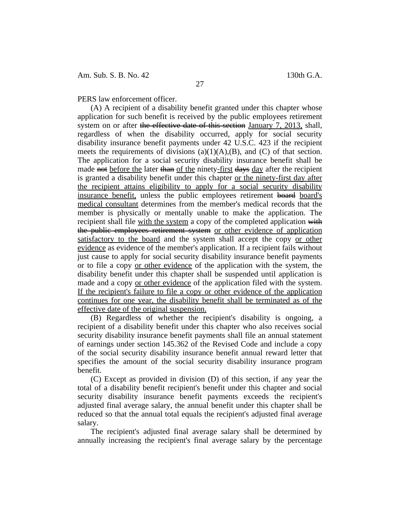PERS law enforcement officer.

(A) A recipient of a disability benefit granted under this chapter whose application for such benefit is received by the public employees retirement system on or after the effective date of this section January 7, 2013, shall, regardless of when the disability occurred, apply for social security disability insurance benefit payments under 42 U.S.C. 423 if the recipient meets the requirements of divisions  $(a)(1)(A),(B)$ , and  $(C)$  of that section. The application for a social security disability insurance benefit shall be made not before the later than of the ninety-first days day after the recipient is granted a disability benefit under this chapter or the ninety-first day after the recipient attains eligibility to apply for a social security disability insurance benefit, unless the public employees retirement board board's medical consultant determines from the member's medical records that the member is physically or mentally unable to make the application. The recipient shall file with the system a copy of the completed application with the public employees retirement system or other evidence of application satisfactory to the board and the system shall accept the copy or other evidence as evidence of the member's application. If a recipient fails without just cause to apply for social security disability insurance benefit payments or to file a copy or other evidence of the application with the system, the disability benefit under this chapter shall be suspended until application is made and a copy or other evidence of the application filed with the system. If the recipient's failure to file a copy or other evidence of the application continues for one year, the disability benefit shall be terminated as of the effective date of the original suspension.

(B) Regardless of whether the recipient's disability is ongoing, a recipient of a disability benefit under this chapter who also receives social security disability insurance benefit payments shall file an annual statement of earnings under section 145.362 of the Revised Code and include a copy of the social security disability insurance benefit annual reward letter that specifies the amount of the social security disability insurance program benefit.

(C) Except as provided in division (D) of this section, if any year the total of a disability benefit recipient's benefit under this chapter and social security disability insurance benefit payments exceeds the recipient's adjusted final average salary, the annual benefit under this chapter shall be reduced so that the annual total equals the recipient's adjusted final average salary.

The recipient's adjusted final average salary shall be determined by annually increasing the recipient's final average salary by the percentage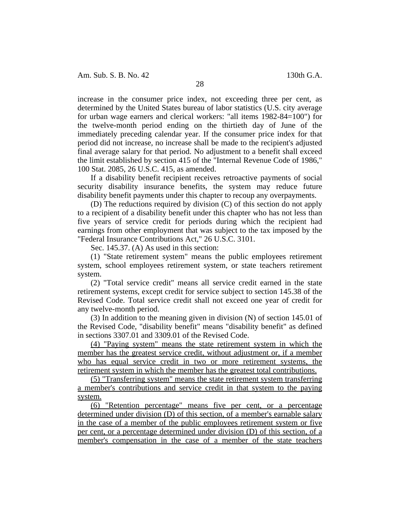increase in the consumer price index, not exceeding three per cent, as determined by the United States bureau of labor statistics (U.S. city average for urban wage earners and clerical workers: "all items 1982-84=100") for the twelve-month period ending on the thirtieth day of June of the immediately preceding calendar year. If the consumer price index for that period did not increase, no increase shall be made to the recipient's adjusted final average salary for that period. No adjustment to a benefit shall exceed the limit established by section 415 of the "Internal Revenue Code of 1986," 100 Stat. 2085, 26 U.S.C. 415, as amended.

If a disability benefit recipient receives retroactive payments of social security disability insurance benefits, the system may reduce future disability benefit payments under this chapter to recoup any overpayments.

(D) The reductions required by division (C) of this section do not apply to a recipient of a disability benefit under this chapter who has not less than five years of service credit for periods during which the recipient had earnings from other employment that was subject to the tax imposed by the "Federal Insurance Contributions Act," 26 U.S.C. 3101.

Sec. 145.37. (A) As used in this section:

(1) "State retirement system" means the public employees retirement system, school employees retirement system, or state teachers retirement system.

(2) "Total service credit" means all service credit earned in the state retirement systems, except credit for service subject to section 145.38 of the Revised Code. Total service credit shall not exceed one year of credit for any twelve-month period.

(3) In addition to the meaning given in division (N) of section 145.01 of the Revised Code, "disability benefit" means "disability benefit" as defined in sections 3307.01 and 3309.01 of the Revised Code.

(4) "Paying system" means the state retirement system in which the member has the greatest service credit, without adjustment or, if a member who has equal service credit in two or more retirement systems, the retirement system in which the member has the greatest total contributions.

(5) "Transferring system" means the state retirement system transferring a member's contributions and service credit in that system to the paying system.

(6) "Retention percentage" means five per cent, or a percentage determined under division (D) of this section, of a member's earnable salary in the case of a member of the public employees retirement system or five per cent, or a percentage determined under division (D) of this section, of a member's compensation in the case of a member of the state teachers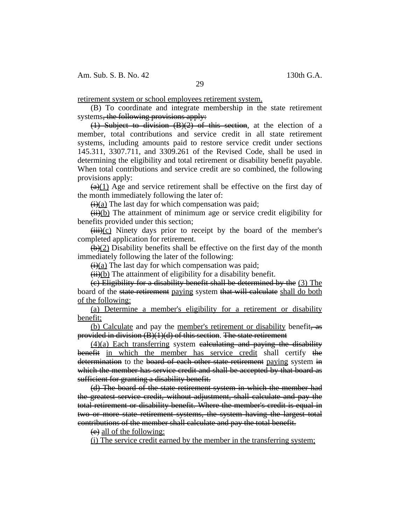retirement system or school employees retirement system.

(B) To coordinate and integrate membership in the state retirement systems, the following provisions apply:

(1) Subject to division (B)(2) of this section, at the election of a member, total contributions and service credit in all state retirement systems, including amounts paid to restore service credit under sections 145.311, 3307.711, and 3309.261 of the Revised Code, shall be used in determining the eligibility and total retirement or disability benefit payable. When total contributions and service credit are so combined, the following provisions apply:

 $(a)(1)$  Age and service retirement shall be effective on the first day of the month immediately following the later of:

 $\overline{(i)(a)}$  The last day for which compensation was paid;

 $(ii)(b)$  The attainment of minimum age or service credit eligibility for benefits provided under this section;

 $\overline{(iii)(c)}$  Ninety days prior to receipt by the board of the member's completed application for retirement.

 $\left(\frac{b}{2}\right)$  Disability benefits shall be effective on the first day of the month immediately following the later of the following:

 $\overline{(i)(a)}$  The last day for which compensation was paid;

 $(ii)(b)$  The attainment of eligibility for a disability benefit.

(c) Eligibility for a disability benefit shall be determined by the (3) The board of the state retirement paying system that will calculate shall do both of the following:

(a) Determine a member's eligibility for a retirement or disability benefit;

(b) Calculate and pay the <u>member's retirement or disability</u> benefit, as provided in division (B)(1)(d) of this section. The state retirement

 $(4)(a)$  Each transferring system calculating and paying the disability benefit in which the member has service credit shall certify the determination to the board of each other state retirement paying system in which the member has service credit and shall be accepted by that board as sufficient for granting a disability benefit.

(d) The board of the state retirement system in which the member had the greatest service credit, without adjustment, shall calculate and pay the total retirement or disability benefit. Where the member's credit is equal in two or more state retirement systems, the system having the largest total contributions of the member shall calculate and pay the total benefit.

 $(e)$  all of the following:

(i) The service credit earned by the member in the transferring system;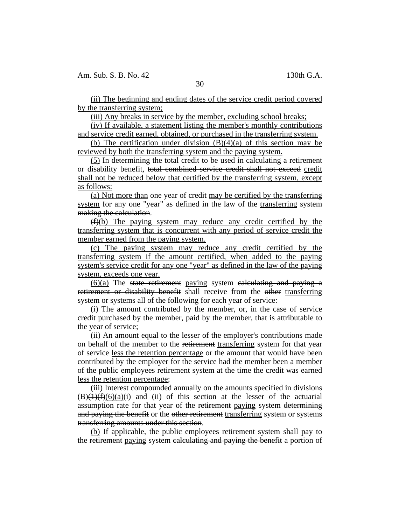(ii) The beginning and ending dates of the service credit period covered by the transferring system;

(iii) Any breaks in service by the member, excluding school breaks;

(iv) If available, a statement listing the member's monthly contributions and service credit earned, obtained, or purchased in the transferring system.

(b) The certification under division  $(B)(4)(a)$  of this section may be reviewed by both the transferring system and the paying system.

(5) In determining the total credit to be used in calculating a retirement or disability benefit, total combined service credit shall not exceed credit shall not be reduced below that certified by the transferring system, except as follows:

(a) Not more than one year of credit may be certified by the transferring system for any one "year" as defined in the law of the transferring system making the calculation.

 $(f)(b)$  The paying system may reduce any credit certified by the transferring system that is concurrent with any period of service credit the member earned from the paying system.

(c) The paying system may reduce any credit certified by the transferring system if the amount certified, when added to the paying system's service credit for any one "year" as defined in the law of the paying system, exceeds one year.

 $(6)(a)$  The state retirement paying system calculating and paying a retirement or disability benefit shall receive from the other transferring system or systems all of the following for each year of service:

(i) The amount contributed by the member, or, in the case of service credit purchased by the member, paid by the member, that is attributable to the year of service;

(ii) An amount equal to the lesser of the employer's contributions made on behalf of the member to the retirement transferring system for that year of service less the retention percentage or the amount that would have been contributed by the employer for the service had the member been a member of the public employees retirement system at the time the credit was earned less the retention percentage;

(iii) Interest compounded annually on the amounts specified in divisions  $(B)(1)(f)(6)(a)(i)$  and (ii) of this section at the lesser of the actuarial assumption rate for that year of the retirement paying system determining and paying the benefit or the other retirement transferring system or systems transferring amounts under this section.

(b) If applicable, the public employees retirement system shall pay to the retirement paying system ealculating and paying the benefit a portion of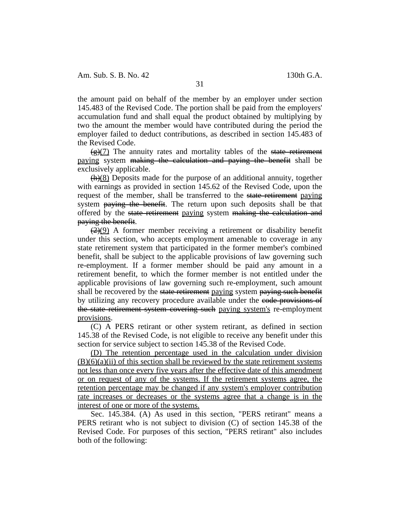the amount paid on behalf of the member by an employer under section 145.483 of the Revised Code. The portion shall be paid from the employers' accumulation fund and shall equal the product obtained by multiplying by two the amount the member would have contributed during the period the employer failed to deduct contributions, as described in section 145.483 of the Revised Code.

 $\left(\frac{g}{g}\right)$  The annuity rates and mortality tables of the state retirement paying system making the calculation and paying the benefit shall be exclusively applicable.

 $(h)(8)$  Deposits made for the purpose of an additional annuity, together with earnings as provided in section 145.62 of the Revised Code, upon the request of the member, shall be transferred to the state retirement paying system paying the benefit. The return upon such deposits shall be that offered by the state retirement paying system making the calculation and paying the benefit.

 $(2)(9)$  A former member receiving a retirement or disability benefit under this section, who accepts employment amenable to coverage in any state retirement system that participated in the former member's combined benefit, shall be subject to the applicable provisions of law governing such re-employment. If a former member should be paid any amount in a retirement benefit, to which the former member is not entitled under the applicable provisions of law governing such re-employment, such amount shall be recovered by the state retirement paying system paying such benefit by utilizing any recovery procedure available under the code provisions of the state retirement system covering such paying system's re-employment provisions.

(C) A PERS retirant or other system retirant, as defined in section 145.38 of the Revised Code, is not eligible to receive any benefit under this section for service subject to section 145.38 of the Revised Code.

(D) The retention percentage used in the calculation under division  $(B)(6)(a)(ii)$  of this section shall be reviewed by the state retirement systems not less than once every five years after the effective date of this amendment or on request of any of the systems. If the retirement systems agree, the retention percentage may be changed if any system's employer contribution rate increases or decreases or the systems agree that a change is in the interest of one or more of the systems.

Sec. 145.384. (A) As used in this section, "PERS retirant" means a PERS retirant who is not subject to division (C) of section 145.38 of the Revised Code. For purposes of this section, "PERS retirant" also includes both of the following: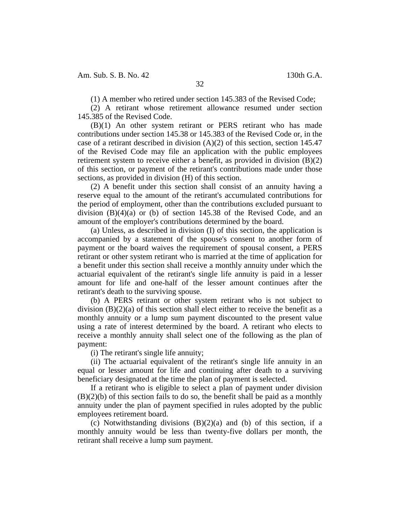32

(1) A member who retired under section 145.383 of the Revised Code;

(2) A retirant whose retirement allowance resumed under section 145.385 of the Revised Code.

(B)(1) An other system retirant or PERS retirant who has made contributions under section 145.38 or 145.383 of the Revised Code or, in the case of a retirant described in division  $(A)(2)$  of this section, section 145.47 of the Revised Code may file an application with the public employees retirement system to receive either a benefit, as provided in division (B)(2) of this section, or payment of the retirant's contributions made under those sections, as provided in division (H) of this section.

(2) A benefit under this section shall consist of an annuity having a reserve equal to the amount of the retirant's accumulated contributions for the period of employment, other than the contributions excluded pursuant to division  $(B)(4)(a)$  or  $(b)$  of section 145.38 of the Revised Code, and an amount of the employer's contributions determined by the board.

(a) Unless, as described in division (I) of this section, the application is accompanied by a statement of the spouse's consent to another form of payment or the board waives the requirement of spousal consent, a PERS retirant or other system retirant who is married at the time of application for a benefit under this section shall receive a monthly annuity under which the actuarial equivalent of the retirant's single life annuity is paid in a lesser amount for life and one-half of the lesser amount continues after the retirant's death to the surviving spouse.

(b) A PERS retirant or other system retirant who is not subject to division (B)(2)(a) of this section shall elect either to receive the benefit as a monthly annuity or a lump sum payment discounted to the present value using a rate of interest determined by the board. A retirant who elects to receive a monthly annuity shall select one of the following as the plan of payment:

(i) The retirant's single life annuity;

(ii) The actuarial equivalent of the retirant's single life annuity in an equal or lesser amount for life and continuing after death to a surviving beneficiary designated at the time the plan of payment is selected.

If a retirant who is eligible to select a plan of payment under division  $(B)(2)(b)$  of this section fails to do so, the benefit shall be paid as a monthly annuity under the plan of payment specified in rules adopted by the public employees retirement board.

(c) Notwithstanding divisions (B)(2)(a) and (b) of this section, if a monthly annuity would be less than twenty-five dollars per month, the retirant shall receive a lump sum payment.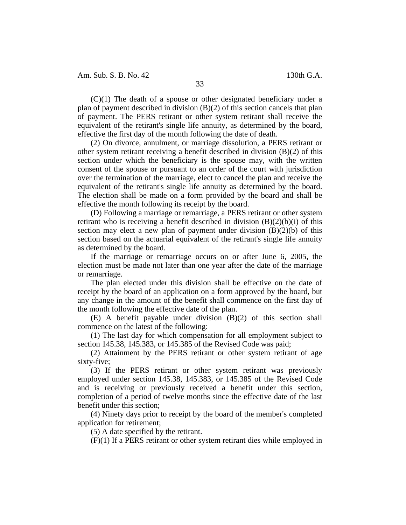(C)(1) The death of a spouse or other designated beneficiary under a plan of payment described in division (B)(2) of this section cancels that plan of payment. The PERS retirant or other system retirant shall receive the equivalent of the retirant's single life annuity, as determined by the board, effective the first day of the month following the date of death.

(2) On divorce, annulment, or marriage dissolution, a PERS retirant or other system retirant receiving a benefit described in division (B)(2) of this section under which the beneficiary is the spouse may, with the written consent of the spouse or pursuant to an order of the court with jurisdiction over the termination of the marriage, elect to cancel the plan and receive the equivalent of the retirant's single life annuity as determined by the board. The election shall be made on a form provided by the board and shall be effective the month following its receipt by the board.

(D) Following a marriage or remarriage, a PERS retirant or other system retirant who is receiving a benefit described in division  $(B)(2)(b)(i)$  of this section may elect a new plan of payment under division  $(B)(2)(b)$  of this section based on the actuarial equivalent of the retirant's single life annuity as determined by the board.

If the marriage or remarriage occurs on or after June 6, 2005, the election must be made not later than one year after the date of the marriage or remarriage.

The plan elected under this division shall be effective on the date of receipt by the board of an application on a form approved by the board, but any change in the amount of the benefit shall commence on the first day of the month following the effective date of the plan.

(E) A benefit payable under division (B)(2) of this section shall commence on the latest of the following:

(1) The last day for which compensation for all employment subject to section 145.38, 145.383, or 145.385 of the Revised Code was paid;

(2) Attainment by the PERS retirant or other system retirant of age sixty-five;

(3) If the PERS retirant or other system retirant was previously employed under section 145.38, 145.383, or 145.385 of the Revised Code and is receiving or previously received a benefit under this section, completion of a period of twelve months since the effective date of the last benefit under this section;

(4) Ninety days prior to receipt by the board of the member's completed application for retirement;

(5) A date specified by the retirant.

(F)(1) If a PERS retirant or other system retirant dies while employed in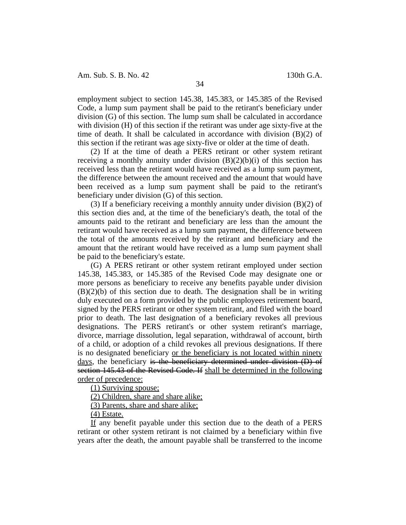employment subject to section 145.38, 145.383, or 145.385 of the Revised Code, a lump sum payment shall be paid to the retirant's beneficiary under division (G) of this section. The lump sum shall be calculated in accordance with division (H) of this section if the retirant was under age sixty-five at the time of death. It shall be calculated in accordance with division (B)(2) of this section if the retirant was age sixty-five or older at the time of death.

(2) If at the time of death a PERS retirant or other system retirant receiving a monthly annuity under division  $(B)(2)(b)(i)$  of this section has received less than the retirant would have received as a lump sum payment, the difference between the amount received and the amount that would have been received as a lump sum payment shall be paid to the retirant's beneficiary under division (G) of this section.

(3) If a beneficiary receiving a monthly annuity under division  $(B)(2)$  of this section dies and, at the time of the beneficiary's death, the total of the amounts paid to the retirant and beneficiary are less than the amount the retirant would have received as a lump sum payment, the difference between the total of the amounts received by the retirant and beneficiary and the amount that the retirant would have received as a lump sum payment shall be paid to the beneficiary's estate.

(G) A PERS retirant or other system retirant employed under section 145.38, 145.383, or 145.385 of the Revised Code may designate one or more persons as beneficiary to receive any benefits payable under division  $(B)(2)(b)$  of this section due to death. The designation shall be in writing duly executed on a form provided by the public employees retirement board, signed by the PERS retirant or other system retirant, and filed with the board prior to death. The last designation of a beneficiary revokes all previous designations. The PERS retirant's or other system retirant's marriage, divorce, marriage dissolution, legal separation, withdrawal of account, birth of a child, or adoption of a child revokes all previous designations. If there is no designated beneficiary or the beneficiary is not located within ninety days, the beneficiary is the beneficiary determined under division (D) of section 145.43 of the Revised Code. If shall be determined in the following order of precedence:

(1) Surviving spouse;

(2) Children, share and share alike;

(3) Parents, share and share alike;

(4) Estate.

If any benefit payable under this section due to the death of a PERS retirant or other system retirant is not claimed by a beneficiary within five years after the death, the amount payable shall be transferred to the income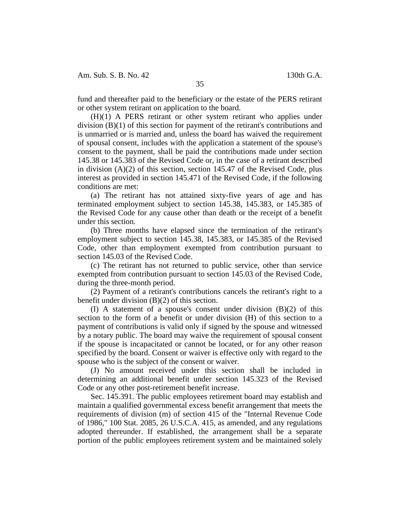Am. Sub. S. B. No. 42 130th G.A.

fund and thereafter paid to the beneficiary or the estate of the PERS retirant or other system retirant on application to the board.

(H)(1) A PERS retirant or other system retirant who applies under division (B)(1) of this section for payment of the retirant's contributions and is unmarried or is married and, unless the board has waived the requirement of spousal consent, includes with the application a statement of the spouse's consent to the payment, shall be paid the contributions made under section 145.38 or 145.383 of the Revised Code or, in the case of a retirant described in division (A)(2) of this section, section 145.47 of the Revised Code, plus interest as provided in section 145.471 of the Revised Code, if the following conditions are met:

(a) The retirant has not attained sixty-five years of age and has terminated employment subject to section 145.38, 145.383, or 145.385 of the Revised Code for any cause other than death or the receipt of a benefit under this section.

(b) Three months have elapsed since the termination of the retirant's employment subject to section 145.38, 145.383, or 145.385 of the Revised Code, other than employment exempted from contribution pursuant to section 145.03 of the Revised Code.

(c) The retirant has not returned to public service, other than service exempted from contribution pursuant to section 145.03 of the Revised Code, during the three-month period.

(2) Payment of a retirant's contributions cancels the retirant's right to a benefit under division (B)(2) of this section.

(I) A statement of a spouse's consent under division  $(B)(2)$  of this section to the form of a benefit or under division (H) of this section to a payment of contributions is valid only if signed by the spouse and witnessed by a notary public. The board may waive the requirement of spousal consent if the spouse is incapacitated or cannot be located, or for any other reason specified by the board. Consent or waiver is effective only with regard to the spouse who is the subject of the consent or waiver.

(J) No amount received under this section shall be included in determining an additional benefit under section 145.323 of the Revised Code or any other post-retirement benefit increase.

Sec. 145.391. The public employees retirement board may establish and maintain a qualified governmental excess benefit arrangement that meets the requirements of division (m) of section 415 of the "Internal Revenue Code of 1986," 100 Stat. 2085, 26 U.S.C.A. 415, as amended, and any regulations adopted thereunder. If established, the arrangement shall be a separate portion of the public employees retirement system and be maintained solely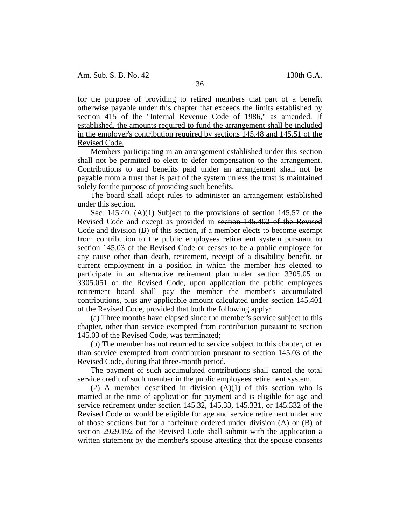for the purpose of providing to retired members that part of a benefit otherwise payable under this chapter that exceeds the limits established by section 415 of the "Internal Revenue Code of 1986," as amended. If established, the amounts required to fund the arrangement shall be included in the employer's contribution required by sections 145.48 and 145.51 of the Revised Code.

Members participating in an arrangement established under this section shall not be permitted to elect to defer compensation to the arrangement. Contributions to and benefits paid under an arrangement shall not be payable from a trust that is part of the system unless the trust is maintained solely for the purpose of providing such benefits.

The board shall adopt rules to administer an arrangement established under this section.

Sec. 145.40. (A)(1) Subject to the provisions of section 145.57 of the Revised Code and except as provided in section 145.402 of the Revised Code and division (B) of this section, if a member elects to become exempt from contribution to the public employees retirement system pursuant to section 145.03 of the Revised Code or ceases to be a public employee for any cause other than death, retirement, receipt of a disability benefit, or current employment in a position in which the member has elected to participate in an alternative retirement plan under section 3305.05 or 3305.051 of the Revised Code, upon application the public employees retirement board shall pay the member the member's accumulated contributions, plus any applicable amount calculated under section 145.401 of the Revised Code, provided that both the following apply:

(a) Three months have elapsed since the member's service subject to this chapter, other than service exempted from contribution pursuant to section 145.03 of the Revised Code, was terminated;

(b) The member has not returned to service subject to this chapter, other than service exempted from contribution pursuant to section 145.03 of the Revised Code, during that three-month period.

The payment of such accumulated contributions shall cancel the total service credit of such member in the public employees retirement system.

(2) A member described in division  $(A)(1)$  of this section who is married at the time of application for payment and is eligible for age and service retirement under section 145.32, 145.33, 145.331, or 145.332 of the Revised Code or would be eligible for age and service retirement under any of those sections but for a forfeiture ordered under division (A) or (B) of section 2929.192 of the Revised Code shall submit with the application a written statement by the member's spouse attesting that the spouse consents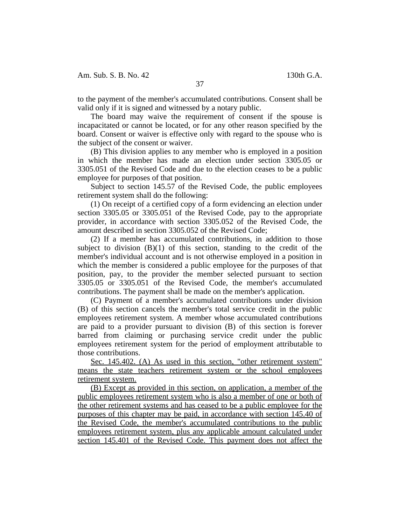to the payment of the member's accumulated contributions. Consent shall be valid only if it is signed and witnessed by a notary public.

The board may waive the requirement of consent if the spouse is incapacitated or cannot be located, or for any other reason specified by the board. Consent or waiver is effective only with regard to the spouse who is the subject of the consent or waiver.

(B) This division applies to any member who is employed in a position in which the member has made an election under section 3305.05 or 3305.051 of the Revised Code and due to the election ceases to be a public employee for purposes of that position.

Subject to section 145.57 of the Revised Code, the public employees retirement system shall do the following:

(1) On receipt of a certified copy of a form evidencing an election under section 3305.05 or 3305.051 of the Revised Code, pay to the appropriate provider, in accordance with section 3305.052 of the Revised Code, the amount described in section 3305.052 of the Revised Code;

(2) If a member has accumulated contributions, in addition to those subject to division  $(B)(1)$  of this section, standing to the credit of the member's individual account and is not otherwise employed in a position in which the member is considered a public employee for the purposes of that position, pay, to the provider the member selected pursuant to section 3305.05 or 3305.051 of the Revised Code, the member's accumulated contributions. The payment shall be made on the member's application.

(C) Payment of a member's accumulated contributions under division (B) of this section cancels the member's total service credit in the public employees retirement system. A member whose accumulated contributions are paid to a provider pursuant to division (B) of this section is forever barred from claiming or purchasing service credit under the public employees retirement system for the period of employment attributable to those contributions.

Sec. 145.402. (A) As used in this section, "other retirement system" means the state teachers retirement system or the school employees retirement system.

(B) Except as provided in this section, on application, a member of the public employees retirement system who is also a member of one or both of the other retirement systems and has ceased to be a public employee for the purposes of this chapter may be paid, in accordance with section 145.40 of the Revised Code, the member's accumulated contributions to the public employees retirement system, plus any applicable amount calculated under section 145.401 of the Revised Code. This payment does not affect the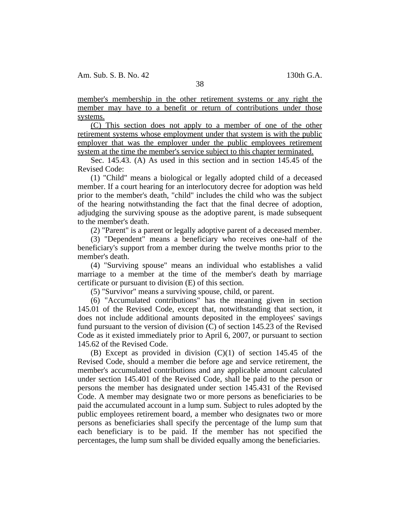member's membership in the other retirement systems or any right the member may have to a benefit or return of contributions under those systems.

(C) This section does not apply to a member of one of the other retirement systems whose employment under that system is with the public employer that was the employer under the public employees retirement system at the time the member's service subject to this chapter terminated.

Sec. 145.43. (A) As used in this section and in section 145.45 of the Revised Code:

(1) "Child" means a biological or legally adopted child of a deceased member. If a court hearing for an interlocutory decree for adoption was held prior to the member's death, "child" includes the child who was the subject of the hearing notwithstanding the fact that the final decree of adoption, adjudging the surviving spouse as the adoptive parent, is made subsequent to the member's death.

(2) "Parent" is a parent or legally adoptive parent of a deceased member.

(3) "Dependent" means a beneficiary who receives one-half of the beneficiary's support from a member during the twelve months prior to the member's death.

(4) "Surviving spouse" means an individual who establishes a valid marriage to a member at the time of the member's death by marriage certificate or pursuant to division (E) of this section.

(5) "Survivor" means a surviving spouse, child, or parent.

(6) "Accumulated contributions" has the meaning given in section 145.01 of the Revised Code, except that, notwithstanding that section, it does not include additional amounts deposited in the employees' savings fund pursuant to the version of division (C) of section 145.23 of the Revised Code as it existed immediately prior to April 6, 2007, or pursuant to section 145.62 of the Revised Code.

(B) Except as provided in division  $(C)(1)$  of section 145.45 of the Revised Code, should a member die before age and service retirement, the member's accumulated contributions and any applicable amount calculated under section 145.401 of the Revised Code, shall be paid to the person or persons the member has designated under section 145.431 of the Revised Code. A member may designate two or more persons as beneficiaries to be paid the accumulated account in a lump sum. Subject to rules adopted by the public employees retirement board, a member who designates two or more persons as beneficiaries shall specify the percentage of the lump sum that each beneficiary is to be paid. If the member has not specified the percentages, the lump sum shall be divided equally among the beneficiaries.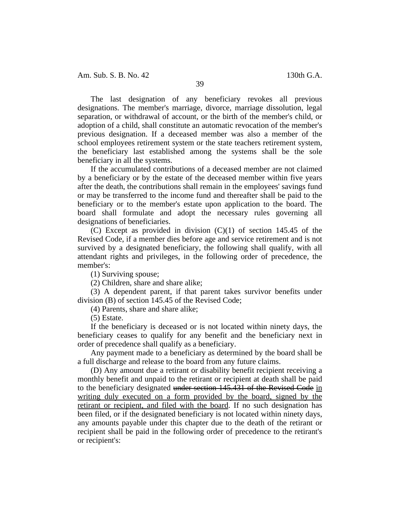The last designation of any beneficiary revokes all previous designations. The member's marriage, divorce, marriage dissolution, legal separation, or withdrawal of account, or the birth of the member's child, or adoption of a child, shall constitute an automatic revocation of the member's previous designation. If a deceased member was also a member of the school employees retirement system or the state teachers retirement system, the beneficiary last established among the systems shall be the sole beneficiary in all the systems.

If the accumulated contributions of a deceased member are not claimed by a beneficiary or by the estate of the deceased member within five years after the death, the contributions shall remain in the employees' savings fund or may be transferred to the income fund and thereafter shall be paid to the beneficiary or to the member's estate upon application to the board. The board shall formulate and adopt the necessary rules governing all designations of beneficiaries.

(C) Except as provided in division  $(C)(1)$  of section 145.45 of the Revised Code, if a member dies before age and service retirement and is not survived by a designated beneficiary, the following shall qualify, with all attendant rights and privileges, in the following order of precedence, the member's:

(1) Surviving spouse;

(2) Children, share and share alike;

(3) A dependent parent, if that parent takes survivor benefits under division (B) of section 145.45 of the Revised Code;

(4) Parents, share and share alike;

(5) Estate.

If the beneficiary is deceased or is not located within ninety days, the beneficiary ceases to qualify for any benefit and the beneficiary next in order of precedence shall qualify as a beneficiary.

Any payment made to a beneficiary as determined by the board shall be a full discharge and release to the board from any future claims.

(D) Any amount due a retirant or disability benefit recipient receiving a monthly benefit and unpaid to the retirant or recipient at death shall be paid to the beneficiary designated under section 145.431 of the Revised Code in writing duly executed on a form provided by the board, signed by the retirant or recipient, and filed with the board. If no such designation has been filed, or if the designated beneficiary is not located within ninety days, any amounts payable under this chapter due to the death of the retirant or recipient shall be paid in the following order of precedence to the retirant's or recipient's: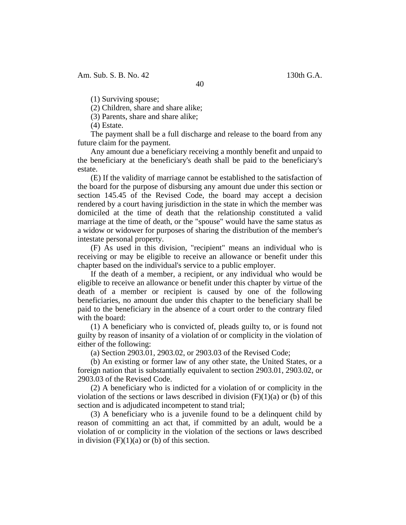(1) Surviving spouse;

(2) Children, share and share alike;

(3) Parents, share and share alike;

(4) Estate.

The payment shall be a full discharge and release to the board from any future claim for the payment.

Any amount due a beneficiary receiving a monthly benefit and unpaid to the beneficiary at the beneficiary's death shall be paid to the beneficiary's estate.

(E) If the validity of marriage cannot be established to the satisfaction of the board for the purpose of disbursing any amount due under this section or section 145.45 of the Revised Code, the board may accept a decision rendered by a court having jurisdiction in the state in which the member was domiciled at the time of death that the relationship constituted a valid marriage at the time of death, or the "spouse" would have the same status as a widow or widower for purposes of sharing the distribution of the member's intestate personal property.

(F) As used in this division, "recipient" means an individual who is receiving or may be eligible to receive an allowance or benefit under this chapter based on the individual's service to a public employer.

If the death of a member, a recipient, or any individual who would be eligible to receive an allowance or benefit under this chapter by virtue of the death of a member or recipient is caused by one of the following beneficiaries, no amount due under this chapter to the beneficiary shall be paid to the beneficiary in the absence of a court order to the contrary filed with the board:

(1) A beneficiary who is convicted of, pleads guilty to, or is found not guilty by reason of insanity of a violation of or complicity in the violation of either of the following:

(a) Section 2903.01, 2903.02, or 2903.03 of the Revised Code;

(b) An existing or former law of any other state, the United States, or a foreign nation that is substantially equivalent to section 2903.01, 2903.02, or 2903.03 of the Revised Code.

(2) A beneficiary who is indicted for a violation of or complicity in the violation of the sections or laws described in division  $(F)(1)(a)$  or (b) of this section and is adjudicated incompetent to stand trial;

(3) A beneficiary who is a juvenile found to be a delinquent child by reason of committing an act that, if committed by an adult, would be a violation of or complicity in the violation of the sections or laws described in division  $(F)(1)(a)$  or  $(b)$  of this section.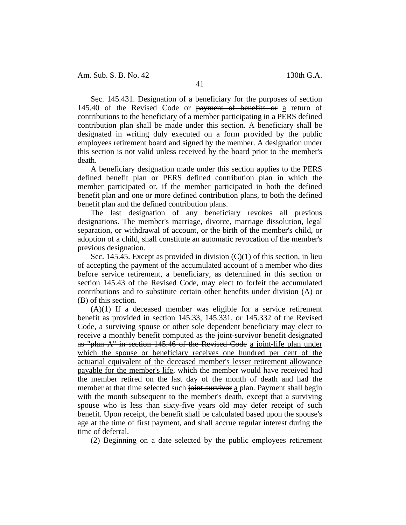Sec. 145.431. Designation of a beneficiary for the purposes of section 145.40 of the Revised Code or payment of benefits or a return of contributions to the beneficiary of a member participating in a PERS defined contribution plan shall be made under this section. A beneficiary shall be designated in writing duly executed on a form provided by the public employees retirement board and signed by the member. A designation under this section is not valid unless received by the board prior to the member's death.

A beneficiary designation made under this section applies to the PERS defined benefit plan or PERS defined contribution plan in which the member participated or, if the member participated in both the defined benefit plan and one or more defined contribution plans, to both the defined benefit plan and the defined contribution plans.

The last designation of any beneficiary revokes all previous designations. The member's marriage, divorce, marriage dissolution, legal separation, or withdrawal of account, or the birth of the member's child, or adoption of a child, shall constitute an automatic revocation of the member's previous designation.

Sec. 145.45. Except as provided in division  $(C)(1)$  of this section, in lieu of accepting the payment of the accumulated account of a member who dies before service retirement, a beneficiary, as determined in this section or section 145.43 of the Revised Code, may elect to forfeit the accumulated contributions and to substitute certain other benefits under division (A) or (B) of this section.

 $(A)(1)$  If a deceased member was eligible for a service retirement benefit as provided in section 145.33, 145.331, or 145.332 of the Revised Code, a surviving spouse or other sole dependent beneficiary may elect to receive a monthly benefit computed as the joint-survivor benefit designated as "plan A" in section 145.46 of the Revised Code a joint-life plan under which the spouse or beneficiary receives one hundred per cent of the actuarial equivalent of the deceased member's lesser retirement allowance payable for the member's life, which the member would have received had the member retired on the last day of the month of death and had the member at that time selected such joint-survivor a plan. Payment shall begin with the month subsequent to the member's death, except that a surviving spouse who is less than sixty-five years old may defer receipt of such benefit. Upon receipt, the benefit shall be calculated based upon the spouse's age at the time of first payment, and shall accrue regular interest during the time of deferral.

(2) Beginning on a date selected by the public employees retirement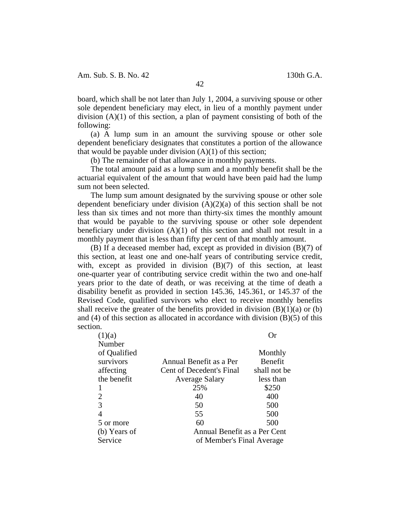$(1)(a)$ 

board, which shall be not later than July 1, 2004, a surviving spouse or other sole dependent beneficiary may elect, in lieu of a monthly payment under division (A)(1) of this section, a plan of payment consisting of both of the following:

(a) A lump sum in an amount the surviving spouse or other sole dependent beneficiary designates that constitutes a portion of the allowance that would be payable under division  $(A)(1)$  of this section;

(b) The remainder of that allowance in monthly payments.

The total amount paid as a lump sum and a monthly benefit shall be the actuarial equivalent of the amount that would have been paid had the lump sum not been selected.

The lump sum amount designated by the surviving spouse or other sole dependent beneficiary under division  $(A)(2)(a)$  of this section shall be not less than six times and not more than thirty-six times the monthly amount that would be payable to the surviving spouse or other sole dependent beneficiary under division (A)(1) of this section and shall not result in a monthly payment that is less than fifty per cent of that monthly amount.

(B) If a deceased member had, except as provided in division (B)(7) of this section, at least one and one-half years of contributing service credit, with, except as provided in division (B)(7) of this section, at least one-quarter year of contributing service credit within the two and one-half years prior to the date of death, or was receiving at the time of death a disability benefit as provided in section 145.36, 145.361, or 145.37 of the Revised Code, qualified survivors who elect to receive monthly benefits shall receive the greater of the benefits provided in division  $(B)(1)(a)$  or  $(b)$ and (4) of this section as allocated in accordance with division  $(B)(5)$  of this section.

Or

| $\cdots$     |                              |              |
|--------------|------------------------------|--------------|
| Number       |                              |              |
| of Qualified |                              | Monthly      |
| survivors    | Annual Benefit as a Per      | Benefit      |
| affecting    | Cent of Decedent's Final     | shall not be |
| the benefit  | <b>Average Salary</b>        | less than    |
|              | 25%                          | \$250        |
| 2            | 40                           | 400          |
| 3            | 50                           | 500          |
| 4            | 55                           | 500          |
| 5 or more    | 60                           | 500          |
| (b) Years of | Annual Benefit as a Per Cent |              |
| Service      | of Member's Final Average    |              |
|              |                              |              |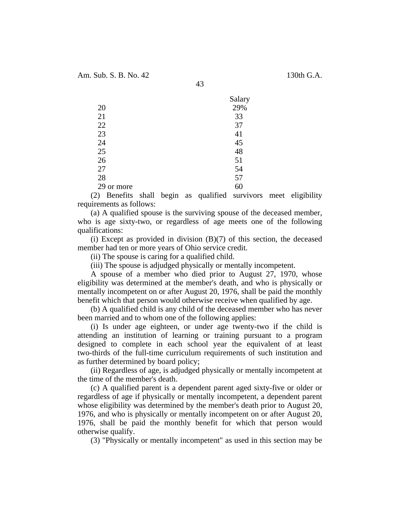|            | Salary |
|------------|--------|
| 20         | 29%    |
| 21         | 33     |
| 22         | 37     |
| 23         | 41     |
| 24         | 45     |
| 25         | 48     |
| 26         | 51     |
| 27         | 54     |
| 28         | 57     |
| 29 or more | 60     |

(2) Benefits shall begin as qualified survivors meet eligibility requirements as follows:

43

(a) A qualified spouse is the surviving spouse of the deceased member, who is age sixty-two, or regardless of age meets one of the following qualifications:

(i) Except as provided in division  $(B)(7)$  of this section, the deceased member had ten or more years of Ohio service credit.

(ii) The spouse is caring for a qualified child.

(iii) The spouse is adjudged physically or mentally incompetent.

A spouse of a member who died prior to August 27, 1970, whose eligibility was determined at the member's death, and who is physically or mentally incompetent on or after August 20, 1976, shall be paid the monthly benefit which that person would otherwise receive when qualified by age.

(b) A qualified child is any child of the deceased member who has never been married and to whom one of the following applies:

(i) Is under age eighteen, or under age twenty-two if the child is attending an institution of learning or training pursuant to a program designed to complete in each school year the equivalent of at least two-thirds of the full-time curriculum requirements of such institution and as further determined by board policy;

(ii) Regardless of age, is adjudged physically or mentally incompetent at the time of the member's death.

(c) A qualified parent is a dependent parent aged sixty-five or older or regardless of age if physically or mentally incompetent, a dependent parent whose eligibility was determined by the member's death prior to August 20, 1976, and who is physically or mentally incompetent on or after August 20, 1976, shall be paid the monthly benefit for which that person would otherwise qualify.

(3) "Physically or mentally incompetent" as used in this section may be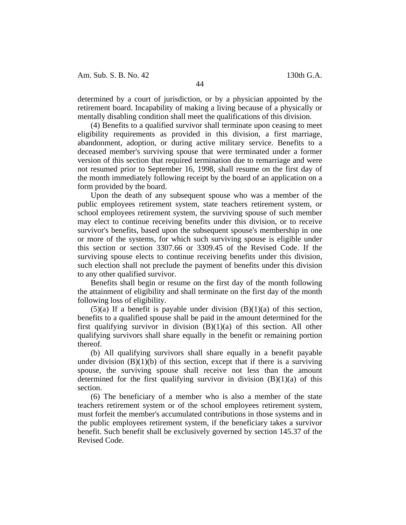determined by a court of jurisdiction, or by a physician appointed by the retirement board. Incapability of making a living because of a physically or mentally disabling condition shall meet the qualifications of this division.

(4) Benefits to a qualified survivor shall terminate upon ceasing to meet eligibility requirements as provided in this division, a first marriage, abandonment, adoption, or during active military service. Benefits to a deceased member's surviving spouse that were terminated under a former version of this section that required termination due to remarriage and were not resumed prior to September 16, 1998, shall resume on the first day of the month immediately following receipt by the board of an application on a form provided by the board.

Upon the death of any subsequent spouse who was a member of the public employees retirement system, state teachers retirement system, or school employees retirement system, the surviving spouse of such member may elect to continue receiving benefits under this division, or to receive survivor's benefits, based upon the subsequent spouse's membership in one or more of the systems, for which such surviving spouse is eligible under this section or section 3307.66 or 3309.45 of the Revised Code. If the surviving spouse elects to continue receiving benefits under this division, such election shall not preclude the payment of benefits under this division to any other qualified survivor.

Benefits shall begin or resume on the first day of the month following the attainment of eligibility and shall terminate on the first day of the month following loss of eligibility.

 $(5)(a)$  If a benefit is payable under division  $(B)(1)(a)$  of this section, benefits to a qualified spouse shall be paid in the amount determined for the first qualifying survivor in division  $(B)(1)(a)$  of this section. All other qualifying survivors shall share equally in the benefit or remaining portion thereof.

(b) All qualifying survivors shall share equally in a benefit payable under division  $(B)(1)(b)$  of this section, except that if there is a surviving spouse, the surviving spouse shall receive not less than the amount determined for the first qualifying survivor in division  $(B)(1)(a)$  of this section.

(6) The beneficiary of a member who is also a member of the state teachers retirement system or of the school employees retirement system, must forfeit the member's accumulated contributions in those systems and in the public employees retirement system, if the beneficiary takes a survivor benefit. Such benefit shall be exclusively governed by section 145.37 of the Revised Code.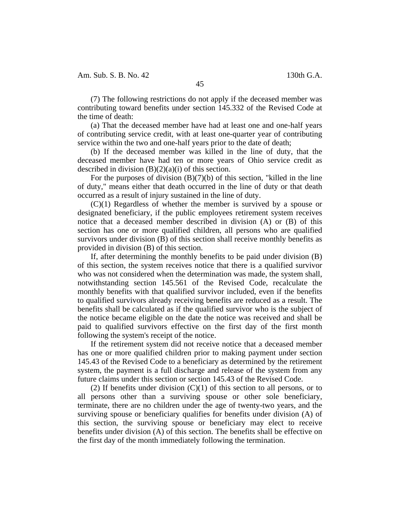(7) The following restrictions do not apply if the deceased member was contributing toward benefits under section 145.332 of the Revised Code at the time of death:

(a) That the deceased member have had at least one and one-half years of contributing service credit, with at least one-quarter year of contributing service within the two and one-half years prior to the date of death;

(b) If the deceased member was killed in the line of duty, that the deceased member have had ten or more years of Ohio service credit as described in division  $(B)(2)(a)(i)$  of this section.

For the purposes of division  $(B)(7)(b)$  of this section, "killed in the line of duty," means either that death occurred in the line of duty or that death occurred as a result of injury sustained in the line of duty.

(C)(1) Regardless of whether the member is survived by a spouse or designated beneficiary, if the public employees retirement system receives notice that a deceased member described in division (A) or (B) of this section has one or more qualified children, all persons who are qualified survivors under division (B) of this section shall receive monthly benefits as provided in division (B) of this section.

If, after determining the monthly benefits to be paid under division (B) of this section, the system receives notice that there is a qualified survivor who was not considered when the determination was made, the system shall, notwithstanding section 145.561 of the Revised Code, recalculate the monthly benefits with that qualified survivor included, even if the benefits to qualified survivors already receiving benefits are reduced as a result. The benefits shall be calculated as if the qualified survivor who is the subject of the notice became eligible on the date the notice was received and shall be paid to qualified survivors effective on the first day of the first month following the system's receipt of the notice.

If the retirement system did not receive notice that a deceased member has one or more qualified children prior to making payment under section 145.43 of the Revised Code to a beneficiary as determined by the retirement system, the payment is a full discharge and release of the system from any future claims under this section or section 145.43 of the Revised Code.

(2) If benefits under division  $(C)(1)$  of this section to all persons, or to all persons other than a surviving spouse or other sole beneficiary, terminate, there are no children under the age of twenty-two years, and the surviving spouse or beneficiary qualifies for benefits under division (A) of this section, the surviving spouse or beneficiary may elect to receive benefits under division (A) of this section. The benefits shall be effective on the first day of the month immediately following the termination.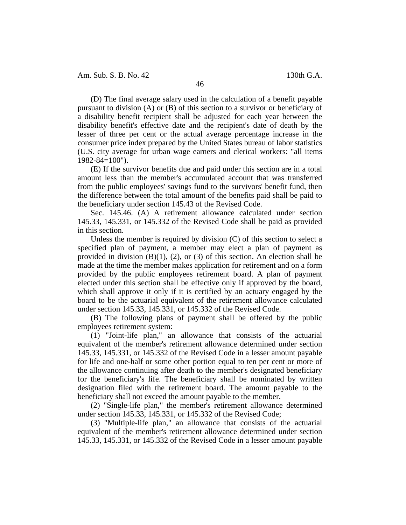(D) The final average salary used in the calculation of a benefit payable pursuant to division (A) or (B) of this section to a survivor or beneficiary of a disability benefit recipient shall be adjusted for each year between the disability benefit's effective date and the recipient's date of death by the lesser of three per cent or the actual average percentage increase in the consumer price index prepared by the United States bureau of labor statistics (U.S. city average for urban wage earners and clerical workers: "all items 1982-84=100").

(E) If the survivor benefits due and paid under this section are in a total amount less than the member's accumulated account that was transferred from the public employees' savings fund to the survivors' benefit fund, then the difference between the total amount of the benefits paid shall be paid to the beneficiary under section 145.43 of the Revised Code.

Sec. 145.46. (A) A retirement allowance calculated under section 145.33, 145.331, or 145.332 of the Revised Code shall be paid as provided in this section.

Unless the member is required by division  $(C)$  of this section to select a specified plan of payment, a member may elect a plan of payment as provided in division  $(B)(1)$ ,  $(2)$ , or  $(3)$  of this section. An election shall be made at the time the member makes application for retirement and on a form provided by the public employees retirement board. A plan of payment elected under this section shall be effective only if approved by the board, which shall approve it only if it is certified by an actuary engaged by the board to be the actuarial equivalent of the retirement allowance calculated under section 145.33, 145.331, or 145.332 of the Revised Code.

(B) The following plans of payment shall be offered by the public employees retirement system:

(1) "Joint-life plan," an allowance that consists of the actuarial equivalent of the member's retirement allowance determined under section 145.33, 145.331, or 145.332 of the Revised Code in a lesser amount payable for life and one-half or some other portion equal to ten per cent or more of the allowance continuing after death to the member's designated beneficiary for the beneficiary's life. The beneficiary shall be nominated by written designation filed with the retirement board. The amount payable to the beneficiary shall not exceed the amount payable to the member.

(2) "Single-life plan," the member's retirement allowance determined under section 145.33, 145.331, or 145.332 of the Revised Code;

(3) "Multiple-life plan," an allowance that consists of the actuarial equivalent of the member's retirement allowance determined under section 145.33, 145.331, or 145.332 of the Revised Code in a lesser amount payable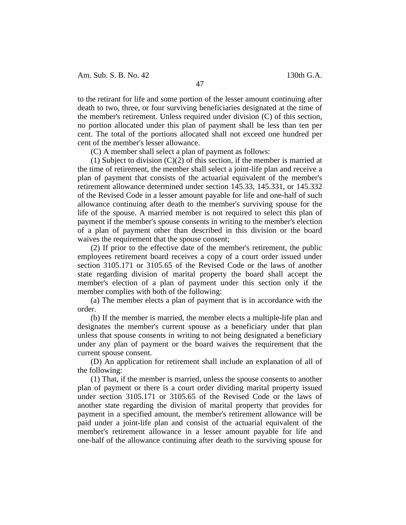to the retirant for life and some portion of the lesser amount continuing after death to two, three, or four surviving beneficiaries designated at the time of the member's retirement. Unless required under division (C) of this section, no portion allocated under this plan of payment shall be less than ten per cent. The total of the portions allocated shall not exceed one hundred per cent of the member's lesser allowance.

(C) A member shall select a plan of payment as follows:

(1) Subject to division  $(C)(2)$  of this section, if the member is married at the time of retirement, the member shall select a joint-life plan and receive a plan of payment that consists of the actuarial equivalent of the member's retirement allowance determined under section 145.33, 145.331, or 145.332 of the Revised Code in a lesser amount payable for life and one-half of such allowance continuing after death to the member's surviving spouse for the life of the spouse. A married member is not required to select this plan of payment if the member's spouse consents in writing to the member's election of a plan of payment other than described in this division or the board waives the requirement that the spouse consent;

(2) If prior to the effective date of the member's retirement, the public employees retirement board receives a copy of a court order issued under section 3105.171 or 3105.65 of the Revised Code or the laws of another state regarding division of marital property the board shall accept the member's election of a plan of payment under this section only if the member complies with both of the following:

(a) The member elects a plan of payment that is in accordance with the order.

(b) If the member is married, the member elects a multiple-life plan and designates the member's current spouse as a beneficiary under that plan unless that spouse consents in writing to not being designated a beneficiary under any plan of payment or the board waives the requirement that the current spouse consent.

(D) An application for retirement shall include an explanation of all of the following:

(1) That, if the member is married, unless the spouse consents to another plan of payment or there is a court order dividing marital property issued under section 3105.171 or 3105.65 of the Revised Code or the laws of another state regarding the division of marital property that provides for payment in a specified amount, the member's retirement allowance will be paid under a joint-life plan and consist of the actuarial equivalent of the member's retirement allowance in a lesser amount payable for life and one-half of the allowance continuing after death to the surviving spouse for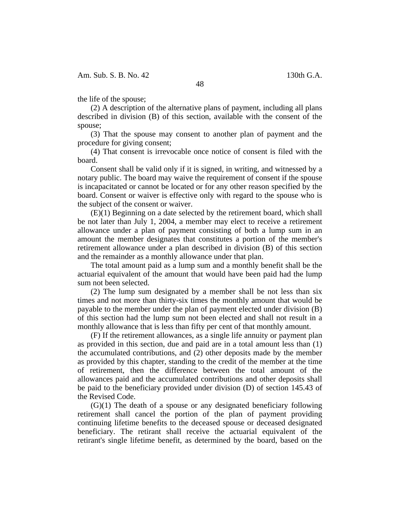the life of the spouse;

(2) A description of the alternative plans of payment, including all plans described in division (B) of this section, available with the consent of the spouse;

(3) That the spouse may consent to another plan of payment and the procedure for giving consent;

(4) That consent is irrevocable once notice of consent is filed with the board.

Consent shall be valid only if it is signed, in writing, and witnessed by a notary public. The board may waive the requirement of consent if the spouse is incapacitated or cannot be located or for any other reason specified by the board. Consent or waiver is effective only with regard to the spouse who is the subject of the consent or waiver.

(E)(1) Beginning on a date selected by the retirement board, which shall be not later than July 1, 2004, a member may elect to receive a retirement allowance under a plan of payment consisting of both a lump sum in an amount the member designates that constitutes a portion of the member's retirement allowance under a plan described in division (B) of this section and the remainder as a monthly allowance under that plan.

The total amount paid as a lump sum and a monthly benefit shall be the actuarial equivalent of the amount that would have been paid had the lump sum not been selected.

(2) The lump sum designated by a member shall be not less than six times and not more than thirty-six times the monthly amount that would be payable to the member under the plan of payment elected under division (B) of this section had the lump sum not been elected and shall not result in a monthly allowance that is less than fifty per cent of that monthly amount.

(F) If the retirement allowances, as a single life annuity or payment plan as provided in this section, due and paid are in a total amount less than (1) the accumulated contributions, and (2) other deposits made by the member as provided by this chapter, standing to the credit of the member at the time of retirement, then the difference between the total amount of the allowances paid and the accumulated contributions and other deposits shall be paid to the beneficiary provided under division (D) of section 145.43 of the Revised Code.

(G)(1) The death of a spouse or any designated beneficiary following retirement shall cancel the portion of the plan of payment providing continuing lifetime benefits to the deceased spouse or deceased designated beneficiary. The retirant shall receive the actuarial equivalent of the retirant's single lifetime benefit, as determined by the board, based on the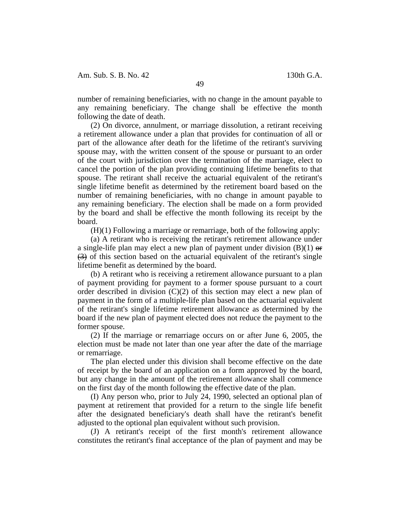number of remaining beneficiaries, with no change in the amount payable to any remaining beneficiary. The change shall be effective the month following the date of death.

(2) On divorce, annulment, or marriage dissolution, a retirant receiving a retirement allowance under a plan that provides for continuation of all or part of the allowance after death for the lifetime of the retirant's surviving spouse may, with the written consent of the spouse or pursuant to an order of the court with jurisdiction over the termination of the marriage, elect to cancel the portion of the plan providing continuing lifetime benefits to that spouse. The retirant shall receive the actuarial equivalent of the retirant's single lifetime benefit as determined by the retirement board based on the number of remaining beneficiaries, with no change in amount payable to any remaining beneficiary. The election shall be made on a form provided by the board and shall be effective the month following its receipt by the board.

(H)(1) Following a marriage or remarriage, both of the following apply:

(a) A retirant who is receiving the retirant's retirement allowance under a single-life plan may elect a new plan of payment under division  $(B)(1)$  or (3) of this section based on the actuarial equivalent of the retirant's single lifetime benefit as determined by the board.

(b) A retirant who is receiving a retirement allowance pursuant to a plan of payment providing for payment to a former spouse pursuant to a court order described in division  $(C)(2)$  of this section may elect a new plan of payment in the form of a multiple-life plan based on the actuarial equivalent of the retirant's single lifetime retirement allowance as determined by the board if the new plan of payment elected does not reduce the payment to the former spouse.

(2) If the marriage or remarriage occurs on or after June 6, 2005, the election must be made not later than one year after the date of the marriage or remarriage.

The plan elected under this division shall become effective on the date of receipt by the board of an application on a form approved by the board, but any change in the amount of the retirement allowance shall commence on the first day of the month following the effective date of the plan.

(I) Any person who, prior to July 24, 1990, selected an optional plan of payment at retirement that provided for a return to the single life benefit after the designated beneficiary's death shall have the retirant's benefit adjusted to the optional plan equivalent without such provision.

(J) A retirant's receipt of the first month's retirement allowance constitutes the retirant's final acceptance of the plan of payment and may be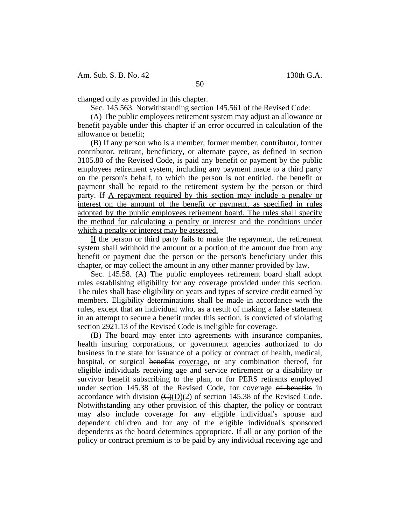changed only as provided in this chapter.

Sec. 145.563. Notwithstanding section 145.561 of the Revised Code:

(A) The public employees retirement system may adjust an allowance or benefit payable under this chapter if an error occurred in calculation of the allowance or benefit;

(B) If any person who is a member, former member, contributor, former contributor, retirant, beneficiary, or alternate payee, as defined in section 3105.80 of the Revised Code, is paid any benefit or payment by the public employees retirement system, including any payment made to a third party on the person's behalf, to which the person is not entitled, the benefit or payment shall be repaid to the retirement system by the person or third party. If A repayment required by this section may include a penalty or interest on the amount of the benefit or payment, as specified in rules adopted by the public employees retirement board. The rules shall specify the method for calculating a penalty or interest and the conditions under which a penalty or interest may be assessed.

If the person or third party fails to make the repayment, the retirement system shall withhold the amount or a portion of the amount due from any benefit or payment due the person or the person's beneficiary under this chapter, or may collect the amount in any other manner provided by law.

Sec. 145.58. (A) The public employees retirement board shall adopt rules establishing eligibility for any coverage provided under this section. The rules shall base eligibility on years and types of service credit earned by members. Eligibility determinations shall be made in accordance with the rules, except that an individual who, as a result of making a false statement in an attempt to secure a benefit under this section, is convicted of violating section 2921.13 of the Revised Code is ineligible for coverage.

(B) The board may enter into agreements with insurance companies, health insuring corporations, or government agencies authorized to do business in the state for issuance of a policy or contract of health, medical, hospital, or surgical benefits coverage, or any combination thereof, for eligible individuals receiving age and service retirement or a disability or survivor benefit subscribing to the plan, or for PERS retirants employed under section 145.38 of the Revised Code, for coverage of benefits in accordance with division  $\Theta(D)(2)$  of section 145.38 of the Revised Code. Notwithstanding any other provision of this chapter, the policy or contract may also include coverage for any eligible individual's spouse and dependent children and for any of the eligible individual's sponsored dependents as the board determines appropriate. If all or any portion of the policy or contract premium is to be paid by any individual receiving age and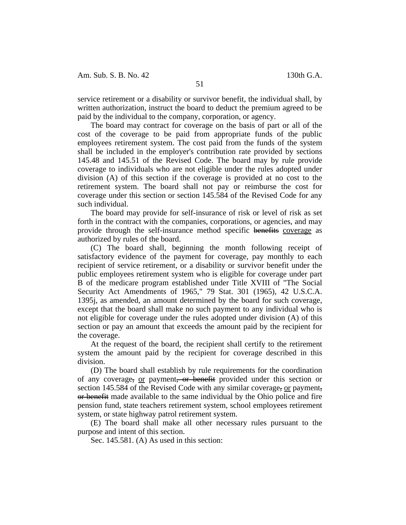service retirement or a disability or survivor benefit, the individual shall, by written authorization, instruct the board to deduct the premium agreed to be paid by the individual to the company, corporation, or agency.

The board may contract for coverage on the basis of part or all of the cost of the coverage to be paid from appropriate funds of the public employees retirement system. The cost paid from the funds of the system shall be included in the employer's contribution rate provided by sections 145.48 and 145.51 of the Revised Code. The board may by rule provide coverage to individuals who are not eligible under the rules adopted under division (A) of this section if the coverage is provided at no cost to the retirement system. The board shall not pay or reimburse the cost for coverage under this section or section 145.584 of the Revised Code for any such individual.

The board may provide for self-insurance of risk or level of risk as set forth in the contract with the companies, corporations, or agencies, and may provide through the self-insurance method specific benefits coverage as authorized by rules of the board.

(C) The board shall, beginning the month following receipt of satisfactory evidence of the payment for coverage, pay monthly to each recipient of service retirement, or a disability or survivor benefit under the public employees retirement system who is eligible for coverage under part B of the medicare program established under Title XVIII of "The Social Security Act Amendments of 1965," 79 Stat. 301 (1965), 42 U.S.C.A. 1395j, as amended, an amount determined by the board for such coverage, except that the board shall make no such payment to any individual who is not eligible for coverage under the rules adopted under division (A) of this section or pay an amount that exceeds the amount paid by the recipient for the coverage.

At the request of the board, the recipient shall certify to the retirement system the amount paid by the recipient for coverage described in this division.

(D) The board shall establish by rule requirements for the coordination of any coverage, or payment, or benefit provided under this section or section 145.584 of the Revised Code with any similar coverage, or payment, or benefit made available to the same individual by the Ohio police and fire pension fund, state teachers retirement system, school employees retirement system, or state highway patrol retirement system.

(E) The board shall make all other necessary rules pursuant to the purpose and intent of this section.

Sec. 145.581. (A) As used in this section: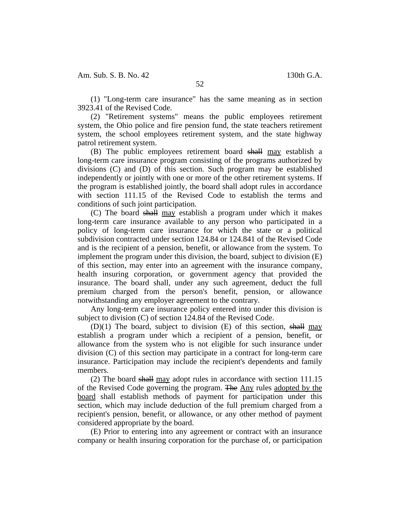52

(1) "Long-term care insurance" has the same meaning as in section 3923.41 of the Revised Code.

(2) "Retirement systems" means the public employees retirement system, the Ohio police and fire pension fund, the state teachers retirement system, the school employees retirement system, and the state highway patrol retirement system.

(B) The public employees retirement board shall may establish a long-term care insurance program consisting of the programs authorized by divisions (C) and (D) of this section. Such program may be established independently or jointly with one or more of the other retirement systems. If the program is established jointly, the board shall adopt rules in accordance with section 111.15 of the Revised Code to establish the terms and conditions of such joint participation.

(C) The board shall may establish a program under which it makes long-term care insurance available to any person who participated in a policy of long-term care insurance for which the state or a political subdivision contracted under section 124.84 or 124.841 of the Revised Code and is the recipient of a pension, benefit, or allowance from the system. To implement the program under this division, the board, subject to division (E) of this section, may enter into an agreement with the insurance company, health insuring corporation, or government agency that provided the insurance. The board shall, under any such agreement, deduct the full premium charged from the person's benefit, pension, or allowance notwithstanding any employer agreement to the contrary.

Any long-term care insurance policy entered into under this division is subject to division (C) of section 124.84 of the Revised Code.

 $(D)(1)$  The board, subject to division  $(E)$  of this section, shall may establish a program under which a recipient of a pension, benefit, or allowance from the system who is not eligible for such insurance under division (C) of this section may participate in a contract for long-term care insurance. Participation may include the recipient's dependents and family members.

(2) The board shall may adopt rules in accordance with section 111.15 of the Revised Code governing the program. The Any rules adopted by the board shall establish methods of payment for participation under this section, which may include deduction of the full premium charged from a recipient's pension, benefit, or allowance, or any other method of payment considered appropriate by the board.

(E) Prior to entering into any agreement or contract with an insurance company or health insuring corporation for the purchase of, or participation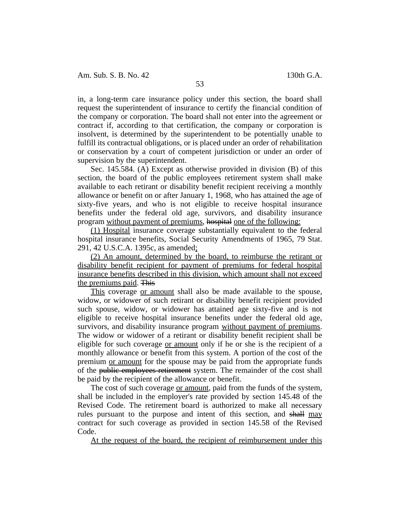in, a long-term care insurance policy under this section, the board shall request the superintendent of insurance to certify the financial condition of the company or corporation. The board shall not enter into the agreement or contract if, according to that certification, the company or corporation is insolvent, is determined by the superintendent to be potentially unable to fulfill its contractual obligations, or is placed under an order of rehabilitation or conservation by a court of competent jurisdiction or under an order of supervision by the superintendent.

Sec. 145.584. (A) Except as otherwise provided in division (B) of this section, the board of the public employees retirement system shall make available to each retirant or disability benefit recipient receiving a monthly allowance or benefit on or after January 1, 1968, who has attained the age of sixty-five years, and who is not eligible to receive hospital insurance benefits under the federal old age, survivors, and disability insurance program without payment of premiums, hospital one of the following:

(1) Hospital insurance coverage substantially equivalent to the federal hospital insurance benefits, Social Security Amendments of 1965, 79 Stat. 291, 42 U.S.C.A. 1395c, as amended;

(2) An amount, determined by the board, to reimburse the retirant or disability benefit recipient for payment of premiums for federal hospital insurance benefits described in this division, which amount shall not exceed the premiums paid. This

This coverage or amount shall also be made available to the spouse, widow, or widower of such retirant or disability benefit recipient provided such spouse, widow, or widower has attained age sixty-five and is not eligible to receive hospital insurance benefits under the federal old age, survivors, and disability insurance program without payment of premiums. The widow or widower of a retirant or disability benefit recipient shall be eligible for such coverage or amount only if he or she is the recipient of a monthly allowance or benefit from this system. A portion of the cost of the premium or amount for the spouse may be paid from the appropriate funds of the public employees retirement system. The remainder of the cost shall be paid by the recipient of the allowance or benefit.

The cost of such coverage <u>or amount</u>, paid from the funds of the system, shall be included in the employer's rate provided by section 145.48 of the Revised Code. The retirement board is authorized to make all necessary rules pursuant to the purpose and intent of this section, and shall may contract for such coverage as provided in section 145.58 of the Revised Code.

At the request of the board, the recipient of reimbursement under this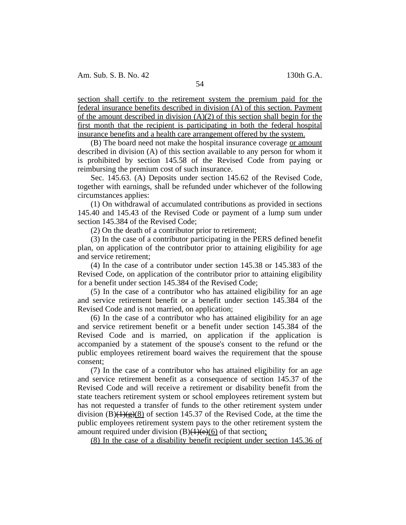section shall certify to the retirement system the premium paid for the federal insurance benefits described in division (A) of this section. Payment of the amount described in division  $(A)(2)$  of this section shall begin for the first month that the recipient is participating in both the federal hospital insurance benefits and a health care arrangement offered by the system.

(B) The board need not make the hospital insurance coverage or amount described in division (A) of this section available to any person for whom it is prohibited by section 145.58 of the Revised Code from paying or reimbursing the premium cost of such insurance.

Sec. 145.63. (A) Deposits under section 145.62 of the Revised Code, together with earnings, shall be refunded under whichever of the following circumstances applies:

(1) On withdrawal of accumulated contributions as provided in sections 145.40 and 145.43 of the Revised Code or payment of a lump sum under section 145.384 of the Revised Code;

(2) On the death of a contributor prior to retirement;

(3) In the case of a contributor participating in the PERS defined benefit plan, on application of the contributor prior to attaining eligibility for age and service retirement;

(4) In the case of a contributor under section 145.38 or 145.383 of the Revised Code, on application of the contributor prior to attaining eligibility for a benefit under section 145.384 of the Revised Code;

(5) In the case of a contributor who has attained eligibility for an age and service retirement benefit or a benefit under section 145.384 of the Revised Code and is not married, on application;

(6) In the case of a contributor who has attained eligibility for an age and service retirement benefit or a benefit under section 145.384 of the Revised Code and is married, on application if the application is accompanied by a statement of the spouse's consent to the refund or the public employees retirement board waives the requirement that the spouse consent;

(7) In the case of a contributor who has attained eligibility for an age and service retirement benefit as a consequence of section 145.37 of the Revised Code and will receive a retirement or disability benefit from the state teachers retirement system or school employees retirement system but has not requested a transfer of funds to the other retirement system under division (B) $\left(\frac{1}{\epsilon}\right)$ (8) of section 145.37 of the Revised Code, at the time the public employees retirement system pays to the other retirement system the amount required under division  $(B)(4)(e)(6)$  of that section;

(8) In the case of a disability benefit recipient under section 145.36 of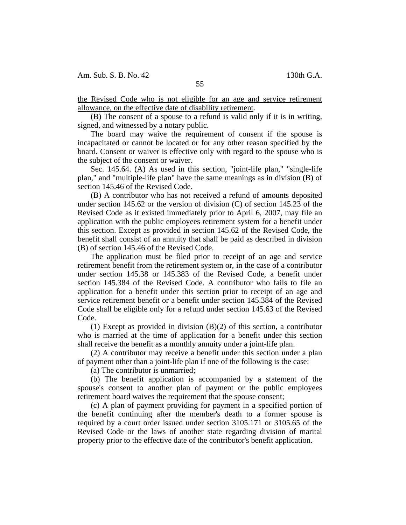the Revised Code who is not eligible for an age and service retirement allowance, on the effective date of disability retirement.

(B) The consent of a spouse to a refund is valid only if it is in writing, signed, and witnessed by a notary public.

The board may waive the requirement of consent if the spouse is incapacitated or cannot be located or for any other reason specified by the board. Consent or waiver is effective only with regard to the spouse who is the subject of the consent or waiver.

Sec. 145.64. (A) As used in this section, "joint-life plan," "single-life plan," and "multiple-life plan" have the same meanings as in division (B) of section 145.46 of the Revised Code.

(B) A contributor who has not received a refund of amounts deposited under section 145.62 or the version of division (C) of section 145.23 of the Revised Code as it existed immediately prior to April 6, 2007, may file an application with the public employees retirement system for a benefit under this section. Except as provided in section 145.62 of the Revised Code, the benefit shall consist of an annuity that shall be paid as described in division (B) of section 145.46 of the Revised Code.

The application must be filed prior to receipt of an age and service retirement benefit from the retirement system or, in the case of a contributor under section 145.38 or 145.383 of the Revised Code, a benefit under section 145.384 of the Revised Code. A contributor who fails to file an application for a benefit under this section prior to receipt of an age and service retirement benefit or a benefit under section 145.384 of the Revised Code shall be eligible only for a refund under section 145.63 of the Revised Code.

(1) Except as provided in division  $(B)(2)$  of this section, a contributor who is married at the time of application for a benefit under this section shall receive the benefit as a monthly annuity under a joint-life plan.

(2) A contributor may receive a benefit under this section under a plan of payment other than a joint-life plan if one of the following is the case:

(a) The contributor is unmarried;

(b) The benefit application is accompanied by a statement of the spouse's consent to another plan of payment or the public employees retirement board waives the requirement that the spouse consent;

(c) A plan of payment providing for payment in a specified portion of the benefit continuing after the member's death to a former spouse is required by a court order issued under section 3105.171 or 3105.65 of the Revised Code or the laws of another state regarding division of marital property prior to the effective date of the contributor's benefit application.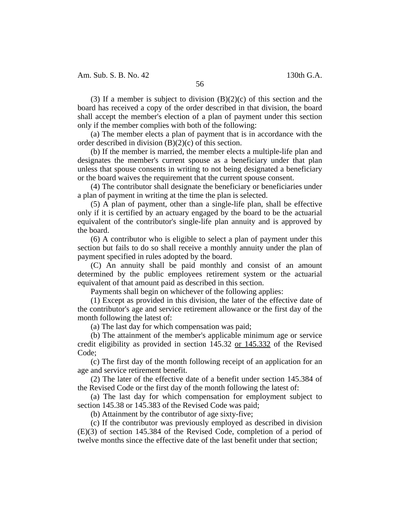(3) If a member is subject to division  $(B)(2)(c)$  of this section and the board has received a copy of the order described in that division, the board shall accept the member's election of a plan of payment under this section only if the member complies with both of the following:

(a) The member elects a plan of payment that is in accordance with the order described in division (B)(2)(c) of this section.

(b) If the member is married, the member elects a multiple-life plan and designates the member's current spouse as a beneficiary under that plan unless that spouse consents in writing to not being designated a beneficiary or the board waives the requirement that the current spouse consent.

(4) The contributor shall designate the beneficiary or beneficiaries under a plan of payment in writing at the time the plan is selected.

(5) A plan of payment, other than a single-life plan, shall be effective only if it is certified by an actuary engaged by the board to be the actuarial equivalent of the contributor's single-life plan annuity and is approved by the board.

(6) A contributor who is eligible to select a plan of payment under this section but fails to do so shall receive a monthly annuity under the plan of payment specified in rules adopted by the board.

(C) An annuity shall be paid monthly and consist of an amount determined by the public employees retirement system or the actuarial equivalent of that amount paid as described in this section.

Payments shall begin on whichever of the following applies:

(1) Except as provided in this division, the later of the effective date of the contributor's age and service retirement allowance or the first day of the month following the latest of:

(a) The last day for which compensation was paid;

(b) The attainment of the member's applicable minimum age or service credit eligibility as provided in section 145.32 or 145.332 of the Revised Code;

(c) The first day of the month following receipt of an application for an age and service retirement benefit.

(2) The later of the effective date of a benefit under section 145.384 of the Revised Code or the first day of the month following the latest of:

(a) The last day for which compensation for employment subject to section 145.38 or 145.383 of the Revised Code was paid;

(b) Attainment by the contributor of age sixty-five;

(c) If the contributor was previously employed as described in division (E)(3) of section 145.384 of the Revised Code, completion of a period of twelve months since the effective date of the last benefit under that section;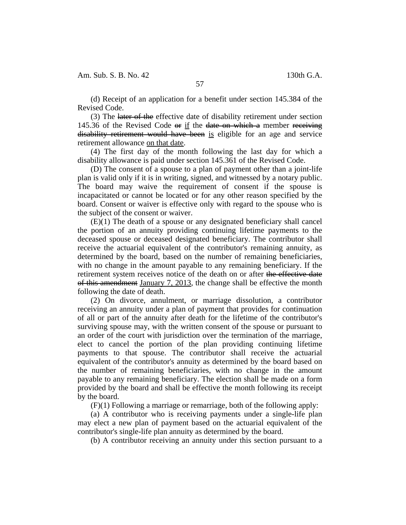(d) Receipt of an application for a benefit under section 145.384 of the Revised Code.

(3) The later of the effective date of disability retirement under section 145.36 of the Revised Code or if the date on which a member receiving disability retirement would have been is eligible for an age and service retirement allowance on that date.

(4) The first day of the month following the last day for which a disability allowance is paid under section 145.361 of the Revised Code.

(D) The consent of a spouse to a plan of payment other than a joint-life plan is valid only if it is in writing, signed, and witnessed by a notary public. The board may waive the requirement of consent if the spouse is incapacitated or cannot be located or for any other reason specified by the board. Consent or waiver is effective only with regard to the spouse who is the subject of the consent or waiver.

(E)(1) The death of a spouse or any designated beneficiary shall cancel the portion of an annuity providing continuing lifetime payments to the deceased spouse or deceased designated beneficiary. The contributor shall receive the actuarial equivalent of the contributor's remaining annuity, as determined by the board, based on the number of remaining beneficiaries, with no change in the amount payable to any remaining beneficiary. If the retirement system receives notice of the death on or after the effective date of this amendment January 7, 2013, the change shall be effective the month following the date of death.

(2) On divorce, annulment, or marriage dissolution, a contributor receiving an annuity under a plan of payment that provides for continuation of all or part of the annuity after death for the lifetime of the contributor's surviving spouse may, with the written consent of the spouse or pursuant to an order of the court with jurisdiction over the termination of the marriage, elect to cancel the portion of the plan providing continuing lifetime payments to that spouse. The contributor shall receive the actuarial equivalent of the contributor's annuity as determined by the board based on the number of remaining beneficiaries, with no change in the amount payable to any remaining beneficiary. The election shall be made on a form provided by the board and shall be effective the month following its receipt by the board.

(F)(1) Following a marriage or remarriage, both of the following apply:

(a) A contributor who is receiving payments under a single-life plan may elect a new plan of payment based on the actuarial equivalent of the contributor's single-life plan annuity as determined by the board.

(b) A contributor receiving an annuity under this section pursuant to a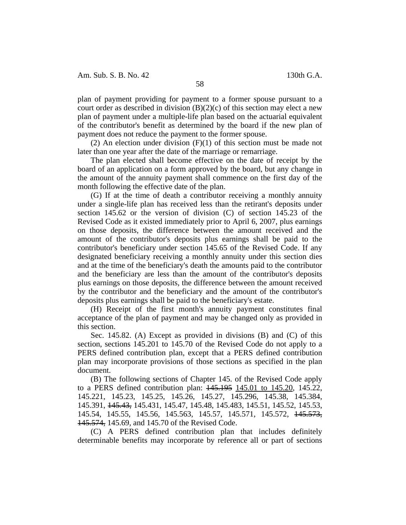plan of payment providing for payment to a former spouse pursuant to a court order as described in division  $(B)(2)(c)$  of this section may elect a new plan of payment under a multiple-life plan based on the actuarial equivalent of the contributor's benefit as determined by the board if the new plan of payment does not reduce the payment to the former spouse.

(2) An election under division  $(F)(1)$  of this section must be made not later than one year after the date of the marriage or remarriage.

The plan elected shall become effective on the date of receipt by the board of an application on a form approved by the board, but any change in the amount of the annuity payment shall commence on the first day of the month following the effective date of the plan.

(G) If at the time of death a contributor receiving a monthly annuity under a single-life plan has received less than the retirant's deposits under section 145.62 or the version of division (C) of section 145.23 of the Revised Code as it existed immediately prior to April 6, 2007, plus earnings on those deposits, the difference between the amount received and the amount of the contributor's deposits plus earnings shall be paid to the contributor's beneficiary under section 145.65 of the Revised Code. If any designated beneficiary receiving a monthly annuity under this section dies and at the time of the beneficiary's death the amounts paid to the contributor and the beneficiary are less than the amount of the contributor's deposits plus earnings on those deposits, the difference between the amount received by the contributor and the beneficiary and the amount of the contributor's deposits plus earnings shall be paid to the beneficiary's estate.

(H) Receipt of the first month's annuity payment constitutes final acceptance of the plan of payment and may be changed only as provided in this section.

Sec. 145.82. (A) Except as provided in divisions (B) and (C) of this section, sections 145.201 to 145.70 of the Revised Code do not apply to a PERS defined contribution plan, except that a PERS defined contribution plan may incorporate provisions of those sections as specified in the plan document.

(B) The following sections of Chapter 145. of the Revised Code apply to a PERS defined contribution plan: 145.195 145.01 to 145.20, 145.22, 145.221, 145.23, 145.25, 145.26, 145.27, 145.296, 145.38, 145.384, 145.391, 145.43, 145.431, 145.47, 145.48, 145.483, 145.51, 145.52, 145.53, 145.54, 145.55, 145.56, 145.563, 145.57, 145.571, 145.572, <del>145.573,</del> 145.574, 145.69, and 145.70 of the Revised Code.

(C) A PERS defined contribution plan that includes definitely determinable benefits may incorporate by reference all or part of sections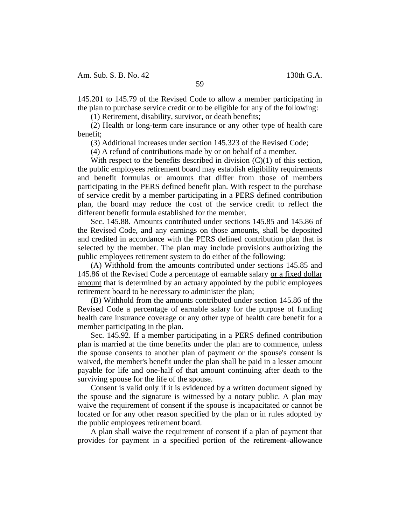145.201 to 145.79 of the Revised Code to allow a member participating in the plan to purchase service credit or to be eligible for any of the following:

(1) Retirement, disability, survivor, or death benefits;

(2) Health or long-term care insurance or any other type of health care benefit;

(3) Additional increases under section 145.323 of the Revised Code;

(4) A refund of contributions made by or on behalf of a member.

With respect to the benefits described in division  $(C)(1)$  of this section, the public employees retirement board may establish eligibility requirements and benefit formulas or amounts that differ from those of members participating in the PERS defined benefit plan. With respect to the purchase of service credit by a member participating in a PERS defined contribution plan, the board may reduce the cost of the service credit to reflect the different benefit formula established for the member.

Sec. 145.88. Amounts contributed under sections 145.85 and 145.86 of the Revised Code, and any earnings on those amounts, shall be deposited and credited in accordance with the PERS defined contribution plan that is selected by the member. The plan may include provisions authorizing the public employees retirement system to do either of the following:

(A) Withhold from the amounts contributed under sections 145.85 and 145.86 of the Revised Code a percentage of earnable salary or a fixed dollar amount that is determined by an actuary appointed by the public employees retirement board to be necessary to administer the plan;

(B) Withhold from the amounts contributed under section 145.86 of the Revised Code a percentage of earnable salary for the purpose of funding health care insurance coverage or any other type of health care benefit for a member participating in the plan.

Sec. 145.92. If a member participating in a PERS defined contribution plan is married at the time benefits under the plan are to commence, unless the spouse consents to another plan of payment or the spouse's consent is waived, the member's benefit under the plan shall be paid in a lesser amount payable for life and one-half of that amount continuing after death to the surviving spouse for the life of the spouse.

Consent is valid only if it is evidenced by a written document signed by the spouse and the signature is witnessed by a notary public. A plan may waive the requirement of consent if the spouse is incapacitated or cannot be located or for any other reason specified by the plan or in rules adopted by the public employees retirement board.

A plan shall waive the requirement of consent if a plan of payment that provides for payment in a specified portion of the retirement allowance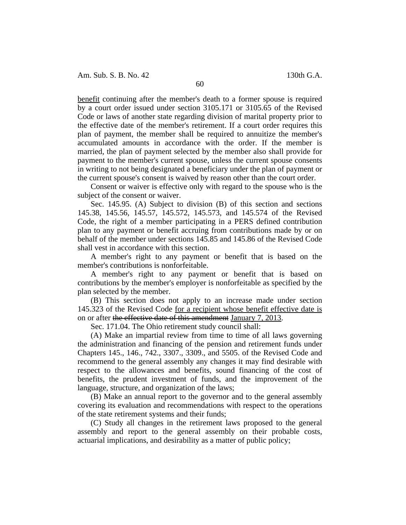benefit continuing after the member's death to a former spouse is required by a court order issued under section 3105.171 or 3105.65 of the Revised Code or laws of another state regarding division of marital property prior to the effective date of the member's retirement. If a court order requires this plan of payment, the member shall be required to annuitize the member's accumulated amounts in accordance with the order. If the member is married, the plan of payment selected by the member also shall provide for payment to the member's current spouse, unless the current spouse consents in writing to not being designated a beneficiary under the plan of payment or the current spouse's consent is waived by reason other than the court order.

Consent or waiver is effective only with regard to the spouse who is the subject of the consent or waiver.

Sec. 145.95. (A) Subject to division (B) of this section and sections 145.38, 145.56, 145.57, 145.572, 145.573, and 145.574 of the Revised Code, the right of a member participating in a PERS defined contribution plan to any payment or benefit accruing from contributions made by or on behalf of the member under sections 145.85 and 145.86 of the Revised Code shall vest in accordance with this section.

A member's right to any payment or benefit that is based on the member's contributions is nonforfeitable.

A member's right to any payment or benefit that is based on contributions by the member's employer is nonforfeitable as specified by the plan selected by the member.

(B) This section does not apply to an increase made under section 145.323 of the Revised Code for a recipient whose benefit effective date is on or after the effective date of this amendment January 7, 2013.

Sec. 171.04. The Ohio retirement study council shall:

(A) Make an impartial review from time to time of all laws governing the administration and financing of the pension and retirement funds under Chapters 145., 146., 742., 3307., 3309., and 5505. of the Revised Code and recommend to the general assembly any changes it may find desirable with respect to the allowances and benefits, sound financing of the cost of benefits, the prudent investment of funds, and the improvement of the language, structure, and organization of the laws;

(B) Make an annual report to the governor and to the general assembly covering its evaluation and recommendations with respect to the operations of the state retirement systems and their funds;

(C) Study all changes in the retirement laws proposed to the general assembly and report to the general assembly on their probable costs, actuarial implications, and desirability as a matter of public policy;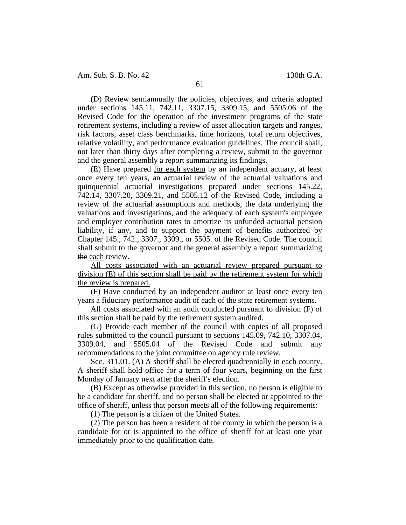(D) Review semiannually the policies, objectives, and criteria adopted under sections 145.11, 742.11, 3307.15, 3309.15, and 5505.06 of the Revised Code for the operation of the investment programs of the state retirement systems, including a review of asset allocation targets and ranges, risk factors, asset class benchmarks, time horizons, total return objectives, relative volatility, and performance evaluation guidelines. The council shall, not later than thirty days after completing a review, submit to the governor and the general assembly a report summarizing its findings.

(E) Have prepared for each system by an independent actuary, at least once every ten years, an actuarial review of the actuarial valuations and quinquennial actuarial investigations prepared under sections 145.22, 742.14, 3307.20, 3309.21, and 5505.12 of the Revised Code, including a review of the actuarial assumptions and methods, the data underlying the valuations and investigations, and the adequacy of each system's employee and employer contribution rates to amortize its unfunded actuarial pension liability, if any, and to support the payment of benefits authorized by Chapter 145., 742., 3307., 3309., or 5505. of the Revised Code. The council shall submit to the governor and the general assembly a report summarizing the each review.

All costs associated with an actuarial review prepared pursuant to division (E) of this section shall be paid by the retirement system for which the review is prepared.

(F) Have conducted by an independent auditor at least once every ten years a fiduciary performance audit of each of the state retirement systems.

All costs associated with an audit conducted pursuant to division (F) of this section shall be paid by the retirement system audited.

(G) Provide each member of the council with copies of all proposed rules submitted to the council pursuant to sections 145.09, 742.10, 3307.04, 3309.04, and 5505.04 of the Revised Code and submit any recommendations to the joint committee on agency rule review.

Sec. 311.01. (A) A sheriff shall be elected quadrennially in each county. A sheriff shall hold office for a term of four years, beginning on the first Monday of January next after the sheriff's election.

(B) Except as otherwise provided in this section, no person is eligible to be a candidate for sheriff, and no person shall be elected or appointed to the office of sheriff, unless that person meets all of the following requirements:

(1) The person is a citizen of the United States.

(2) The person has been a resident of the county in which the person is a candidate for or is appointed to the office of sheriff for at least one year immediately prior to the qualification date.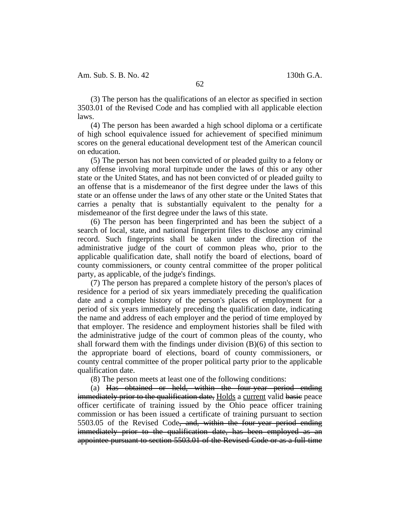(3) The person has the qualifications of an elector as specified in section 3503.01 of the Revised Code and has complied with all applicable election laws.

(4) The person has been awarded a high school diploma or a certificate of high school equivalence issued for achievement of specified minimum scores on the general educational development test of the American council on education.

(5) The person has not been convicted of or pleaded guilty to a felony or any offense involving moral turpitude under the laws of this or any other state or the United States, and has not been convicted of or pleaded guilty to an offense that is a misdemeanor of the first degree under the laws of this state or an offense under the laws of any other state or the United States that carries a penalty that is substantially equivalent to the penalty for a misdemeanor of the first degree under the laws of this state.

(6) The person has been fingerprinted and has been the subject of a search of local, state, and national fingerprint files to disclose any criminal record. Such fingerprints shall be taken under the direction of the administrative judge of the court of common pleas who, prior to the applicable qualification date, shall notify the board of elections, board of county commissioners, or county central committee of the proper political party, as applicable, of the judge's findings.

(7) The person has prepared a complete history of the person's places of residence for a period of six years immediately preceding the qualification date and a complete history of the person's places of employment for a period of six years immediately preceding the qualification date, indicating the name and address of each employer and the period of time employed by that employer. The residence and employment histories shall be filed with the administrative judge of the court of common pleas of the county, who shall forward them with the findings under division (B)(6) of this section to the appropriate board of elections, board of county commissioners, or county central committee of the proper political party prior to the applicable qualification date.

(8) The person meets at least one of the following conditions:

(a) Has obtained or held, within the four-year period ending immediately prior to the qualification date, Holds a current valid basic peace officer certificate of training issued by the Ohio peace officer training commission or has been issued a certificate of training pursuant to section 5503.05 of the Revised Code, and, within the four-year period ending immediately prior to the qualification date, has been employed as an appointee pursuant to section 5503.01 of the Revised Code or as a full-time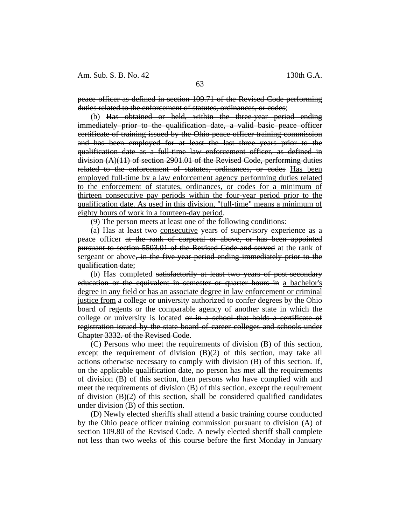peace officer as defined in section 109.71 of the Revised Code performing duties related to the enforcement of statutes, ordinances, or codes;

(b) Has obtained or held, within the three-year period ending immediately prior to the qualification date, a valid basic peace officer certificate of training issued by the Ohio peace officer training commission and has been employed for at least the last three years prior to the qualification date as a full-time law enforcement officer, as defined in division  $(A)(11)$  of section 2901.01 of the Revised Code, performing duties related to the enforcement of statutes, ordinances, or codes Has been employed full-time by a law enforcement agency performing duties related to the enforcement of statutes, ordinances, or codes for a minimum of thirteen consecutive pay periods within the four-year period prior to the qualification date. As used in this division, "full-time" means a minimum of eighty hours of work in a fourteen-day period.

(9) The person meets at least one of the following conditions:

(a) Has at least two consecutive years of supervisory experience as a peace officer at the rank of corporal or above, or has been appointed pursuant to section 5503.01 of the Revised Code and served at the rank of sergeant or above, in the five-year period ending immediately prior to the qualification date;

(b) Has completed satisfactorily at least two years of post-secondary education or the equivalent in semester or quarter hours in a bachelor's degree in any field or has an associate degree in law enforcement or criminal justice from a college or university authorized to confer degrees by the Ohio board of regents or the comparable agency of another state in which the college or university is located or in a school that holds a certificate of registration issued by the state board of career colleges and schools under Chapter 3332. of the Revised Code.

(C) Persons who meet the requirements of division (B) of this section, except the requirement of division (B)(2) of this section, may take all actions otherwise necessary to comply with division (B) of this section. If, on the applicable qualification date, no person has met all the requirements of division (B) of this section, then persons who have complied with and meet the requirements of division (B) of this section, except the requirement of division (B)(2) of this section, shall be considered qualified candidates under division (B) of this section.

(D) Newly elected sheriffs shall attend a basic training course conducted by the Ohio peace officer training commission pursuant to division (A) of section 109.80 of the Revised Code. A newly elected sheriff shall complete not less than two weeks of this course before the first Monday in January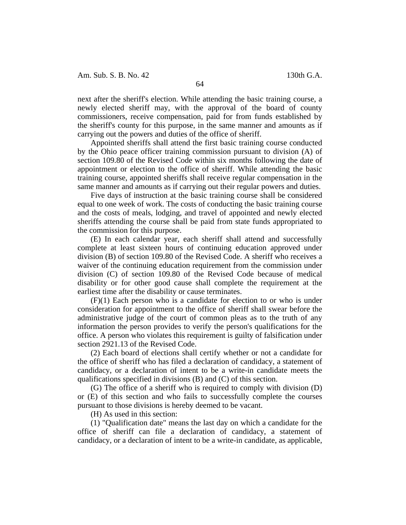next after the sheriff's election. While attending the basic training course, a newly elected sheriff may, with the approval of the board of county commissioners, receive compensation, paid for from funds established by the sheriff's county for this purpose, in the same manner and amounts as if carrying out the powers and duties of the office of sheriff.

Appointed sheriffs shall attend the first basic training course conducted by the Ohio peace officer training commission pursuant to division (A) of section 109.80 of the Revised Code within six months following the date of appointment or election to the office of sheriff. While attending the basic training course, appointed sheriffs shall receive regular compensation in the same manner and amounts as if carrying out their regular powers and duties.

Five days of instruction at the basic training course shall be considered equal to one week of work. The costs of conducting the basic training course and the costs of meals, lodging, and travel of appointed and newly elected sheriffs attending the course shall be paid from state funds appropriated to the commission for this purpose.

(E) In each calendar year, each sheriff shall attend and successfully complete at least sixteen hours of continuing education approved under division (B) of section 109.80 of the Revised Code. A sheriff who receives a waiver of the continuing education requirement from the commission under division (C) of section 109.80 of the Revised Code because of medical disability or for other good cause shall complete the requirement at the earliest time after the disability or cause terminates.

(F)(1) Each person who is a candidate for election to or who is under consideration for appointment to the office of sheriff shall swear before the administrative judge of the court of common pleas as to the truth of any information the person provides to verify the person's qualifications for the office. A person who violates this requirement is guilty of falsification under section 2921.13 of the Revised Code.

(2) Each board of elections shall certify whether or not a candidate for the office of sheriff who has filed a declaration of candidacy, a statement of candidacy, or a declaration of intent to be a write-in candidate meets the qualifications specified in divisions (B) and (C) of this section.

(G) The office of a sheriff who is required to comply with division (D) or (E) of this section and who fails to successfully complete the courses pursuant to those divisions is hereby deemed to be vacant.

(H) As used in this section:

(1) "Qualification date" means the last day on which a candidate for the office of sheriff can file a declaration of candidacy, a statement of candidacy, or a declaration of intent to be a write-in candidate, as applicable,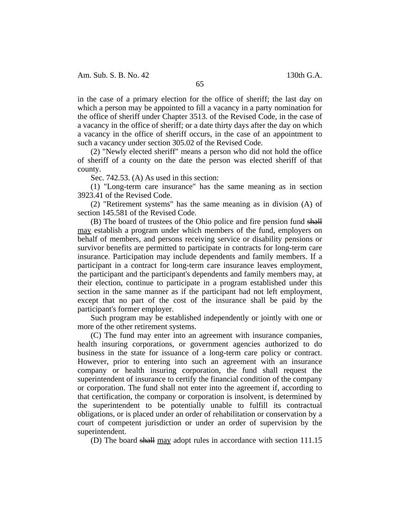in the case of a primary election for the office of sheriff; the last day on which a person may be appointed to fill a vacancy in a party nomination for the office of sheriff under Chapter 3513. of the Revised Code, in the case of a vacancy in the office of sheriff; or a date thirty days after the day on which a vacancy in the office of sheriff occurs, in the case of an appointment to such a vacancy under section 305.02 of the Revised Code.

(2) "Newly elected sheriff" means a person who did not hold the office of sheriff of a county on the date the person was elected sheriff of that county.

Sec. 742.53. (A) As used in this section:

(1) "Long-term care insurance" has the same meaning as in section 3923.41 of the Revised Code.

(2) "Retirement systems" has the same meaning as in division (A) of section 145.581 of the Revised Code.

(B) The board of trustees of the Ohio police and fire pension fund shall may establish a program under which members of the fund, employers on behalf of members, and persons receiving service or disability pensions or survivor benefits are permitted to participate in contracts for long-term care insurance. Participation may include dependents and family members. If a participant in a contract for long-term care insurance leaves employment, the participant and the participant's dependents and family members may, at their election, continue to participate in a program established under this section in the same manner as if the participant had not left employment, except that no part of the cost of the insurance shall be paid by the participant's former employer.

Such program may be established independently or jointly with one or more of the other retirement systems.

(C) The fund may enter into an agreement with insurance companies, health insuring corporations, or government agencies authorized to do business in the state for issuance of a long-term care policy or contract. However, prior to entering into such an agreement with an insurance company or health insuring corporation, the fund shall request the superintendent of insurance to certify the financial condition of the company or corporation. The fund shall not enter into the agreement if, according to that certification, the company or corporation is insolvent, is determined by the superintendent to be potentially unable to fulfill its contractual obligations, or is placed under an order of rehabilitation or conservation by a court of competent jurisdiction or under an order of supervision by the superintendent.

(D) The board shall may adopt rules in accordance with section 111.15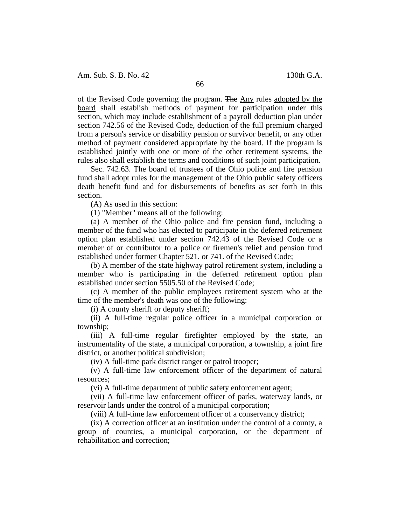of the Revised Code governing the program. The Any rules adopted by the board shall establish methods of payment for participation under this section, which may include establishment of a payroll deduction plan under section 742.56 of the Revised Code, deduction of the full premium charged from a person's service or disability pension or survivor benefit, or any other method of payment considered appropriate by the board. If the program is established jointly with one or more of the other retirement systems, the rules also shall establish the terms and conditions of such joint participation.

Sec. 742.63. The board of trustees of the Ohio police and fire pension fund shall adopt rules for the management of the Ohio public safety officers death benefit fund and for disbursements of benefits as set forth in this section.

(A) As used in this section:

(1) "Member" means all of the following:

(a) A member of the Ohio police and fire pension fund, including a member of the fund who has elected to participate in the deferred retirement option plan established under section 742.43 of the Revised Code or a member of or contributor to a police or firemen's relief and pension fund established under former Chapter 521. or 741. of the Revised Code;

(b) A member of the state highway patrol retirement system, including a member who is participating in the deferred retirement option plan established under section 5505.50 of the Revised Code;

(c) A member of the public employees retirement system who at the time of the member's death was one of the following:

(i) A county sheriff or deputy sheriff;

(ii) A full-time regular police officer in a municipal corporation or township;

(iii) A full-time regular firefighter employed by the state, an instrumentality of the state, a municipal corporation, a township, a joint fire district, or another political subdivision;

(iv) A full-time park district ranger or patrol trooper;

(v) A full-time law enforcement officer of the department of natural resources;

(vi) A full-time department of public safety enforcement agent;

(vii) A full-time law enforcement officer of parks, waterway lands, or reservoir lands under the control of a municipal corporation;

(viii) A full-time law enforcement officer of a conservancy district;

(ix) A correction officer at an institution under the control of a county, a group of counties, a municipal corporation, or the department of rehabilitation and correction;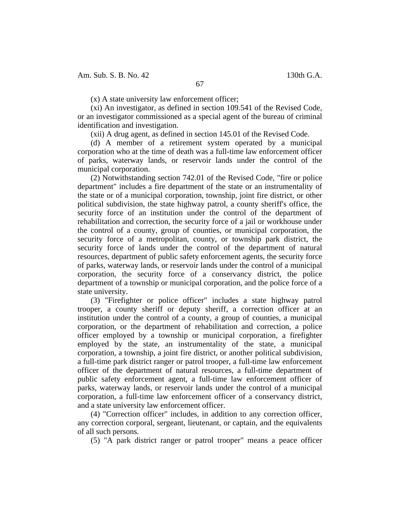(x) A state university law enforcement officer;

(xi) An investigator, as defined in section 109.541 of the Revised Code, or an investigator commissioned as a special agent of the bureau of criminal identification and investigation.

(xii) A drug agent, as defined in section 145.01 of the Revised Code.

(d) A member of a retirement system operated by a municipal corporation who at the time of death was a full-time law enforcement officer of parks, waterway lands, or reservoir lands under the control of the municipal corporation.

(2) Notwithstanding section 742.01 of the Revised Code, "fire or police department" includes a fire department of the state or an instrumentality of the state or of a municipal corporation, township, joint fire district, or other political subdivision, the state highway patrol, a county sheriff's office, the security force of an institution under the control of the department of rehabilitation and correction, the security force of a jail or workhouse under the control of a county, group of counties, or municipal corporation, the security force of a metropolitan, county, or township park district, the security force of lands under the control of the department of natural resources, department of public safety enforcement agents, the security force of parks, waterway lands, or reservoir lands under the control of a municipal corporation, the security force of a conservancy district, the police department of a township or municipal corporation, and the police force of a state university.

(3) "Firefighter or police officer" includes a state highway patrol trooper, a county sheriff or deputy sheriff, a correction officer at an institution under the control of a county, a group of counties, a municipal corporation, or the department of rehabilitation and correction, a police officer employed by a township or municipal corporation, a firefighter employed by the state, an instrumentality of the state, a municipal corporation, a township, a joint fire district, or another political subdivision, a full-time park district ranger or patrol trooper, a full-time law enforcement officer of the department of natural resources, a full-time department of public safety enforcement agent, a full-time law enforcement officer of parks, waterway lands, or reservoir lands under the control of a municipal corporation, a full-time law enforcement officer of a conservancy district, and a state university law enforcement officer.

(4) "Correction officer" includes, in addition to any correction officer, any correction corporal, sergeant, lieutenant, or captain, and the equivalents of all such persons.

(5) "A park district ranger or patrol trooper" means a peace officer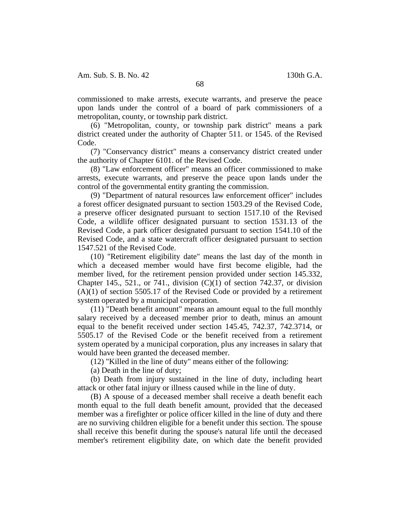commissioned to make arrests, execute warrants, and preserve the peace upon lands under the control of a board of park commissioners of a metropolitan, county, or township park district.

(6) "Metropolitan, county, or township park district" means a park district created under the authority of Chapter 511. or 1545. of the Revised Code.

(7) "Conservancy district" means a conservancy district created under the authority of Chapter 6101. of the Revised Code.

(8) "Law enforcement officer" means an officer commissioned to make arrests, execute warrants, and preserve the peace upon lands under the control of the governmental entity granting the commission.

(9) "Department of natural resources law enforcement officer" includes a forest officer designated pursuant to section 1503.29 of the Revised Code, a preserve officer designated pursuant to section 1517.10 of the Revised Code, a wildlife officer designated pursuant to section 1531.13 of the Revised Code, a park officer designated pursuant to section 1541.10 of the Revised Code, and a state watercraft officer designated pursuant to section 1547.521 of the Revised Code.

(10) "Retirement eligibility date" means the last day of the month in which a deceased member would have first become eligible, had the member lived, for the retirement pension provided under section 145.332, Chapter 145., 521., or 741., division  $(C)(1)$  of section 742.37, or division  $(A)(1)$  of section 5505.17 of the Revised Code or provided by a retirement system operated by a municipal corporation.

(11) "Death benefit amount" means an amount equal to the full monthly salary received by a deceased member prior to death, minus an amount equal to the benefit received under section 145.45, 742.37, 742.3714, or 5505.17 of the Revised Code or the benefit received from a retirement system operated by a municipal corporation, plus any increases in salary that would have been granted the deceased member.

(12) "Killed in the line of duty" means either of the following:

(a) Death in the line of duty;

(b) Death from injury sustained in the line of duty, including heart attack or other fatal injury or illness caused while in the line of duty.

(B) A spouse of a deceased member shall receive a death benefit each month equal to the full death benefit amount, provided that the deceased member was a firefighter or police officer killed in the line of duty and there are no surviving children eligible for a benefit under this section. The spouse shall receive this benefit during the spouse's natural life until the deceased member's retirement eligibility date, on which date the benefit provided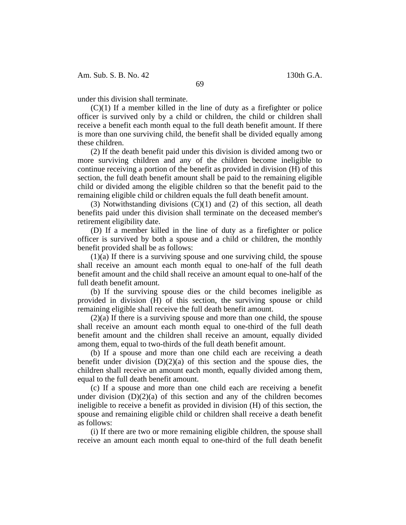69

under this division shall terminate.

 $(C)(1)$  If a member killed in the line of duty as a firefighter or police officer is survived only by a child or children, the child or children shall receive a benefit each month equal to the full death benefit amount. If there is more than one surviving child, the benefit shall be divided equally among these children.

(2) If the death benefit paid under this division is divided among two or more surviving children and any of the children become ineligible to continue receiving a portion of the benefit as provided in division (H) of this section, the full death benefit amount shall be paid to the remaining eligible child or divided among the eligible children so that the benefit paid to the remaining eligible child or children equals the full death benefit amount.

(3) Notwithstanding divisions  $(C)(1)$  and  $(2)$  of this section, all death benefits paid under this division shall terminate on the deceased member's retirement eligibility date.

(D) If a member killed in the line of duty as a firefighter or police officer is survived by both a spouse and a child or children, the monthly benefit provided shall be as follows:

(1)(a) If there is a surviving spouse and one surviving child, the spouse shall receive an amount each month equal to one-half of the full death benefit amount and the child shall receive an amount equal to one-half of the full death benefit amount.

(b) If the surviving spouse dies or the child becomes ineligible as provided in division (H) of this section, the surviving spouse or child remaining eligible shall receive the full death benefit amount.

(2)(a) If there is a surviving spouse and more than one child, the spouse shall receive an amount each month equal to one-third of the full death benefit amount and the children shall receive an amount, equally divided among them, equal to two-thirds of the full death benefit amount.

(b) If a spouse and more than one child each are receiving a death benefit under division  $(D)(2)(a)$  of this section and the spouse dies, the children shall receive an amount each month, equally divided among them, equal to the full death benefit amount.

(c) If a spouse and more than one child each are receiving a benefit under division  $(D)(2)(a)$  of this section and any of the children becomes ineligible to receive a benefit as provided in division (H) of this section, the spouse and remaining eligible child or children shall receive a death benefit as follows:

(i) If there are two or more remaining eligible children, the spouse shall receive an amount each month equal to one-third of the full death benefit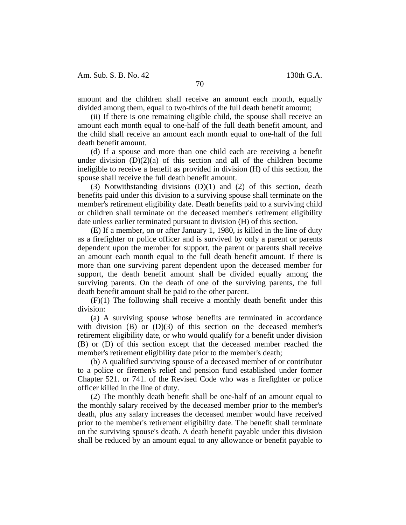amount and the children shall receive an amount each month, equally divided among them, equal to two-thirds of the full death benefit amount;

(ii) If there is one remaining eligible child, the spouse shall receive an amount each month equal to one-half of the full death benefit amount, and the child shall receive an amount each month equal to one-half of the full death benefit amount.

(d) If a spouse and more than one child each are receiving a benefit under division  $(D)(2)(a)$  of this section and all of the children become ineligible to receive a benefit as provided in division (H) of this section, the spouse shall receive the full death benefit amount.

(3) Notwithstanding divisions (D)(1) and (2) of this section, death benefits paid under this division to a surviving spouse shall terminate on the member's retirement eligibility date. Death benefits paid to a surviving child or children shall terminate on the deceased member's retirement eligibility date unless earlier terminated pursuant to division (H) of this section.

(E) If a member, on or after January 1, 1980, is killed in the line of duty as a firefighter or police officer and is survived by only a parent or parents dependent upon the member for support, the parent or parents shall receive an amount each month equal to the full death benefit amount. If there is more than one surviving parent dependent upon the deceased member for support, the death benefit amount shall be divided equally among the surviving parents. On the death of one of the surviving parents, the full death benefit amount shall be paid to the other parent.

(F)(1) The following shall receive a monthly death benefit under this division:

(a) A surviving spouse whose benefits are terminated in accordance with division  $(B)$  or  $(D)(3)$  of this section on the deceased member's retirement eligibility date, or who would qualify for a benefit under division (B) or (D) of this section except that the deceased member reached the member's retirement eligibility date prior to the member's death;

(b) A qualified surviving spouse of a deceased member of or contributor to a police or firemen's relief and pension fund established under former Chapter 521. or 741. of the Revised Code who was a firefighter or police officer killed in the line of duty.

(2) The monthly death benefit shall be one-half of an amount equal to the monthly salary received by the deceased member prior to the member's death, plus any salary increases the deceased member would have received prior to the member's retirement eligibility date. The benefit shall terminate on the surviving spouse's death. A death benefit payable under this division shall be reduced by an amount equal to any allowance or benefit payable to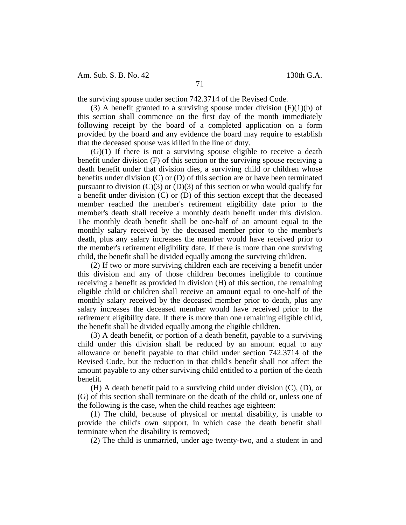the surviving spouse under section 742.3714 of the Revised Code.

(3) A benefit granted to a surviving spouse under division  $(F)(1)(b)$  of this section shall commence on the first day of the month immediately following receipt by the board of a completed application on a form provided by the board and any evidence the board may require to establish that the deceased spouse was killed in the line of duty.

 $(G)(1)$  If there is not a surviving spouse eligible to receive a death benefit under division (F) of this section or the surviving spouse receiving a death benefit under that division dies, a surviving child or children whose benefits under division (C) or (D) of this section are or have been terminated pursuant to division  $(C)(3)$  or  $(D)(3)$  of this section or who would qualify for a benefit under division (C) or (D) of this section except that the deceased member reached the member's retirement eligibility date prior to the member's death shall receive a monthly death benefit under this division. The monthly death benefit shall be one-half of an amount equal to the monthly salary received by the deceased member prior to the member's death, plus any salary increases the member would have received prior to the member's retirement eligibility date. If there is more than one surviving child, the benefit shall be divided equally among the surviving children.

(2) If two or more surviving children each are receiving a benefit under this division and any of those children becomes ineligible to continue receiving a benefit as provided in division (H) of this section, the remaining eligible child or children shall receive an amount equal to one-half of the monthly salary received by the deceased member prior to death, plus any salary increases the deceased member would have received prior to the retirement eligibility date. If there is more than one remaining eligible child, the benefit shall be divided equally among the eligible children.

(3) A death benefit, or portion of a death benefit, payable to a surviving child under this division shall be reduced by an amount equal to any allowance or benefit payable to that child under section 742.3714 of the Revised Code, but the reduction in that child's benefit shall not affect the amount payable to any other surviving child entitled to a portion of the death benefit.

(H) A death benefit paid to a surviving child under division (C), (D), or (G) of this section shall terminate on the death of the child or, unless one of the following is the case, when the child reaches age eighteen:

(1) The child, because of physical or mental disability, is unable to provide the child's own support, in which case the death benefit shall terminate when the disability is removed;

(2) The child is unmarried, under age twenty-two, and a student in and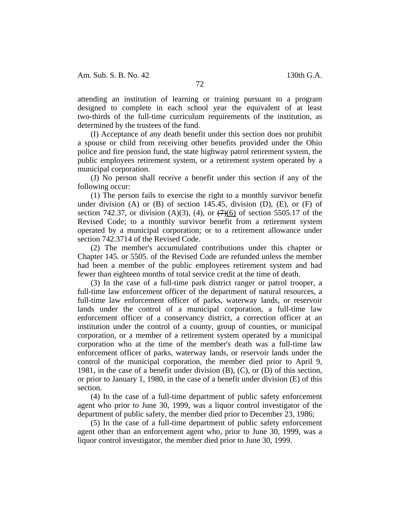attending an institution of learning or training pursuant to a program designed to complete in each school year the equivalent of at least two-thirds of the full-time curriculum requirements of the institution, as determined by the trustees of the fund.

(I) Acceptance of any death benefit under this section does not prohibit a spouse or child from receiving other benefits provided under the Ohio police and fire pension fund, the state highway patrol retirement system, the public employees retirement system, or a retirement system operated by a municipal corporation.

(J) No person shall receive a benefit under this section if any of the following occur:

(1) The person fails to exercise the right to a monthly survivor benefit under division  $(A)$  or  $(B)$  of section 145.45, division  $(D)$ ,  $(E)$ , or  $(F)$  of section 742.37, or division (A)(3), (4), or  $(7)(6)$  of section 5505.17 of the Revised Code; to a monthly survivor benefit from a retirement system operated by a municipal corporation; or to a retirement allowance under section 742.3714 of the Revised Code.

(2) The member's accumulated contributions under this chapter or Chapter 145. or 5505. of the Revised Code are refunded unless the member had been a member of the public employees retirement system and had fewer than eighteen months of total service credit at the time of death.

(3) In the case of a full-time park district ranger or patrol trooper, a full-time law enforcement officer of the department of natural resources, a full-time law enforcement officer of parks, waterway lands, or reservoir lands under the control of a municipal corporation, a full-time law enforcement officer of a conservancy district, a correction officer at an institution under the control of a county, group of counties, or municipal corporation, or a member of a retirement system operated by a municipal corporation who at the time of the member's death was a full-time law enforcement officer of parks, waterway lands, or reservoir lands under the control of the municipal corporation, the member died prior to April 9, 1981, in the case of a benefit under division (B), (C), or (D) of this section, or prior to January 1, 1980, in the case of a benefit under division (E) of this section.

(4) In the case of a full-time department of public safety enforcement agent who prior to June 30, 1999, was a liquor control investigator of the department of public safety, the member died prior to December 23, 1986;

(5) In the case of a full-time department of public safety enforcement agent other than an enforcement agent who, prior to June 30, 1999, was a liquor control investigator, the member died prior to June 30, 1999.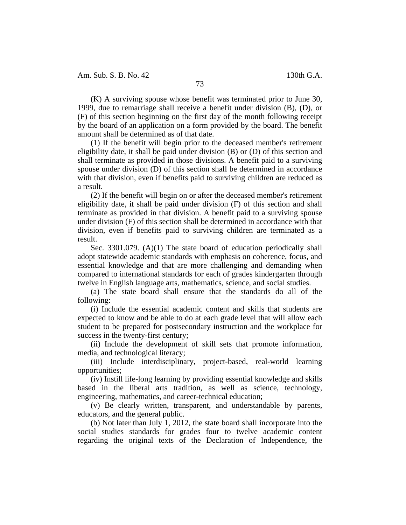(K) A surviving spouse whose benefit was terminated prior to June 30, 1999, due to remarriage shall receive a benefit under division (B), (D), or (F) of this section beginning on the first day of the month following receipt by the board of an application on a form provided by the board. The benefit amount shall be determined as of that date.

(1) If the benefit will begin prior to the deceased member's retirement eligibility date, it shall be paid under division (B) or (D) of this section and shall terminate as provided in those divisions. A benefit paid to a surviving spouse under division (D) of this section shall be determined in accordance with that division, even if benefits paid to surviving children are reduced as a result.

(2) If the benefit will begin on or after the deceased member's retirement eligibility date, it shall be paid under division (F) of this section and shall terminate as provided in that division. A benefit paid to a surviving spouse under division (F) of this section shall be determined in accordance with that division, even if benefits paid to surviving children are terminated as a result.

Sec. 3301.079. (A)(1) The state board of education periodically shall adopt statewide academic standards with emphasis on coherence, focus, and essential knowledge and that are more challenging and demanding when compared to international standards for each of grades kindergarten through twelve in English language arts, mathematics, science, and social studies.

(a) The state board shall ensure that the standards do all of the following:

(i) Include the essential academic content and skills that students are expected to know and be able to do at each grade level that will allow each student to be prepared for postsecondary instruction and the workplace for success in the twenty-first century;

(ii) Include the development of skill sets that promote information, media, and technological literacy;

(iii) Include interdisciplinary, project-based, real-world learning opportunities;

(iv) Instill life-long learning by providing essential knowledge and skills based in the liberal arts tradition, as well as science, technology, engineering, mathematics, and career-technical education;

(v) Be clearly written, transparent, and understandable by parents, educators, and the general public.

(b) Not later than July 1, 2012, the state board shall incorporate into the social studies standards for grades four to twelve academic content regarding the original texts of the Declaration of Independence, the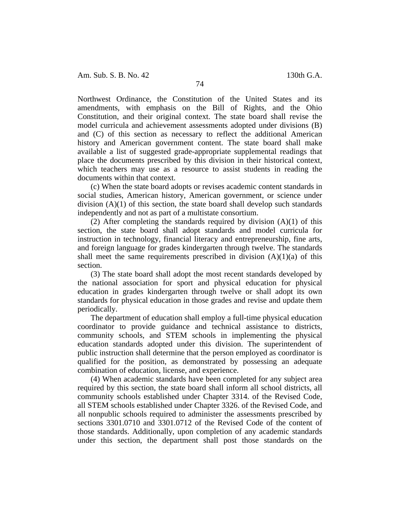Northwest Ordinance, the Constitution of the United States and its amendments, with emphasis on the Bill of Rights, and the Ohio Constitution, and their original context. The state board shall revise the model curricula and achievement assessments adopted under divisions (B) and (C) of this section as necessary to reflect the additional American history and American government content. The state board shall make available a list of suggested grade-appropriate supplemental readings that place the documents prescribed by this division in their historical context, which teachers may use as a resource to assist students in reading the documents within that context.

(c) When the state board adopts or revises academic content standards in social studies, American history, American government, or science under division  $(A)(1)$  of this section, the state board shall develop such standards independently and not as part of a multistate consortium.

(2) After completing the standards required by division  $(A)(1)$  of this section, the state board shall adopt standards and model curricula for instruction in technology, financial literacy and entrepreneurship, fine arts, and foreign language for grades kindergarten through twelve. The standards shall meet the same requirements prescribed in division  $(A)(1)(a)$  of this section.

(3) The state board shall adopt the most recent standards developed by the national association for sport and physical education for physical education in grades kindergarten through twelve or shall adopt its own standards for physical education in those grades and revise and update them periodically.

The department of education shall employ a full-time physical education coordinator to provide guidance and technical assistance to districts, community schools, and STEM schools in implementing the physical education standards adopted under this division. The superintendent of public instruction shall determine that the person employed as coordinator is qualified for the position, as demonstrated by possessing an adequate combination of education, license, and experience.

(4) When academic standards have been completed for any subject area required by this section, the state board shall inform all school districts, all community schools established under Chapter 3314. of the Revised Code, all STEM schools established under Chapter 3326. of the Revised Code, and all nonpublic schools required to administer the assessments prescribed by sections 3301.0710 and 3301.0712 of the Revised Code of the content of those standards. Additionally, upon completion of any academic standards under this section, the department shall post those standards on the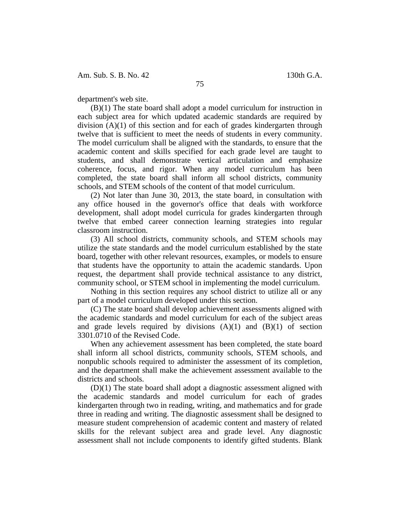department's web site.

(B)(1) The state board shall adopt a model curriculum for instruction in each subject area for which updated academic standards are required by division (A)(1) of this section and for each of grades kindergarten through twelve that is sufficient to meet the needs of students in every community. The model curriculum shall be aligned with the standards, to ensure that the academic content and skills specified for each grade level are taught to students, and shall demonstrate vertical articulation and emphasize coherence, focus, and rigor. When any model curriculum has been completed, the state board shall inform all school districts, community schools, and STEM schools of the content of that model curriculum.

(2) Not later than June 30, 2013, the state board, in consultation with any office housed in the governor's office that deals with workforce development, shall adopt model curricula for grades kindergarten through twelve that embed career connection learning strategies into regular classroom instruction.

(3) All school districts, community schools, and STEM schools may utilize the state standards and the model curriculum established by the state board, together with other relevant resources, examples, or models to ensure that students have the opportunity to attain the academic standards. Upon request, the department shall provide technical assistance to any district, community school, or STEM school in implementing the model curriculum.

Nothing in this section requires any school district to utilize all or any part of a model curriculum developed under this section.

(C) The state board shall develop achievement assessments aligned with the academic standards and model curriculum for each of the subject areas and grade levels required by divisions  $(A)(1)$  and  $(B)(1)$  of section 3301.0710 of the Revised Code.

When any achievement assessment has been completed, the state board shall inform all school districts, community schools, STEM schools, and nonpublic schools required to administer the assessment of its completion, and the department shall make the achievement assessment available to the districts and schools.

(D)(1) The state board shall adopt a diagnostic assessment aligned with the academic standards and model curriculum for each of grades kindergarten through two in reading, writing, and mathematics and for grade three in reading and writing. The diagnostic assessment shall be designed to measure student comprehension of academic content and mastery of related skills for the relevant subject area and grade level. Any diagnostic assessment shall not include components to identify gifted students. Blank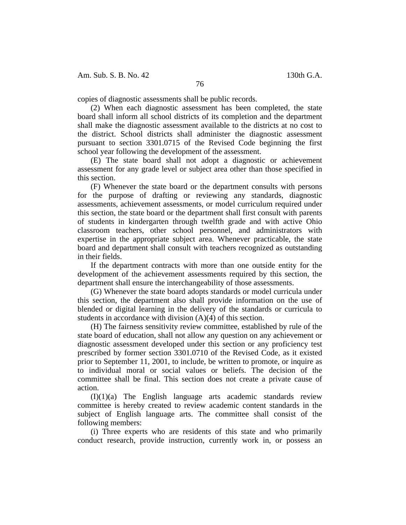copies of diagnostic assessments shall be public records.

(2) When each diagnostic assessment has been completed, the state board shall inform all school districts of its completion and the department shall make the diagnostic assessment available to the districts at no cost to the district. School districts shall administer the diagnostic assessment pursuant to section 3301.0715 of the Revised Code beginning the first school year following the development of the assessment.

(E) The state board shall not adopt a diagnostic or achievement assessment for any grade level or subject area other than those specified in this section.

(F) Whenever the state board or the department consults with persons for the purpose of drafting or reviewing any standards, diagnostic assessments, achievement assessments, or model curriculum required under this section, the state board or the department shall first consult with parents of students in kindergarten through twelfth grade and with active Ohio classroom teachers, other school personnel, and administrators with expertise in the appropriate subject area. Whenever practicable, the state board and department shall consult with teachers recognized as outstanding in their fields.

If the department contracts with more than one outside entity for the development of the achievement assessments required by this section, the department shall ensure the interchangeability of those assessments.

(G) Whenever the state board adopts standards or model curricula under this section, the department also shall provide information on the use of blended or digital learning in the delivery of the standards or curricula to students in accordance with division (A)(4) of this section.

(H) The fairness sensitivity review committee, established by rule of the state board of education, shall not allow any question on any achievement or diagnostic assessment developed under this section or any proficiency test prescribed by former section 3301.0710 of the Revised Code, as it existed prior to September 11, 2001, to include, be written to promote, or inquire as to individual moral or social values or beliefs. The decision of the committee shall be final. This section does not create a private cause of action.

(I)(1)(a) The English language arts academic standards review committee is hereby created to review academic content standards in the subject of English language arts. The committee shall consist of the following members:

(i) Three experts who are residents of this state and who primarily conduct research, provide instruction, currently work in, or possess an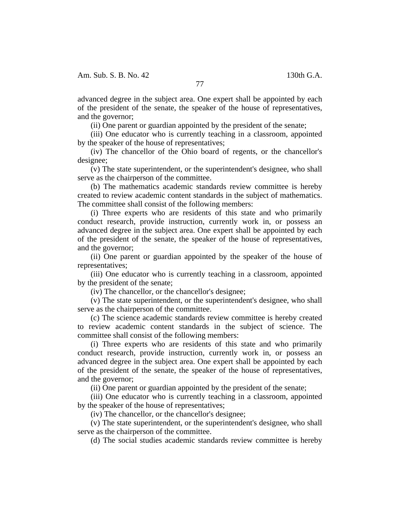advanced degree in the subject area. One expert shall be appointed by each of the president of the senate, the speaker of the house of representatives, and the governor;

77

(ii) One parent or guardian appointed by the president of the senate;

(iii) One educator who is currently teaching in a classroom, appointed by the speaker of the house of representatives;

(iv) The chancellor of the Ohio board of regents, or the chancellor's designee;

(v) The state superintendent, or the superintendent's designee, who shall serve as the chairperson of the committee.

(b) The mathematics academic standards review committee is hereby created to review academic content standards in the subject of mathematics. The committee shall consist of the following members:

(i) Three experts who are residents of this state and who primarily conduct research, provide instruction, currently work in, or possess an advanced degree in the subject area. One expert shall be appointed by each of the president of the senate, the speaker of the house of representatives, and the governor;

(ii) One parent or guardian appointed by the speaker of the house of representatives;

(iii) One educator who is currently teaching in a classroom, appointed by the president of the senate;

(iv) The chancellor, or the chancellor's designee;

(v) The state superintendent, or the superintendent's designee, who shall serve as the chairperson of the committee.

(c) The science academic standards review committee is hereby created to review academic content standards in the subject of science. The committee shall consist of the following members:

(i) Three experts who are residents of this state and who primarily conduct research, provide instruction, currently work in, or possess an advanced degree in the subject area. One expert shall be appointed by each of the president of the senate, the speaker of the house of representatives, and the governor;

(ii) One parent or guardian appointed by the president of the senate;

(iii) One educator who is currently teaching in a classroom, appointed by the speaker of the house of representatives;

(iv) The chancellor, or the chancellor's designee;

(v) The state superintendent, or the superintendent's designee, who shall serve as the chairperson of the committee.

(d) The social studies academic standards review committee is hereby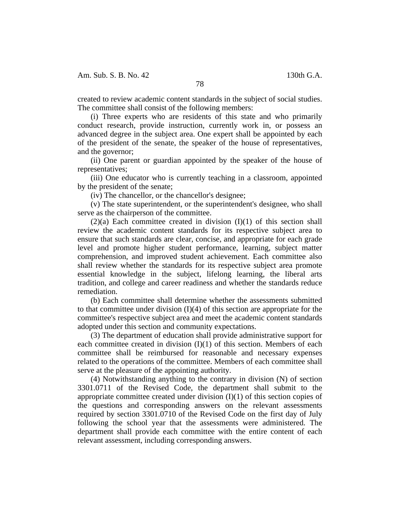created to review academic content standards in the subject of social studies. The committee shall consist of the following members:

(i) Three experts who are residents of this state and who primarily conduct research, provide instruction, currently work in, or possess an advanced degree in the subject area. One expert shall be appointed by each of the president of the senate, the speaker of the house of representatives, and the governor;

(ii) One parent or guardian appointed by the speaker of the house of representatives;

(iii) One educator who is currently teaching in a classroom, appointed by the president of the senate;

(iv) The chancellor, or the chancellor's designee;

(v) The state superintendent, or the superintendent's designee, who shall serve as the chairperson of the committee.

 $(2)(a)$  Each committee created in division  $(I)(1)$  of this section shall review the academic content standards for its respective subject area to ensure that such standards are clear, concise, and appropriate for each grade level and promote higher student performance, learning, subject matter comprehension, and improved student achievement. Each committee also shall review whether the standards for its respective subject area promote essential knowledge in the subject, lifelong learning, the liberal arts tradition, and college and career readiness and whether the standards reduce remediation.

(b) Each committee shall determine whether the assessments submitted to that committee under division (I)(4) of this section are appropriate for the committee's respective subject area and meet the academic content standards adopted under this section and community expectations.

(3) The department of education shall provide administrative support for each committee created in division (I)(1) of this section. Members of each committee shall be reimbursed for reasonable and necessary expenses related to the operations of the committee. Members of each committee shall serve at the pleasure of the appointing authority.

(4) Notwithstanding anything to the contrary in division (N) of section 3301.0711 of the Revised Code, the department shall submit to the appropriate committee created under division  $(I)(1)$  of this section copies of the questions and corresponding answers on the relevant assessments required by section 3301.0710 of the Revised Code on the first day of July following the school year that the assessments were administered. The department shall provide each committee with the entire content of each relevant assessment, including corresponding answers.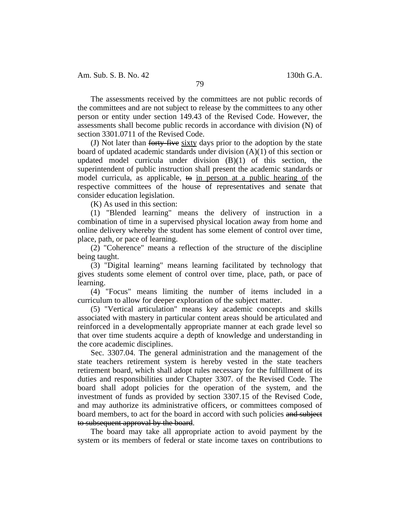The assessments received by the committees are not public records of the committees and are not subject to release by the committees to any other person or entity under section 149.43 of the Revised Code. However, the assessments shall become public records in accordance with division (N) of section 3301.0711 of the Revised Code.

(J) Not later than forty-five sixty days prior to the adoption by the state board of updated academic standards under division (A)(1) of this section or updated model curricula under division (B)(1) of this section, the superintendent of public instruction shall present the academic standards or model curricula, as applicable,  $\theta$  in person at a public hearing of the respective committees of the house of representatives and senate that consider education legislation.

(K) As used in this section:

(1) "Blended learning" means the delivery of instruction in a combination of time in a supervised physical location away from home and online delivery whereby the student has some element of control over time, place, path, or pace of learning.

(2) "Coherence" means a reflection of the structure of the discipline being taught.

(3) "Digital learning" means learning facilitated by technology that gives students some element of control over time, place, path, or pace of learning.

(4) "Focus" means limiting the number of items included in a curriculum to allow for deeper exploration of the subject matter.

(5) "Vertical articulation" means key academic concepts and skills associated with mastery in particular content areas should be articulated and reinforced in a developmentally appropriate manner at each grade level so that over time students acquire a depth of knowledge and understanding in the core academic disciplines.

Sec. 3307.04. The general administration and the management of the state teachers retirement system is hereby vested in the state teachers retirement board, which shall adopt rules necessary for the fulfillment of its duties and responsibilities under Chapter 3307. of the Revised Code. The board shall adopt policies for the operation of the system, and the investment of funds as provided by section 3307.15 of the Revised Code, and may authorize its administrative officers, or committees composed of board members, to act for the board in accord with such policies and subject to subsequent approval by the board.

The board may take all appropriate action to avoid payment by the system or its members of federal or state income taxes on contributions to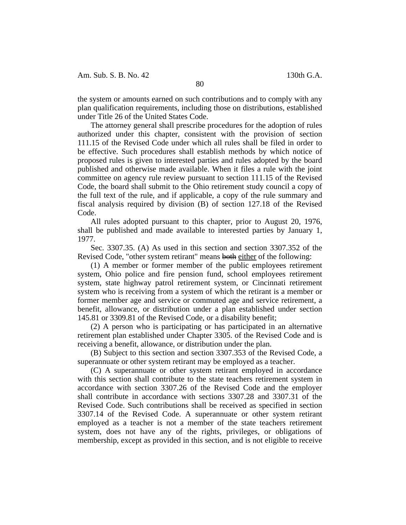the system or amounts earned on such contributions and to comply with any plan qualification requirements, including those on distributions, established under Title 26 of the United States Code.

The attorney general shall prescribe procedures for the adoption of rules authorized under this chapter, consistent with the provision of section 111.15 of the Revised Code under which all rules shall be filed in order to be effective. Such procedures shall establish methods by which notice of proposed rules is given to interested parties and rules adopted by the board published and otherwise made available. When it files a rule with the joint committee on agency rule review pursuant to section 111.15 of the Revised Code, the board shall submit to the Ohio retirement study council a copy of the full text of the rule, and if applicable, a copy of the rule summary and fiscal analysis required by division (B) of section 127.18 of the Revised Code.

All rules adopted pursuant to this chapter, prior to August 20, 1976, shall be published and made available to interested parties by January 1, 1977.

Sec. 3307.35. (A) As used in this section and section 3307.352 of the Revised Code, "other system retirant" means both either of the following:

(1) A member or former member of the public employees retirement system, Ohio police and fire pension fund, school employees retirement system, state highway patrol retirement system, or Cincinnati retirement system who is receiving from a system of which the retirant is a member or former member age and service or commuted age and service retirement, a benefit, allowance, or distribution under a plan established under section 145.81 or 3309.81 of the Revised Code, or a disability benefit;

(2) A person who is participating or has participated in an alternative retirement plan established under Chapter 3305. of the Revised Code and is receiving a benefit, allowance, or distribution under the plan.

(B) Subject to this section and section 3307.353 of the Revised Code, a superannuate or other system retirant may be employed as a teacher.

(C) A superannuate or other system retirant employed in accordance with this section shall contribute to the state teachers retirement system in accordance with section 3307.26 of the Revised Code and the employer shall contribute in accordance with sections 3307.28 and 3307.31 of the Revised Code. Such contributions shall be received as specified in section 3307.14 of the Revised Code. A superannuate or other system retirant employed as a teacher is not a member of the state teachers retirement system, does not have any of the rights, privileges, or obligations of membership, except as provided in this section, and is not eligible to receive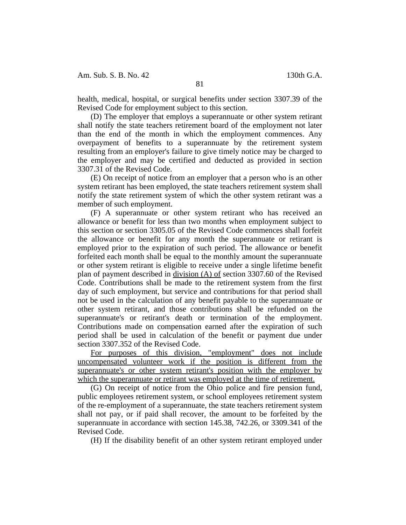health, medical, hospital, or surgical benefits under section 3307.39 of the Revised Code for employment subject to this section.

(D) The employer that employs a superannuate or other system retirant shall notify the state teachers retirement board of the employment not later than the end of the month in which the employment commences. Any overpayment of benefits to a superannuate by the retirement system resulting from an employer's failure to give timely notice may be charged to the employer and may be certified and deducted as provided in section 3307.31 of the Revised Code.

(E) On receipt of notice from an employer that a person who is an other system retirant has been employed, the state teachers retirement system shall notify the state retirement system of which the other system retirant was a member of such employment.

(F) A superannuate or other system retirant who has received an allowance or benefit for less than two months when employment subject to this section or section 3305.05 of the Revised Code commences shall forfeit the allowance or benefit for any month the superannuate or retirant is employed prior to the expiration of such period. The allowance or benefit forfeited each month shall be equal to the monthly amount the superannuate or other system retirant is eligible to receive under a single lifetime benefit plan of payment described in division (A) of section 3307.60 of the Revised Code. Contributions shall be made to the retirement system from the first day of such employment, but service and contributions for that period shall not be used in the calculation of any benefit payable to the superannuate or other system retirant, and those contributions shall be refunded on the superannuate's or retirant's death or termination of the employment. Contributions made on compensation earned after the expiration of such period shall be used in calculation of the benefit or payment due under section 3307.352 of the Revised Code.

For purposes of this division, "employment" does not include uncompensated volunteer work if the position is different from the superannuate's or other system retirant's position with the employer by which the superannuate or retirant was employed at the time of retirement.

(G) On receipt of notice from the Ohio police and fire pension fund, public employees retirement system, or school employees retirement system of the re-employment of a superannuate, the state teachers retirement system shall not pay, or if paid shall recover, the amount to be forfeited by the superannuate in accordance with section 145.38, 742.26, or 3309.341 of the Revised Code.

(H) If the disability benefit of an other system retirant employed under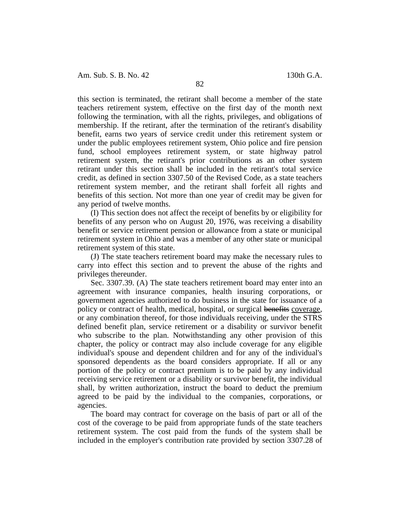this section is terminated, the retirant shall become a member of the state teachers retirement system, effective on the first day of the month next following the termination, with all the rights, privileges, and obligations of membership. If the retirant, after the termination of the retirant's disability benefit, earns two years of service credit under this retirement system or under the public employees retirement system, Ohio police and fire pension fund, school employees retirement system, or state highway patrol retirement system, the retirant's prior contributions as an other system retirant under this section shall be included in the retirant's total service credit, as defined in section 3307.50 of the Revised Code, as a state teachers retirement system member, and the retirant shall forfeit all rights and benefits of this section. Not more than one year of credit may be given for any period of twelve months.

(I) This section does not affect the receipt of benefits by or eligibility for benefits of any person who on August 20, 1976, was receiving a disability benefit or service retirement pension or allowance from a state or municipal retirement system in Ohio and was a member of any other state or municipal retirement system of this state.

(J) The state teachers retirement board may make the necessary rules to carry into effect this section and to prevent the abuse of the rights and privileges thereunder.

Sec. 3307.39. (A) The state teachers retirement board may enter into an agreement with insurance companies, health insuring corporations, or government agencies authorized to do business in the state for issuance of a policy or contract of health, medical, hospital, or surgical benefits coverage, or any combination thereof, for those individuals receiving, under the STRS defined benefit plan, service retirement or a disability or survivor benefit who subscribe to the plan. Notwithstanding any other provision of this chapter, the policy or contract may also include coverage for any eligible individual's spouse and dependent children and for any of the individual's sponsored dependents as the board considers appropriate. If all or any portion of the policy or contract premium is to be paid by any individual receiving service retirement or a disability or survivor benefit, the individual shall, by written authorization, instruct the board to deduct the premium agreed to be paid by the individual to the companies, corporations, or agencies.

The board may contract for coverage on the basis of part or all of the cost of the coverage to be paid from appropriate funds of the state teachers retirement system. The cost paid from the funds of the system shall be included in the employer's contribution rate provided by section 3307.28 of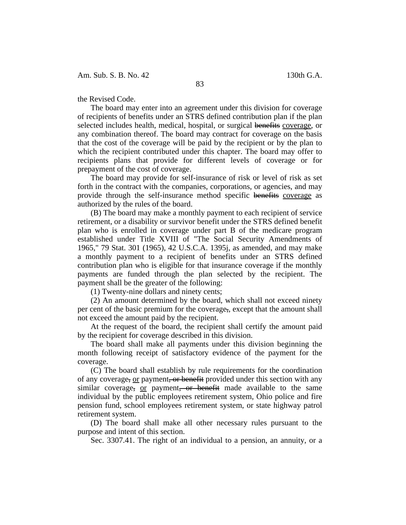the Revised Code.

The board may enter into an agreement under this division for coverage of recipients of benefits under an STRS defined contribution plan if the plan selected includes health, medical, hospital, or surgical benefits coverage, or any combination thereof. The board may contract for coverage on the basis that the cost of the coverage will be paid by the recipient or by the plan to which the recipient contributed under this chapter. The board may offer to recipients plans that provide for different levels of coverage or for prepayment of the cost of coverage.

The board may provide for self-insurance of risk or level of risk as set forth in the contract with the companies, corporations, or agencies, and may provide through the self-insurance method specific benefits coverage as authorized by the rules of the board.

(B) The board may make a monthly payment to each recipient of service retirement, or a disability or survivor benefit under the STRS defined benefit plan who is enrolled in coverage under part B of the medicare program established under Title XVIII of "The Social Security Amendments of 1965," 79 Stat. 301 (1965), 42 U.S.C.A. 1395j, as amended, and may make a monthly payment to a recipient of benefits under an STRS defined contribution plan who is eligible for that insurance coverage if the monthly payments are funded through the plan selected by the recipient. The payment shall be the greater of the following:

(1) Twenty-nine dollars and ninety cents;

(2) An amount determined by the board, which shall not exceed ninety per cent of the basic premium for the coverage,, except that the amount shall not exceed the amount paid by the recipient.

At the request of the board, the recipient shall certify the amount paid by the recipient for coverage described in this division.

The board shall make all payments under this division beginning the month following receipt of satisfactory evidence of the payment for the coverage.

(C) The board shall establish by rule requirements for the coordination of any coverage, or payment, or benefit provided under this section with any similar coverage, or payment, or benefit made available to the same individual by the public employees retirement system, Ohio police and fire pension fund, school employees retirement system, or state highway patrol retirement system.

(D) The board shall make all other necessary rules pursuant to the purpose and intent of this section.

Sec. 3307.41. The right of an individual to a pension, an annuity, or a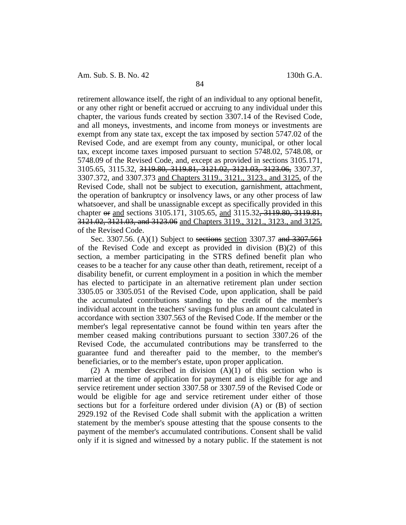retirement allowance itself, the right of an individual to any optional benefit, or any other right or benefit accrued or accruing to any individual under this chapter, the various funds created by section 3307.14 of the Revised Code, and all moneys, investments, and income from moneys or investments are exempt from any state tax, except the tax imposed by section 5747.02 of the Revised Code, and are exempt from any county, municipal, or other local tax, except income taxes imposed pursuant to section 5748.02, 5748.08, or 5748.09 of the Revised Code, and, except as provided in sections 3105.171, 3105.65, 3115.32, 3119.80, 3119.81, 3121.02, 3121.03, 3123.06, 3307.37, 3307.372, and 3307.373 and Chapters 3119., 3121., 3123., and 3125. of the Revised Code, shall not be subject to execution, garnishment, attachment, the operation of bankruptcy or insolvency laws, or any other process of law whatsoever, and shall be unassignable except as specifically provided in this chapter or and sections 3105.171, 3105.65, and 3115.32, 3119.80, 3119.81, 3121.02, 3121.03, and 3123.06 and Chapters 3119., 3121., 3123., and 3125. of the Revised Code.

Sec. 3307.56. (A)(1) Subject to sections section 3307.37 and 3307.561 of the Revised Code and except as provided in division (B)(2) of this section, a member participating in the STRS defined benefit plan who ceases to be a teacher for any cause other than death, retirement, receipt of a disability benefit, or current employment in a position in which the member has elected to participate in an alternative retirement plan under section 3305.05 or 3305.051 of the Revised Code, upon application, shall be paid the accumulated contributions standing to the credit of the member's individual account in the teachers' savings fund plus an amount calculated in accordance with section 3307.563 of the Revised Code. If the member or the member's legal representative cannot be found within ten years after the member ceased making contributions pursuant to section 3307.26 of the Revised Code, the accumulated contributions may be transferred to the guarantee fund and thereafter paid to the member, to the member's beneficiaries, or to the member's estate, upon proper application.

(2) A member described in division  $(A)(1)$  of this section who is married at the time of application for payment and is eligible for age and service retirement under section 3307.58 or 3307.59 of the Revised Code or would be eligible for age and service retirement under either of those sections but for a forfeiture ordered under division (A) or (B) of section 2929.192 of the Revised Code shall submit with the application a written statement by the member's spouse attesting that the spouse consents to the payment of the member's accumulated contributions. Consent shall be valid only if it is signed and witnessed by a notary public. If the statement is not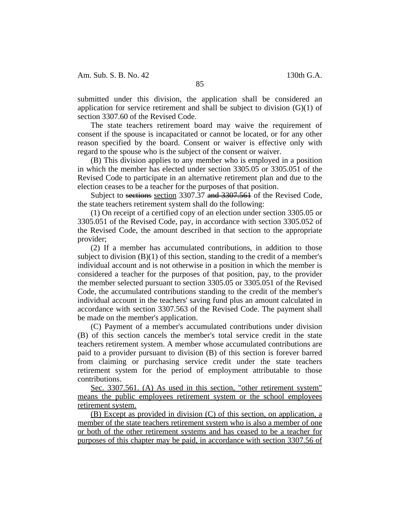submitted under this division, the application shall be considered an application for service retirement and shall be subject to division  $(G)(1)$  of section 3307.60 of the Revised Code.

The state teachers retirement board may waive the requirement of consent if the spouse is incapacitated or cannot be located, or for any other reason specified by the board. Consent or waiver is effective only with regard to the spouse who is the subject of the consent or waiver.

(B) This division applies to any member who is employed in a position in which the member has elected under section 3305.05 or 3305.051 of the Revised Code to participate in an alternative retirement plan and due to the election ceases to be a teacher for the purposes of that position.

Subject to sections section 3307.37 and 3307.561 of the Revised Code, the state teachers retirement system shall do the following:

(1) On receipt of a certified copy of an election under section 3305.05 or 3305.051 of the Revised Code, pay, in accordance with section 3305.052 of the Revised Code, the amount described in that section to the appropriate provider;

(2) If a member has accumulated contributions, in addition to those subject to division (B)(1) of this section, standing to the credit of a member's individual account and is not otherwise in a position in which the member is considered a teacher for the purposes of that position, pay, to the provider the member selected pursuant to section 3305.05 or 3305.051 of the Revised Code, the accumulated contributions standing to the credit of the member's individual account in the teachers' saving fund plus an amount calculated in accordance with section 3307.563 of the Revised Code. The payment shall be made on the member's application.

(C) Payment of a member's accumulated contributions under division (B) of this section cancels the member's total service credit in the state teachers retirement system. A member whose accumulated contributions are paid to a provider pursuant to division (B) of this section is forever barred from claiming or purchasing service credit under the state teachers retirement system for the period of employment attributable to those contributions.

Sec. 3307.561. (A) As used in this section, "other retirement system" means the public employees retirement system or the school employees retirement system.

(B) Except as provided in division (C) of this section, on application, a member of the state teachers retirement system who is also a member of one or both of the other retirement systems and has ceased to be a teacher for purposes of this chapter may be paid, in accordance with section 3307.56 of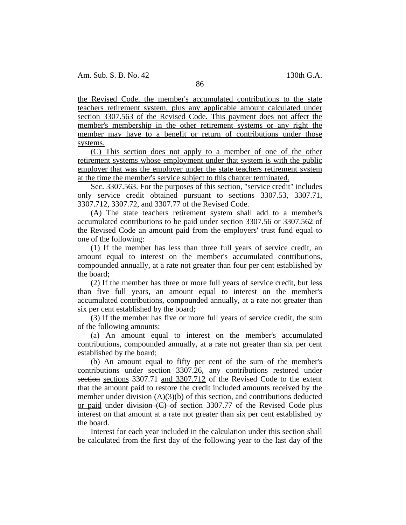the Revised Code, the member's accumulated contributions to the state teachers retirement system, plus any applicable amount calculated under section 3307.563 of the Revised Code. This payment does not affect the member's membership in the other retirement systems or any right the member may have to a benefit or return of contributions under those systems.

(C) This section does not apply to a member of one of the other retirement systems whose employment under that system is with the public employer that was the employer under the state teachers retirement system at the time the member's service subject to this chapter terminated.

Sec. 3307.563. For the purposes of this section, "service credit" includes only service credit obtained pursuant to sections 3307.53, 3307.71, 3307.712, 3307.72, and 3307.77 of the Revised Code.

(A) The state teachers retirement system shall add to a member's accumulated contributions to be paid under section 3307.56 or 3307.562 of the Revised Code an amount paid from the employers' trust fund equal to one of the following:

(1) If the member has less than three full years of service credit, an amount equal to interest on the member's accumulated contributions, compounded annually, at a rate not greater than four per cent established by the board;

(2) If the member has three or more full years of service credit, but less than five full years, an amount equal to interest on the member's accumulated contributions, compounded annually, at a rate not greater than six per cent established by the board;

(3) If the member has five or more full years of service credit, the sum of the following amounts:

(a) An amount equal to interest on the member's accumulated contributions, compounded annually, at a rate not greater than six per cent established by the board;

(b) An amount equal to fifty per cent of the sum of the member's contributions under section 3307.26, any contributions restored under section sections 3307.71 and 3307.712 of the Revised Code to the extent that the amount paid to restore the credit included amounts received by the member under division  $(A)(3)(b)$  of this section, and contributions deducted or paid under division (C) of section 3307.77 of the Revised Code plus interest on that amount at a rate not greater than six per cent established by the board.

Interest for each year included in the calculation under this section shall be calculated from the first day of the following year to the last day of the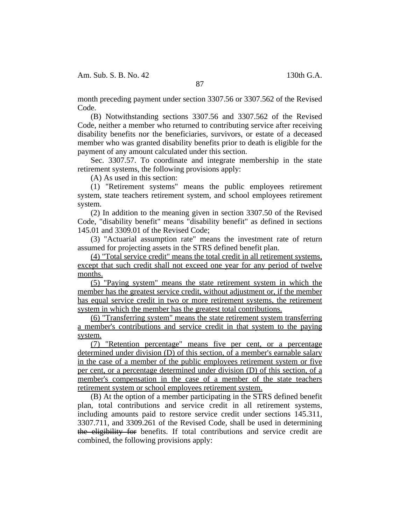87

month preceding payment under section 3307.56 or 3307.562 of the Revised Code.

(B) Notwithstanding sections 3307.56 and 3307.562 of the Revised Code, neither a member who returned to contributing service after receiving disability benefits nor the beneficiaries, survivors, or estate of a deceased member who was granted disability benefits prior to death is eligible for the payment of any amount calculated under this section.

Sec. 3307.57. To coordinate and integrate membership in the state retirement systems, the following provisions apply:

(A) As used in this section:

(1) "Retirement systems" means the public employees retirement system, state teachers retirement system, and school employees retirement system.

(2) In addition to the meaning given in section 3307.50 of the Revised Code, "disability benefit" means "disability benefit" as defined in sections 145.01 and 3309.01 of the Revised Code;

(3) "Actuarial assumption rate" means the investment rate of return assumed for projecting assets in the STRS defined benefit plan.

(4) "Total service credit" means the total credit in all retirement systems, except that such credit shall not exceed one year for any period of twelve months.

(5) "Paying system" means the state retirement system in which the member has the greatest service credit, without adjustment or, if the member has equal service credit in two or more retirement systems, the retirement system in which the member has the greatest total contributions.

(6) "Transferring system" means the state retirement system transferring a member's contributions and service credit in that system to the paying system.

(7) "Retention percentage" means five per cent, or a percentage determined under division (D) of this section, of a member's earnable salary in the case of a member of the public employees retirement system or five per cent, or a percentage determined under division (D) of this section, of a member's compensation in the case of a member of the state teachers retirement system or school employees retirement system.

(B) At the option of a member participating in the STRS defined benefit plan, total contributions and service credit in all retirement systems, including amounts paid to restore service credit under sections 145.311, 3307.711, and 3309.261 of the Revised Code, shall be used in determining the eligibility for benefits. If total contributions and service credit are combined, the following provisions apply: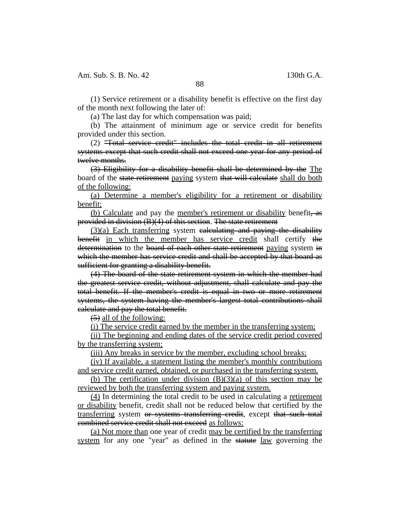(1) Service retirement or a disability benefit is effective on the first day of the month next following the later of:

(a) The last day for which compensation was paid;

(b) The attainment of minimum age or service credit for benefits provided under this section.

(2) "Total service credit" includes the total credit in all retirement systems except that such credit shall not exceed one year for any period of twelve months.

(3) Eligibility for a disability benefit shall be determined by the The board of the state retirement paying system that will calculate shall do both of the following:

(a) Determine a member's eligibility for a retirement or disability benefit;

(b) Calculate and pay the member's retirement or disability benefit, as provided in division (B)(4) of this section. The state retirement

 $(3)(a)$  Each transferring system calculating and paying the disability benefit in which the member has service credit shall certify the determination to the board of each other state retirement paying system in which the member has service credit and shall be accepted by that board as sufficient for granting a disability benefit.

(4) The board of the state retirement system in which the member had the greatest service credit, without adjustment, shall calculate and pay the total benefit. If the member's credit is equal in two or more retirement systems, the system having the member's largest total contributions shall calculate and pay the total benefit.

 $(5)$  all of the following:

(i) The service credit earned by the member in the transferring system;

(ii) The beginning and ending dates of the service credit period covered by the transferring system;

(iii) Any breaks in service by the member, excluding school breaks;

(iv) If available, a statement listing the member's monthly contributions and service credit earned, obtained, or purchased in the transferring system.

(b) The certification under division  $(B)(3)(a)$  of this section may be reviewed by both the transferring system and paying system.

(4) In determining the total credit to be used in calculating a retirement or disability benefit, credit shall not be reduced below that certified by the transferring system or systems transferring credit, except that such total combined service credit shall not exceed as follows:

(a) Not more than one year of credit may be certified by the transferring system for any one "year" as defined in the statute law governing the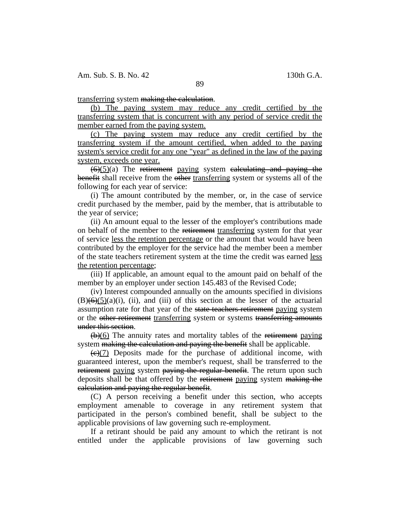transferring system making the calculation.

(b) The paying system may reduce any credit certified by the transferring system that is concurrent with any period of service credit the member earned from the paying system.

(c) The paying system may reduce any credit certified by the transferring system if the amount certified, when added to the paying system's service credit for any one "year" as defined in the law of the paying system, exceeds one year.

 $(6)(5)(a)$  The retirement paying system ealculating and paying the benefit shall receive from the other transferring system or systems all of the following for each year of service:

(i) The amount contributed by the member, or, in the case of service credit purchased by the member, paid by the member, that is attributable to the year of service;

(ii) An amount equal to the lesser of the employer's contributions made on behalf of the member to the retirement transferring system for that year of service less the retention percentage or the amount that would have been contributed by the employer for the service had the member been a member of the state teachers retirement system at the time the credit was earned less the retention percentage;

(iii) If applicable, an amount equal to the amount paid on behalf of the member by an employer under section 145.483 of the Revised Code;

(iv) Interest compounded annually on the amounts specified in divisions  $(B)(\Theta)(5)(a)(i)$ , (ii), and (iii) of this section at the lesser of the actuarial assumption rate for that year of the state teachers retirement paying system or the other retirement transferring system or systems transferring amounts under this section.

 $(b)(6)$  The annuity rates and mortality tables of the retirement paying system making the calculation and paying the benefit shall be applicable.

 $\left(\frac{e}{f}\right)$  Deposits made for the purchase of additional income, with guaranteed interest, upon the member's request, shall be transferred to the retirement paying system paying the regular benefit. The return upon such deposits shall be that offered by the retirement paying system making the calculation and paying the regular benefit.

(C) A person receiving a benefit under this section, who accepts employment amenable to coverage in any retirement system that participated in the person's combined benefit, shall be subject to the applicable provisions of law governing such re-employment.

If a retirant should be paid any amount to which the retirant is not entitled under the applicable provisions of law governing such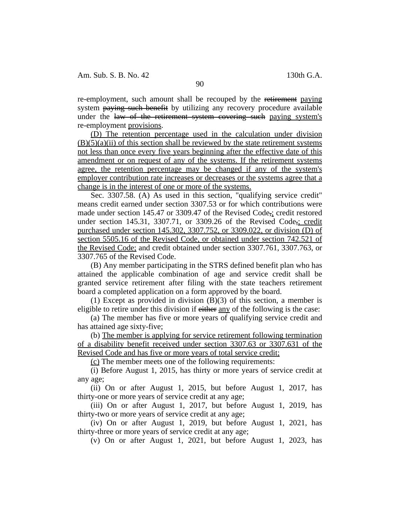re-employment, such amount shall be recouped by the retirement paying system paying such benefit by utilizing any recovery procedure available under the law of the retirement system covering such paying system's re-employment provisions.

90

(D) The retention percentage used in the calculation under division  $(B)(5)(a)(ii)$  of this section shall be reviewed by the state retirement systems not less than once every five years beginning after the effective date of this amendment or on request of any of the systems. If the retirement systems agree, the retention percentage may be changed if any of the system's employer contribution rate increases or decreases or the systems agree that a change is in the interest of one or more of the systems.

Sec. 3307.58. (A) As used in this section, "qualifying service credit" means credit earned under section 3307.53 or for which contributions were made under section 145.47 or 3309.47 of the Revised Code;; credit restored under section 145.31, 3307.71, or 3309.26 of the Revised Code,; credit purchased under section 145.302, 3307.752, or 3309.022, or division (D) of section 5505.16 of the Revised Code, or obtained under section 742.521 of the Revised Code; and credit obtained under section 3307.761, 3307.763, or 3307.765 of the Revised Code.

(B) Any member participating in the STRS defined benefit plan who has attained the applicable combination of age and service credit shall be granted service retirement after filing with the state teachers retirement board a completed application on a form approved by the board.

(1) Except as provided in division (B)(3) of this section, a member is eligible to retire under this division if either any of the following is the case:

(a) The member has five or more years of qualifying service credit and has attained age sixty-five;

(b) The member is applying for service retirement following termination of a disability benefit received under section 3307.63 or 3307.631 of the Revised Code and has five or more years of total service credit;

(c) The member meets one of the following requirements:

(i) Before August 1, 2015, has thirty or more years of service credit at any age;

(ii) On or after August 1, 2015, but before August 1, 2017, has thirty-one or more years of service credit at any age;

(iii) On or after August 1, 2017, but before August 1, 2019, has thirty-two or more years of service credit at any age;

(iv) On or after August 1, 2019, but before August 1, 2021, has thirty-three or more years of service credit at any age;

(v) On or after August 1, 2021, but before August 1, 2023, has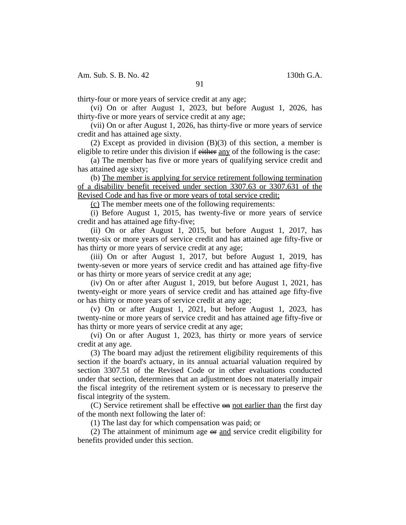thirty-four or more years of service credit at any age;

(vi) On or after August 1, 2023, but before August 1, 2026, has thirty-five or more years of service credit at any age;

(vii) On or after August 1, 2026, has thirty-five or more years of service credit and has attained age sixty.

(2) Except as provided in division (B)(3) of this section, a member is eligible to retire under this division if either any of the following is the case:

(a) The member has five or more years of qualifying service credit and has attained age sixty;

(b) The member is applying for service retirement following termination of a disability benefit received under section 3307.63 or 3307.631 of the Revised Code and has five or more years of total service credit;

(c) The member meets one of the following requirements:

(i) Before August 1, 2015, has twenty-five or more years of service credit and has attained age fifty-five;

(ii) On or after August 1, 2015, but before August 1, 2017, has twenty-six or more years of service credit and has attained age fifty-five or has thirty or more years of service credit at any age;

(iii) On or after August 1, 2017, but before August 1, 2019, has twenty-seven or more years of service credit and has attained age fifty-five or has thirty or more years of service credit at any age;

(iv) On or after after August 1, 2019, but before August 1, 2021, has twenty-eight or more years of service credit and has attained age fifty-five or has thirty or more years of service credit at any age;

(v) On or after August 1, 2021, but before August 1, 2023, has twenty-nine or more years of service credit and has attained age fifty-five or has thirty or more years of service credit at any age;

(vi) On or after August 1, 2023, has thirty or more years of service credit at any age.

(3) The board may adjust the retirement eligibility requirements of this section if the board's actuary, in its annual actuarial valuation required by section 3307.51 of the Revised Code or in other evaluations conducted under that section, determines that an adjustment does not materially impair the fiscal integrity of the retirement system or is necessary to preserve the fiscal integrity of the system.

(C) Service retirement shall be effective  $\Theta$  not earlier than the first day of the month next following the later of:

(1) The last day for which compensation was paid; or

(2) The attainment of minimum age  $\Theta$  and service credit eligibility for benefits provided under this section.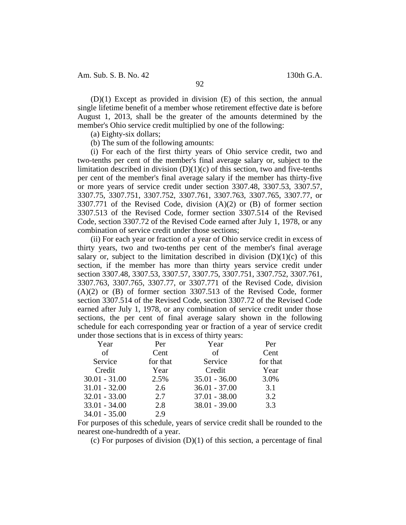(D)(1) Except as provided in division (E) of this section, the annual single lifetime benefit of a member whose retirement effective date is before August 1, 2013, shall be the greater of the amounts determined by the member's Ohio service credit multiplied by one of the following:

92

(a) Eighty-six dollars;

(b) The sum of the following amounts:

(i) For each of the first thirty years of Ohio service credit, two and two-tenths per cent of the member's final average salary or, subject to the limitation described in division  $(D)(1)(c)$  of this section, two and five-tenths per cent of the member's final average salary if the member has thirty-five or more years of service credit under section 3307.48, 3307.53, 3307.57, 3307.75, 3307.751, 3307.752, 3307.761, 3307.763, 3307.765, 3307.77, or 3307.771 of the Revised Code, division (A)(2) or (B) of former section 3307.513 of the Revised Code, former section 3307.514 of the Revised Code, section 3307.72 of the Revised Code earned after July 1, 1978, or any combination of service credit under those sections;

(ii) For each year or fraction of a year of Ohio service credit in excess of thirty years, two and two-tenths per cent of the member's final average salary or, subject to the limitation described in division  $(D)(1)(c)$  of this section, if the member has more than thirty years service credit under section 3307.48, 3307.53, 3307.57, 3307.75, 3307.751, 3307.752, 3307.761, 3307.763, 3307.765, 3307.77, or 3307.771 of the Revised Code, division (A)(2) or (B) of former section 3307.513 of the Revised Code, former section 3307.514 of the Revised Code, section 3307.72 of the Revised Code earned after July 1, 1978, or any combination of service credit under those sections, the per cent of final average salary shown in the following schedule for each corresponding year or fraction of a year of service credit under those sections that is in excess of thirty years:

| Year            | Per      | Year            | Per      |
|-----------------|----------|-----------------|----------|
| of              | Cent     | of              | Cent     |
| Service         | for that | Service         | for that |
| Credit          | Year     | Credit          | Year     |
| $30.01 - 31.00$ | 2.5%     | $35.01 - 36.00$ | 3.0%     |
| $31.01 - 32.00$ | 2.6      | $36.01 - 37.00$ | 3.1      |
| $32.01 - 33.00$ | 2.7      | $37.01 - 38.00$ | 3.2      |
| $33.01 - 34.00$ | 2.8      | $38.01 - 39.00$ | 3.3      |
| $34.01 - 35.00$ | 2.9      |                 |          |

For purposes of this schedule, years of service credit shall be rounded to the nearest one-hundredth of a year.

(c) For purposes of division  $(D)(1)$  of this section, a percentage of final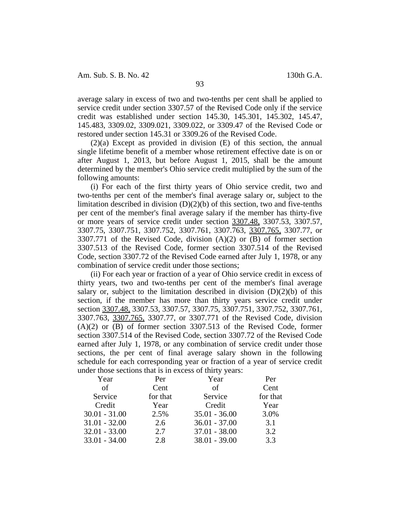average salary in excess of two and two-tenths per cent shall be applied to service credit under section 3307.57 of the Revised Code only if the service credit was established under section 145.30, 145.301, 145.302, 145.47, 145.483, 3309.02, 3309.021, 3309.022, or 3309.47 of the Revised Code or restored under section 145.31 or 3309.26 of the Revised Code.

(2)(a) Except as provided in division (E) of this section, the annual single lifetime benefit of a member whose retirement effective date is on or after August 1, 2013, but before August 1, 2015, shall be the amount determined by the member's Ohio service credit multiplied by the sum of the following amounts:

(i) For each of the first thirty years of Ohio service credit, two and two-tenths per cent of the member's final average salary or, subject to the limitation described in division (D)(2)(b) of this section, two and five-tenths per cent of the member's final average salary if the member has thirty-five or more years of service credit under section 3307.48, 3307.53, 3307.57, 3307.75, 3307.751, 3307.752, 3307.761, 3307.763, 3307.765, 3307.77, or 3307.771 of the Revised Code, division (A)(2) or (B) of former section 3307.513 of the Revised Code, former section 3307.514 of the Revised Code, section 3307.72 of the Revised Code earned after July 1, 1978, or any combination of service credit under those sections;

(ii) For each year or fraction of a year of Ohio service credit in excess of thirty years, two and two-tenths per cent of the member's final average salary or, subject to the limitation described in division  $(D)(2)(b)$  of this section, if the member has more than thirty years service credit under section 3307.48, 3307.53, 3307.57, 3307.75, 3307.751, 3307.752, 3307.761, 3307.763, 3307.765, 3307.77, or 3307.771 of the Revised Code, division (A)(2) or (B) of former section 3307.513 of the Revised Code, former section 3307.514 of the Revised Code, section 3307.72 of the Revised Code earned after July 1, 1978, or any combination of service credit under those sections, the per cent of final average salary shown in the following schedule for each corresponding year or fraction of a year of service credit under those sections that is in excess of thirty years:

| Year            | Per      | Year            | Per      |
|-----------------|----------|-----------------|----------|
| of              | Cent     | of              | Cent     |
| Service         | for that | Service         | for that |
| Credit          | Year     | Credit          | Year     |
| $30.01 - 31.00$ | 2.5%     | $35.01 - 36.00$ | 3.0%     |
| $31.01 - 32.00$ | 2.6      | $36.01 - 37.00$ | 3.1      |
| $32.01 - 33.00$ | 2.7      | $37.01 - 38.00$ | 3.2      |
| $33.01 - 34.00$ | 2.8      | $38.01 - 39.00$ | 3.3      |
|                 |          |                 |          |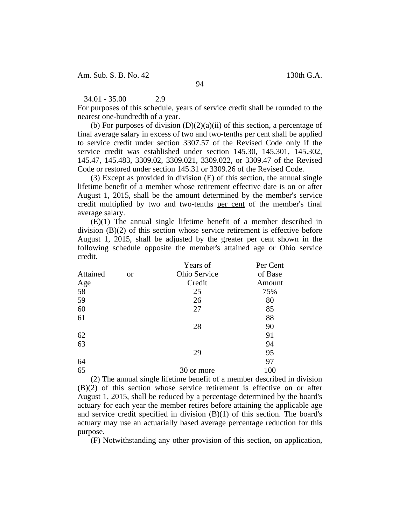## 34.01 - 35.00 2.9

For purposes of this schedule, years of service credit shall be rounded to the nearest one-hundredth of a year.

(b) For purposes of division  $(D)(2)(a)(ii)$  of this section, a percentage of final average salary in excess of two and two-tenths per cent shall be applied to service credit under section 3307.57 of the Revised Code only if the service credit was established under section 145.30, 145.301, 145.302, 145.47, 145.483, 3309.02, 3309.021, 3309.022, or 3309.47 of the Revised Code or restored under section 145.31 or 3309.26 of the Revised Code.

(3) Except as provided in division (E) of this section, the annual single lifetime benefit of a member whose retirement effective date is on or after August 1, 2015, shall be the amount determined by the member's service credit multiplied by two and two-tenths per cent of the member's final average salary.

(E)(1) The annual single lifetime benefit of a member described in division (B)(2) of this section whose service retirement is effective before August 1, 2015, shall be adjusted by the greater per cent shown in the following schedule opposite the member's attained age or Ohio service credit.

|          |           | Years of     | Per Cent                   |
|----------|-----------|--------------|----------------------------|
| Attained | <b>or</b> | Ohio Service | of Base                    |
| Age      |           | Credit       | Amount                     |
| 58       |           | 25           | 75%                        |
| 59       |           | 26           | 80                         |
| 60       |           | 27           | 85                         |
| 61       |           |              | 88                         |
|          |           | 28           | 90                         |
| 62       |           |              | 91                         |
| 63       |           |              | 94                         |
|          |           | 29           | 95                         |
| 64       |           |              | 97                         |
| 65       |           | 30 or more   | 100                        |
|          |           | .            | $\sim$<br>. .<br>$\bullet$ |

(2) The annual single lifetime benefit of a member described in division (B)(2) of this section whose service retirement is effective on or after August 1, 2015, shall be reduced by a percentage determined by the board's actuary for each year the member retires before attaining the applicable age and service credit specified in division (B)(1) of this section. The board's actuary may use an actuarially based average percentage reduction for this purpose.

(F) Notwithstanding any other provision of this section, on application,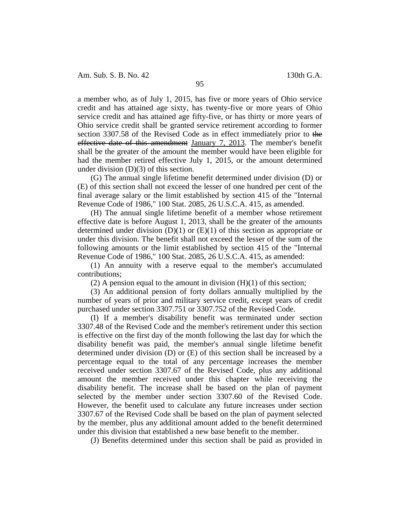a member who, as of July 1, 2015, has five or more years of Ohio service credit and has attained age sixty, has twenty-five or more years of Ohio service credit and has attained age fifty-five, or has thirty or more years of Ohio service credit shall be granted service retirement according to former section 3307.58 of the Revised Code as in effect immediately prior to the effective date of this amendment January 7, 2013. The member's benefit shall be the greater of the amount the member would have been eligible for had the member retired effective July 1, 2015, or the amount determined under division (D)(3) of this section.

(G) The annual single lifetime benefit determined under division (D) or (E) of this section shall not exceed the lesser of one hundred per cent of the final average salary or the limit established by section 415 of the "Internal Revenue Code of 1986," 100 Stat. 2085, 26 U.S.C.A. 415, as amended.

(H) The annual single lifetime benefit of a member whose retirement effective date is before August 1, 2013, shall be the greater of the amounts determined under division  $(D)(1)$  or  $(E)(1)$  of this section as appropriate or under this division. The benefit shall not exceed the lesser of the sum of the following amounts or the limit established by section 415 of the "Internal Revenue Code of 1986," 100 Stat. 2085, 26 U.S.C.A. 415, as amended:

(1) An annuity with a reserve equal to the member's accumulated contributions;

(2) A pension equal to the amount in division  $(H)(1)$  of this section;

(3) An additional pension of forty dollars annually multiplied by the number of years of prior and military service credit, except years of credit purchased under section 3307.751 or 3307.752 of the Revised Code.

(I) If a member's disability benefit was terminated under section 3307.48 of the Revised Code and the member's retirement under this section is effective on the first day of the month following the last day for which the disability benefit was paid, the member's annual single lifetime benefit determined under division (D) or (E) of this section shall be increased by a percentage equal to the total of any percentage increases the member received under section 3307.67 of the Revised Code, plus any additional amount the member received under this chapter while receiving the disability benefit. The increase shall be based on the plan of payment selected by the member under section 3307.60 of the Revised Code. However, the benefit used to calculate any future increases under section 3307.67 of the Revised Code shall be based on the plan of payment selected by the member, plus any additional amount added to the benefit determined under this division that established a new base benefit to the member.

(J) Benefits determined under this section shall be paid as provided in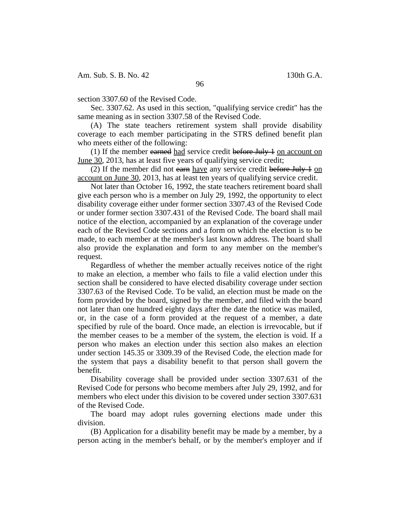section 3307.60 of the Revised Code.

Sec. 3307.62. As used in this section, "qualifying service credit" has the same meaning as in section 3307.58 of the Revised Code.

(A) The state teachers retirement system shall provide disability coverage to each member participating in the STRS defined benefit plan who meets either of the following:

(1) If the member earned had service credit before July 1 on account on June 30, 2013, has at least five years of qualifying service credit;

(2) If the member did not earn have any service credit before  $J_{\text{ul}} + 0$  on account on June 30, 2013, has at least ten years of qualifying service credit.

Not later than October 16, 1992, the state teachers retirement board shall give each person who is a member on July 29, 1992, the opportunity to elect disability coverage either under former section 3307.43 of the Revised Code or under former section 3307.431 of the Revised Code. The board shall mail notice of the election, accompanied by an explanation of the coverage under each of the Revised Code sections and a form on which the election is to be made, to each member at the member's last known address. The board shall also provide the explanation and form to any member on the member's request.

Regardless of whether the member actually receives notice of the right to make an election, a member who fails to file a valid election under this section shall be considered to have elected disability coverage under section 3307.63 of the Revised Code. To be valid, an election must be made on the form provided by the board, signed by the member, and filed with the board not later than one hundred eighty days after the date the notice was mailed, or, in the case of a form provided at the request of a member, a date specified by rule of the board. Once made, an election is irrevocable, but if the member ceases to be a member of the system, the election is void. If a person who makes an election under this section also makes an election under section 145.35 or 3309.39 of the Revised Code, the election made for the system that pays a disability benefit to that person shall govern the benefit.

Disability coverage shall be provided under section 3307.631 of the Revised Code for persons who become members after July 29, 1992, and for members who elect under this division to be covered under section 3307.631 of the Revised Code.

The board may adopt rules governing elections made under this division.

(B) Application for a disability benefit may be made by a member, by a person acting in the member's behalf, or by the member's employer and if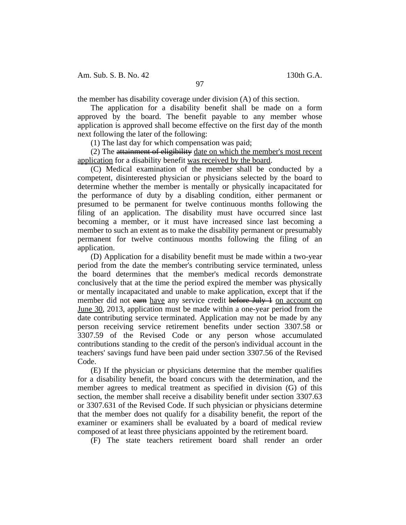97

the member has disability coverage under division (A) of this section.

The application for a disability benefit shall be made on a form approved by the board. The benefit payable to any member whose application is approved shall become effective on the first day of the month next following the later of the following:

(1) The last day for which compensation was paid;

(2) The attainment of eligibility date on which the member's most recent application for a disability benefit was received by the board.

(C) Medical examination of the member shall be conducted by a competent, disinterested physician or physicians selected by the board to determine whether the member is mentally or physically incapacitated for the performance of duty by a disabling condition, either permanent or presumed to be permanent for twelve continuous months following the filing of an application. The disability must have occurred since last becoming a member, or it must have increased since last becoming a member to such an extent as to make the disability permanent or presumably permanent for twelve continuous months following the filing of an application.

(D) Application for a disability benefit must be made within a two-year period from the date the member's contributing service terminated, unless the board determines that the member's medical records demonstrate conclusively that at the time the period expired the member was physically or mentally incapacitated and unable to make application, except that if the member did not earn have any service credit before July 1 on account on June 30, 2013, application must be made within a one-year period from the date contributing service terminated. Application may not be made by any person receiving service retirement benefits under section 3307.58 or 3307.59 of the Revised Code or any person whose accumulated contributions standing to the credit of the person's individual account in the teachers' savings fund have been paid under section 3307.56 of the Revised Code.

(E) If the physician or physicians determine that the member qualifies for a disability benefit, the board concurs with the determination, and the member agrees to medical treatment as specified in division (G) of this section, the member shall receive a disability benefit under section 3307.63 or 3307.631 of the Revised Code. If such physician or physicians determine that the member does not qualify for a disability benefit, the report of the examiner or examiners shall be evaluated by a board of medical review composed of at least three physicians appointed by the retirement board.

(F) The state teachers retirement board shall render an order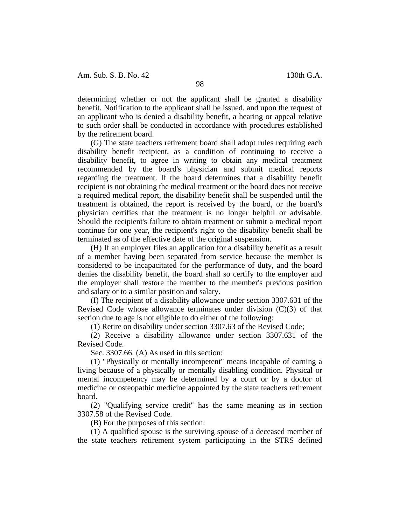determining whether or not the applicant shall be granted a disability benefit. Notification to the applicant shall be issued, and upon the request of an applicant who is denied a disability benefit, a hearing or appeal relative to such order shall be conducted in accordance with procedures established by the retirement board.

(G) The state teachers retirement board shall adopt rules requiring each disability benefit recipient, as a condition of continuing to receive a disability benefit, to agree in writing to obtain any medical treatment recommended by the board's physician and submit medical reports regarding the treatment. If the board determines that a disability benefit recipient is not obtaining the medical treatment or the board does not receive a required medical report, the disability benefit shall be suspended until the treatment is obtained, the report is received by the board, or the board's physician certifies that the treatment is no longer helpful or advisable. Should the recipient's failure to obtain treatment or submit a medical report continue for one year, the recipient's right to the disability benefit shall be terminated as of the effective date of the original suspension.

(H) If an employer files an application for a disability benefit as a result of a member having been separated from service because the member is considered to be incapacitated for the performance of duty, and the board denies the disability benefit, the board shall so certify to the employer and the employer shall restore the member to the member's previous position and salary or to a similar position and salary.

(I) The recipient of a disability allowance under section 3307.631 of the Revised Code whose allowance terminates under division (C)(3) of that section due to age is not eligible to do either of the following:

(1) Retire on disability under section 3307.63 of the Revised Code;

(2) Receive a disability allowance under section 3307.631 of the Revised Code.

Sec. 3307.66. (A) As used in this section:

(1) "Physically or mentally incompetent" means incapable of earning a living because of a physically or mentally disabling condition. Physical or mental incompetency may be determined by a court or by a doctor of medicine or osteopathic medicine appointed by the state teachers retirement board.

(2) "Qualifying service credit" has the same meaning as in section 3307.58 of the Revised Code.

(B) For the purposes of this section:

(1) A qualified spouse is the surviving spouse of a deceased member of the state teachers retirement system participating in the STRS defined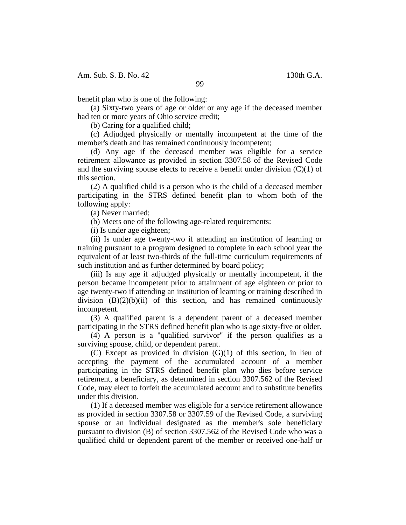benefit plan who is one of the following:

(a) Sixty-two years of age or older or any age if the deceased member had ten or more years of Ohio service credit;

(b) Caring for a qualified child;

(c) Adjudged physically or mentally incompetent at the time of the member's death and has remained continuously incompetent;

(d) Any age if the deceased member was eligible for a service retirement allowance as provided in section 3307.58 of the Revised Code and the surviving spouse elects to receive a benefit under division  $(C)(1)$  of this section.

(2) A qualified child is a person who is the child of a deceased member participating in the STRS defined benefit plan to whom both of the following apply:

(a) Never married;

(b) Meets one of the following age-related requirements:

(i) Is under age eighteen;

(ii) Is under age twenty-two if attending an institution of learning or training pursuant to a program designed to complete in each school year the equivalent of at least two-thirds of the full-time curriculum requirements of such institution and as further determined by board policy;

(iii) Is any age if adjudged physically or mentally incompetent, if the person became incompetent prior to attainment of age eighteen or prior to age twenty-two if attending an institution of learning or training described in division  $(B)(2)(b)(ii)$  of this section, and has remained continuously incompetent.

(3) A qualified parent is a dependent parent of a deceased member participating in the STRS defined benefit plan who is age sixty-five or older.

(4) A person is a "qualified survivor" if the person qualifies as a surviving spouse, child, or dependent parent.

(C) Except as provided in division (G)(1) of this section, in lieu of accepting the payment of the accumulated account of a member participating in the STRS defined benefit plan who dies before service retirement, a beneficiary, as determined in section 3307.562 of the Revised Code, may elect to forfeit the accumulated account and to substitute benefits under this division.

(1) If a deceased member was eligible for a service retirement allowance as provided in section 3307.58 or 3307.59 of the Revised Code, a surviving spouse or an individual designated as the member's sole beneficiary pursuant to division (B) of section 3307.562 of the Revised Code who was a qualified child or dependent parent of the member or received one-half or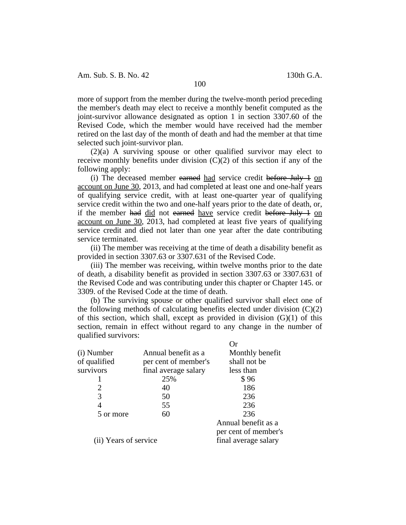more of support from the member during the twelve-month period preceding the member's death may elect to receive a monthly benefit computed as the joint-survivor allowance designated as option 1 in section 3307.60 of the Revised Code, which the member would have received had the member retired on the last day of the month of death and had the member at that time selected such joint-survivor plan.

(2)(a) A surviving spouse or other qualified survivor may elect to receive monthly benefits under division  $(C)(2)$  of this section if any of the following apply:

(i) The deceased member earned had service credit before July  $\frac{1}{2}$  on account on June 30, 2013, and had completed at least one and one-half years of qualifying service credit, with at least one-quarter year of qualifying service credit within the two and one-half years prior to the date of death, or, if the member had did not earned have service credit before July 1 on account on June 30, 2013, had completed at least five years of qualifying service credit and died not later than one year after the date contributing service terminated.

(ii) The member was receiving at the time of death a disability benefit as provided in section 3307.63 or 3307.631 of the Revised Code.

(iii) The member was receiving, within twelve months prior to the date of death, a disability benefit as provided in section 3307.63 or 3307.631 of the Revised Code and was contributing under this chapter or Chapter 145. or 3309. of the Revised Code at the time of death.

(b) The surviving spouse or other qualified survivor shall elect one of the following methods of calculating benefits elected under division  $(C)(2)$ of this section, which shall, except as provided in division  $(G)(1)$  of this section, remain in effect without regard to any change in the number of qualified survivors:

| (i) Number            | Annual benefit as a  | Monthly benefit      |
|-----------------------|----------------------|----------------------|
| of qualified          | per cent of member's | shall not be         |
| survivors             | final average salary | less than            |
|                       | 25%                  | \$96                 |
| 2                     | 40                   | 186                  |
| 3                     | 50                   | 236                  |
| 4                     | 55                   | 236                  |
| 5 or more             | 60                   | 236                  |
|                       |                      | Annual benefit as a  |
|                       |                      | per cent of member's |
| (ii) Years of service |                      | final average salary |
|                       |                      |                      |

100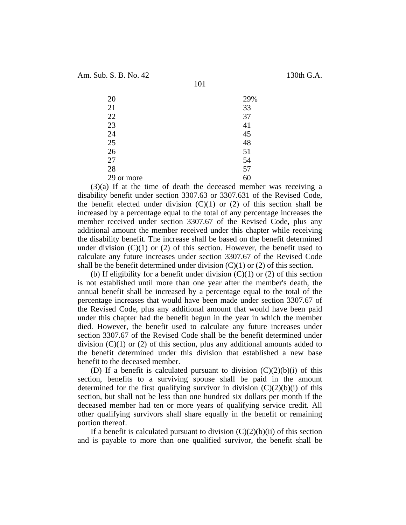| 20            | 29% |
|---------------|-----|
| 21            | 33  |
| 22            | 37  |
| 23            | 41  |
| 24            | 45  |
| 25            | 48  |
| 26            | 51  |
| 27            | 54  |
| 28            | 57  |
| 29<br>or more | 60  |

(3)(a) If at the time of death the deceased member was receiving a disability benefit under section 3307.63 or 3307.631 of the Revised Code, the benefit elected under division  $(C)(1)$  or  $(2)$  of this section shall be increased by a percentage equal to the total of any percentage increases the member received under section 3307.67 of the Revised Code, plus any additional amount the member received under this chapter while receiving the disability benefit. The increase shall be based on the benefit determined under division  $(C)(1)$  or  $(2)$  of this section. However, the benefit used to calculate any future increases under section 3307.67 of the Revised Code shall be the benefit determined under division  $(C)(1)$  or  $(2)$  of this section.

(b) If eligibility for a benefit under division  $(C)(1)$  or  $(2)$  of this section is not established until more than one year after the member's death, the annual benefit shall be increased by a percentage equal to the total of the percentage increases that would have been made under section 3307.67 of the Revised Code, plus any additional amount that would have been paid under this chapter had the benefit begun in the year in which the member died. However, the benefit used to calculate any future increases under section 3307.67 of the Revised Code shall be the benefit determined under division  $(C)(1)$  or  $(2)$  of this section, plus any additional amounts added to the benefit determined under this division that established a new base benefit to the deceased member.

(D) If a benefit is calculated pursuant to division  $(C)(2)(b)(i)$  of this section, benefits to a surviving spouse shall be paid in the amount determined for the first qualifying survivor in division  $(C)(2)(b)(i)$  of this section, but shall not be less than one hundred six dollars per month if the deceased member had ten or more years of qualifying service credit. All other qualifying survivors shall share equally in the benefit or remaining portion thereof.

If a benefit is calculated pursuant to division  $(C)(2)(b)(ii)$  of this section and is payable to more than one qualified survivor, the benefit shall be

101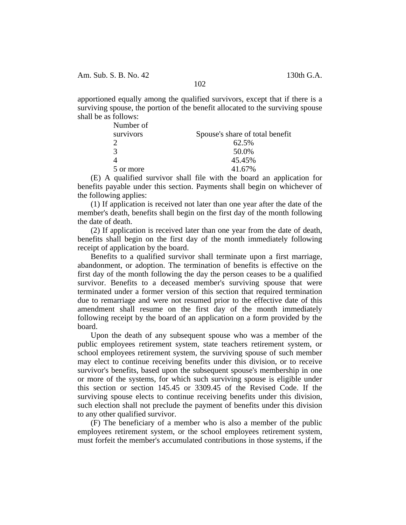apportioned equally among the qualified survivors, except that if there is a surviving spouse, the portion of the benefit allocated to the surviving spouse shall be as follows:

| Number of |                                 |
|-----------|---------------------------------|
| survivors | Spouse's share of total benefit |
|           | 62.5%                           |
| 3         | 50.0%                           |
|           | 45.45%                          |
| 5 or more | 41.67%                          |

(E) A qualified survivor shall file with the board an application for benefits payable under this section. Payments shall begin on whichever of the following applies:

(1) If application is received not later than one year after the date of the member's death, benefits shall begin on the first day of the month following the date of death.

(2) If application is received later than one year from the date of death, benefits shall begin on the first day of the month immediately following receipt of application by the board.

Benefits to a qualified survivor shall terminate upon a first marriage, abandonment, or adoption. The termination of benefits is effective on the first day of the month following the day the person ceases to be a qualified survivor. Benefits to a deceased member's surviving spouse that were terminated under a former version of this section that required termination due to remarriage and were not resumed prior to the effective date of this amendment shall resume on the first day of the month immediately following receipt by the board of an application on a form provided by the board.

Upon the death of any subsequent spouse who was a member of the public employees retirement system, state teachers retirement system, or school employees retirement system, the surviving spouse of such member may elect to continue receiving benefits under this division, or to receive survivor's benefits, based upon the subsequent spouse's membership in one or more of the systems, for which such surviving spouse is eligible under this section or section 145.45 or 3309.45 of the Revised Code. If the surviving spouse elects to continue receiving benefits under this division, such election shall not preclude the payment of benefits under this division to any other qualified survivor.

(F) The beneficiary of a member who is also a member of the public employees retirement system, or the school employees retirement system, must forfeit the member's accumulated contributions in those systems, if the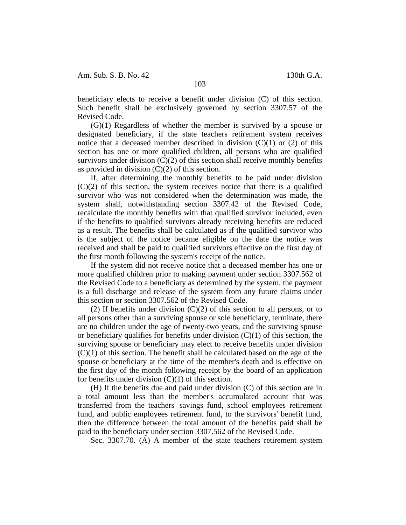beneficiary elects to receive a benefit under division (C) of this section. Such benefit shall be exclusively governed by section 3307.57 of the Revised Code.

 $(G)(1)$  Regardless of whether the member is survived by a spouse or designated beneficiary, if the state teachers retirement system receives notice that a deceased member described in division  $(C)(1)$  or  $(2)$  of this section has one or more qualified children, all persons who are qualified survivors under division  $(C)(2)$  of this section shall receive monthly benefits as provided in division  $(C)(2)$  of this section.

If, after determining the monthly benefits to be paid under division (C)(2) of this section, the system receives notice that there is a qualified survivor who was not considered when the determination was made, the system shall, notwithstanding section 3307.42 of the Revised Code, recalculate the monthly benefits with that qualified survivor included, even if the benefits to qualified survivors already receiving benefits are reduced as a result. The benefits shall be calculated as if the qualified survivor who is the subject of the notice became eligible on the date the notice was received and shall be paid to qualified survivors effective on the first day of the first month following the system's receipt of the notice.

If the system did not receive notice that a deceased member has one or more qualified children prior to making payment under section 3307.562 of the Revised Code to a beneficiary as determined by the system, the payment is a full discharge and release of the system from any future claims under this section or section 3307.562 of the Revised Code.

(2) If benefits under division  $(C)(2)$  of this section to all persons, or to all persons other than a surviving spouse or sole beneficiary, terminate, there are no children under the age of twenty-two years, and the surviving spouse or beneficiary qualifies for benefits under division  $(C)(1)$  of this section, the surviving spouse or beneficiary may elect to receive benefits under division  $(C)(1)$  of this section. The benefit shall be calculated based on the age of the spouse or beneficiary at the time of the member's death and is effective on the first day of the month following receipt by the board of an application for benefits under division  $(C)(1)$  of this section.

(H) If the benefits due and paid under division (C) of this section are in a total amount less than the member's accumulated account that was transferred from the teachers' savings fund, school employees retirement fund, and public employees retirement fund, to the survivors' benefit fund, then the difference between the total amount of the benefits paid shall be paid to the beneficiary under section 3307.562 of the Revised Code.

Sec. 3307.70. (A) A member of the state teachers retirement system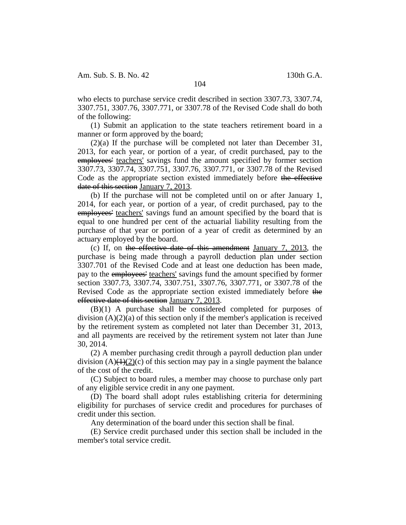who elects to purchase service credit described in section 3307.73, 3307.74, 3307.751, 3307.76, 3307.771, or 3307.78 of the Revised Code shall do both of the following:

(1) Submit an application to the state teachers retirement board in a manner or form approved by the board;

(2)(a) If the purchase will be completed not later than December 31, 2013, for each year, or portion of a year, of credit purchased, pay to the employees' teachers' savings fund the amount specified by former section 3307.73, 3307.74, 3307.751, 3307.76, 3307.771, or 3307.78 of the Revised Code as the appropriate section existed immediately before the effective date of this section January 7, 2013.

(b) If the purchase will not be completed until on or after January 1, 2014, for each year, or portion of a year, of credit purchased, pay to the employees' teachers' savings fund an amount specified by the board that is equal to one hundred per cent of the actuarial liability resulting from the purchase of that year or portion of a year of credit as determined by an actuary employed by the board.

(c) If, on the effective date of this amendment January 7, 2013, the purchase is being made through a payroll deduction plan under section 3307.701 of the Revised Code and at least one deduction has been made, pay to the employees' teachers' savings fund the amount specified by former section 3307.73, 3307.74, 3307.751, 3307.76, 3307.771, or 3307.78 of the Revised Code as the appropriate section existed immediately before the effective date of this section January 7, 2013.

(B)(1) A purchase shall be considered completed for purposes of division  $(A)(2)(a)$  of this section only if the member's application is received by the retirement system as completed not later than December 31, 2013, and all payments are received by the retirement system not later than June 30, 2014.

(2) A member purchasing credit through a payroll deduction plan under division  $(A)(1)(2)(c)$  of this section may pay in a single payment the balance of the cost of the credit.

(C) Subject to board rules, a member may choose to purchase only part of any eligible service credit in any one payment.

(D) The board shall adopt rules establishing criteria for determining eligibility for purchases of service credit and procedures for purchases of credit under this section.

Any determination of the board under this section shall be final.

(E) Service credit purchased under this section shall be included in the member's total service credit.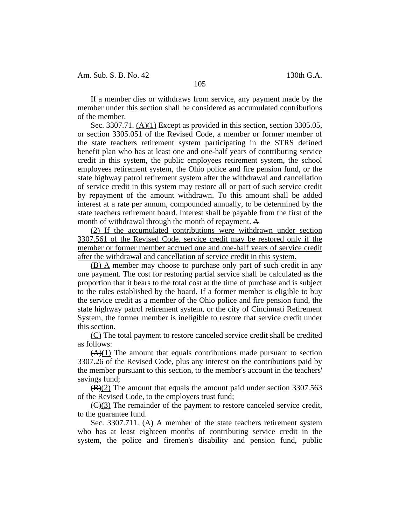If a member dies or withdraws from service, any payment made by the member under this section shall be considered as accumulated contributions of the member.

Sec. 3307.71. (A)(1) Except as provided in this section, section 3305.05, or section 3305.051 of the Revised Code, a member or former member of the state teachers retirement system participating in the STRS defined benefit plan who has at least one and one-half years of contributing service credit in this system, the public employees retirement system, the school employees retirement system, the Ohio police and fire pension fund, or the state highway patrol retirement system after the withdrawal and cancellation of service credit in this system may restore all or part of such service credit by repayment of the amount withdrawn. To this amount shall be added interest at a rate per annum, compounded annually, to be determined by the state teachers retirement board. Interest shall be payable from the first of the month of withdrawal through the month of repayment. A

(2) If the accumulated contributions were withdrawn under section 3307.561 of the Revised Code, service credit may be restored only if the member or former member accrued one and one-half years of service credit after the withdrawal and cancellation of service credit in this system.

(B) A member may choose to purchase only part of such credit in any one payment. The cost for restoring partial service shall be calculated as the proportion that it bears to the total cost at the time of purchase and is subject to the rules established by the board. If a former member is eligible to buy the service credit as a member of the Ohio police and fire pension fund, the state highway patrol retirement system, or the city of Cincinnati Retirement System, the former member is ineligible to restore that service credit under this section.

(C) The total payment to restore canceled service credit shall be credited as follows:

 $(A)(1)$  The amount that equals contributions made pursuant to section 3307.26 of the Revised Code, plus any interest on the contributions paid by the member pursuant to this section, to the member's account in the teachers' savings fund;

 $(**B**)(2)$  The amount that equals the amount paid under section 3307.563 of the Revised Code, to the employers trust fund;

 $\left(\frac{C}{3}\right)$  The remainder of the payment to restore canceled service credit, to the guarantee fund.

Sec. 3307.711. (A) A member of the state teachers retirement system who has at least eighteen months of contributing service credit in the system, the police and firemen's disability and pension fund, public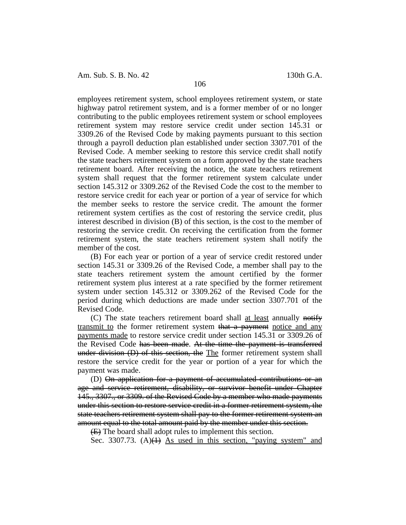employees retirement system, school employees retirement system, or state highway patrol retirement system, and is a former member of or no longer contributing to the public employees retirement system or school employees retirement system may restore service credit under section 145.31 or 3309.26 of the Revised Code by making payments pursuant to this section through a payroll deduction plan established under section 3307.701 of the Revised Code. A member seeking to restore this service credit shall notify the state teachers retirement system on a form approved by the state teachers retirement board. After receiving the notice, the state teachers retirement system shall request that the former retirement system calculate under section 145.312 or 3309.262 of the Revised Code the cost to the member to restore service credit for each year or portion of a year of service for which the member seeks to restore the service credit. The amount the former retirement system certifies as the cost of restoring the service credit, plus interest described in division (B) of this section, is the cost to the member of restoring the service credit. On receiving the certification from the former retirement system, the state teachers retirement system shall notify the member of the cost.

(B) For each year or portion of a year of service credit restored under section 145.31 or 3309.26 of the Revised Code, a member shall pay to the state teachers retirement system the amount certified by the former retirement system plus interest at a rate specified by the former retirement system under section 145.312 or 3309.262 of the Revised Code for the period during which deductions are made under section 3307.701 of the Revised Code.

(C) The state teachers retirement board shall at least annually notify transmit to the former retirement system that a payment notice and any payments made to restore service credit under section 145.31 or 3309.26 of the Revised Code has been made. At the time the payment is transferred under division (D) of this section, the The former retirement system shall restore the service credit for the year or portion of a year for which the payment was made.

(D) On application for a payment of accumulated contributions or an age and service retirement, disability, or survivor benefit under Chapter 145., 3307., or 3309. of the Revised Code by a member who made payments under this section to restore service credit in a former retirement system, the state teachers retirement system shall pay to the former retirement system an amount equal to the total amount paid by the member under this section.

(E) The board shall adopt rules to implement this section.

Sec. 3307.73. (A) $\leftrightarrow$  As used in this section, "paying system" and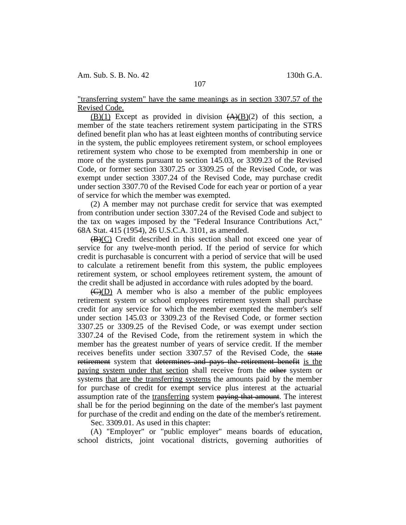"transferring system" have the same meanings as in section 3307.57 of the Revised Code.

(B)(1) Except as provided in division  $(A)(B)(2)$  of this section, a member of the state teachers retirement system participating in the STRS defined benefit plan who has at least eighteen months of contributing service in the system, the public employees retirement system, or school employees retirement system who chose to be exempted from membership in one or more of the systems pursuant to section 145.03, or 3309.23 of the Revised Code, or former section 3307.25 or 3309.25 of the Revised Code, or was exempt under section 3307.24 of the Revised Code, may purchase credit under section 3307.70 of the Revised Code for each year or portion of a year of service for which the member was exempted.

(2) A member may not purchase credit for service that was exempted from contribution under section 3307.24 of the Revised Code and subject to the tax on wages imposed by the "Federal Insurance Contributions Act," 68A Stat. 415 (1954), 26 U.S.C.A. 3101, as amended.

(B)(C) Credit described in this section shall not exceed one year of service for any twelve-month period. If the period of service for which credit is purchasable is concurrent with a period of service that will be used to calculate a retirement benefit from this system, the public employees retirement system, or school employees retirement system, the amount of the credit shall be adjusted in accordance with rules adopted by the board.

 $\left(\frac{C}{D}\right)$  A member who is also a member of the public employees retirement system or school employees retirement system shall purchase credit for any service for which the member exempted the member's self under section 145.03 or 3309.23 of the Revised Code, or former section 3307.25 or 3309.25 of the Revised Code, or was exempt under section 3307.24 of the Revised Code, from the retirement system in which the member has the greatest number of years of service credit. If the member receives benefits under section 3307.57 of the Revised Code, the state retirement system that determines and pays the retirement benefit is the paying system under that section shall receive from the other system or systems that are the transferring systems the amounts paid by the member for purchase of credit for exempt service plus interest at the actuarial assumption rate of the transferring system paying that amount. The interest shall be for the period beginning on the date of the member's last payment for purchase of the credit and ending on the date of the member's retirement.

Sec. 3309.01. As used in this chapter:

(A) "Employer" or "public employer" means boards of education, school districts, joint vocational districts, governing authorities of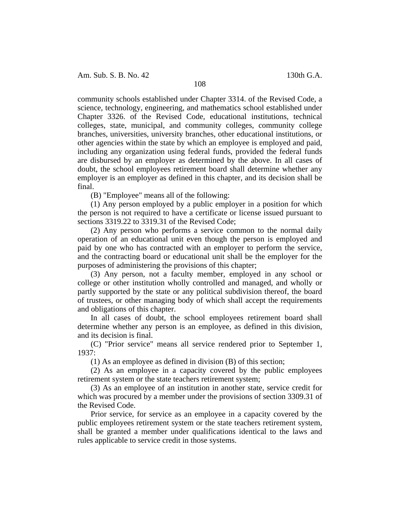community schools established under Chapter 3314. of the Revised Code, a science, technology, engineering, and mathematics school established under Chapter 3326. of the Revised Code, educational institutions, technical colleges, state, municipal, and community colleges, community college branches, universities, university branches, other educational institutions, or other agencies within the state by which an employee is employed and paid, including any organization using federal funds, provided the federal funds are disbursed by an employer as determined by the above. In all cases of doubt, the school employees retirement board shall determine whether any employer is an employer as defined in this chapter, and its decision shall be final.

(B) "Employee" means all of the following:

(1) Any person employed by a public employer in a position for which the person is not required to have a certificate or license issued pursuant to sections 3319.22 to 3319.31 of the Revised Code;

(2) Any person who performs a service common to the normal daily operation of an educational unit even though the person is employed and paid by one who has contracted with an employer to perform the service, and the contracting board or educational unit shall be the employer for the purposes of administering the provisions of this chapter;

(3) Any person, not a faculty member, employed in any school or college or other institution wholly controlled and managed, and wholly or partly supported by the state or any political subdivision thereof, the board of trustees, or other managing body of which shall accept the requirements and obligations of this chapter.

In all cases of doubt, the school employees retirement board shall determine whether any person is an employee, as defined in this division, and its decision is final.

(C) "Prior service" means all service rendered prior to September 1, 1937:

(1) As an employee as defined in division (B) of this section;

(2) As an employee in a capacity covered by the public employees retirement system or the state teachers retirement system;

(3) As an employee of an institution in another state, service credit for which was procured by a member under the provisions of section 3309.31 of the Revised Code.

Prior service, for service as an employee in a capacity covered by the public employees retirement system or the state teachers retirement system, shall be granted a member under qualifications identical to the laws and rules applicable to service credit in those systems.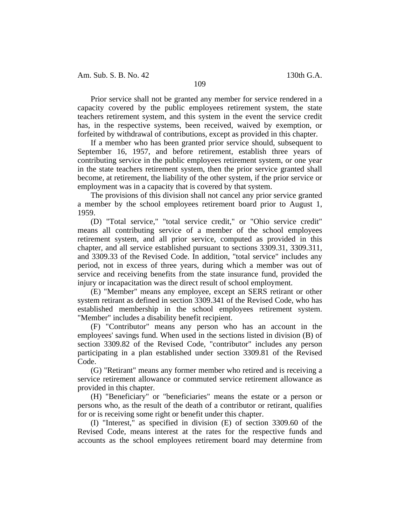Prior service shall not be granted any member for service rendered in a capacity covered by the public employees retirement system, the state teachers retirement system, and this system in the event the service credit has, in the respective systems, been received, waived by exemption, or forfeited by withdrawal of contributions, except as provided in this chapter.

If a member who has been granted prior service should, subsequent to September 16, 1957, and before retirement, establish three years of contributing service in the public employees retirement system, or one year in the state teachers retirement system, then the prior service granted shall become, at retirement, the liability of the other system, if the prior service or employment was in a capacity that is covered by that system.

The provisions of this division shall not cancel any prior service granted a member by the school employees retirement board prior to August 1, 1959.

(D) "Total service," "total service credit," or "Ohio service credit" means all contributing service of a member of the school employees retirement system, and all prior service, computed as provided in this chapter, and all service established pursuant to sections 3309.31, 3309.311, and 3309.33 of the Revised Code. In addition, "total service" includes any period, not in excess of three years, during which a member was out of service and receiving benefits from the state insurance fund, provided the injury or incapacitation was the direct result of school employment.

(E) "Member" means any employee, except an SERS retirant or other system retirant as defined in section 3309.341 of the Revised Code, who has established membership in the school employees retirement system. "Member" includes a disability benefit recipient.

(F) "Contributor" means any person who has an account in the employees' savings fund. When used in the sections listed in division (B) of section 3309.82 of the Revised Code, "contributor" includes any person participating in a plan established under section 3309.81 of the Revised Code.

(G) "Retirant" means any former member who retired and is receiving a service retirement allowance or commuted service retirement allowance as provided in this chapter.

(H) "Beneficiary" or "beneficiaries" means the estate or a person or persons who, as the result of the death of a contributor or retirant, qualifies for or is receiving some right or benefit under this chapter.

(I) "Interest," as specified in division (E) of section 3309.60 of the Revised Code, means interest at the rates for the respective funds and accounts as the school employees retirement board may determine from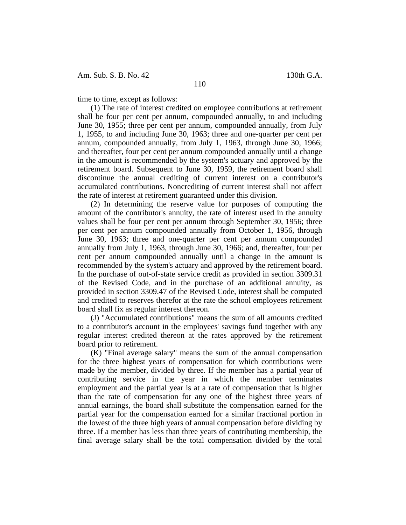time to time, except as follows:

(1) The rate of interest credited on employee contributions at retirement shall be four per cent per annum, compounded annually, to and including June 30, 1955; three per cent per annum, compounded annually, from July 1, 1955, to and including June 30, 1963; three and one-quarter per cent per annum, compounded annually, from July 1, 1963, through June 30, 1966; and thereafter, four per cent per annum compounded annually until a change in the amount is recommended by the system's actuary and approved by the retirement board. Subsequent to June 30, 1959, the retirement board shall discontinue the annual crediting of current interest on a contributor's accumulated contributions. Noncrediting of current interest shall not affect the rate of interest at retirement guaranteed under this division.

(2) In determining the reserve value for purposes of computing the amount of the contributor's annuity, the rate of interest used in the annuity values shall be four per cent per annum through September 30, 1956; three per cent per annum compounded annually from October 1, 1956, through June 30, 1963; three and one-quarter per cent per annum compounded annually from July 1, 1963, through June 30, 1966; and, thereafter, four per cent per annum compounded annually until a change in the amount is recommended by the system's actuary and approved by the retirement board. In the purchase of out-of-state service credit as provided in section 3309.31 of the Revised Code, and in the purchase of an additional annuity, as provided in section 3309.47 of the Revised Code, interest shall be computed and credited to reserves therefor at the rate the school employees retirement board shall fix as regular interest thereon.

(J) "Accumulated contributions" means the sum of all amounts credited to a contributor's account in the employees' savings fund together with any regular interest credited thereon at the rates approved by the retirement board prior to retirement.

(K) "Final average salary" means the sum of the annual compensation for the three highest years of compensation for which contributions were made by the member, divided by three. If the member has a partial year of contributing service in the year in which the member terminates employment and the partial year is at a rate of compensation that is higher than the rate of compensation for any one of the highest three years of annual earnings, the board shall substitute the compensation earned for the partial year for the compensation earned for a similar fractional portion in the lowest of the three high years of annual compensation before dividing by three. If a member has less than three years of contributing membership, the final average salary shall be the total compensation divided by the total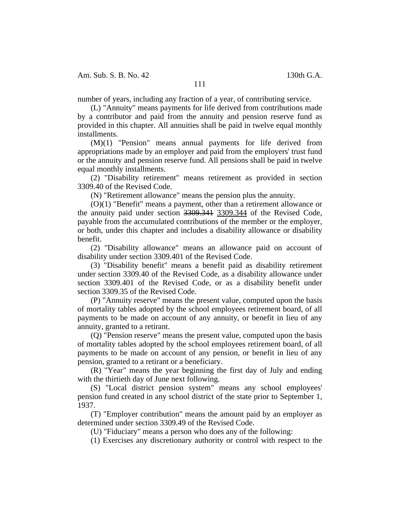111

number of years, including any fraction of a year, of contributing service.

(L) "Annuity" means payments for life derived from contributions made by a contributor and paid from the annuity and pension reserve fund as provided in this chapter. All annuities shall be paid in twelve equal monthly installments.

(M)(1) "Pension" means annual payments for life derived from appropriations made by an employer and paid from the employers' trust fund or the annuity and pension reserve fund. All pensions shall be paid in twelve equal monthly installments.

(2) "Disability retirement" means retirement as provided in section 3309.40 of the Revised Code.

(N) "Retirement allowance" means the pension plus the annuity.

(O)(1) "Benefit" means a payment, other than a retirement allowance or the annuity paid under section 3309.341 3309.344 of the Revised Code, payable from the accumulated contributions of the member or the employer, or both, under this chapter and includes a disability allowance or disability benefit.

(2) "Disability allowance" means an allowance paid on account of disability under section 3309.401 of the Revised Code.

(3) "Disability benefit" means a benefit paid as disability retirement under section 3309.40 of the Revised Code, as a disability allowance under section 3309.401 of the Revised Code, or as a disability benefit under section 3309.35 of the Revised Code.

(P) "Annuity reserve" means the present value, computed upon the basis of mortality tables adopted by the school employees retirement board, of all payments to be made on account of any annuity, or benefit in lieu of any annuity, granted to a retirant.

(Q) "Pension reserve" means the present value, computed upon the basis of mortality tables adopted by the school employees retirement board, of all payments to be made on account of any pension, or benefit in lieu of any pension, granted to a retirant or a beneficiary.

(R) "Year" means the year beginning the first day of July and ending with the thirtieth day of June next following.

(S) "Local district pension system" means any school employees' pension fund created in any school district of the state prior to September 1, 1937.

(T) "Employer contribution" means the amount paid by an employer as determined under section 3309.49 of the Revised Code.

(U) "Fiduciary" means a person who does any of the following:

(1) Exercises any discretionary authority or control with respect to the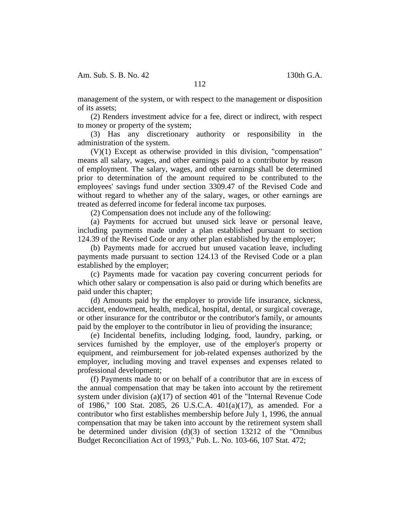management of the system, or with respect to the management or disposition of its assets;

(2) Renders investment advice for a fee, direct or indirect, with respect to money or property of the system;

(3) Has any discretionary authority or responsibility in the administration of the system.

(V)(1) Except as otherwise provided in this division, "compensation" means all salary, wages, and other earnings paid to a contributor by reason of employment. The salary, wages, and other earnings shall be determined prior to determination of the amount required to be contributed to the employees' savings fund under section 3309.47 of the Revised Code and without regard to whether any of the salary, wages, or other earnings are treated as deferred income for federal income tax purposes.

(2) Compensation does not include any of the following:

(a) Payments for accrued but unused sick leave or personal leave, including payments made under a plan established pursuant to section 124.39 of the Revised Code or any other plan established by the employer;

(b) Payments made for accrued but unused vacation leave, including payments made pursuant to section 124.13 of the Revised Code or a plan established by the employer;

(c) Payments made for vacation pay covering concurrent periods for which other salary or compensation is also paid or during which benefits are paid under this chapter;

(d) Amounts paid by the employer to provide life insurance, sickness, accident, endowment, health, medical, hospital, dental, or surgical coverage, or other insurance for the contributor or the contributor's family, or amounts paid by the employer to the contributor in lieu of providing the insurance;

(e) Incidental benefits, including lodging, food, laundry, parking, or services furnished by the employer, use of the employer's property or equipment, and reimbursement for job-related expenses authorized by the employer, including moving and travel expenses and expenses related to professional development;

(f) Payments made to or on behalf of a contributor that are in excess of the annual compensation that may be taken into account by the retirement system under division (a)(17) of section 401 of the "Internal Revenue Code of 1986," 100 Stat. 2085, 26 U.S.C.A. 401(a)(17), as amended. For a contributor who first establishes membership before July 1, 1996, the annual compensation that may be taken into account by the retirement system shall be determined under division (d)(3) of section 13212 of the "Omnibus Budget Reconciliation Act of 1993," Pub. L. No. 103-66, 107 Stat. 472;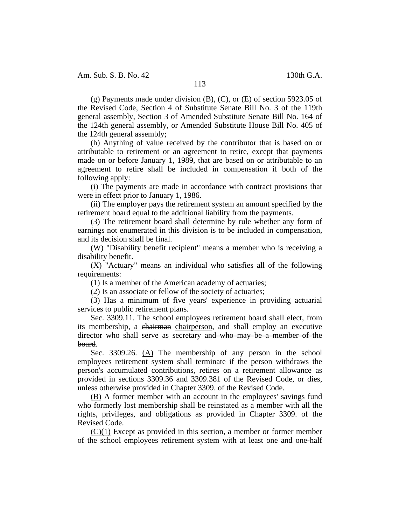(g) Payments made under division (B), (C), or (E) of section 5923.05 of the Revised Code, Section 4 of Substitute Senate Bill No. 3 of the 119th general assembly, Section 3 of Amended Substitute Senate Bill No. 164 of the 124th general assembly, or Amended Substitute House Bill No. 405 of the 124th general assembly;

113

(h) Anything of value received by the contributor that is based on or attributable to retirement or an agreement to retire, except that payments made on or before January 1, 1989, that are based on or attributable to an agreement to retire shall be included in compensation if both of the following apply:

(i) The payments are made in accordance with contract provisions that were in effect prior to January 1, 1986.

(ii) The employer pays the retirement system an amount specified by the retirement board equal to the additional liability from the payments.

(3) The retirement board shall determine by rule whether any form of earnings not enumerated in this division is to be included in compensation, and its decision shall be final.

(W) "Disability benefit recipient" means a member who is receiving a disability benefit.

(X) "Actuary" means an individual who satisfies all of the following requirements:

(1) Is a member of the American academy of actuaries;

(2) Is an associate or fellow of the society of actuaries;

(3) Has a minimum of five years' experience in providing actuarial services to public retirement plans.

Sec. 3309.11. The school employees retirement board shall elect, from its membership, a chairman chairperson, and shall employ an executive director who shall serve as secretary and who may be a member of the board.

Sec. 3309.26.  $(A)$  The membership of any person in the school employees retirement system shall terminate if the person withdraws the person's accumulated contributions, retires on a retirement allowance as provided in sections 3309.36 and 3309.381 of the Revised Code, or dies, unless otherwise provided in Chapter 3309. of the Revised Code.

(B) A former member with an account in the employees' savings fund who formerly lost membership shall be reinstated as a member with all the rights, privileges, and obligations as provided in Chapter 3309. of the Revised Code.

(C)(1) Except as provided in this section, a member or former member of the school employees retirement system with at least one and one-half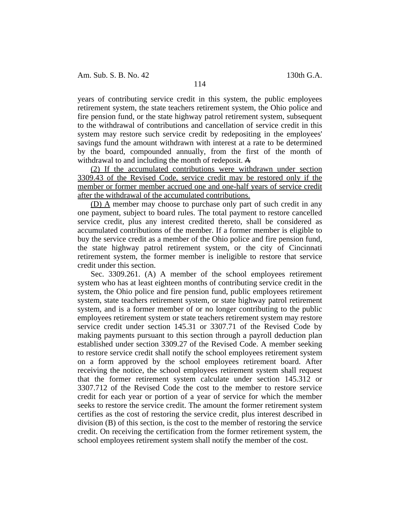years of contributing service credit in this system, the public employees retirement system, the state teachers retirement system, the Ohio police and fire pension fund, or the state highway patrol retirement system, subsequent to the withdrawal of contributions and cancellation of service credit in this system may restore such service credit by redepositing in the employees' savings fund the amount withdrawn with interest at a rate to be determined by the board, compounded annually, from the first of the month of withdrawal to and including the month of redeposit. A

(2) If the accumulated contributions were withdrawn under section 3309.43 of the Revised Code, service credit may be restored only if the member or former member accrued one and one-half years of service credit after the withdrawal of the accumulated contributions.

(D) A member may choose to purchase only part of such credit in any one payment, subject to board rules. The total payment to restore cancelled service credit, plus any interest credited thereto, shall be considered as accumulated contributions of the member. If a former member is eligible to buy the service credit as a member of the Ohio police and fire pension fund, the state highway patrol retirement system, or the city of Cincinnati retirement system, the former member is ineligible to restore that service credit under this section.

Sec. 3309.261. (A) A member of the school employees retirement system who has at least eighteen months of contributing service credit in the system, the Ohio police and fire pension fund, public employees retirement system, state teachers retirement system, or state highway patrol retirement system, and is a former member of or no longer contributing to the public employees retirement system or state teachers retirement system may restore service credit under section 145.31 or 3307.71 of the Revised Code by making payments pursuant to this section through a payroll deduction plan established under section 3309.27 of the Revised Code. A member seeking to restore service credit shall notify the school employees retirement system on a form approved by the school employees retirement board. After receiving the notice, the school employees retirement system shall request that the former retirement system calculate under section 145.312 or 3307.712 of the Revised Code the cost to the member to restore service credit for each year or portion of a year of service for which the member seeks to restore the service credit. The amount the former retirement system certifies as the cost of restoring the service credit, plus interest described in division (B) of this section, is the cost to the member of restoring the service credit. On receiving the certification from the former retirement system, the school employees retirement system shall notify the member of the cost.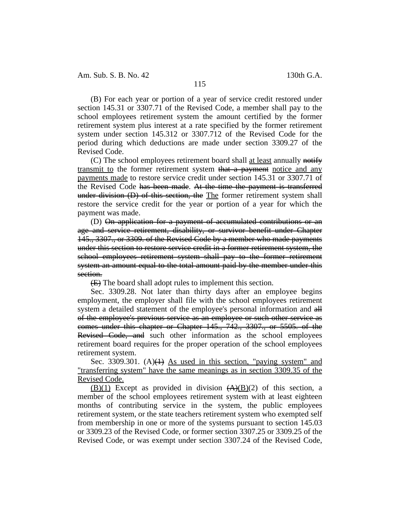(B) For each year or portion of a year of service credit restored under section 145.31 or 3307.71 of the Revised Code, a member shall pay to the school employees retirement system the amount certified by the former retirement system plus interest at a rate specified by the former retirement system under section 145.312 or 3307.712 of the Revised Code for the period during which deductions are made under section 3309.27 of the Revised Code.

(C) The school employees retirement board shall at least annually notify transmit to the former retirement system that a payment notice and any payments made to restore service credit under section 145.31 or 3307.71 of the Revised Code has been made. At the time the payment is transferred under division (D) of this section, the The former retirement system shall restore the service credit for the year or portion of a year for which the payment was made.

(D) On application for a payment of accumulated contributions or an age and service retirement, disability, or survivor benefit under Chapter 145., 3307., or 3309. of the Revised Code by a member who made payments under this section to restore service credit in a former retirement system, the school employees retirement system shall pay to the former retirement system an amount equal to the total amount paid by the member under this section.

(E) The board shall adopt rules to implement this section.

Sec. 3309.28. Not later than thirty days after an employee begins employment, the employer shall file with the school employees retirement system a detailed statement of the employee's personal information and  $\frac{dH}{dt}$ of the employee's previous service as an employee or such other service as comes under this chapter or Chapter 145., 742., 3307., or 5505. of the Revised Code, and such other information as the school employees retirement board requires for the proper operation of the school employees retirement system.

Sec. 3309.301.  $(A)(\text{+})$  As used in this section, "paying system" and "transferring system" have the same meanings as in section 3309.35 of the Revised Code.

 $(B)(1)$  Except as provided in division  $(A)(B)(2)$  of this section, a member of the school employees retirement system with at least eighteen months of contributing service in the system, the public employees retirement system, or the state teachers retirement system who exempted self from membership in one or more of the systems pursuant to section 145.03 or 3309.23 of the Revised Code, or former section 3307.25 or 3309.25 of the Revised Code, or was exempt under section 3307.24 of the Revised Code,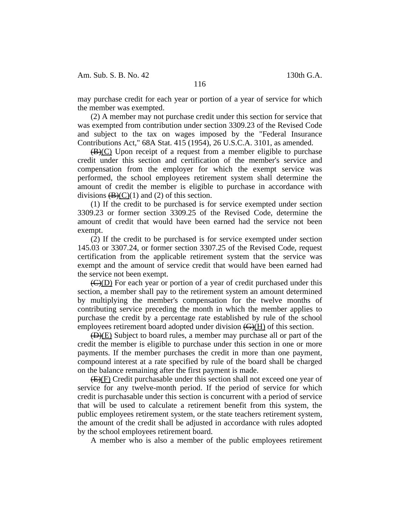may purchase credit for each year or portion of a year of service for which the member was exempted.

(2) A member may not purchase credit under this section for service that was exempted from contribution under section 3309.23 of the Revised Code and subject to the tax on wages imposed by the "Federal Insurance Contributions Act," 68A Stat. 415 (1954), 26 U.S.C.A. 3101, as amended.

 $(\frac{B}{C})$  Upon receipt of a request from a member eligible to purchase credit under this section and certification of the member's service and compensation from the employer for which the exempt service was performed, the school employees retirement system shall determine the amount of credit the member is eligible to purchase in accordance with divisions  $(B)(C)(1)$  and (2) of this section.

(1) If the credit to be purchased is for service exempted under section 3309.23 or former section 3309.25 of the Revised Code, determine the amount of credit that would have been earned had the service not been exempt.

(2) If the credit to be purchased is for service exempted under section 145.03 or 3307.24, or former section 3307.25 of the Revised Code, request certification from the applicable retirement system that the service was exempt and the amount of service credit that would have been earned had the service not been exempt.

 $\left(\frac{C}{D}\right)$  For each year or portion of a year of credit purchased under this section, a member shall pay to the retirement system an amount determined by multiplying the member's compensation for the twelve months of contributing service preceding the month in which the member applies to purchase the credit by a percentage rate established by rule of the school employees retirement board adopted under division  $\left(\frac{G}{H}\right)$  of this section.

(D)(E) Subject to board rules, a member may purchase all or part of the credit the member is eligible to purchase under this section in one or more payments. If the member purchases the credit in more than one payment, compound interest at a rate specified by rule of the board shall be charged on the balance remaining after the first payment is made.

(E)(F) Credit purchasable under this section shall not exceed one year of service for any twelve-month period. If the period of service for which credit is purchasable under this section is concurrent with a period of service that will be used to calculate a retirement benefit from this system, the public employees retirement system, or the state teachers retirement system, the amount of the credit shall be adjusted in accordance with rules adopted by the school employees retirement board.

A member who is also a member of the public employees retirement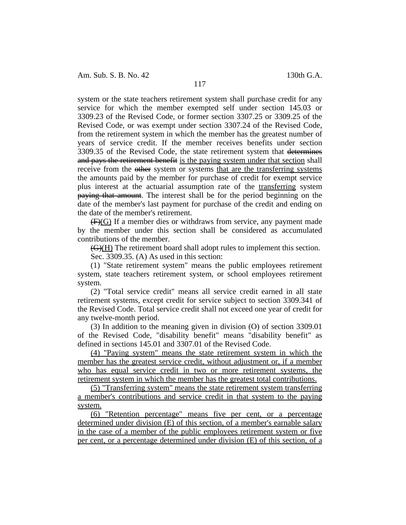system or the state teachers retirement system shall purchase credit for any service for which the member exempted self under section 145.03 or 3309.23 of the Revised Code, or former section 3307.25 or 3309.25 of the Revised Code, or was exempt under section 3307.24 of the Revised Code, from the retirement system in which the member has the greatest number of years of service credit. If the member receives benefits under section 3309.35 of the Revised Code, the state retirement system that determines and pays the retirement benefit is the paying system under that section shall receive from the other system or systems that are the transferring systems the amounts paid by the member for purchase of credit for exempt service plus interest at the actuarial assumption rate of the transferring system paying that amount. The interest shall be for the period beginning on the date of the member's last payment for purchase of the credit and ending on the date of the member's retirement.

(F)(G) If a member dies or withdraws from service, any payment made by the member under this section shall be considered as accumulated contributions of the member.

 $\left(\frac{G}{H}\right)$  The retirement board shall adopt rules to implement this section.

Sec. 3309.35. (A) As used in this section:

(1) "State retirement system" means the public employees retirement system, state teachers retirement system, or school employees retirement system.

(2) "Total service credit" means all service credit earned in all state retirement systems, except credit for service subject to section 3309.341 of the Revised Code. Total service credit shall not exceed one year of credit for any twelve-month period.

(3) In addition to the meaning given in division (O) of section 3309.01 of the Revised Code, "disability benefit" means "disability benefit" as defined in sections 145.01 and 3307.01 of the Revised Code.

(4) "Paying system" means the state retirement system in which the member has the greatest service credit, without adjustment or, if a member who has equal service credit in two or more retirement systems, the retirement system in which the member has the greatest total contributions.

(5) "Transferring system" means the state retirement system transferring a member's contributions and service credit in that system to the paying system.

(6) "Retention percentage" means five per cent, or a percentage determined under division (E) of this section, of a member's earnable salary in the case of a member of the public employees retirement system or five per cent, or a percentage determined under division (E) of this section, of a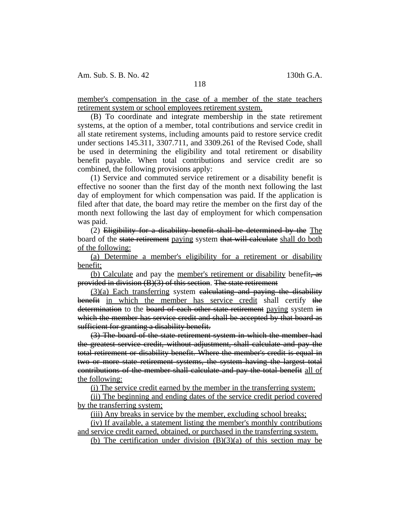member's compensation in the case of a member of the state teachers retirement system or school employees retirement system.

118

(B) To coordinate and integrate membership in the state retirement systems, at the option of a member, total contributions and service credit in all state retirement systems, including amounts paid to restore service credit under sections 145.311, 3307.711, and 3309.261 of the Revised Code, shall be used in determining the eligibility and total retirement or disability benefit payable. When total contributions and service credit are so combined, the following provisions apply:

(1) Service and commuted service retirement or a disability benefit is effective no sooner than the first day of the month next following the last day of employment for which compensation was paid. If the application is filed after that date, the board may retire the member on the first day of the month next following the last day of employment for which compensation was paid.

(2) Eligibility for a disability benefit shall be determined by the The board of the state retirement paying system that will calculate shall do both of the following:

(a) Determine a member's eligibility for a retirement or disability benefit;

(b) Calculate and pay the member's retirement or disability benefit, as provided in division (B)(3) of this section. The state retirement

 $(3)(a)$  Each transferring system calculating and paying the disability benefit in which the member has service credit shall certify the determination to the board of each other state retirement paying system in which the member has service credit and shall be accepted by that board as sufficient for granting a disability benefit.

(3) The board of the state retirement system in which the member had the greatest service credit, without adjustment, shall calculate and pay the total retirement or disability benefit. Where the member's credit is equal in two or more state retirement systems, the system having the largest total contributions of the member shall calculate and pay the total benefit all of the following:

(i) The service credit earned by the member in the transferring system;

(ii) The beginning and ending dates of the service credit period covered by the transferring system;

(iii) Any breaks in service by the member, excluding school breaks;

(iv) If available, a statement listing the member's monthly contributions and service credit earned, obtained, or purchased in the transferring system.

(b) The certification under division  $(B)(3)(a)$  of this section may be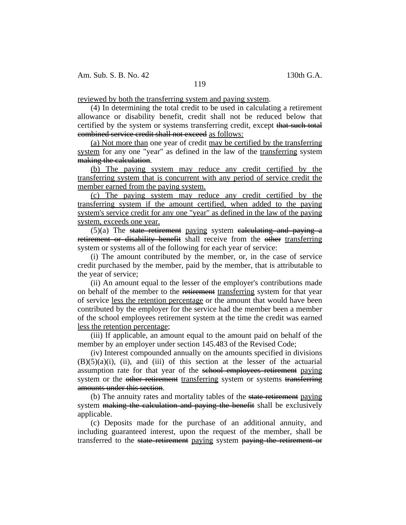reviewed by both the transferring system and paying system.

(4) In determining the total credit to be used in calculating a retirement allowance or disability benefit, credit shall not be reduced below that certified by the system or systems transferring credit, except that such total combined service credit shall not exceed as follows:

(a) Not more than one year of credit may be certified by the transferring system for any one "year" as defined in the law of the transferring system making the calculation.

(b) The paying system may reduce any credit certified by the transferring system that is concurrent with any period of service credit the member earned from the paying system.

(c) The paying system may reduce any credit certified by the transferring system if the amount certified, when added to the paying system's service credit for any one "year" as defined in the law of the paying system, exceeds one year.

 $(5)(a)$  The state retirement paying system ealeulating and paying a retirement or disability benefit shall receive from the other transferring system or systems all of the following for each year of service:

(i) The amount contributed by the member, or, in the case of service credit purchased by the member, paid by the member, that is attributable to the year of service;

(ii) An amount equal to the lesser of the employer's contributions made on behalf of the member to the retirement transferring system for that year of service less the retention percentage or the amount that would have been contributed by the employer for the service had the member been a member of the school employees retirement system at the time the credit was earned less the retention percentage;

(iii) If applicable, an amount equal to the amount paid on behalf of the member by an employer under section 145.483 of the Revised Code;

(iv) Interest compounded annually on the amounts specified in divisions  $(B)(5)(a)(i)$ , (ii), and (iii) of this section at the lesser of the actuarial assumption rate for that year of the school employees retirement paying system or the other retirement transferring system or systems transferring amounts under this section.

(b) The annuity rates and mortality tables of the state retirement paying system making the calculation and paying the benefit shall be exclusively applicable.

(c) Deposits made for the purchase of an additional annuity, and including guaranteed interest, upon the request of the member, shall be transferred to the state retirement paying system paying the retirement or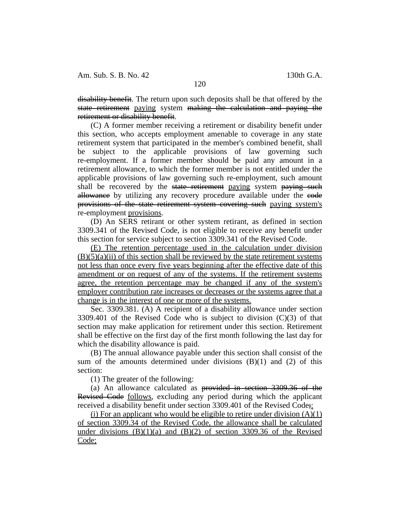120

disability benefit. The return upon such deposits shall be that offered by the state retirement paying system making the calculation and paying the retirement or disability benefit.

(C) A former member receiving a retirement or disability benefit under this section, who accepts employment amenable to coverage in any state retirement system that participated in the member's combined benefit, shall be subject to the applicable provisions of law governing such re-employment. If a former member should be paid any amount in a retirement allowance, to which the former member is not entitled under the applicable provisions of law governing such re-employment, such amount shall be recovered by the state retirement paying system paying such allowance by utilizing any recovery procedure available under the eode provisions of the state retirement system covering such paying system's re-employment provisions.

(D) An SERS retirant or other system retirant, as defined in section 3309.341 of the Revised Code, is not eligible to receive any benefit under this section for service subject to section 3309.341 of the Revised Code.

(E) The retention percentage used in the calculation under division  $(B)(5)(a)(ii)$  of this section shall be reviewed by the state retirement systems not less than once every five years beginning after the effective date of this amendment or on request of any of the systems. If the retirement systems agree, the retention percentage may be changed if any of the system's employer contribution rate increases or decreases or the systems agree that a change is in the interest of one or more of the systems.

Sec. 3309.381. (A) A recipient of a disability allowance under section 3309.401 of the Revised Code who is subject to division (C)(3) of that section may make application for retirement under this section. Retirement shall be effective on the first day of the first month following the last day for which the disability allowance is paid.

(B) The annual allowance payable under this section shall consist of the sum of the amounts determined under divisions  $(B)(1)$  and  $(2)$  of this section:

(1) The greater of the following:

(a) An allowance calculated as provided in section 3309.36 of the Revised Code follows, excluding any period during which the applicant received a disability benefit under section 3309.401 of the Revised Code;

(i) For an applicant who would be eligible to retire under division  $(A)(1)$ of section 3309.34 of the Revised Code, the allowance shall be calculated under divisions  $(B)(1)(a)$  and  $(B)(2)$  of section 3309.36 of the Revised Code;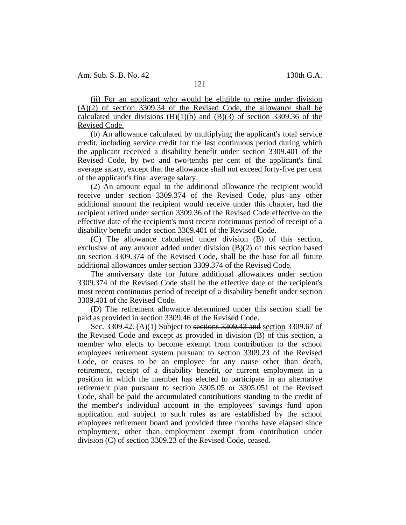(ii) For an applicant who would be eligible to retire under division (A)(2) of section 3309.34 of the Revised Code, the allowance shall be calculated under divisions  $(B)(1)(b)$  and  $(B)(3)$  of section 3309.36 of the Revised Code.

(b) An allowance calculated by multiplying the applicant's total service credit, including service credit for the last continuous period during which the applicant received a disability benefit under section 3309.401 of the Revised Code, by two and two-tenths per cent of the applicant's final average salary, except that the allowance shall not exceed forty-five per cent of the applicant's final average salary.

(2) An amount equal to the additional allowance the recipient would receive under section 3309.374 of the Revised Code, plus any other additional amount the recipient would receive under this chapter, had the recipient retired under section 3309.36 of the Revised Code effective on the effective date of the recipient's most recent continuous period of receipt of a disability benefit under section 3309.401 of the Revised Code.

(C) The allowance calculated under division (B) of this section, exclusive of any amount added under division (B)(2) of this section based on section 3309.374 of the Revised Code, shall be the base for all future additional allowances under section 3309.374 of the Revised Code.

The anniversary date for future additional allowances under section 3309.374 of the Revised Code shall be the effective date of the recipient's most recent continuous period of receipt of a disability benefit under section 3309.401 of the Revised Code.

(D) The retirement allowance determined under this section shall be paid as provided in section 3309.46 of the Revised Code.

Sec. 3309.42. (A)(1) Subject to sections 3309.43 and section 3309.67 of the Revised Code and except as provided in division (B) of this section, a member who elects to become exempt from contribution to the school employees retirement system pursuant to section 3309.23 of the Revised Code, or ceases to be an employee for any cause other than death, retirement, receipt of a disability benefit, or current employment in a position in which the member has elected to participate in an alternative retirement plan pursuant to section 3305.05 or 3305.051 of the Revised Code, shall be paid the accumulated contributions standing to the credit of the member's individual account in the employees' savings fund upon application and subject to such rules as are established by the school employees retirement board and provided three months have elapsed since employment, other than employment exempt from contribution under division (C) of section 3309.23 of the Revised Code, ceased.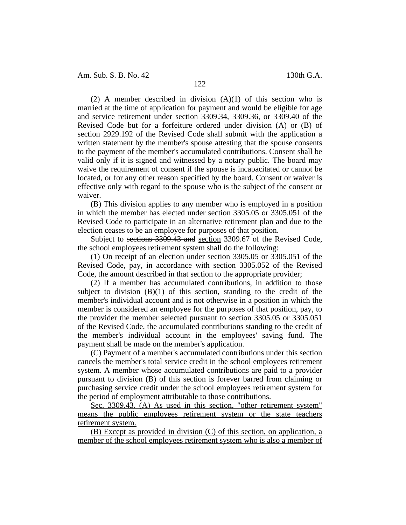(2) A member described in division  $(A)(1)$  of this section who is married at the time of application for payment and would be eligible for age and service retirement under section 3309.34, 3309.36, or 3309.40 of the Revised Code but for a forfeiture ordered under division (A) or (B) of section 2929.192 of the Revised Code shall submit with the application a written statement by the member's spouse attesting that the spouse consents to the payment of the member's accumulated contributions. Consent shall be valid only if it is signed and witnessed by a notary public. The board may waive the requirement of consent if the spouse is incapacitated or cannot be located, or for any other reason specified by the board. Consent or waiver is effective only with regard to the spouse who is the subject of the consent or waiver.

(B) This division applies to any member who is employed in a position in which the member has elected under section 3305.05 or 3305.051 of the Revised Code to participate in an alternative retirement plan and due to the election ceases to be an employee for purposes of that position.

Subject to sections 3309.43 and section 3309.67 of the Revised Code, the school employees retirement system shall do the following:

(1) On receipt of an election under section 3305.05 or 3305.051 of the Revised Code, pay, in accordance with section 3305.052 of the Revised Code, the amount described in that section to the appropriate provider;

(2) If a member has accumulated contributions, in addition to those subject to division  $(B)(1)$  of this section, standing to the credit of the member's individual account and is not otherwise in a position in which the member is considered an employee for the purposes of that position, pay, to the provider the member selected pursuant to section 3305.05 or 3305.051 of the Revised Code, the accumulated contributions standing to the credit of the member's individual account in the employees' saving fund. The payment shall be made on the member's application.

(C) Payment of a member's accumulated contributions under this section cancels the member's total service credit in the school employees retirement system. A member whose accumulated contributions are paid to a provider pursuant to division (B) of this section is forever barred from claiming or purchasing service credit under the school employees retirement system for the period of employment attributable to those contributions.

Sec. 3309.43. (A) As used in this section, "other retirement system" means the public employees retirement system or the state teachers retirement system.

(B) Except as provided in division (C) of this section, on application, a member of the school employees retirement system who is also a member of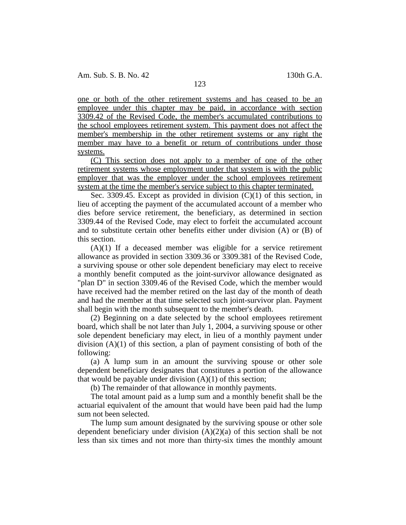one or both of the other retirement systems and has ceased to be an employee under this chapter may be paid, in accordance with section 3309.42 of the Revised Code, the member's accumulated contributions to the school employees retirement system. This payment does not affect the member's membership in the other retirement systems or any right the member may have to a benefit or return of contributions under those systems.

(C) This section does not apply to a member of one of the other retirement systems whose employment under that system is with the public employer that was the employer under the school employees retirement system at the time the member's service subject to this chapter terminated.

Sec. 3309.45. Except as provided in division  $(C)(1)$  of this section, in lieu of accepting the payment of the accumulated account of a member who dies before service retirement, the beneficiary, as determined in section 3309.44 of the Revised Code, may elect to forfeit the accumulated account and to substitute certain other benefits either under division (A) or (B) of this section.

(A)(1) If a deceased member was eligible for a service retirement allowance as provided in section 3309.36 or 3309.381 of the Revised Code, a surviving spouse or other sole dependent beneficiary may elect to receive a monthly benefit computed as the joint-survivor allowance designated as "plan D" in section 3309.46 of the Revised Code, which the member would have received had the member retired on the last day of the month of death and had the member at that time selected such joint-survivor plan. Payment shall begin with the month subsequent to the member's death.

(2) Beginning on a date selected by the school employees retirement board, which shall be not later than July 1, 2004, a surviving spouse or other sole dependent beneficiary may elect, in lieu of a monthly payment under division (A)(1) of this section, a plan of payment consisting of both of the following:

(a) A lump sum in an amount the surviving spouse or other sole dependent beneficiary designates that constitutes a portion of the allowance that would be payable under division  $(A)(1)$  of this section;

(b) The remainder of that allowance in monthly payments.

The total amount paid as a lump sum and a monthly benefit shall be the actuarial equivalent of the amount that would have been paid had the lump sum not been selected.

The lump sum amount designated by the surviving spouse or other sole dependent beneficiary under division (A)(2)(a) of this section shall be not less than six times and not more than thirty-six times the monthly amount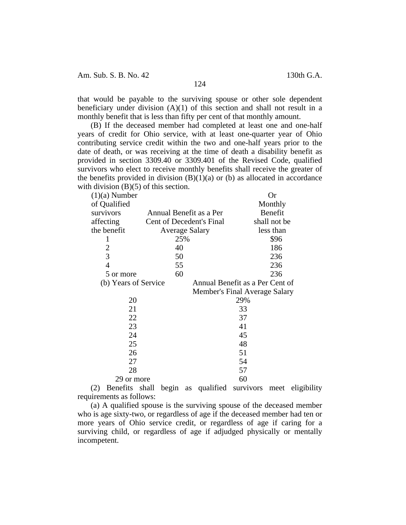that would be payable to the surviving spouse or other sole dependent beneficiary under division  $(A)(1)$  of this section and shall not result in a monthly benefit that is less than fifty per cent of that monthly amount.

(B) If the deceased member had completed at least one and one-half years of credit for Ohio service, with at least one-quarter year of Ohio contributing service credit within the two and one-half years prior to the date of death, or was receiving at the time of death a disability benefit as provided in section 3309.40 or 3309.401 of the Revised Code, qualified survivors who elect to receive monthly benefits shall receive the greater of the benefits provided in division  $(B)(1)(a)$  or (b) as allocated in accordance with division (B)(5) of this section.

| $(1)(a)$ Number      |                          | <b>Or</b>                       |  |
|----------------------|--------------------------|---------------------------------|--|
| of Qualified         |                          | Monthly                         |  |
| survivors            | Annual Benefit as a Per  | Benefit                         |  |
| affecting            | Cent of Decedent's Final | shall not be                    |  |
| the benefit          | <b>Average Salary</b>    | less than                       |  |
| 1                    | 25%                      | \$96                            |  |
| $\overline{c}$       | 40                       | 186                             |  |
| $\overline{3}$       | 50                       | 236                             |  |
| $\overline{4}$       | 55                       | 236                             |  |
| 5 or more            | 60                       | 236                             |  |
| (b) Years of Service |                          | Annual Benefit as a Per Cent of |  |
|                      |                          | Member's Final Average Salary   |  |
| 20                   |                          | 29%                             |  |
| 21                   |                          | 33                              |  |
| 22                   |                          | 37                              |  |
| 23                   |                          | 41                              |  |
| 24                   |                          | 45                              |  |
| 25                   |                          | 48                              |  |
| 26                   |                          | 51                              |  |
| 27                   |                          | 54                              |  |
| 28                   |                          | 57                              |  |
| 29 or more           |                          | 60                              |  |
|                      |                          |                                 |  |

(2) Benefits shall begin as qualified survivors meet eligibility requirements as follows:

(a) A qualified spouse is the surviving spouse of the deceased member who is age sixty-two, or regardless of age if the deceased member had ten or more years of Ohio service credit, or regardless of age if caring for a surviving child, or regardless of age if adjudged physically or mentally incompetent.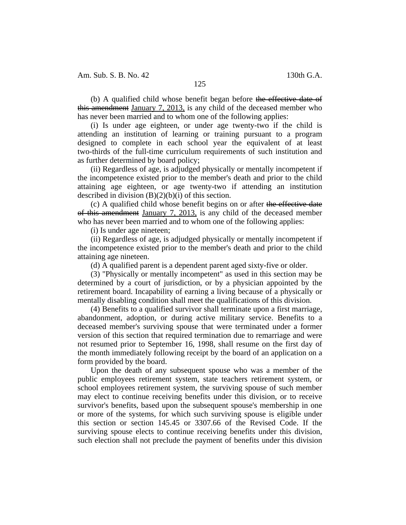125

(b) A qualified child whose benefit began before the effective date of this amendment January 7, 2013, is any child of the deceased member who has never been married and to whom one of the following applies:

(i) Is under age eighteen, or under age twenty-two if the child is attending an institution of learning or training pursuant to a program designed to complete in each school year the equivalent of at least two-thirds of the full-time curriculum requirements of such institution and as further determined by board policy;

(ii) Regardless of age, is adjudged physically or mentally incompetent if the incompetence existed prior to the member's death and prior to the child attaining age eighteen, or age twenty-two if attending an institution described in division  $(B)(2)(b)(i)$  of this section.

(c) A qualified child whose benefit begins on or after the effective date of this amendment January 7, 2013, is any child of the deceased member who has never been married and to whom one of the following applies:

(i) Is under age nineteen;

(ii) Regardless of age, is adjudged physically or mentally incompetent if the incompetence existed prior to the member's death and prior to the child attaining age nineteen.

(d) A qualified parent is a dependent parent aged sixty-five or older.

(3) "Physically or mentally incompetent" as used in this section may be determined by a court of jurisdiction, or by a physician appointed by the retirement board. Incapability of earning a living because of a physically or mentally disabling condition shall meet the qualifications of this division.

(4) Benefits to a qualified survivor shall terminate upon a first marriage, abandonment, adoption, or during active military service. Benefits to a deceased member's surviving spouse that were terminated under a former version of this section that required termination due to remarriage and were not resumed prior to September 16, 1998, shall resume on the first day of the month immediately following receipt by the board of an application on a form provided by the board.

Upon the death of any subsequent spouse who was a member of the public employees retirement system, state teachers retirement system, or school employees retirement system, the surviving spouse of such member may elect to continue receiving benefits under this division, or to receive survivor's benefits, based upon the subsequent spouse's membership in one or more of the systems, for which such surviving spouse is eligible under this section or section 145.45 or 3307.66 of the Revised Code. If the surviving spouse elects to continue receiving benefits under this division, such election shall not preclude the payment of benefits under this division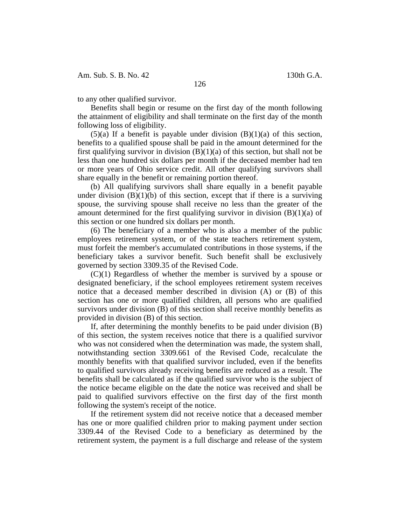to any other qualified survivor.

Benefits shall begin or resume on the first day of the month following the attainment of eligibility and shall terminate on the first day of the month following loss of eligibility.

 $(5)(a)$  If a benefit is payable under division  $(B)(1)(a)$  of this section, benefits to a qualified spouse shall be paid in the amount determined for the first qualifying survivor in division  $(B)(1)(a)$  of this section, but shall not be less than one hundred six dollars per month if the deceased member had ten or more years of Ohio service credit. All other qualifying survivors shall share equally in the benefit or remaining portion thereof.

(b) All qualifying survivors shall share equally in a benefit payable under division  $(B)(1)(b)$  of this section, except that if there is a surviving spouse, the surviving spouse shall receive no less than the greater of the amount determined for the first qualifying survivor in division  $(B)(1)(a)$  of this section or one hundred six dollars per month.

(6) The beneficiary of a member who is also a member of the public employees retirement system, or of the state teachers retirement system, must forfeit the member's accumulated contributions in those systems, if the beneficiary takes a survivor benefit. Such benefit shall be exclusively governed by section 3309.35 of the Revised Code.

(C)(1) Regardless of whether the member is survived by a spouse or designated beneficiary, if the school employees retirement system receives notice that a deceased member described in division (A) or (B) of this section has one or more qualified children, all persons who are qualified survivors under division (B) of this section shall receive monthly benefits as provided in division (B) of this section.

If, after determining the monthly benefits to be paid under division (B) of this section, the system receives notice that there is a qualified survivor who was not considered when the determination was made, the system shall, notwithstanding section 3309.661 of the Revised Code, recalculate the monthly benefits with that qualified survivor included, even if the benefits to qualified survivors already receiving benefits are reduced as a result. The benefits shall be calculated as if the qualified survivor who is the subject of the notice became eligible on the date the notice was received and shall be paid to qualified survivors effective on the first day of the first month following the system's receipt of the notice.

If the retirement system did not receive notice that a deceased member has one or more qualified children prior to making payment under section 3309.44 of the Revised Code to a beneficiary as determined by the retirement system, the payment is a full discharge and release of the system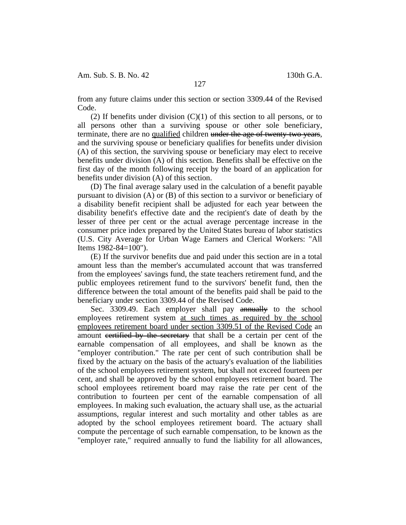from any future claims under this section or section 3309.44 of the Revised Code.

(2) If benefits under division  $(C)(1)$  of this section to all persons, or to all persons other than a surviving spouse or other sole beneficiary, terminate, there are no qualified children under the age of twenty-two years, and the surviving spouse or beneficiary qualifies for benefits under division (A) of this section, the surviving spouse or beneficiary may elect to receive benefits under division (A) of this section. Benefits shall be effective on the first day of the month following receipt by the board of an application for benefits under division (A) of this section.

(D) The final average salary used in the calculation of a benefit payable pursuant to division (A) or (B) of this section to a survivor or beneficiary of a disability benefit recipient shall be adjusted for each year between the disability benefit's effective date and the recipient's date of death by the lesser of three per cent or the actual average percentage increase in the consumer price index prepared by the United States bureau of labor statistics (U.S. City Average for Urban Wage Earners and Clerical Workers: "All Items 1982-84=100").

(E) If the survivor benefits due and paid under this section are in a total amount less than the member's accumulated account that was transferred from the employees' savings fund, the state teachers retirement fund, and the public employees retirement fund to the survivors' benefit fund, then the difference between the total amount of the benefits paid shall be paid to the beneficiary under section 3309.44 of the Revised Code.

Sec. 3309.49. Each employer shall pay annually to the school employees retirement system at such times as required by the school employees retirement board under section 3309.51 of the Revised Code an amount eertified by the secretary that shall be a certain per cent of the earnable compensation of all employees, and shall be known as the "employer contribution." The rate per cent of such contribution shall be fixed by the actuary on the basis of the actuary's evaluation of the liabilities of the school employees retirement system, but shall not exceed fourteen per cent, and shall be approved by the school employees retirement board. The school employees retirement board may raise the rate per cent of the contribution to fourteen per cent of the earnable compensation of all employees. In making such evaluation, the actuary shall use, as the actuarial assumptions, regular interest and such mortality and other tables as are adopted by the school employees retirement board. The actuary shall compute the percentage of such earnable compensation, to be known as the "employer rate," required annually to fund the liability for all allowances,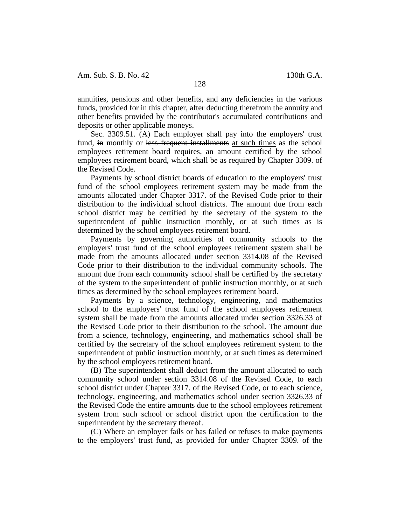annuities, pensions and other benefits, and any deficiencies in the various funds, provided for in this chapter, after deducting therefrom the annuity and other benefits provided by the contributor's accumulated contributions and deposits or other applicable moneys.

Sec. 3309.51. (A) Each employer shall pay into the employers' trust fund, in monthly or less frequent installments at such times as the school employees retirement board requires, an amount certified by the school employees retirement board, which shall be as required by Chapter 3309. of the Revised Code.

Payments by school district boards of education to the employers' trust fund of the school employees retirement system may be made from the amounts allocated under Chapter 3317. of the Revised Code prior to their distribution to the individual school districts. The amount due from each school district may be certified by the secretary of the system to the superintendent of public instruction monthly, or at such times as is determined by the school employees retirement board.

Payments by governing authorities of community schools to the employers' trust fund of the school employees retirement system shall be made from the amounts allocated under section 3314.08 of the Revised Code prior to their distribution to the individual community schools. The amount due from each community school shall be certified by the secretary of the system to the superintendent of public instruction monthly, or at such times as determined by the school employees retirement board.

Payments by a science, technology, engineering, and mathematics school to the employers' trust fund of the school employees retirement system shall be made from the amounts allocated under section 3326.33 of the Revised Code prior to their distribution to the school. The amount due from a science, technology, engineering, and mathematics school shall be certified by the secretary of the school employees retirement system to the superintendent of public instruction monthly, or at such times as determined by the school employees retirement board.

(B) The superintendent shall deduct from the amount allocated to each community school under section 3314.08 of the Revised Code, to each school district under Chapter 3317. of the Revised Code, or to each science, technology, engineering, and mathematics school under section 3326.33 of the Revised Code the entire amounts due to the school employees retirement system from such school or school district upon the certification to the superintendent by the secretary thereof.

(C) Where an employer fails or has failed or refuses to make payments to the employers' trust fund, as provided for under Chapter 3309. of the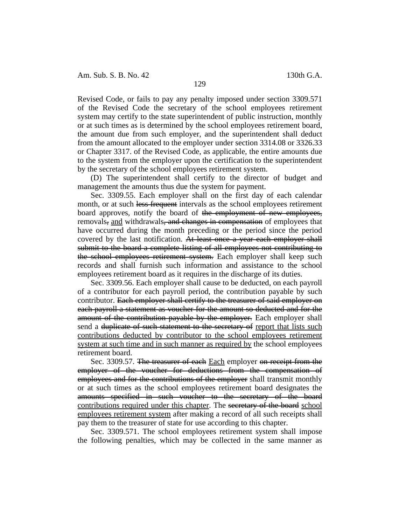Revised Code, or fails to pay any penalty imposed under section 3309.571 of the Revised Code the secretary of the school employees retirement system may certify to the state superintendent of public instruction, monthly or at such times as is determined by the school employees retirement board, the amount due from such employer, and the superintendent shall deduct from the amount allocated to the employer under section 3314.08 or 3326.33 or Chapter 3317. of the Revised Code, as applicable, the entire amounts due to the system from the employer upon the certification to the superintendent by the secretary of the school employees retirement system.

(D) The superintendent shall certify to the director of budget and management the amounts thus due the system for payment.

Sec. 3309.55. Each employer shall on the first day of each calendar month, or at such less frequent intervals as the school employees retirement board approves, notify the board of the employment of new employees, removals, and withdrawals, and changes in compensation of employees that have occurred during the month preceding or the period since the period covered by the last notification. At least once a year each employer shall submit to the board a complete listing of all employees not contributing to the school employees retirement system. Each employer shall keep such records and shall furnish such information and assistance to the school employees retirement board as it requires in the discharge of its duties.

Sec. 3309.56. Each employer shall cause to be deducted, on each payroll of a contributor for each payroll period, the contribution payable by such contributor. Each employer shall certify to the treasurer of said employer on each payroll a statement as voucher for the amount so deducted and for the amount of the contribution payable by the employer. Each employer shall send a <del>duplicate of such statement to the secretary of</del> report that lists such contributions deducted by contributor to the school employees retirement system at such time and in such manner as required by the school employees retirement board.

Sec. 3309.57. The treasurer of each Each employer on receipt from the employer of the voucher for deductions from the compensation of employees and for the contributions of the employer shall transmit monthly or at such times as the school employees retirement board designates the amounts specified in such voucher to the secretary of the board contributions required under this chapter. The secretary of the board school employees retirement system after making a record of all such receipts shall pay them to the treasurer of state for use according to this chapter.

Sec. 3309.571. The school employees retirement system shall impose the following penalties, which may be collected in the same manner as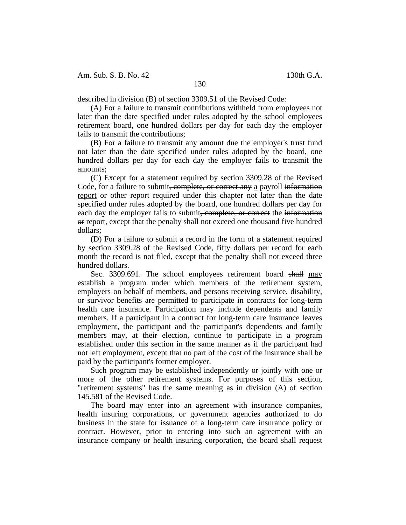130

described in division (B) of section 3309.51 of the Revised Code:

(A) For a failure to transmit contributions withheld from employees not later than the date specified under rules adopted by the school employees retirement board, one hundred dollars per day for each day the employer fails to transmit the contributions;

(B) For a failure to transmit any amount due the employer's trust fund not later than the date specified under rules adopted by the board, one hundred dollars per day for each day the employer fails to transmit the amounts;

(C) Except for a statement required by section 3309.28 of the Revised Code, for a failure to submit<del>, complete, or correct any</del> a payroll information report or other report required under this chapter not later than the date specified under rules adopted by the board, one hundred dollars per day for each day the employer fails to submit<del>, complete, or correct</del> the information or report, except that the penalty shall not exceed one thousand five hundred dollars;

(D) For a failure to submit a record in the form of a statement required by section 3309.28 of the Revised Code, fifty dollars per record for each month the record is not filed, except that the penalty shall not exceed three hundred dollars.

Sec. 3309.691. The school employees retirement board shall may establish a program under which members of the retirement system, employers on behalf of members, and persons receiving service, disability, or survivor benefits are permitted to participate in contracts for long-term health care insurance. Participation may include dependents and family members. If a participant in a contract for long-term care insurance leaves employment, the participant and the participant's dependents and family members may, at their election, continue to participate in a program established under this section in the same manner as if the participant had not left employment, except that no part of the cost of the insurance shall be paid by the participant's former employer.

Such program may be established independently or jointly with one or more of the other retirement systems. For purposes of this section, "retirement systems" has the same meaning as in division (A) of section 145.581 of the Revised Code.

The board may enter into an agreement with insurance companies, health insuring corporations, or government agencies authorized to do business in the state for issuance of a long-term care insurance policy or contract. However, prior to entering into such an agreement with an insurance company or health insuring corporation, the board shall request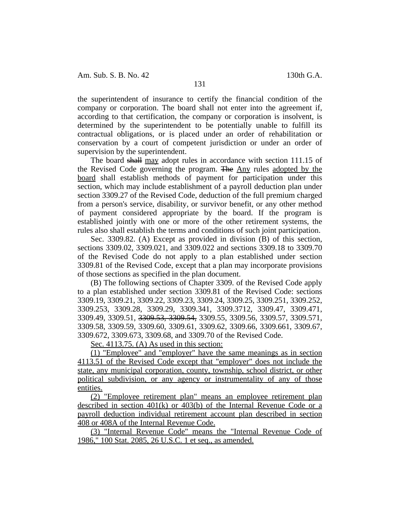the superintendent of insurance to certify the financial condition of the company or corporation. The board shall not enter into the agreement if, according to that certification, the company or corporation is insolvent, is determined by the superintendent to be potentially unable to fulfill its contractual obligations, or is placed under an order of rehabilitation or conservation by a court of competent jurisdiction or under an order of supervision by the superintendent.

The board shall may adopt rules in accordance with section 111.15 of the Revised Code governing the program. The Any rules adopted by the board shall establish methods of payment for participation under this section, which may include establishment of a payroll deduction plan under section 3309.27 of the Revised Code, deduction of the full premium charged from a person's service, disability, or survivor benefit, or any other method of payment considered appropriate by the board. If the program is established jointly with one or more of the other retirement systems, the rules also shall establish the terms and conditions of such joint participation.

Sec. 3309.82. (A) Except as provided in division (B) of this section, sections 3309.02, 3309.021, and 3309.022 and sections 3309.18 to 3309.70 of the Revised Code do not apply to a plan established under section 3309.81 of the Revised Code, except that a plan may incorporate provisions of those sections as specified in the plan document.

(B) The following sections of Chapter 3309. of the Revised Code apply to a plan established under section 3309.81 of the Revised Code: sections 3309.19, 3309.21, 3309.22, 3309.23, 3309.24, 3309.25, 3309.251, 3309.252, 3309.253, 3309.28, 3309.29, 3309.341, 3309.3712, 3309.47, 3309.471, 3309.49, 3309.51, 3309.53, 3309.54, 3309.55, 3309.56, 3309.57, 3309.571, 3309.58, 3309.59, 3309.60, 3309.61, 3309.62, 3309.66, 3309.661, 3309.67, 3309.672, 3309.673, 3309.68, and 3309.70 of the Revised Code.

Sec. 4113.75. (A) As used in this section:

(1) "Employee" and "employer" have the same meanings as in section 4113.51 of the Revised Code except that "employer" does not include the state, any municipal corporation, county, township, school district, or other political subdivision, or any agency or instrumentality of any of those entities.

(2) "Employee retirement plan" means an employee retirement plan described in section 401(k) or 403(b) of the Internal Revenue Code or a payroll deduction individual retirement account plan described in section 408 or 408A of the Internal Revenue Code.

(3) "Internal Revenue Code" means the "Internal Revenue Code of 1986," 100 Stat. 2085, 26 U.S.C. 1 et seq., as amended.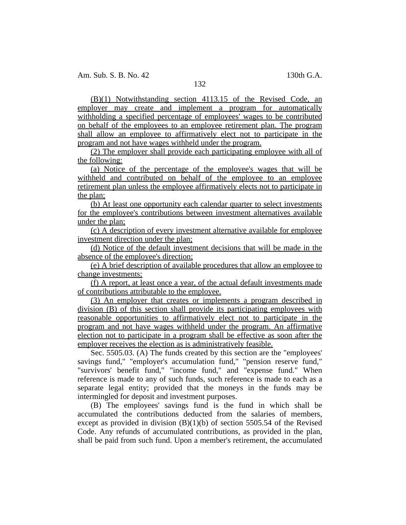132

(B)(1) Notwithstanding section 4113.15 of the Revised Code, an employer may create and implement a program for automatically withholding a specified percentage of employees' wages to be contributed on behalf of the employees to an employee retirement plan. The program shall allow an employee to affirmatively elect not to participate in the program and not have wages withheld under the program.

(2) The employer shall provide each participating employee with all of the following:

(a) Notice of the percentage of the employee's wages that will be withheld and contributed on behalf of the employee to an employee retirement plan unless the employee affirmatively elects not to participate in the plan;

(b) At least one opportunity each calendar quarter to select investments for the employee's contributions between investment alternatives available under the plan;

(c) A description of every investment alternative available for employee investment direction under the plan;

(d) Notice of the default investment decisions that will be made in the absence of the employee's direction;

(e) A brief description of available procedures that allow an employee to change investments;

(f) A report, at least once a year, of the actual default investments made of contributions attributable to the employee.

(3) An employer that creates or implements a program described in division (B) of this section shall provide its participating employees with reasonable opportunities to affirmatively elect not to participate in the program and not have wages withheld under the program. An affirmative election not to participate in a program shall be effective as soon after the employer receives the election as is administratively feasible.

Sec. 5505.03. (A) The funds created by this section are the "employees' savings fund," "employer's accumulation fund," "pension reserve fund," "survivors' benefit fund," "income fund," and "expense fund." When reference is made to any of such funds, such reference is made to each as a separate legal entity; provided that the moneys in the funds may be intermingled for deposit and investment purposes.

(B) The employees' savings fund is the fund in which shall be accumulated the contributions deducted from the salaries of members, except as provided in division  $(B)(1)(b)$  of section 5505.54 of the Revised Code. Any refunds of accumulated contributions, as provided in the plan, shall be paid from such fund. Upon a member's retirement, the accumulated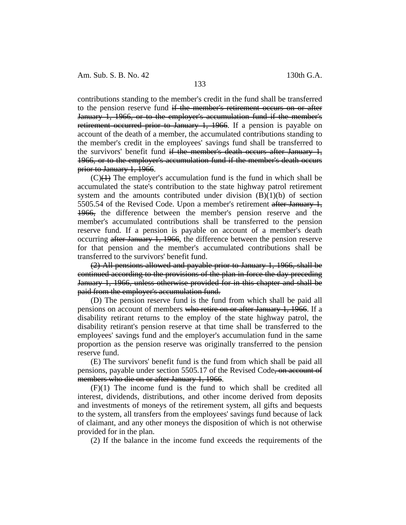contributions standing to the member's credit in the fund shall be transferred to the pension reserve fund if the member's retirement occurs on or after January 1, 1966, or to the employer's accumulation fund if the member's retirement occurred prior to January 1, 1966. If a pension is payable on account of the death of a member, the accumulated contributions standing to the member's credit in the employees' savings fund shall be transferred to the survivors' benefit fund if the member's death occurs after January 1, 1966, or to the employer's accumulation fund if the member's death occurs prior to January 1, 1966.

 $(C)(1)$  The employer's accumulation fund is the fund in which shall be accumulated the state's contribution to the state highway patrol retirement system and the amounts contributed under division  $(B)(1)(b)$  of section 5505.54 of the Revised Code. Upon a member's retirement after January 1, 1966, the difference between the member's pension reserve and the member's accumulated contributions shall be transferred to the pension reserve fund. If a pension is payable on account of a member's death occurring after January 1, 1966, the difference between the pension reserve for that pension and the member's accumulated contributions shall be transferred to the survivors' benefit fund.

(2) All pensions allowed and payable prior to January 1, 1966, shall be continued according to the provisions of the plan in force the day preceding January 1, 1966, unless otherwise provided for in this chapter and shall be paid from the employer's accumulation fund.

(D) The pension reserve fund is the fund from which shall be paid all pensions on account of members who retire on or after January 1, 1966. If a disability retirant returns to the employ of the state highway patrol, the disability retirant's pension reserve at that time shall be transferred to the employees' savings fund and the employer's accumulation fund in the same proportion as the pension reserve was originally transferred to the pension reserve fund.

(E) The survivors' benefit fund is the fund from which shall be paid all pensions, payable under section 5505.17 of the Revised Code, on account of members who die on or after January 1, 1966.

(F)(1) The income fund is the fund to which shall be credited all interest, dividends, distributions, and other income derived from deposits and investments of moneys of the retirement system, all gifts and bequests to the system, all transfers from the employees' savings fund because of lack of claimant, and any other moneys the disposition of which is not otherwise provided for in the plan.

(2) If the balance in the income fund exceeds the requirements of the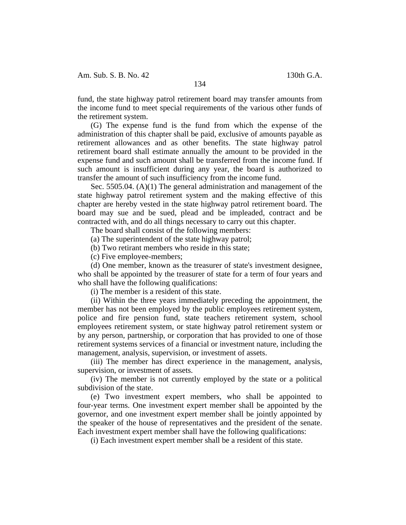fund, the state highway patrol retirement board may transfer amounts from the income fund to meet special requirements of the various other funds of the retirement system.

134

(G) The expense fund is the fund from which the expense of the administration of this chapter shall be paid, exclusive of amounts payable as retirement allowances and as other benefits. The state highway patrol retirement board shall estimate annually the amount to be provided in the expense fund and such amount shall be transferred from the income fund. If such amount is insufficient during any year, the board is authorized to transfer the amount of such insufficiency from the income fund.

Sec.  $5505.04$ .  $(A)(1)$  The general administration and management of the state highway patrol retirement system and the making effective of this chapter are hereby vested in the state highway patrol retirement board. The board may sue and be sued, plead and be impleaded, contract and be contracted with, and do all things necessary to carry out this chapter.

The board shall consist of the following members:

(a) The superintendent of the state highway patrol;

(b) Two retirant members who reside in this state;

(c) Five employee-members;

(d) One member, known as the treasurer of state's investment designee, who shall be appointed by the treasurer of state for a term of four years and who shall have the following qualifications:

(i) The member is a resident of this state.

(ii) Within the three years immediately preceding the appointment, the member has not been employed by the public employees retirement system, police and fire pension fund, state teachers retirement system, school employees retirement system, or state highway patrol retirement system or by any person, partnership, or corporation that has provided to one of those retirement systems services of a financial or investment nature, including the management, analysis, supervision, or investment of assets.

(iii) The member has direct experience in the management, analysis, supervision, or investment of assets.

(iv) The member is not currently employed by the state or a political subdivision of the state.

(e) Two investment expert members, who shall be appointed to four-year terms. One investment expert member shall be appointed by the governor, and one investment expert member shall be jointly appointed by the speaker of the house of representatives and the president of the senate. Each investment expert member shall have the following qualifications:

(i) Each investment expert member shall be a resident of this state.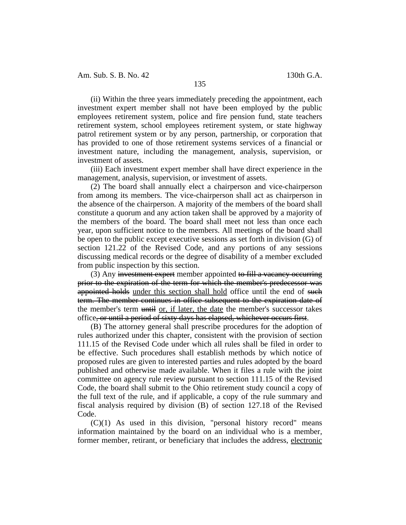(ii) Within the three years immediately preceding the appointment, each investment expert member shall not have been employed by the public employees retirement system, police and fire pension fund, state teachers retirement system, school employees retirement system, or state highway patrol retirement system or by any person, partnership, or corporation that has provided to one of those retirement systems services of a financial or investment nature, including the management, analysis, supervision, or investment of assets.

(iii) Each investment expert member shall have direct experience in the management, analysis, supervision, or investment of assets.

(2) The board shall annually elect a chairperson and vice-chairperson from among its members. The vice-chairperson shall act as chairperson in the absence of the chairperson. A majority of the members of the board shall constitute a quorum and any action taken shall be approved by a majority of the members of the board. The board shall meet not less than once each year, upon sufficient notice to the members. All meetings of the board shall be open to the public except executive sessions as set forth in division (G) of section 121.22 of the Revised Code, and any portions of any sessions discussing medical records or the degree of disability of a member excluded from public inspection by this section.

(3) Any investment expert member appointed to fill a vacancy occurring prior to the expiration of the term for which the member's predecessor was appointed holds under this section shall hold office until the end of such term. The member continues in office subsequent to the expiration date of the member's term until or, if later, the date the member's successor takes office, or until a period of sixty days has elapsed, whichever occurs first.

(B) The attorney general shall prescribe procedures for the adoption of rules authorized under this chapter, consistent with the provision of section 111.15 of the Revised Code under which all rules shall be filed in order to be effective. Such procedures shall establish methods by which notice of proposed rules are given to interested parties and rules adopted by the board published and otherwise made available. When it files a rule with the joint committee on agency rule review pursuant to section 111.15 of the Revised Code, the board shall submit to the Ohio retirement study council a copy of the full text of the rule, and if applicable, a copy of the rule summary and fiscal analysis required by division (B) of section 127.18 of the Revised Code.

(C)(1) As used in this division, "personal history record" means information maintained by the board on an individual who is a member, former member, retirant, or beneficiary that includes the address, electronic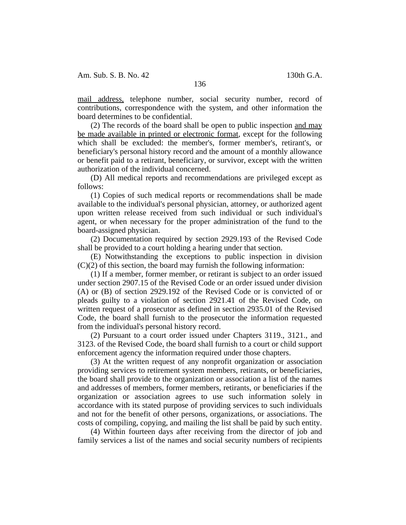mail address, telephone number, social security number, record of contributions, correspondence with the system, and other information the board determines to be confidential.

(2) The records of the board shall be open to public inspection and may be made available in printed or electronic format, except for the following which shall be excluded: the member's, former member's, retirant's, or beneficiary's personal history record and the amount of a monthly allowance or benefit paid to a retirant, beneficiary, or survivor, except with the written authorization of the individual concerned.

(D) All medical reports and recommendations are privileged except as follows:

(1) Copies of such medical reports or recommendations shall be made available to the individual's personal physician, attorney, or authorized agent upon written release received from such individual or such individual's agent, or when necessary for the proper administration of the fund to the board-assigned physician.

(2) Documentation required by section 2929.193 of the Revised Code shall be provided to a court holding a hearing under that section.

(E) Notwithstanding the exceptions to public inspection in division (C)(2) of this section, the board may furnish the following information:

(1) If a member, former member, or retirant is subject to an order issued under section 2907.15 of the Revised Code or an order issued under division (A) or (B) of section 2929.192 of the Revised Code or is convicted of or pleads guilty to a violation of section 2921.41 of the Revised Code, on written request of a prosecutor as defined in section 2935.01 of the Revised Code, the board shall furnish to the prosecutor the information requested from the individual's personal history record.

(2) Pursuant to a court order issued under Chapters 3119., 3121., and 3123. of the Revised Code, the board shall furnish to a court or child support enforcement agency the information required under those chapters.

(3) At the written request of any nonprofit organization or association providing services to retirement system members, retirants, or beneficiaries, the board shall provide to the organization or association a list of the names and addresses of members, former members, retirants, or beneficiaries if the organization or association agrees to use such information solely in accordance with its stated purpose of providing services to such individuals and not for the benefit of other persons, organizations, or associations. The costs of compiling, copying, and mailing the list shall be paid by such entity.

(4) Within fourteen days after receiving from the director of job and family services a list of the names and social security numbers of recipients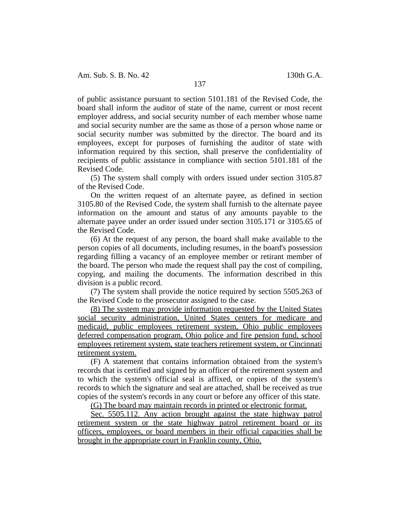of public assistance pursuant to section 5101.181 of the Revised Code, the board shall inform the auditor of state of the name, current or most recent employer address, and social security number of each member whose name and social security number are the same as those of a person whose name or social security number was submitted by the director. The board and its employees, except for purposes of furnishing the auditor of state with information required by this section, shall preserve the confidentiality of recipients of public assistance in compliance with section 5101.181 of the Revised Code.

(5) The system shall comply with orders issued under section 3105.87 of the Revised Code.

On the written request of an alternate payee, as defined in section 3105.80 of the Revised Code, the system shall furnish to the alternate payee information on the amount and status of any amounts payable to the alternate payee under an order issued under section 3105.171 or 3105.65 of the Revised Code.

(6) At the request of any person, the board shall make available to the person copies of all documents, including resumes, in the board's possession regarding filling a vacancy of an employee member or retirant member of the board. The person who made the request shall pay the cost of compiling, copying, and mailing the documents. The information described in this division is a public record.

(7) The system shall provide the notice required by section 5505.263 of the Revised Code to the prosecutor assigned to the case.

(8) The system may provide information requested by the United States social security administration, United States centers for medicare and medicaid, public employees retirement system, Ohio public employees deferred compensation program, Ohio police and fire pension fund, school employees retirement system, state teachers retirement system, or Cincinnati retirement system.

(F) A statement that contains information obtained from the system's records that is certified and signed by an officer of the retirement system and to which the system's official seal is affixed, or copies of the system's records to which the signature and seal are attached, shall be received as true copies of the system's records in any court or before any officer of this state.

(G) The board may maintain records in printed or electronic format.

Sec. 5505.112. Any action brought against the state highway patrol retirement system or the state highway patrol retirement board or its officers, employees, or board members in their official capacities shall be brought in the appropriate court in Franklin county, Ohio.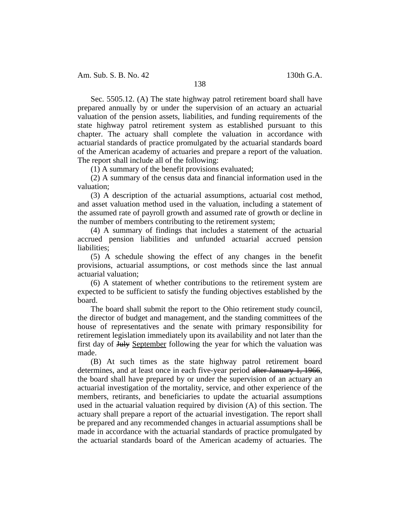Sec. 5505.12. (A) The state highway patrol retirement board shall have prepared annually by or under the supervision of an actuary an actuarial valuation of the pension assets, liabilities, and funding requirements of the state highway patrol retirement system as established pursuant to this chapter. The actuary shall complete the valuation in accordance with actuarial standards of practice promulgated by the actuarial standards board of the American academy of actuaries and prepare a report of the valuation. The report shall include all of the following:

(1) A summary of the benefit provisions evaluated;

(2) A summary of the census data and financial information used in the valuation;

(3) A description of the actuarial assumptions, actuarial cost method, and asset valuation method used in the valuation, including a statement of the assumed rate of payroll growth and assumed rate of growth or decline in the number of members contributing to the retirement system;

(4) A summary of findings that includes a statement of the actuarial accrued pension liabilities and unfunded actuarial accrued pension liabilities;

(5) A schedule showing the effect of any changes in the benefit provisions, actuarial assumptions, or cost methods since the last annual actuarial valuation;

(6) A statement of whether contributions to the retirement system are expected to be sufficient to satisfy the funding objectives established by the board.

The board shall submit the report to the Ohio retirement study council, the director of budget and management, and the standing committees of the house of representatives and the senate with primary responsibility for retirement legislation immediately upon its availability and not later than the first day of July September following the year for which the valuation was made.

(B) At such times as the state highway patrol retirement board determines, and at least once in each five-year period after January 1, 1966, the board shall have prepared by or under the supervision of an actuary an actuarial investigation of the mortality, service, and other experience of the members, retirants, and beneficiaries to update the actuarial assumptions used in the actuarial valuation required by division (A) of this section. The actuary shall prepare a report of the actuarial investigation. The report shall be prepared and any recommended changes in actuarial assumptions shall be made in accordance with the actuarial standards of practice promulgated by the actuarial standards board of the American academy of actuaries. The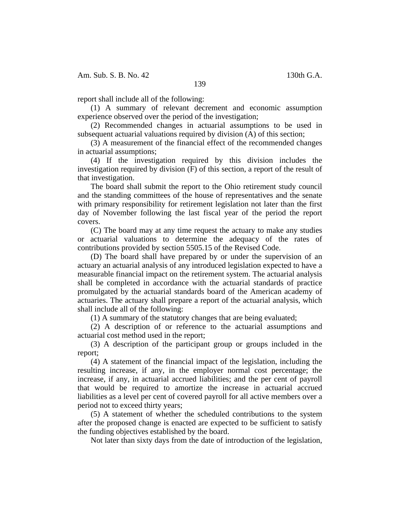139

report shall include all of the following:

(1) A summary of relevant decrement and economic assumption experience observed over the period of the investigation;

(2) Recommended changes in actuarial assumptions to be used in subsequent actuarial valuations required by division (A) of this section;

(3) A measurement of the financial effect of the recommended changes in actuarial assumptions;

(4) If the investigation required by this division includes the investigation required by division (F) of this section, a report of the result of that investigation.

The board shall submit the report to the Ohio retirement study council and the standing committees of the house of representatives and the senate with primary responsibility for retirement legislation not later than the first day of November following the last fiscal year of the period the report covers.

(C) The board may at any time request the actuary to make any studies or actuarial valuations to determine the adequacy of the rates of contributions provided by section 5505.15 of the Revised Code.

(D) The board shall have prepared by or under the supervision of an actuary an actuarial analysis of any introduced legislation expected to have a measurable financial impact on the retirement system. The actuarial analysis shall be completed in accordance with the actuarial standards of practice promulgated by the actuarial standards board of the American academy of actuaries. The actuary shall prepare a report of the actuarial analysis, which shall include all of the following:

(1) A summary of the statutory changes that are being evaluated;

(2) A description of or reference to the actuarial assumptions and actuarial cost method used in the report;

(3) A description of the participant group or groups included in the report;

(4) A statement of the financial impact of the legislation, including the resulting increase, if any, in the employer normal cost percentage; the increase, if any, in actuarial accrued liabilities; and the per cent of payroll that would be required to amortize the increase in actuarial accrued liabilities as a level per cent of covered payroll for all active members over a period not to exceed thirty years;

(5) A statement of whether the scheduled contributions to the system after the proposed change is enacted are expected to be sufficient to satisfy the funding objectives established by the board.

Not later than sixty days from the date of introduction of the legislation,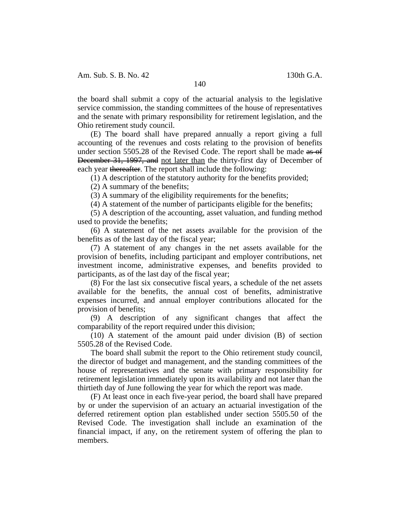the board shall submit a copy of the actuarial analysis to the legislative service commission, the standing committees of the house of representatives and the senate with primary responsibility for retirement legislation, and the Ohio retirement study council.

140

(E) The board shall have prepared annually a report giving a full accounting of the revenues and costs relating to the provision of benefits under section 5505.28 of the Revised Code. The report shall be made as of December 31, 1997, and not later than the thirty-first day of December of each year thereafter. The report shall include the following:

(1) A description of the statutory authority for the benefits provided;

(2) A summary of the benefits;

(3) A summary of the eligibility requirements for the benefits;

(4) A statement of the number of participants eligible for the benefits;

(5) A description of the accounting, asset valuation, and funding method used to provide the benefits;

(6) A statement of the net assets available for the provision of the benefits as of the last day of the fiscal year;

(7) A statement of any changes in the net assets available for the provision of benefits, including participant and employer contributions, net investment income, administrative expenses, and benefits provided to participants, as of the last day of the fiscal year;

(8) For the last six consecutive fiscal years, a schedule of the net assets available for the benefits, the annual cost of benefits, administrative expenses incurred, and annual employer contributions allocated for the provision of benefits;

(9) A description of any significant changes that affect the comparability of the report required under this division;

(10) A statement of the amount paid under division (B) of section 5505.28 of the Revised Code.

The board shall submit the report to the Ohio retirement study council, the director of budget and management, and the standing committees of the house of representatives and the senate with primary responsibility for retirement legislation immediately upon its availability and not later than the thirtieth day of June following the year for which the report was made.

(F) At least once in each five-year period, the board shall have prepared by or under the supervision of an actuary an actuarial investigation of the deferred retirement option plan established under section 5505.50 of the Revised Code. The investigation shall include an examination of the financial impact, if any, on the retirement system of offering the plan to members.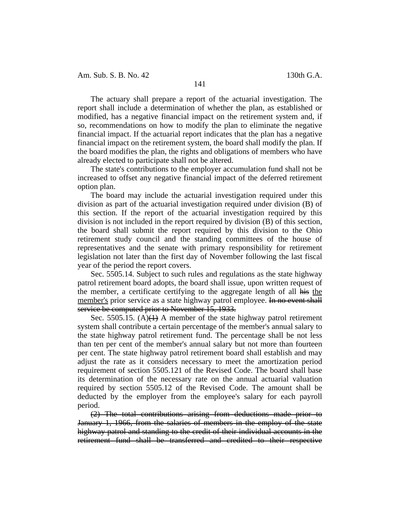The actuary shall prepare a report of the actuarial investigation. The report shall include a determination of whether the plan, as established or modified, has a negative financial impact on the retirement system and, if so, recommendations on how to modify the plan to eliminate the negative financial impact. If the actuarial report indicates that the plan has a negative financial impact on the retirement system, the board shall modify the plan. If the board modifies the plan, the rights and obligations of members who have already elected to participate shall not be altered.

The state's contributions to the employer accumulation fund shall not be increased to offset any negative financial impact of the deferred retirement option plan.

The board may include the actuarial investigation required under this division as part of the actuarial investigation required under division (B) of this section. If the report of the actuarial investigation required by this division is not included in the report required by division (B) of this section, the board shall submit the report required by this division to the Ohio retirement study council and the standing committees of the house of representatives and the senate with primary responsibility for retirement legislation not later than the first day of November following the last fiscal year of the period the report covers.

Sec. 5505.14. Subject to such rules and regulations as the state highway patrol retirement board adopts, the board shall issue, upon written request of the member, a certificate certifying to the aggregate length of all his the member's prior service as a state highway patrol employee. In no event shall service be computed prior to November 15, 1933.

Sec. 5505.15. (A) $\leftrightarrow$  A member of the state highway patrol retirement system shall contribute a certain percentage of the member's annual salary to the state highway patrol retirement fund. The percentage shall be not less than ten per cent of the member's annual salary but not more than fourteen per cent. The state highway patrol retirement board shall establish and may adjust the rate as it considers necessary to meet the amortization period requirement of section 5505.121 of the Revised Code. The board shall base its determination of the necessary rate on the annual actuarial valuation required by section 5505.12 of the Revised Code. The amount shall be deducted by the employer from the employee's salary for each payroll period.

(2) The total contributions arising from deductions made prior to January 1, 1966, from the salaries of members in the employ of the state highway patrol and standing to the credit of their individual accounts in the retirement fund shall be transferred and credited to their respective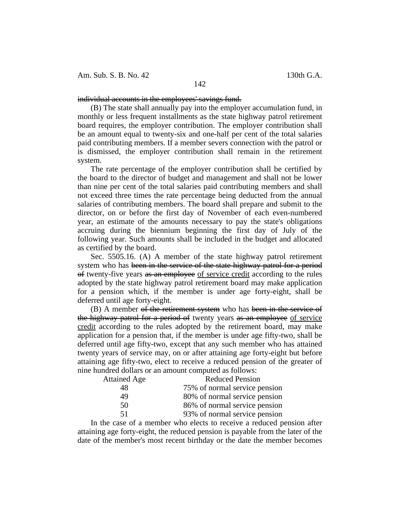## individual accounts in the employees' savings fund.

(B) The state shall annually pay into the employer accumulation fund, in monthly or less frequent installments as the state highway patrol retirement board requires, the employer contribution. The employer contribution shall be an amount equal to twenty-six and one-half per cent of the total salaries paid contributing members. If a member severs connection with the patrol or is dismissed, the employer contribution shall remain in the retirement system.

The rate percentage of the employer contribution shall be certified by the board to the director of budget and management and shall not be lower than nine per cent of the total salaries paid contributing members and shall not exceed three times the rate percentage being deducted from the annual salaries of contributing members. The board shall prepare and submit to the director, on or before the first day of November of each even-numbered year, an estimate of the amounts necessary to pay the state's obligations accruing during the biennium beginning the first day of July of the following year. Such amounts shall be included in the budget and allocated as certified by the board.

Sec. 5505.16. (A) A member of the state highway patrol retirement system who has been in the service of the state highway patrol for a period of twenty-five years as an employee of service credit according to the rules adopted by the state highway patrol retirement board may make application for a pension which, if the member is under age forty-eight, shall be deferred until age forty-eight.

(B) A member of the retirement system who has been in the service of the highway patrol for a period of twenty years as an employee of service credit according to the rules adopted by the retirement board, may make application for a pension that, if the member is under age fifty-two, shall be deferred until age fifty-two, except that any such member who has attained twenty years of service may, on or after attaining age forty-eight but before attaining age fifty-two, elect to receive a reduced pension of the greater of nine hundred dollars or an amount computed as follows:

| <b>Reduced Pension</b>        |  |
|-------------------------------|--|
| 75% of normal service pension |  |
| 80% of normal service pension |  |
| 86% of normal service pension |  |
| 93% of normal service pension |  |
|                               |  |

In the case of a member who elects to receive a reduced pension after attaining age forty-eight, the reduced pension is payable from the later of the date of the member's most recent birthday or the date the member becomes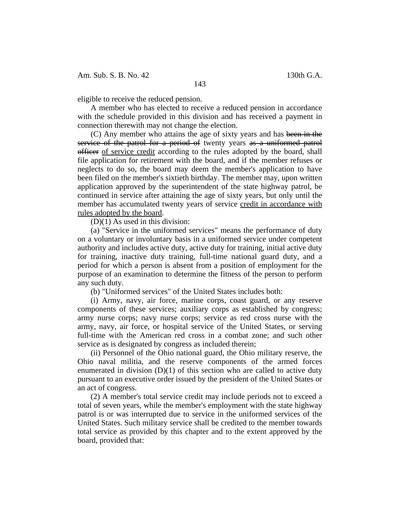eligible to receive the reduced pension.

A member who has elected to receive a reduced pension in accordance with the schedule provided in this division and has received a payment in connection therewith may not change the election.

(C) Any member who attains the age of sixty years and has been in the service of the patrol for a period of twenty years as a uniformed patrol officer of service credit according to the rules adopted by the board, shall file application for retirement with the board, and if the member refuses or neglects to do so, the board may deem the member's application to have been filed on the member's sixtieth birthday. The member may, upon written application approved by the superintendent of the state highway patrol, be continued in service after attaining the age of sixty years, but only until the member has accumulated twenty years of service credit in accordance with rules adopted by the board.

(D)(1) As used in this division:

(a) "Service in the uniformed services" means the performance of duty on a voluntary or involuntary basis in a uniformed service under competent authority and includes active duty, active duty for training, initial active duty for training, inactive duty training, full-time national guard duty, and a period for which a person is absent from a position of employment for the purpose of an examination to determine the fitness of the person to perform any such duty.

(b) "Uniformed services" of the United States includes both:

(i) Army, navy, air force, marine corps, coast guard, or any reserve components of these services; auxiliary corps as established by congress; army nurse corps; navy nurse corps; service as red cross nurse with the army, navy, air force, or hospital service of the United States, or serving full-time with the American red cross in a combat zone; and such other service as is designated by congress as included therein;

(ii) Personnel of the Ohio national guard, the Ohio military reserve, the Ohio naval militia, and the reserve components of the armed forces enumerated in division  $(D)(1)$  of this section who are called to active duty pursuant to an executive order issued by the president of the United States or an act of congress.

(2) A member's total service credit may include periods not to exceed a total of seven years, while the member's employment with the state highway patrol is or was interrupted due to service in the uniformed services of the United States. Such military service shall be credited to the member towards total service as provided by this chapter and to the extent approved by the board, provided that: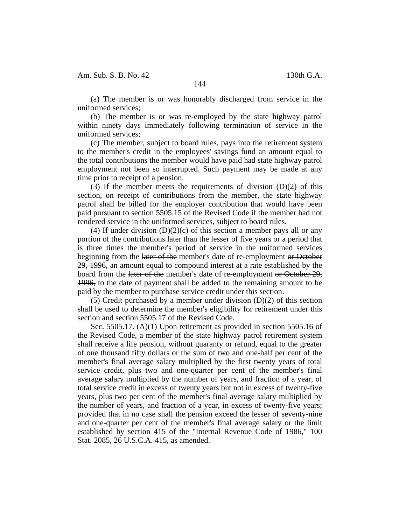(a) The member is or was honorably discharged from service in the uniformed services;

(b) The member is or was re-employed by the state highway patrol within ninety days immediately following termination of service in the uniformed services;

(c) The member, subject to board rules, pays into the retirement system to the member's credit in the employees' savings fund an amount equal to the total contributions the member would have paid had state highway patrol employment not been so interrupted. Such payment may be made at any time prior to receipt of a pension.

(3) If the member meets the requirements of division (D)(2) of this section, on receipt of contributions from the member, the state highway patrol shall be billed for the employer contribution that would have been paid pursuant to section 5505.15 of the Revised Code if the member had not rendered service in the uniformed services, subject to board rules.

(4) If under division  $(D)(2)(c)$  of this section a member pays all or any portion of the contributions later than the lesser of five years or a period that is three times the member's period of service in the uniformed services beginning from the later of the member's date of re-employment or October 29, 1996, an amount equal to compound interest at a rate established by the board from the later of the member's date of re-employment or October 29, 1996, to the date of payment shall be added to the remaining amount to be paid by the member to purchase service credit under this section.

(5) Credit purchased by a member under division (D)(2) of this section shall be used to determine the member's eligibility for retirement under this section and section 5505.17 of the Revised Code.

Sec. 5505.17. (A)(1) Upon retirement as provided in section 5505.16 of the Revised Code, a member of the state highway patrol retirement system shall receive a life pension, without guaranty or refund, equal to the greater of one thousand fifty dollars or the sum of two and one-half per cent of the member's final average salary multiplied by the first twenty years of total service credit, plus two and one-quarter per cent of the member's final average salary multiplied by the number of years, and fraction of a year, of total service credit in excess of twenty years but not in excess of twenty-five years, plus two per cent of the member's final average salary multiplied by the number of years, and fraction of a year, in excess of twenty-five years; provided that in no case shall the pension exceed the lesser of seventy-nine and one-quarter per cent of the member's final average salary or the limit established by section 415 of the "Internal Revenue Code of 1986," 100 Stat. 2085, 26 U.S.C.A. 415, as amended.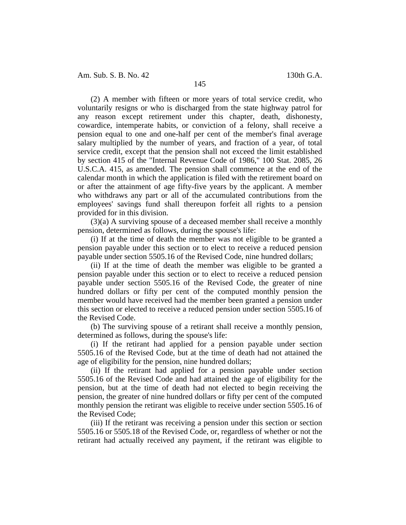(2) A member with fifteen or more years of total service credit, who voluntarily resigns or who is discharged from the state highway patrol for any reason except retirement under this chapter, death, dishonesty, cowardice, intemperate habits, or conviction of a felony, shall receive a pension equal to one and one-half per cent of the member's final average salary multiplied by the number of years, and fraction of a year, of total service credit, except that the pension shall not exceed the limit established by section 415 of the "Internal Revenue Code of 1986," 100 Stat. 2085, 26 U.S.C.A. 415, as amended. The pension shall commence at the end of the calendar month in which the application is filed with the retirement board on or after the attainment of age fifty-five years by the applicant. A member who withdraws any part or all of the accumulated contributions from the employees' savings fund shall thereupon forfeit all rights to a pension provided for in this division.

(3)(a) A surviving spouse of a deceased member shall receive a monthly pension, determined as follows, during the spouse's life:

(i) If at the time of death the member was not eligible to be granted a pension payable under this section or to elect to receive a reduced pension payable under section 5505.16 of the Revised Code, nine hundred dollars;

(ii) If at the time of death the member was eligible to be granted a pension payable under this section or to elect to receive a reduced pension payable under section 5505.16 of the Revised Code, the greater of nine hundred dollars or fifty per cent of the computed monthly pension the member would have received had the member been granted a pension under this section or elected to receive a reduced pension under section 5505.16 of the Revised Code.

(b) The surviving spouse of a retirant shall receive a monthly pension, determined as follows, during the spouse's life:

(i) If the retirant had applied for a pension payable under section 5505.16 of the Revised Code, but at the time of death had not attained the age of eligibility for the pension, nine hundred dollars;

(ii) If the retirant had applied for a pension payable under section 5505.16 of the Revised Code and had attained the age of eligibility for the pension, but at the time of death had not elected to begin receiving the pension, the greater of nine hundred dollars or fifty per cent of the computed monthly pension the retirant was eligible to receive under section 5505.16 of the Revised Code;

(iii) If the retirant was receiving a pension under this section or section 5505.16 or 5505.18 of the Revised Code, or, regardless of whether or not the retirant had actually received any payment, if the retirant was eligible to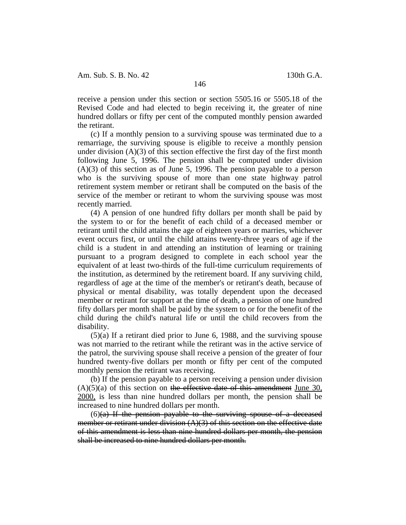receive a pension under this section or section 5505.16 or 5505.18 of the Revised Code and had elected to begin receiving it, the greater of nine hundred dollars or fifty per cent of the computed monthly pension awarded the retirant.

(c) If a monthly pension to a surviving spouse was terminated due to a remarriage, the surviving spouse is eligible to receive a monthly pension under division  $(A)(3)$  of this section effective the first day of the first month following June 5, 1996. The pension shall be computed under division (A)(3) of this section as of June 5, 1996. The pension payable to a person who is the surviving spouse of more than one state highway patrol retirement system member or retirant shall be computed on the basis of the service of the member or retirant to whom the surviving spouse was most recently married.

(4) A pension of one hundred fifty dollars per month shall be paid by the system to or for the benefit of each child of a deceased member or retirant until the child attains the age of eighteen years or marries, whichever event occurs first, or until the child attains twenty-three years of age if the child is a student in and attending an institution of learning or training pursuant to a program designed to complete in each school year the equivalent of at least two-thirds of the full-time curriculum requirements of the institution, as determined by the retirement board. If any surviving child, regardless of age at the time of the member's or retirant's death, because of physical or mental disability, was totally dependent upon the deceased member or retirant for support at the time of death, a pension of one hundred fifty dollars per month shall be paid by the system to or for the benefit of the child during the child's natural life or until the child recovers from the disability.

(5)(a) If a retirant died prior to June 6, 1988, and the surviving spouse was not married to the retirant while the retirant was in the active service of the patrol, the surviving spouse shall receive a pension of the greater of four hundred twenty-five dollars per month or fifty per cent of the computed monthly pension the retirant was receiving.

(b) If the pension payable to a person receiving a pension under division  $(A)(5)(a)$  of this section on the effective date of this amendment June 30, 2000, is less than nine hundred dollars per month, the pension shall be increased to nine hundred dollars per month.

 $(6)(a)$  If the pension payable to the surviving spouse of a deceased member or retirant under division  $(A)(3)$  of this section on the effective date of this amendment is less than nine hundred dollars per month, the pension shall be increased to nine hundred dollars per month.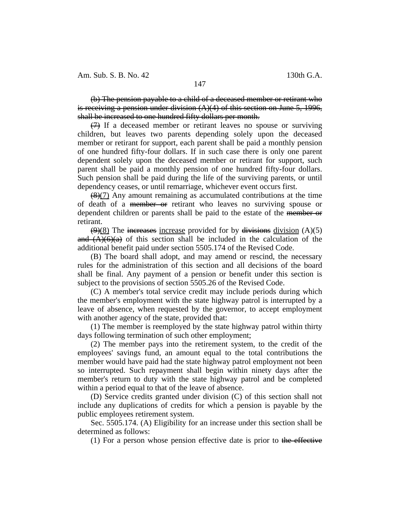(b) The pension payable to a child of a deceased member or retirant who is receiving a pension under division  $(A)(4)$  of this section on June 5, 1996, shall be increased to one hundred fifty dollars per month.

(7) If a deceased member or retirant leaves no spouse or surviving children, but leaves two parents depending solely upon the deceased member or retirant for support, each parent shall be paid a monthly pension of one hundred fifty-four dollars. If in such case there is only one parent dependent solely upon the deceased member or retirant for support, such parent shall be paid a monthly pension of one hundred fifty-four dollars. Such pension shall be paid during the life of the surviving parents, or until dependency ceases, or until remarriage, whichever event occurs first.

 $(8)(7)$  Any amount remaining as accumulated contributions at the time of death of a member or retirant who leaves no surviving spouse or dependent children or parents shall be paid to the estate of the member or retirant.

 $(9)(8)$  The increases increase provided for by divisions division (A)(5) and  $(A)(6)(a)$  of this section shall be included in the calculation of the additional benefit paid under section 5505.174 of the Revised Code.

(B) The board shall adopt, and may amend or rescind, the necessary rules for the administration of this section and all decisions of the board shall be final. Any payment of a pension or benefit under this section is subject to the provisions of section 5505.26 of the Revised Code.

(C) A member's total service credit may include periods during which the member's employment with the state highway patrol is interrupted by a leave of absence, when requested by the governor, to accept employment with another agency of the state, provided that:

(1) The member is reemployed by the state highway patrol within thirty days following termination of such other employment;

(2) The member pays into the retirement system, to the credit of the employees' savings fund, an amount equal to the total contributions the member would have paid had the state highway patrol employment not been so interrupted. Such repayment shall begin within ninety days after the member's return to duty with the state highway patrol and be completed within a period equal to that of the leave of absence.

(D) Service credits granted under division (C) of this section shall not include any duplications of credits for which a pension is payable by the public employees retirement system.

Sec. 5505.174. (A) Eligibility for an increase under this section shall be determined as follows:

(1) For a person whose pension effective date is prior to the effective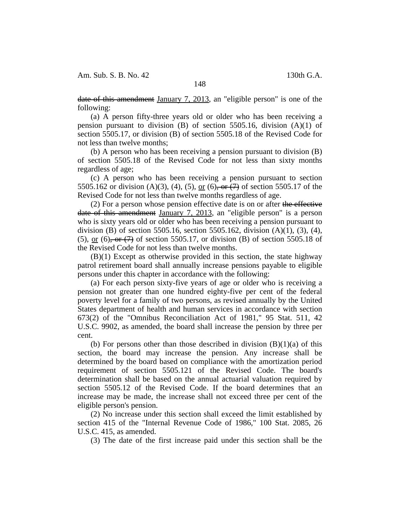date of this amendment January 7, 2013, an "eligible person" is one of the following:

(a) A person fifty-three years old or older who has been receiving a pension pursuant to division (B) of section 5505.16, division (A)(1) of section 5505.17, or division (B) of section 5505.18 of the Revised Code for not less than twelve months;

(b) A person who has been receiving a pension pursuant to division (B) of section 5505.18 of the Revised Code for not less than sixty months regardless of age;

(c) A person who has been receiving a pension pursuant to section 5505.162 or division (A)(3), (4), (5), <u>or</u> (6), or (7) of section 5505.17 of the Revised Code for not less than twelve months regardless of age.

(2) For a person whose pension effective date is on or after the effective date of this amendment January 7, 2013, an "eligible person" is a person who is sixty years old or older who has been receiving a pension pursuant to division (B) of section 5505.16, section 5505.162, division (A)(1), (3), (4), (5), or  $(6)$ , or  $(7)$  of section 5505.17, or division (B) of section 5505.18 of the Revised Code for not less than twelve months.

(B)(1) Except as otherwise provided in this section, the state highway patrol retirement board shall annually increase pensions payable to eligible persons under this chapter in accordance with the following:

(a) For each person sixty-five years of age or older who is receiving a pension not greater than one hundred eighty-five per cent of the federal poverty level for a family of two persons, as revised annually by the United States department of health and human services in accordance with section 673(2) of the "Omnibus Reconciliation Act of 1981," 95 Stat. 511, 42 U.S.C. 9902, as amended, the board shall increase the pension by three per cent.

(b) For persons other than those described in division  $(B)(1)(a)$  of this section, the board may increase the pension. Any increase shall be determined by the board based on compliance with the amortization period requirement of section 5505.121 of the Revised Code. The board's determination shall be based on the annual actuarial valuation required by section 5505.12 of the Revised Code. If the board determines that an increase may be made, the increase shall not exceed three per cent of the eligible person's pension.

(2) No increase under this section shall exceed the limit established by section 415 of the "Internal Revenue Code of 1986," 100 Stat. 2085, 26 U.S.C. 415, as amended.

(3) The date of the first increase paid under this section shall be the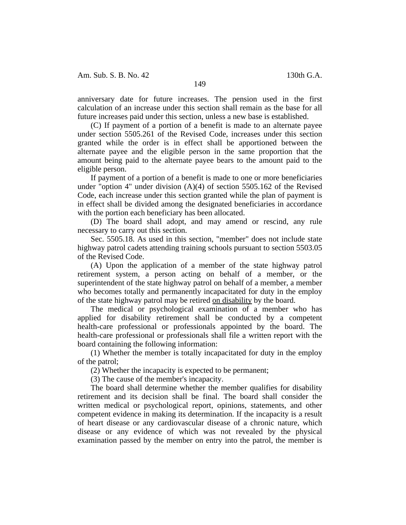anniversary date for future increases. The pension used in the first calculation of an increase under this section shall remain as the base for all future increases paid under this section, unless a new base is established.

(C) If payment of a portion of a benefit is made to an alternate payee under section 5505.261 of the Revised Code, increases under this section granted while the order is in effect shall be apportioned between the alternate payee and the eligible person in the same proportion that the amount being paid to the alternate payee bears to the amount paid to the eligible person.

If payment of a portion of a benefit is made to one or more beneficiaries under "option 4" under division (A)(4) of section 5505.162 of the Revised Code, each increase under this section granted while the plan of payment is in effect shall be divided among the designated beneficiaries in accordance with the portion each beneficiary has been allocated.

(D) The board shall adopt, and may amend or rescind, any rule necessary to carry out this section.

Sec. 5505.18. As used in this section, "member" does not include state highway patrol cadets attending training schools pursuant to section 5503.05 of the Revised Code.

(A) Upon the application of a member of the state highway patrol retirement system, a person acting on behalf of a member, or the superintendent of the state highway patrol on behalf of a member, a member who becomes totally and permanently incapacitated for duty in the employ of the state highway patrol may be retired on disability by the board.

The medical or psychological examination of a member who has applied for disability retirement shall be conducted by a competent health-care professional or professionals appointed by the board. The health-care professional or professionals shall file a written report with the board containing the following information:

(1) Whether the member is totally incapacitated for duty in the employ of the patrol;

(2) Whether the incapacity is expected to be permanent;

(3) The cause of the member's incapacity.

The board shall determine whether the member qualifies for disability retirement and its decision shall be final. The board shall consider the written medical or psychological report, opinions, statements, and other competent evidence in making its determination. If the incapacity is a result of heart disease or any cardiovascular disease of a chronic nature, which disease or any evidence of which was not revealed by the physical examination passed by the member on entry into the patrol, the member is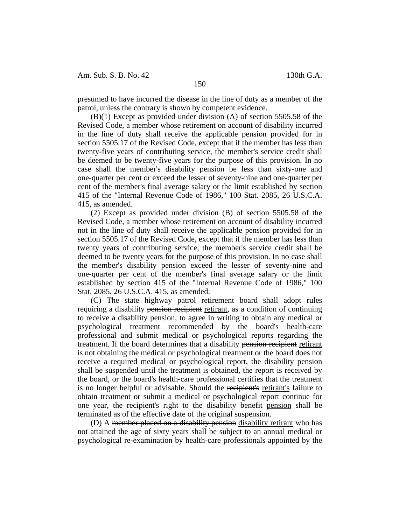presumed to have incurred the disease in the line of duty as a member of the patrol, unless the contrary is shown by competent evidence.

(B)(1) Except as provided under division (A) of section 5505.58 of the Revised Code, a member whose retirement on account of disability incurred in the line of duty shall receive the applicable pension provided for in section 5505.17 of the Revised Code, except that if the member has less than twenty-five years of contributing service, the member's service credit shall be deemed to be twenty-five years for the purpose of this provision. In no case shall the member's disability pension be less than sixty-one and one-quarter per cent or exceed the lesser of seventy-nine and one-quarter per cent of the member's final average salary or the limit established by section 415 of the "Internal Revenue Code of 1986," 100 Stat. 2085, 26 U.S.C.A. 415, as amended.

(2) Except as provided under division (B) of section 5505.58 of the Revised Code, a member whose retirement on account of disability incurred not in the line of duty shall receive the applicable pension provided for in section 5505.17 of the Revised Code, except that if the member has less than twenty years of contributing service, the member's service credit shall be deemed to be twenty years for the purpose of this provision. In no case shall the member's disability pension exceed the lesser of seventy-nine and one-quarter per cent of the member's final average salary or the limit established by section 415 of the "Internal Revenue Code of 1986," 100 Stat. 2085, 26 U.S.C.A. 415, as amended.

(C) The state highway patrol retirement board shall adopt rules requiring a disability pension recipient retirant, as a condition of continuing to receive a disability pension, to agree in writing to obtain any medical or psychological treatment recommended by the board's health-care professional and submit medical or psychological reports regarding the treatment. If the board determines that a disability pension recipient retirant is not obtaining the medical or psychological treatment or the board does not receive a required medical or psychological report, the disability pension shall be suspended until the treatment is obtained, the report is received by the board, or the board's health-care professional certifies that the treatment is no longer helpful or advisable. Should the recipient's retirant's failure to obtain treatment or submit a medical or psychological report continue for one year, the recipient's right to the disability benefit pension shall be terminated as of the effective date of the original suspension.

(D) A member placed on a disability pension disability retirant who has not attained the age of sixty years shall be subject to an annual medical or psychological re-examination by health-care professionals appointed by the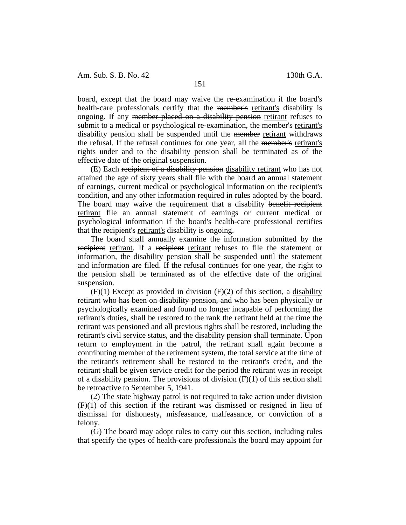board, except that the board may waive the re-examination if the board's health-care professionals certify that the member's retirant's disability is ongoing. If any member placed on a disability pension retirant refuses to submit to a medical or psychological re-examination, the member's retirant's disability pension shall be suspended until the member retirant withdraws the refusal. If the refusal continues for one year, all the member's retirant's rights under and to the disability pension shall be terminated as of the effective date of the original suspension.

(E) Each recipient of a disability pension disability retirant who has not attained the age of sixty years shall file with the board an annual statement of earnings, current medical or psychological information on the recipient's condition, and any other information required in rules adopted by the board. The board may waive the requirement that a disability benefit recipient retirant file an annual statement of earnings or current medical or psychological information if the board's health-care professional certifies that the recipient's retirant's disability is ongoing.

The board shall annually examine the information submitted by the recipient retirant. If a recipient retirant refuses to file the statement or information, the disability pension shall be suspended until the statement and information are filed. If the refusal continues for one year, the right to the pension shall be terminated as of the effective date of the original suspension.

 $(F)(1)$  Except as provided in division  $(F)(2)$  of this section, a disability retirant who has been on disability pension, and who has been physically or psychologically examined and found no longer incapable of performing the retirant's duties, shall be restored to the rank the retirant held at the time the retirant was pensioned and all previous rights shall be restored, including the retirant's civil service status, and the disability pension shall terminate. Upon return to employment in the patrol, the retirant shall again become a contributing member of the retirement system, the total service at the time of the retirant's retirement shall be restored to the retirant's credit, and the retirant shall be given service credit for the period the retirant was in receipt of a disability pension. The provisions of division  $(F)(1)$  of this section shall be retroactive to September 5, 1941.

(2) The state highway patrol is not required to take action under division (F)(1) of this section if the retirant was dismissed or resigned in lieu of dismissal for dishonesty, misfeasance, malfeasance, or conviction of a felony.

(G) The board may adopt rules to carry out this section, including rules that specify the types of health-care professionals the board may appoint for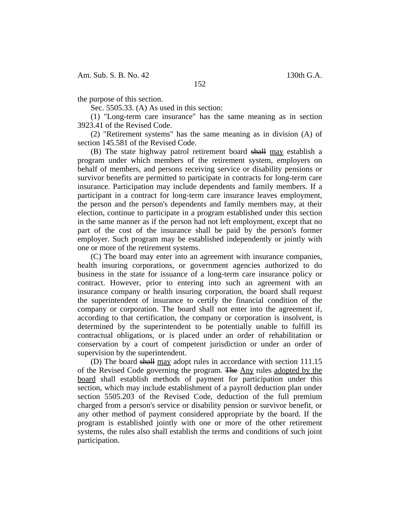the purpose of this section.

Sec. 5505.33. (A) As used in this section:

(1) "Long-term care insurance" has the same meaning as in section 3923.41 of the Revised Code.

(2) "Retirement systems" has the same meaning as in division (A) of section 145.581 of the Revised Code.

(B) The state highway patrol retirement board shall may establish a program under which members of the retirement system, employers on behalf of members, and persons receiving service or disability pensions or survivor benefits are permitted to participate in contracts for long-term care insurance. Participation may include dependents and family members. If a participant in a contract for long-term care insurance leaves employment, the person and the person's dependents and family members may, at their election, continue to participate in a program established under this section in the same manner as if the person had not left employment, except that no part of the cost of the insurance shall be paid by the person's former employer. Such program may be established independently or jointly with one or more of the retirement systems.

(C) The board may enter into an agreement with insurance companies, health insuring corporations, or government agencies authorized to do business in the state for issuance of a long-term care insurance policy or contract. However, prior to entering into such an agreement with an insurance company or health insuring corporation, the board shall request the superintendent of insurance to certify the financial condition of the company or corporation. The board shall not enter into the agreement if, according to that certification, the company or corporation is insolvent, is determined by the superintendent to be potentially unable to fulfill its contractual obligations, or is placed under an order of rehabilitation or conservation by a court of competent jurisdiction or under an order of supervision by the superintendent.

(D) The board shall may adopt rules in accordance with section 111.15 of the Revised Code governing the program. The Any rules adopted by the board shall establish methods of payment for participation under this section, which may include establishment of a payroll deduction plan under section 5505.203 of the Revised Code, deduction of the full premium charged from a person's service or disability pension or survivor benefit, or any other method of payment considered appropriate by the board. If the program is established jointly with one or more of the other retirement systems, the rules also shall establish the terms and conditions of such joint participation.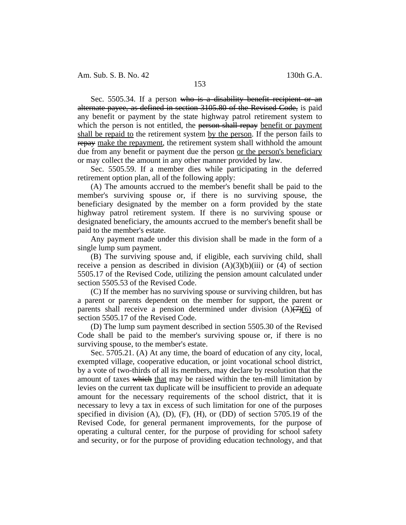Sec. 5505.34. If a person who is a disability benefit recipient or an alternate payee, as defined in section 3105.80 of the Revised Code, is paid any benefit or payment by the state highway patrol retirement system to which the person is not entitled, the person shall repay benefit or payment shall be repaid to the retirement system by the person. If the person fails to repay make the repayment, the retirement system shall withhold the amount due from any benefit or payment due the person or the person's beneficiary or may collect the amount in any other manner provided by law.

Sec. 5505.59. If a member dies while participating in the deferred retirement option plan, all of the following apply:

(A) The amounts accrued to the member's benefit shall be paid to the member's surviving spouse or, if there is no surviving spouse, the beneficiary designated by the member on a form provided by the state highway patrol retirement system. If there is no surviving spouse or designated beneficiary, the amounts accrued to the member's benefit shall be paid to the member's estate.

Any payment made under this division shall be made in the form of a single lump sum payment.

(B) The surviving spouse and, if eligible, each surviving child, shall receive a pension as described in division  $(A)(3)(b)(iii)$  or  $(4)$  of section 5505.17 of the Revised Code, utilizing the pension amount calculated under section 5505.53 of the Revised Code.

(C) If the member has no surviving spouse or surviving children, but has a parent or parents dependent on the member for support, the parent or parents shall receive a pension determined under division  $(A)(7)(6)$  of section 5505.17 of the Revised Code.

(D) The lump sum payment described in section 5505.30 of the Revised Code shall be paid to the member's surviving spouse or, if there is no surviving spouse, to the member's estate.

Sec. 5705.21. (A) At any time, the board of education of any city, local, exempted village, cooperative education, or joint vocational school district, by a vote of two-thirds of all its members, may declare by resolution that the amount of taxes which that may be raised within the ten-mill limitation by levies on the current tax duplicate will be insufficient to provide an adequate amount for the necessary requirements of the school district, that it is necessary to levy a tax in excess of such limitation for one of the purposes specified in division  $(A)$ ,  $(D)$ ,  $(F)$ ,  $(H)$ , or  $(DD)$  of section 5705.19 of the Revised Code, for general permanent improvements, for the purpose of operating a cultural center, for the purpose of providing for school safety and security, or for the purpose of providing education technology, and that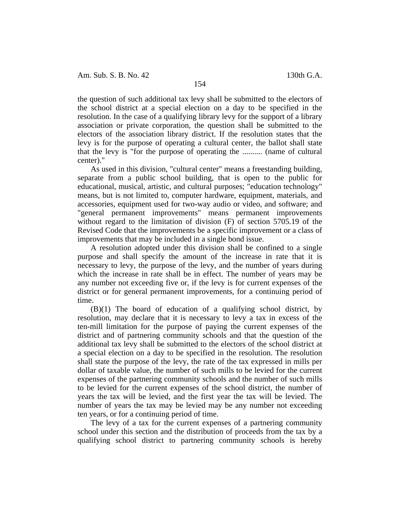the question of such additional tax levy shall be submitted to the electors of the school district at a special election on a day to be specified in the resolution. In the case of a qualifying library levy for the support of a library association or private corporation, the question shall be submitted to the electors of the association library district. If the resolution states that the levy is for the purpose of operating a cultural center, the ballot shall state that the levy is "for the purpose of operating the .......... (name of cultural center)."

As used in this division, "cultural center" means a freestanding building, separate from a public school building, that is open to the public for educational, musical, artistic, and cultural purposes; "education technology" means, but is not limited to, computer hardware, equipment, materials, and accessories, equipment used for two-way audio or video, and software; and "general permanent improvements" means permanent improvements without regard to the limitation of division (F) of section 5705.19 of the Revised Code that the improvements be a specific improvement or a class of improvements that may be included in a single bond issue.

A resolution adopted under this division shall be confined to a single purpose and shall specify the amount of the increase in rate that it is necessary to levy, the purpose of the levy, and the number of years during which the increase in rate shall be in effect. The number of years may be any number not exceeding five or, if the levy is for current expenses of the district or for general permanent improvements, for a continuing period of time.

(B)(1) The board of education of a qualifying school district, by resolution, may declare that it is necessary to levy a tax in excess of the ten-mill limitation for the purpose of paying the current expenses of the district and of partnering community schools and that the question of the additional tax levy shall be submitted to the electors of the school district at a special election on a day to be specified in the resolution. The resolution shall state the purpose of the levy, the rate of the tax expressed in mills per dollar of taxable value, the number of such mills to be levied for the current expenses of the partnering community schools and the number of such mills to be levied for the current expenses of the school district, the number of years the tax will be levied, and the first year the tax will be levied. The number of years the tax may be levied may be any number not exceeding ten years, or for a continuing period of time.

The levy of a tax for the current expenses of a partnering community school under this section and the distribution of proceeds from the tax by a qualifying school district to partnering community schools is hereby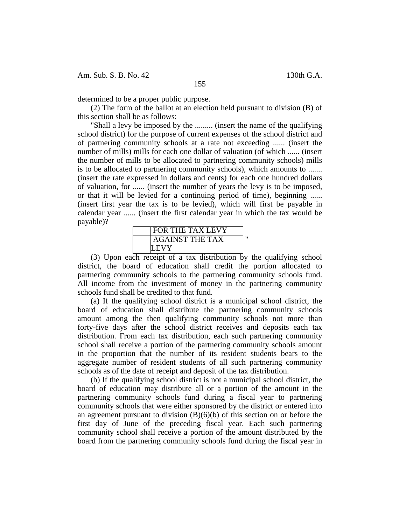determined to be a proper public purpose.

(2) The form of the ballot at an election held pursuant to division (B) of this section shall be as follows:

"Shall a levy be imposed by the ......... (insert the name of the qualifying school district) for the purpose of current expenses of the school district and of partnering community schools at a rate not exceeding ...... (insert the number of mills) mills for each one dollar of valuation (of which ...... (insert the number of mills to be allocated to partnering community schools) mills is to be allocated to partnering community schools), which amounts to ....... (insert the rate expressed in dollars and cents) for each one hundred dollars of valuation, for ...... (insert the number of years the levy is to be imposed, or that it will be levied for a continuing period of time), beginning ...... (insert first year the tax is to be levied), which will first be payable in calendar year ...... (insert the first calendar year in which the tax would be payable)?

| <b>FOR THE TAX LEVY</b> |  |
|-------------------------|--|
| <b>AGAINST THE TAX</b>  |  |
| LEVY                    |  |

(3) Upon each receipt of a tax distribution by the qualifying school district, the board of education shall credit the portion allocated to partnering community schools to the partnering community schools fund. All income from the investment of money in the partnering community schools fund shall be credited to that fund.

(a) If the qualifying school district is a municipal school district, the board of education shall distribute the partnering community schools amount among the then qualifying community schools not more than forty-five days after the school district receives and deposits each tax distribution. From each tax distribution, each such partnering community school shall receive a portion of the partnering community schools amount in the proportion that the number of its resident students bears to the aggregate number of resident students of all such partnering community schools as of the date of receipt and deposit of the tax distribution.

(b) If the qualifying school district is not a municipal school district, the board of education may distribute all or a portion of the amount in the partnering community schools fund during a fiscal year to partnering community schools that were either sponsored by the district or entered into an agreement pursuant to division  $(B)(6)(b)$  of this section on or before the first day of June of the preceding fiscal year. Each such partnering community school shall receive a portion of the amount distributed by the board from the partnering community schools fund during the fiscal year in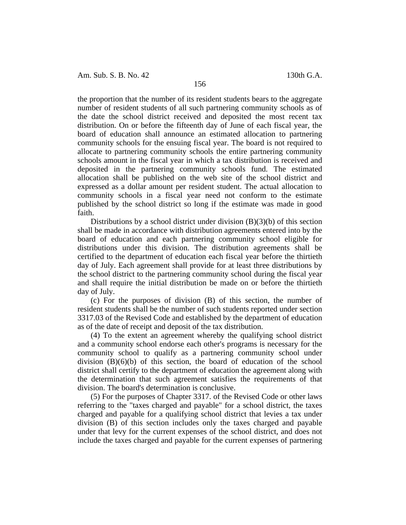the proportion that the number of its resident students bears to the aggregate number of resident students of all such partnering community schools as of the date the school district received and deposited the most recent tax distribution. On or before the fifteenth day of June of each fiscal year, the board of education shall announce an estimated allocation to partnering community schools for the ensuing fiscal year. The board is not required to allocate to partnering community schools the entire partnering community schools amount in the fiscal year in which a tax distribution is received and deposited in the partnering community schools fund. The estimated allocation shall be published on the web site of the school district and expressed as a dollar amount per resident student. The actual allocation to community schools in a fiscal year need not conform to the estimate published by the school district so long if the estimate was made in good faith.

Distributions by a school district under division  $(B)(3)(b)$  of this section shall be made in accordance with distribution agreements entered into by the board of education and each partnering community school eligible for distributions under this division. The distribution agreements shall be certified to the department of education each fiscal year before the thirtieth day of July. Each agreement shall provide for at least three distributions by the school district to the partnering community school during the fiscal year and shall require the initial distribution be made on or before the thirtieth day of July.

(c) For the purposes of division (B) of this section, the number of resident students shall be the number of such students reported under section 3317.03 of the Revised Code and established by the department of education as of the date of receipt and deposit of the tax distribution.

(4) To the extent an agreement whereby the qualifying school district and a community school endorse each other's programs is necessary for the community school to qualify as a partnering community school under division (B)(6)(b) of this section, the board of education of the school district shall certify to the department of education the agreement along with the determination that such agreement satisfies the requirements of that division. The board's determination is conclusive.

(5) For the purposes of Chapter 3317. of the Revised Code or other laws referring to the "taxes charged and payable" for a school district, the taxes charged and payable for a qualifying school district that levies a tax under division (B) of this section includes only the taxes charged and payable under that levy for the current expenses of the school district, and does not include the taxes charged and payable for the current expenses of partnering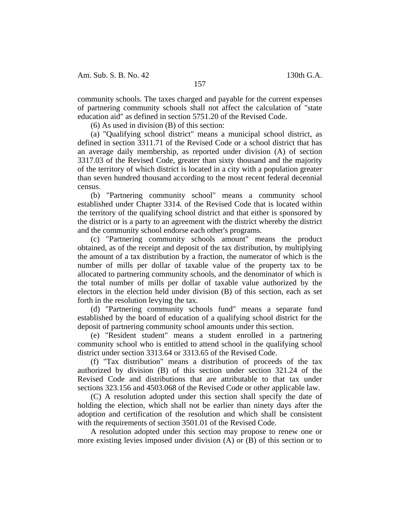community schools. The taxes charged and payable for the current expenses of partnering community schools shall not affect the calculation of "state education aid" as defined in section 5751.20 of the Revised Code.

(6) As used in division (B) of this section:

(a) "Qualifying school district" means a municipal school district, as defined in section 3311.71 of the Revised Code or a school district that has an average daily membership, as reported under division (A) of section 3317.03 of the Revised Code, greater than sixty thousand and the majority of the territory of which district is located in a city with a population greater than seven hundred thousand according to the most recent federal decennial census.

(b) "Partnering community school" means a community school established under Chapter 3314. of the Revised Code that is located within the territory of the qualifying school district and that either is sponsored by the district or is a party to an agreement with the district whereby the district and the community school endorse each other's programs.

(c) "Partnering community schools amount" means the product obtained, as of the receipt and deposit of the tax distribution, by multiplying the amount of a tax distribution by a fraction, the numerator of which is the number of mills per dollar of taxable value of the property tax to be allocated to partnering community schools, and the denominator of which is the total number of mills per dollar of taxable value authorized by the electors in the election held under division (B) of this section, each as set forth in the resolution levying the tax.

(d) "Partnering community schools fund" means a separate fund established by the board of education of a qualifying school district for the deposit of partnering community school amounts under this section.

(e) "Resident student" means a student enrolled in a partnering community school who is entitled to attend school in the qualifying school district under section 3313.64 or 3313.65 of the Revised Code.

(f) "Tax distribution" means a distribution of proceeds of the tax authorized by division (B) of this section under section 321.24 of the Revised Code and distributions that are attributable to that tax under sections 323.156 and 4503.068 of the Revised Code or other applicable law.

(C) A resolution adopted under this section shall specify the date of holding the election, which shall not be earlier than ninety days after the adoption and certification of the resolution and which shall be consistent with the requirements of section 3501.01 of the Revised Code.

A resolution adopted under this section may propose to renew one or more existing levies imposed under division (A) or (B) of this section or to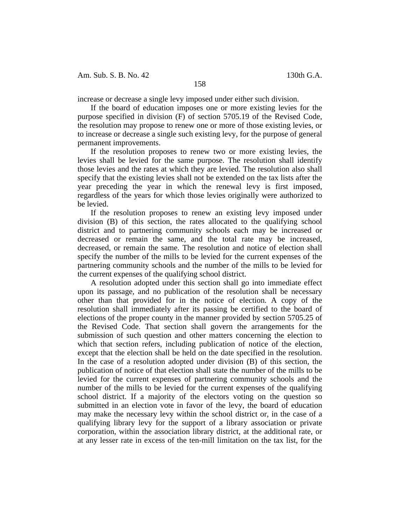increase or decrease a single levy imposed under either such division.

If the board of education imposes one or more existing levies for the purpose specified in division (F) of section 5705.19 of the Revised Code, the resolution may propose to renew one or more of those existing levies, or to increase or decrease a single such existing levy, for the purpose of general permanent improvements.

If the resolution proposes to renew two or more existing levies, the levies shall be levied for the same purpose. The resolution shall identify those levies and the rates at which they are levied. The resolution also shall specify that the existing levies shall not be extended on the tax lists after the year preceding the year in which the renewal levy is first imposed, regardless of the years for which those levies originally were authorized to be levied.

If the resolution proposes to renew an existing levy imposed under division (B) of this section, the rates allocated to the qualifying school district and to partnering community schools each may be increased or decreased or remain the same, and the total rate may be increased, decreased, or remain the same. The resolution and notice of election shall specify the number of the mills to be levied for the current expenses of the partnering community schools and the number of the mills to be levied for the current expenses of the qualifying school district.

A resolution adopted under this section shall go into immediate effect upon its passage, and no publication of the resolution shall be necessary other than that provided for in the notice of election. A copy of the resolution shall immediately after its passing be certified to the board of elections of the proper county in the manner provided by section 5705.25 of the Revised Code. That section shall govern the arrangements for the submission of such question and other matters concerning the election to which that section refers, including publication of notice of the election, except that the election shall be held on the date specified in the resolution. In the case of a resolution adopted under division (B) of this section, the publication of notice of that election shall state the number of the mills to be levied for the current expenses of partnering community schools and the number of the mills to be levied for the current expenses of the qualifying school district. If a majority of the electors voting on the question so submitted in an election vote in favor of the levy, the board of education may make the necessary levy within the school district or, in the case of a qualifying library levy for the support of a library association or private corporation, within the association library district, at the additional rate, or at any lesser rate in excess of the ten-mill limitation on the tax list, for the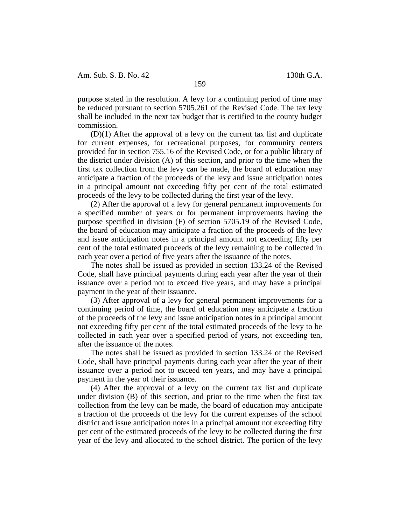purpose stated in the resolution. A levy for a continuing period of time may be reduced pursuant to section 5705.261 of the Revised Code. The tax levy shall be included in the next tax budget that is certified to the county budget commission.

(D)(1) After the approval of a levy on the current tax list and duplicate for current expenses, for recreational purposes, for community centers provided for in section 755.16 of the Revised Code, or for a public library of the district under division (A) of this section, and prior to the time when the first tax collection from the levy can be made, the board of education may anticipate a fraction of the proceeds of the levy and issue anticipation notes in a principal amount not exceeding fifty per cent of the total estimated proceeds of the levy to be collected during the first year of the levy.

(2) After the approval of a levy for general permanent improvements for a specified number of years or for permanent improvements having the purpose specified in division (F) of section 5705.19 of the Revised Code, the board of education may anticipate a fraction of the proceeds of the levy and issue anticipation notes in a principal amount not exceeding fifty per cent of the total estimated proceeds of the levy remaining to be collected in each year over a period of five years after the issuance of the notes.

The notes shall be issued as provided in section 133.24 of the Revised Code, shall have principal payments during each year after the year of their issuance over a period not to exceed five years, and may have a principal payment in the year of their issuance.

(3) After approval of a levy for general permanent improvements for a continuing period of time, the board of education may anticipate a fraction of the proceeds of the levy and issue anticipation notes in a principal amount not exceeding fifty per cent of the total estimated proceeds of the levy to be collected in each year over a specified period of years, not exceeding ten, after the issuance of the notes.

The notes shall be issued as provided in section 133.24 of the Revised Code, shall have principal payments during each year after the year of their issuance over a period not to exceed ten years, and may have a principal payment in the year of their issuance.

(4) After the approval of a levy on the current tax list and duplicate under division (B) of this section, and prior to the time when the first tax collection from the levy can be made, the board of education may anticipate a fraction of the proceeds of the levy for the current expenses of the school district and issue anticipation notes in a principal amount not exceeding fifty per cent of the estimated proceeds of the levy to be collected during the first year of the levy and allocated to the school district. The portion of the levy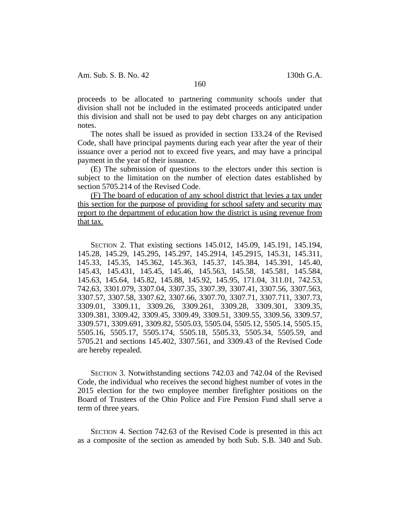proceeds to be allocated to partnering community schools under that division shall not be included in the estimated proceeds anticipated under this division and shall not be used to pay debt charges on any anticipation notes.

The notes shall be issued as provided in section 133.24 of the Revised Code, shall have principal payments during each year after the year of their issuance over a period not to exceed five years, and may have a principal payment in the year of their issuance.

(E) The submission of questions to the electors under this section is subject to the limitation on the number of election dates established by section 5705.214 of the Revised Code.

(F) The board of education of any school district that levies a tax under this section for the purpose of providing for school safety and security may report to the department of education how the district is using revenue from that tax.

SECTION 2. That existing sections 145.012, 145.09, 145.191, 145.194, 145.28, 145.29, 145.295, 145.297, 145.2914, 145.2915, 145.31, 145.311, 145.33, 145.35, 145.362, 145.363, 145.37, 145.384, 145.391, 145.40, 145.43, 145.431, 145.45, 145.46, 145.563, 145.58, 145.581, 145.584, 145.63, 145.64, 145.82, 145.88, 145.92, 145.95, 171.04, 311.01, 742.53, 742.63, 3301.079, 3307.04, 3307.35, 3307.39, 3307.41, 3307.56, 3307.563, 3307.57, 3307.58, 3307.62, 3307.66, 3307.70, 3307.71, 3307.711, 3307.73, 3309.01, 3309.11, 3309.26, 3309.261, 3309.28, 3309.301, 3309.35, 3309.381, 3309.42, 3309.45, 3309.49, 3309.51, 3309.55, 3309.56, 3309.57, 3309.571, 3309.691, 3309.82, 5505.03, 5505.04, 5505.12, 5505.14, 5505.15, 5505.16, 5505.17, 5505.174, 5505.18, 5505.33, 5505.34, 5505.59, and 5705.21 and sections 145.402, 3307.561, and 3309.43 of the Revised Code are hereby repealed.

SECTION 3. Notwithstanding sections 742.03 and 742.04 of the Revised Code, the individual who receives the second highest number of votes in the 2015 election for the two employee member firefighter positions on the Board of Trustees of the Ohio Police and Fire Pension Fund shall serve a term of three years.

SECTION 4. Section 742.63 of the Revised Code is presented in this act as a composite of the section as amended by both Sub. S.B. 340 and Sub.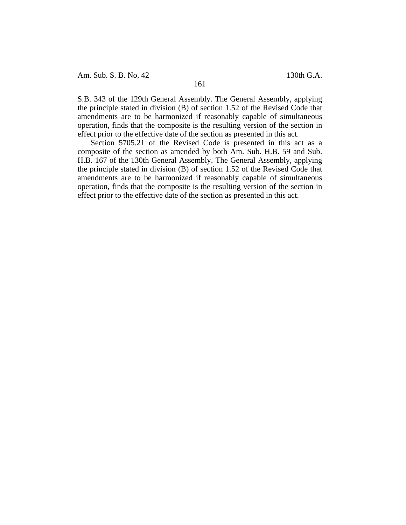S.B. 343 of the 129th General Assembly. The General Assembly, applying the principle stated in division (B) of section 1.52 of the Revised Code that amendments are to be harmonized if reasonably capable of simultaneous operation, finds that the composite is the resulting version of the section in effect prior to the effective date of the section as presented in this act.

Section 5705.21 of the Revised Code is presented in this act as a composite of the section as amended by both Am. Sub. H.B. 59 and Sub. H.B. 167 of the 130th General Assembly. The General Assembly, applying the principle stated in division (B) of section 1.52 of the Revised Code that amendments are to be harmonized if reasonably capable of simultaneous operation, finds that the composite is the resulting version of the section in effect prior to the effective date of the section as presented in this act.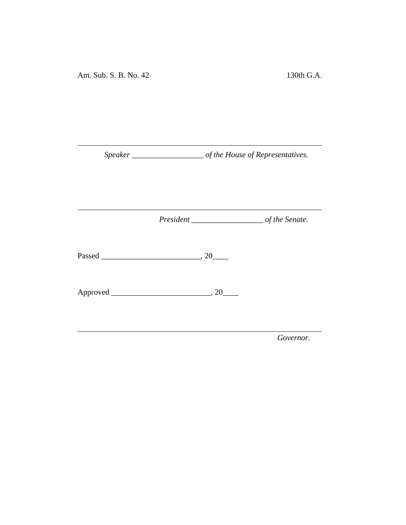*Speaker \_\_\_\_\_\_\_\_\_\_\_\_\_\_\_\_\_\_ of the House of Representatives.*

<u> 1980 - Johann Barbara, martxa a</u>

*President \_\_\_\_\_\_\_\_\_\_\_\_\_\_\_\_\_\_ of the Senate.*

<u> 1989 - Johann Barnett, fransk politiker (</u>

Passed \_\_\_\_\_\_\_\_\_\_\_\_\_\_\_\_\_\_\_\_\_\_\_\_\_, 20\_\_\_\_

Approved \_\_\_\_\_\_\_\_\_\_\_\_\_\_\_\_\_\_\_\_\_\_\_\_\_, 20\_\_\_\_

*Governor.*